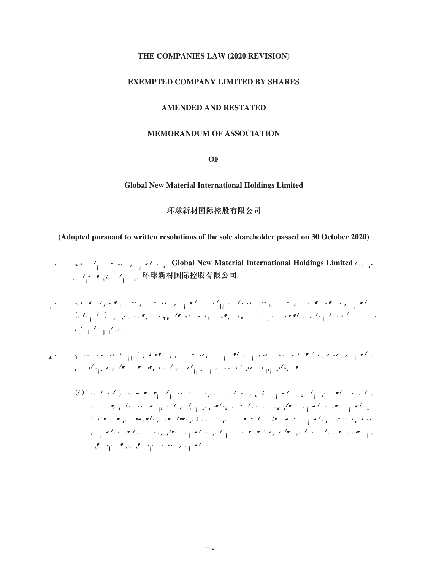#### **THE COMPANIES LAW (2020 REVISION)**

#### **EXEMPTED COMPANY LIMITED BY SHARES**

#### **AMENDED AND RESTATED**

# **MEMORANDUM OF ASSOCIATION**

#### **OF**

#### **Global New Material International Holdings Limited**

# **環球新材國際控股有限公司**

#### **(Adopted pursuant to written resolutions of the sole shareholder passed on 30 October 2020)**

- 1. The name of the name of the Company is **Global New Material International Holdings Limited**  $\ell_{\text{max}}$ dual for the induction of the two wave in the two wave in the interest of the interest of the interest of the i
- $\Gamma_{\rm eff}$  . The Register of the Registered of the Company shall be at the offices of Company shall company shall company  $(\mathcal{C}, \mathcal{C}, \mathcal{C})$  Limited,  $\mathcal{C}$  and  $(\mathcal{C}, \mathcal{C})$  and  $\mathcal{C}$  box 2681,  $\mathcal{C}$  and  $\mathcal{C}$  and  $\mathcal{C}$  and  $\mathcal{C}$  and  $\mathcal{C}$  and  $\mathcal{C}$  and  $\mathcal{C}$  and  $\mathcal{C}$  and  $\mathcal{C}$  and  $\mathcal{C}$  and  $\mathcal{C}$  a  $\mathcal{L}_\text{C} C_\text{C}$  Islands.
- $\Delta$  subject to the following provisions of the company provisions of the  $\ell$  the objects for which the  $\ell$  $\mathbf{r}_k$ ished are unrestricted as the unit limitation of shall include  $\mathbf{r}_k$ 
	- (b) to act and to be performed to pure the functions of  $\alpha$  holding company in all its branches and  $\alpha$ to coop and administration of policy and administration of any subsidiary companies of any subsidiary companies where  $\epsilon_{\rm p}$  carrying for carrying on business or the second operation of which the which  $C_{\rm{C}}$  and subsidiary  $C_{\rm{C}}$  is a member or which are in any manner controlled are in any manner controlled are in any manner controlled are in any manner controlled are in any manner controlled as a second controll  $\mathcal{L}(\mathbf{X}^{\mathbf{C}}\otimes \mathbf{Y}^{\mathbf{C}}) = \mathbf{X}^{\mathbf{C}}\otimes \mathbf{X}^{\mathbf{C}}\otimes \mathbf{X}^{\mathbf{C}}\otimes \mathbf{X}^{\mathbf{C}}$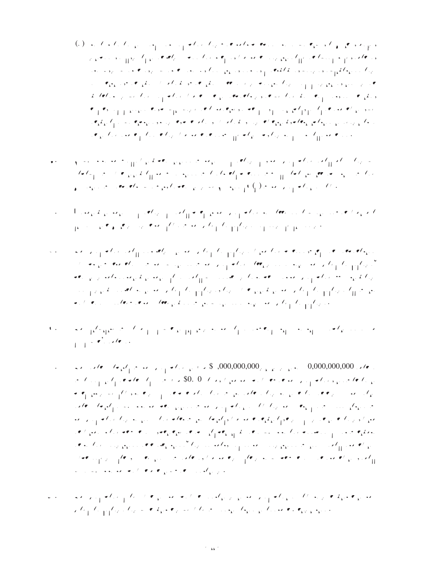- (b) to act as  $\ell$  to an investigation and for the purpose to subscribe, accuracy to subscribe, acquire, hold, dispose, sell,  $d_{\rm max}$  in order when the equivalence upon  $d_{\rm max}$  or  $d_{\rm max}$  equivalence is  $s_{\rm t}$ stock, debentures, debentures, annuities, annuities, notes, obligations and stock, obligations and  $\sigma_{\rm t}$  $s_{\alpha}=\bullet_{\Delta^{\bullet}\Delta}$  securities, for indicates and commodities, is  $\Delta^{\bullet}$  and commodities, is ordered or indicates, is ordered or indicates and commodities, is ordered or indicates and commodities, is ordered or indicates  $L^2(\P)$  any company company where  $\mathcal{C}_X$  is  $\mathcal{C}_X$  incorporated, or by any government, so  $\mathcal{C}_X$  is any  $\mathcal{F}_\text{max}$ ruler, public body or all body or all  $\mathcal{F}_\text{max}$ , supreme, municipal, local or  $\mathcal{F}_\text{max}$  $\mathcal{O}_X L_X$  ,  $\ell_1$  , the synoptic subscription, and  $\ell_1$  , the syndicates, participation in syndicates in syndicates in syndicates in syndicates in syndicates in syndicates in syndicates in syndicates in syndicates in  $\sigma_{\rm x}$  for an  $\sigma_{\rm p}$  for  $\sigma$  function  $\sigma$  , and there there there  $\sigma_{\rm x}$
- $\bullet$ . Subject to the following provisions of the following provisions of the  $\mathcal{A}_\text{R}$  and be and be and be and be and be and be and be and be and be and be and be and be and be and be and be and be and be and be an o capable of exercising all the functions of a natural person of  $\alpha$  natural person of  $\alpha$  and  $\alpha$  $\mathbf{z} = \mathbf{z}_1, \mathbf{z}_2, \mathbf{z}_3, \mathbf{z}_4, \mathbf{z}_5, \mathbf{z}_1, \mathbf{z}_2, \mathbf{z}_3, \mathbf{z}_4, \mathbf{z}_5, \mathbf{z}_6, \mathbf{z}_7, \mathbf{z}_7, \mathbf{z}_7, \mathbf{z}_8, \mathbf{z}_7, \mathbf{z}_8, \mathbf{z}_7, \mathbf{z}_8, \mathbf{z}_7, \mathbf{z}_8, \mathbf{z}_7, \mathbf{z}_8, \mathbf{z}_7, \mathbf{z}_8, \mathbf{z}_7, \mathbf{z$
- $\mathbb{E}_{\mathbf{z}}[\mathbf{z}_1,\mathbf{z}_2,\mathbf{z}_3] = \mathbb{E}_{\mathbf{z}}[\mathbf{z}_1,\mathbf{z}_2] = \mathbf{z}_1[\mathbf{z}_1,\mathbf{z}_2]$  and  $\mathbf{z}_2[\mathbf{z}_2,\mathbf{z}_3]$  and  $\mathbf{z}_3[\mathbf{z}_3,\mathbf{z}_4]$  $\mu$ icence is required under the laws of the Cayman Islands under unless duly licensed.
- $\mathcal{S}_{\mathcal{A}}=\mathcal{A}_{\mathcal{A}}$  , the Company shall not the Cayman Islands with any person, firm or corporation or corporation  $\mathcal{A}_{\mathcal{A}}$ except in the furtheral company carried on the Company carried on  $\alpha$  the  $\alpha$   $\beta$  $\phi$  in the construction that  $\phi$  is constructed as to prevent the Company effective as to  $\phi$ concluding contracts in the Cayman Islands, and exercising in the Cayman Islands, and its in the Cayman Islands all of its indicate  $\epsilon$  $p$  on the carrying order of  $\sigma$  the case  $\Delta$  the case  $\sigma$  on of  $\sigma$  is business outside the Cayman Islands.
- $T_{\rm eff}$  the liability of each member is limited to the amount from time time to time under under under the amount of time under the amount from time to time under the amount of time time under the such and the such and t  $m = m \cdot \frac{1}{2}$ shares.
- $8.81 \times 10^{-16}$  Fig.  $\frac{1}{2}$  of the capital of  $\frac{1}{2}$   $\frac{1}{2}$   $\frac{1}{2}$   $\frac{1}{2}$   $\frac{1}{2}$   $\frac{1}{2}$   $\frac{1}{2}$   $\frac{1}{2}$   $\frac{1}{2}$   $\frac{1}{2}$   $\frac{1}{2}$   $\frac{1}{2}$   $\frac{1}{2}$   $\frac{1}{2}$   $\frac{1}{2}$   $\frac{1}{2}$   $\frac{1}{2}$   $\$ of a nominal or part value of HK  $\geq 0.10$  each, with the power for the power for the  $C_{\rm eff}$  $p\in \mathcal{P}_{\{1,2^{m},\ell\leq m\}}$  is shares and purchase and to increase or reduce the said to increase or reduce the said  $\mathcal{P}_{\{2^{m},\ell\leq m\}}$  $s$  share capital subject to the provisions of the  $\mathcal{A}_{\mathcal{A}}$  and the  $\mathcal{A}_{\mathcal{A}}$  and  $\mathcal{A}_{\mathcal{A}}$  and  $\mathcal{A}_{\mathcal{A}}$ the Company and the Company and the Company part of its capital, with  $\sigma$  is capital, with  $\sigma$  increased, with  $\sigma$ or without any preference, priority or special privilege or subject to any postponement of rights  $\sigma$  and to any conditions or restrictions; and so that, unless the conditions of issues  $\sigma$  is unless that  $\sigma$ expressly declares, every issue of shares, when  $\epsilon$  and  $\epsilon$  or otherwise, shall  $\epsilon$ be subject to the power hereinbefore contained.
- $\mathcal{P}_\text{C} = \mathcal{P}_\text{C} = \mathcal{P}_\text{C} + \mathcal{P}_\text{C} + \mathcal{P}_\text{C}$  and the Companies Law to deregister in the Companies Law to deregister in the Companies Law to deregister in the Companies Law to deregister in the Companies L  $\mathcal{L}(\mathcal{E}_1,\mathcal{E}_2,\mathcal{E}_3)$  is and be registered by way of the value of  $\mathcal{E}_1$  in another jurisdiction.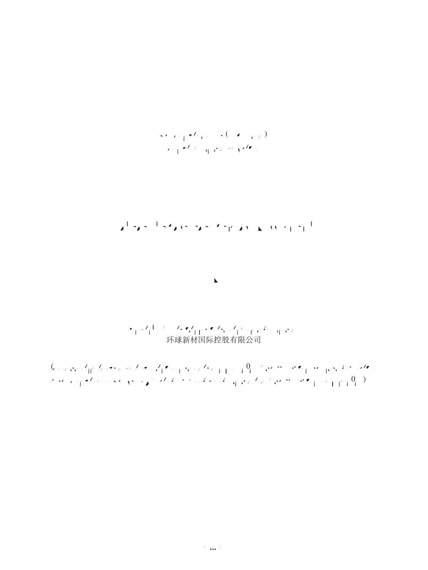# $\mathcal{O}(\mathcal{O}(\mathcal{O}(\mathcal{O}^{\mathcal{O}}))$  $\mathbb{E}[\mathcal{L}_{\mathcal{A}}] = \mathbb{E}[\mathcal{L}_{\mathcal{A}}] = \mathbb{E}[\mathcal{L}_{\mathcal{A}}] = \mathbb{E}[\mathcal{L}_{\mathcal{A}}] = \mathbb{E}[\mathcal{L}_{\mathcal{A}}]$

# $A \rightarrow B$

# OF

# $\mathcal{F}_\text{G}(\mathcal{A}_1|\mathcal{A}_1) = \mathcal{A}_1 \bullet \mathcal{B}_1 \mathcal{A}_1, \ldots \bullet \mathcal{B}_n \mathcal{A}_n \mathcal{A}_n \mathcal{A}_n \mathcal{A}_n$ 環球新材國際控股有限公司

 $C_{\text{Cov}}$  and  $C_{\text{H}}$  adopted by a special resolution dated 2 June 2021 with effect from the listing of shares of shares of shares of shares of shares of shares of shares of shares of shares of shares of shares of shar  $\sigma$  the Company on The Stock Exchange of Hong Kong Limited and with  $\sigma$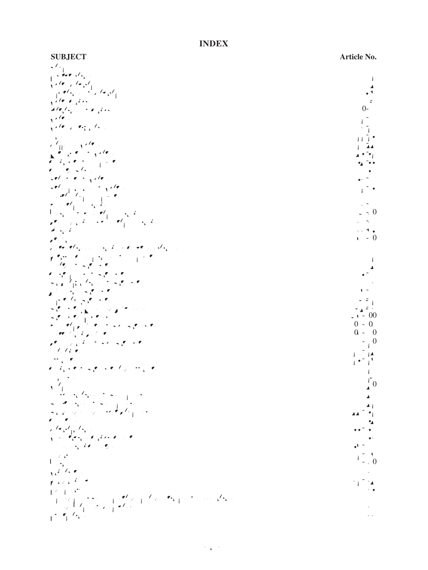| <b>SUBJECT</b>                                                                                                                                                                                                                                                                                                                                                                                                                                                     | <b>Article No.</b>              |
|--------------------------------------------------------------------------------------------------------------------------------------------------------------------------------------------------------------------------------------------------------------------------------------------------------------------------------------------------------------------------------------------------------------------------------------------------------------------|---------------------------------|
| $\sqrt{2}$                                                                                                                                                                                                                                                                                                                                                                                                                                                         |                                 |
| $\mathbb{R}^2$ for $\mathcal{A}_{\mathcal{X}^{\mathcal{X}}}$                                                                                                                                                                                                                                                                                                                                                                                                       |                                 |
| $\sqrt{2\pi r}$ , $\sqrt{2\pi r}$                                                                                                                                                                                                                                                                                                                                                                                                                                  |                                 |
| $\int_{0}^{\infty} e^{i\theta} dx$ , $\int_{0}^{\infty} e^{i\theta} dx$                                                                                                                                                                                                                                                                                                                                                                                            |                                 |
| $\mathcal{N}$ and $\mathcal{N}$                                                                                                                                                                                                                                                                                                                                                                                                                                    |                                 |
| $\mathcal{L}/\sigma_1/\sigma_2, \qquad \sigma_1 \neq \sigma_2/\sigma_2.$                                                                                                                                                                                                                                                                                                                                                                                           | $0-$                            |
| $v^{\prime}$                                                                                                                                                                                                                                                                                                                                                                                                                                                       |                                 |
| $\mathcal{N}^{\prime\prime}$ , $\mathcal{N}_{1}$ , $\mathcal{N}_{2}$                                                                                                                                                                                                                                                                                                                                                                                               |                                 |
|                                                                                                                                                                                                                                                                                                                                                                                                                                                                    |                                 |
| $\mathscr{O}_{\mathrm{H}} \hookrightarrow \mathcal{O}^{(\bullet)}$                                                                                                                                                                                                                                                                                                                                                                                                 |                                 |
| $\mathbf{y}^{\mathbf{r}} \mathbf{y}^{\mathbf{r}} = \mathbf{y}^{\mathbf{r}} \mathbf{y}^{\mathbf{r}} = \mathbf{y}^{\mathbf{r}} \mathbf{y}^{\mathbf{r}}$                                                                                                                                                                                                                                                                                                              |                                 |
| $\int f(x) dx$                                                                                                                                                                                                                                                                                                                                                                                                                                                     |                                 |
| $\bullet$ $\bullet$ $\bullet$ $\bullet$ $\bullet$ $\bullet$ $\bullet$                                                                                                                                                                                                                                                                                                                                                                                              |                                 |
| $\mathcal{A}$ , and $\mathcal{A}$ and $\mathcal{A}$                                                                                                                                                                                                                                                                                                                                                                                                                |                                 |
| $\mathcal{M}_{\text{exp}}$<br>$\omega = \nabla_{\mathcal{N}}$                                                                                                                                                                                                                                                                                                                                                                                                      |                                 |
| $\mathcal{M} \left( \mathcal{L}_{\mathcal{A}} \right)$<br>$\mathbf{r} \in \mathbf{r}$ $\mathbf{r}$ $\mathbf{r} \in \mathbf{r}$                                                                                                                                                                                                                                                                                                                                     |                                 |
| $\Gamma_{\rm obs}$                                                                                                                                                                                                                                                                                                                                                                                                                                                 | $\epsilon \sim 0$               |
| $\mathscr{J}$ and $\mathscr{J}$ and $\mathscr{J}'$ and $\mathscr{J}'$                                                                                                                                                                                                                                                                                                                                                                                              |                                 |
| $\mathcal{A}, \mathcal{A}, \mathcal{I}$                                                                                                                                                                                                                                                                                                                                                                                                                            | . . 1 .                         |
| $\mathcal{L}$                                                                                                                                                                                                                                                                                                                                                                                                                                                      | $( - 0)$                        |
| $\mathcal{L}_{\mathcal{A}}$ , we have the set of $\mathcal{L}_{\mathcal{A}}$ and $\mathcal{A}$ and $\mathcal{A}$ and $\mathcal{A}$<br>$\cdot$ $\cdot$ $\cdot$ $\cdot$                                                                                                                                                                                                                                                                                              |                                 |
| $\int_{\mathbb{R}^n} \mathcal{L}^{(n)} \times \mathcal{L}^{(n)} \times \mathbb{R}^{n} \times \mathbb{R}^{n} \times \mathbb{R}^{n} \times \mathbb{R}^{n} \times \mathbb{R}^{n}$                                                                                                                                                                                                                                                                                     |                                 |
| $\mathcal{L} = \{ \mathbf{e}_i, \dots, \mathbf{e}_n \}$                                                                                                                                                                                                                                                                                                                                                                                                            |                                 |
| $\mathbf{A} = \mathbf{A} \mathbf{A} + \mathbf{A} \mathbf{A} + \mathbf{A} \mathbf{A} + \mathbf{A} \mathbf{A} + \mathbf{A} \mathbf{A} + \mathbf{A} \mathbf{A} + \mathbf{A} \mathbf{A} + \mathbf{A} \mathbf{A} + \mathbf{A} \mathbf{A} + \mathbf{A} \mathbf{A} + \mathbf{A} \mathbf{A} + \mathbf{A} \mathbf{A} + \mathbf{A} \mathbf{A} + \mathbf{A} \mathbf{A} + \mathbf{A} \mathbf{A} + \mathbf{A} \mathbf{A} + \mathbf{A$                                           |                                 |
| $\ x\ _{\mathcal{F}}\leq \left\ \left(\frac{1}{2}\right)^{\frac{1}{2}}\right\ _{\mathcal{F}}\leq \left\ \left(\frac{1}{2}\right)^{\frac{1}{2}}\right\ _{\mathcal{F}}\leq \left\ \left(\frac{1}{2}\right)^{\frac{1}{2}}\right\ _{\mathcal{F}}\leq \left\ \left(\frac{1}{2}\right)^{\frac{1}{2}}\right\ _{\mathcal{F}}\leq \left\ \left(\frac{1}{2}\right)^{\frac{1}{2}}\right\ _{\mathcal{F}}\leq \left\ \left(\frac{1}{2}\right)^{\frac{1}{2}}\right\ _{\mathcal{$ |                                 |
| $\blacktriangle$<br>$\mathbf{r}$                                                                                                                                                                                                                                                                                                                                                                                                                                   |                                 |
| $\left[1 - \frac{1}{2} \right]$                                                                                                                                                                                                                                                                                                                                                                                                                                    |                                 |
| $\sim \sqrt{2}$                                                                                                                                                                                                                                                                                                                                                                                                                                                    | حقيم<br>$-1 - 00$               |
| $\mathbf{x}_1, \mathbf{F}_2$ .<br>$\sim$ $\sqrt{2}$                                                                                                                                                                                                                                                                                                                                                                                                                | $0 - 0$                         |
| $\mathcal{O}_{\mathbb{F}^2}$ , $\mathcal{O}_{\mathbb{F}^2}$<br>たんど スパートの<br>$\mathcal{L}(\mathbf{w},\mathcal{F}_1,L_{\mathbf{y}},\mathcal{F},\mathbf{v})$                                                                                                                                                                                                                                                                                                          | $0 - 0$                         |
| $\mathcal{L}(\mathbf{x}, \mathbf{z}) = \mathbf{x} \cdot \mathbf{z} + \mathbf{z} \cdot \mathbf{z}$<br>$\mathcal{L}$                                                                                                                                                                                                                                                                                                                                                 | $\theta$                        |
| $\frac{1}{2}$ / $\frac{1}{2}$ (                                                                                                                                                                                                                                                                                                                                                                                                                                    |                                 |
|                                                                                                                                                                                                                                                                                                                                                                                                                                                                    |                                 |
| $\mathbb{Z} = \mathbb{Z}_{\underline{\lambda}} \cup \mathbb{Z} \subset \mathbb{Z}_{\underline{\lambda}} \mathbb{Z} \longrightarrow \mathbb{Z} \cup \mathbb{Z}_{\underline{\lambda}} \longrightarrow \mathbb{Z}_{\underline{\lambda}} \longrightarrow \mathbb{Z},$                                                                                                                                                                                                  |                                 |
| $\pmb{\lambda}^+$                                                                                                                                                                                                                                                                                                                                                                                                                                                  |                                 |
| $\prime$ .<br>$\mathbf V$                                                                                                                                                                                                                                                                                                                                                                                                                                          |                                 |
| $\mathcal{L}_{\mathcal{A}}$ , $\mathcal{A}_{\mathcal{A}}$ , $\mathcal{A}_{\mathcal{A}}$ , $\mathcal{A}_{\mathcal{A}}$ , $\mathcal{A}_{\mathcal{A}}$ , $\mathcal{A}_{\mathcal{A}}$                                                                                                                                                                                                                                                                                  |                                 |
| $\sim$ $\sim$ $\sigma$<br>$\gamma_{\rm A}$ .<br>$\mathbb{R}^{n}$ and $\mathbb{R}^{n}$                                                                                                                                                                                                                                                                                                                                                                              | <b>A</b> i                      |
| $\sim$ and the second second $\mathcal{O}_{\mathcal{A}}$ . Then                                                                                                                                                                                                                                                                                                                                                                                                    | $\blacktriangle$                |
| $\mathbf{A}$ and $\mathbf{B}$ and $\mathbf{A}$                                                                                                                                                                                                                                                                                                                                                                                                                     |                                 |
| $\mathcal{L}_{\mathcal{A}}=\mathcal{L}_{\mathcal{A}}\left(\mathcal{L}_{\mathcal{A}}\right)$                                                                                                                                                                                                                                                                                                                                                                        |                                 |
| $\mathbf{y}$ of $\mathbf{y}$ , $\mathbf{y}$ , $\mathbf{y}$ , $\mathbf{y}$ , $\mathbf{y}$                                                                                                                                                                                                                                                                                                                                                                           |                                 |
| $\mathcal{L}_{\mathcal{A}}(\mathcal{A},\mathcal{A},\mathcal{A})=\mathcal{L}_{\mathcal{A}}(\mathcal{A},\mathcal{A})$                                                                                                                                                                                                                                                                                                                                                | $\cdot$ $\cdot$                 |
| $\sim$ $\sim$ $\lambda^{\bullet}$                                                                                                                                                                                                                                                                                                                                                                                                                                  | $\frac{1}{2}$ = $\frac{1}{2}$ 0 |
| $\Gamma_{\alpha,\frac{1}{2}+\alpha}$ .                                                                                                                                                                                                                                                                                                                                                                                                                             |                                 |
| $\mathcal{M}$ , $\mathcal{L}$ , $\mathcal{L}$                                                                                                                                                                                                                                                                                                                                                                                                                      |                                 |
| $\int$ $\mathbf{r}$ $\in$ $\mathbf{r}$ $\mathbf{r}$                                                                                                                                                                                                                                                                                                                                                                                                                | ⊺ັ∆                             |
| $\Gamma^{e}$                                                                                                                                                                                                                                                                                                                                                                                                                                                       |                                 |
| $\begin{array}{l} \displaystyle \frac{1}{2} \left( \frac{1}{2} \right)^{1/2} \left( \frac{1}{2} \right)^{1/2} \left( \frac{1}{2} \right)^{1/2} \left( \frac{1}{2} \right)^{1/2} \left( \frac{1}{2} \right)^{1/2} \left( \frac{1}{2} \right)^{1/2} \left( \frac{1}{2} \right)^{1/2} \left( \frac{1}{2} \right)^{1/2} \left( \frac{1}{2} \right)^{1/2} \left( \frac{1}{2} \right)^{1/2} \left( \frac{1}{2} \right)^{1/2} \left( \frac$                               |                                 |
| $\mathbf{p}^* \cdot \mathbf{r}_1$                                                                                                                                                                                                                                                                                                                                                                                                                                  |                                 |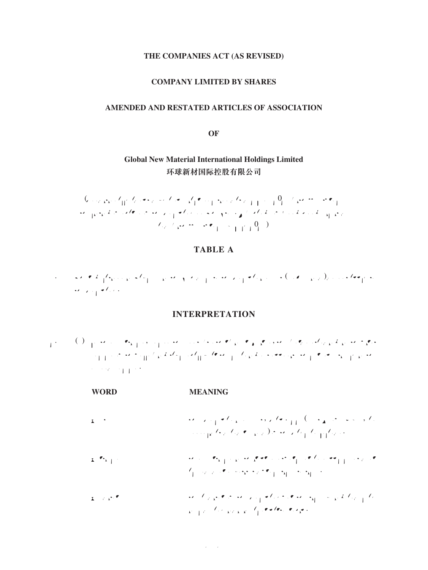#### **THE COMPANIES ACT (AS REVISED)**

#### **COMPANY LIMITED BY SHARES**

# **AMENDED AND RESTATED ARTICLES OF ASSOCIATION**

**OF**

# **Global New Material International Holdings Limited 環球新材國際控股有限公司**

 $(C_1, C_2, \ldots, C_{\text{max}})$  and  $(C_2, \ldots, C_{\text{max}})$  and  $C_1$  is equal to the from  $2$ the possible colonies of the Company of Stock Exchange of Stock and with effect from 16 July 2021)

# **TABLE A**

 $1.$  The regulations in Table A in the Schedule to the Schedule to the Schedule to the Schedule to the Schedule to the Schedule to the Schedule to the Schedule to the Schedule to the Schedule to the Schedule to the Schedu  $\left\Vert \omega_{\varepsilon}\right\Vert _{0}\left\Vert \varphi_{\varepsilon}^{\prime}\right\Vert _{0}$ 

#### **INTERPRETATION**

 $\mathcal{L}_1$ . (1) In these Articles, unless the context otherwise requires, the first otherwise requires, the first otherwise requires, the first otherwise requires, the first otherwise requires, the first otherwise requires column of the following table shall be meaning set opposite them respectively in the meaning set opposite them respectively in the meaning set opposite them respectively in the meaning of the meaning of the meaning of the second column.

| <b>WORD</b>                                                               | <b>MEANING</b>                                                                                                                                                                                                                                                                                                                                                                                                                                                                                                                                                                                                                                                                                                                                                                                                                                                     |
|---------------------------------------------------------------------------|--------------------------------------------------------------------------------------------------------------------------------------------------------------------------------------------------------------------------------------------------------------------------------------------------------------------------------------------------------------------------------------------------------------------------------------------------------------------------------------------------------------------------------------------------------------------------------------------------------------------------------------------------------------------------------------------------------------------------------------------------------------------------------------------------------------------------------------------------------------------|
| $\mathbf{X} = \frac{1}{2}$                                                | $\left\  \mathcal{F}_{\mathcal{A}} \right\ _{\mathcal{A}} = \left\langle \mathcal{F}_{\mathcal{A}} \right\rangle_{\mathcal{A}} = \left\  \mathcal{F}_{\mathcal{A}} \right\rangle_{\mathcal{A}} \left\langle \mathcal{F}_{\mathcal{A}} \right\rangle_{\mathcal{A}} = \left\langle \mathcal{F}_{\mathcal{A}} \right\rangle_{\mathcal{A}} = \left\langle \mathcal{F}_{\mathcal{A}} \right\rangle_{\mathcal{A}} \left\langle \mathcal{F}_{\mathcal{A}} \right\rangle_{\mathcal{A}}$<br>$\ldots_{\mathbf{p}} \mathcal{L}_{\mathcal{C}} \mathcal{L}_{\mathcal{C}} \bullet \mathcal{L}_{\mathcal{C}} \bullet \mathcal{L}_{\mathcal{C}} \mathcal{L}_{\mathcal{C}} \bullet \mathcal{L}_{\mathcal{C}} \mathcal{L}_{\mathcal{C}} \bullet \mathcal{L}_{\mathcal{C}} \bullet \mathcal{L}_{\mathcal{C}} \bullet \mathcal{L}_{\mathcal{C}}$                                       |
| $\mathbf{Y} = \mathbf{e}^{\mathbf{w} \mathbf{y}} \mathbf{y} + \mathbf{y}$ | $\mathcal{A}_{\mathcal{A}} := \mathcal{A}_{\mathcal{A}} \otimes \mathcal{A}_{\mathcal{A}} \otimes \mathcal{A}_{\mathcal{A}} \otimes \mathcal{A}_{\mathcal{A}} \otimes \mathcal{A}_{\mathcal{A}} \otimes \mathcal{A}_{\mathcal{A}}$<br>$\mathcal{E}_{\left\{ \left\langle \left( \left\langle \left\langle \mathcal{F}_{\mathcal{A}} \right\rangle \right\rangle \right\rangle \leq \left\langle \left\langle \mathcal{F}_{\mathcal{A}} \right\rangle \right\rangle \right) \leq \left\langle \left\langle \mathcal{F}_{\mathcal{A}} \right\rangle \right\rangle \right\rangle \leq \left\langle \mathcal{F}_{\mathcal{A}} \right\rangle \left\langle \left\langle \mathcal{F}_{\mathcal{A}} \right\rangle \right\rangle \right\rangle \leq \left\langle \mathcal{F}_{\mathcal{A}} \right\rangle \left\langle \left\langle \mathcal{F}_{\mathcal{A}} \right\rangle$ |
| $\mathbf{Y} = \nabla \mathbf{Y}^{\mathbf{a}_1 \mathbf{F}}$                | $\omega$ , the contract of the contract of the contract of the contract of the contract of the contract of the contract of the contract of the contract of the contract of the contract of the contract of the contract of the co<br>$\mathcal{L} = \left\{ \mathcal{L} = \frac{1}{2} \mathcal{L} \mathcal{L} \mathcal{L} \mathcal{L} \mathcal{L} \mathcal{L} \mathcal{L} \right\} = \frac{1}{2} \mathcal{L} \mathcal{L} \mathcal{L} \mathcal{L} \mathcal{L} \mathcal{L} \mathcal{L} \mathcal{L} \mathcal{L} \mathcal{L} \mathcal{L} \mathcal{L} \mathcal{L} \mathcal{L} \mathcal{L} \mathcal{L} \mathcal{L} \mathcal{L} \mathcal{L} \mathcal{L} \mathcal{L} \mathcal{L} \mathcal{L} \mathcal$                                                                                                                                                                     |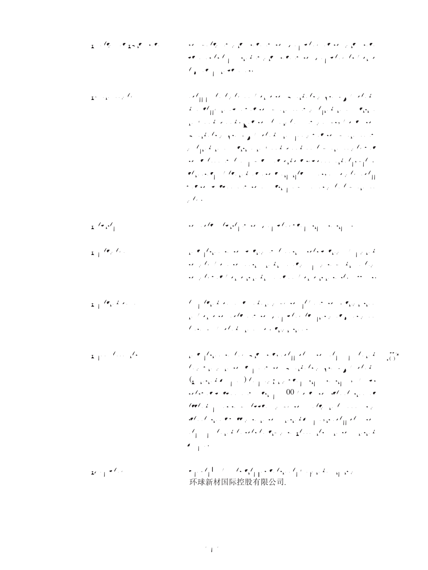- $\mathbf{X}^{(1)}$  or  $\mathbf{X}^{(2)}$  and the board or the board of directors of the directors of the directors of the directors of  $\mathbf{X}^{(1)}$  $\mathscr{P}$  and  $\mathscr{P}$  and  $\mathscr{P}$  and  $\mathscr{P}$  and  $\mathscr{P}$  at which company at which  $\mathscr{P}$  $\alpha$  is present.
- $\mathbf{x}^2 \sim \mathbf{y}^2$  and the Designation of  $\mathcal{U}_{\text{H}}$  of  $\mathcal{U}_\text{C}$  the Designated Stock Exchange  $\mathcal{U}_\text{C}$  $L_{\mathcal{A}}\left(\P\left(\mathbf{p},\mathbf{p}\right),\mathbf{p}\right) \approx \mathcal{A}\left(\mathbf{p},\mathbf{p}\right)$  is open for dealing in security in securities of dealing in securities  $\mathbf{r}_i$  Hong Kong. For the avoidance of doubt, where the avoidance of doubt, where the avoidance of  $\mathbf{r}_i$  $\mathcal{L}_\mathcal{A}$  , and the business of the business of the business of the business of the business of the business of the business of the business of the business of the business of the business of the business of the busi dealing in securities in the securities of the security of the security of  $\alpha$  $t\mapsto \mathcal{F}(x,y)$  of a number  $\mathcal{F}(x,y)$  or  $\mathcal{F}(x,y)$  or  $\mathcal{F}(x,y)$  single signal, black  $\mathscr{O}_X$ instorm warning or other similar event, such day shall be such as  $\mathscr{O}_W$ for the purposes of the purposes of the counter  $\mathcal{A}_\mathcal{A}$  business becomes day.
- "capital the share capital of the Company from time to time.
- $\mathbf{x}_{\perp}$  (eq. (a) and the period of a notice that period of a notice that period excluding  $\mathbf{x}_{\perp}$ the day when the notice is given on  $\mathcal{I}_\Lambda$  , when  $\mathcal{I}_\Lambda$  is given and  $\mathcal{I}_\Lambda$  and  $\mathcal{I}_\Lambda$  $t_{\rm eff}$  for which is given  $t_{\rm in}$  is given or one which it is to take effect.
- $\mathbf{x} \in \{e_1, z_2, \ldots, e_{n-1}\}$  the laws of the jurisdiction of the jurisdiction  $\mathbf{y}$  $\mathcal{L}$  in the shares of the Company are listed or  $\mathcal{L}$  $\ell$  and in the stock exchange in such jurisdiction.
- $\mathbf{r}_\text{max}$  , then the same meaning the same meaning of any Director, shall have the same meaning meaning  $\mathbf{r}_\text{max}$  $\alpha$  defined in the rules of the rules of the  $D$  $\mathcal{L}_{\mathbf{L}}$  is time to time that  $\mathcal{L}_{\mathbf{L}}$  as modified from time to time to time, except to time, except to time, except to time  $t$  that for purposes of  $\mathbf{e}_{\mathbf{k},1} = 00$  where the transaction or the transaction or  $\overline{\mathcal{A}}$  arrangement to be a connected by the Board is a connected by the Board is a connected by the Board is a connected by  $\overline{\mathcal{A}}$  $\mathscr{R}_\infty$  transformation  $\mathscr{R}_\infty$  in the integration  $\mathscr{R}_\infty$  $s^2$  mean in the same means of associated to the Listing term in the Listing term in the Listing term in the Listing term in the Listing term in the Listing term in the Listing term in the Listing term in the Listing ter  $\mathbb{Z}_{\geq 1}$  $\bullet$ <sup>()</sup>
- $\mathbf{x} \sim \mathbb{E} \left[ \left\| \mathbf{x}^T \right\|^2 \right]^{1/2} \sim \mathbb{E} \left[ \left\| \mathbf{x}^T \right\|^2 \right]^{1/2} \sim \mathbb{E} \left[ \left\| \mathbf{x}^T \right\|^2 \right]^{1/2} \left\| \mathbf{x}^T \right\|^2 \sim \mathbb{E} \left[ \left\| \mathbf{x}^T \right\|^2 \right]^{1/2} \sim \mathbb{E} \left[ \left\| \mathbf{x}^T \right\|^2 \right]^{1/2} \sim \mathbb{E} \left[ \left\| \mathbf{x}^T \right$ 環球新材國際控股有限公司.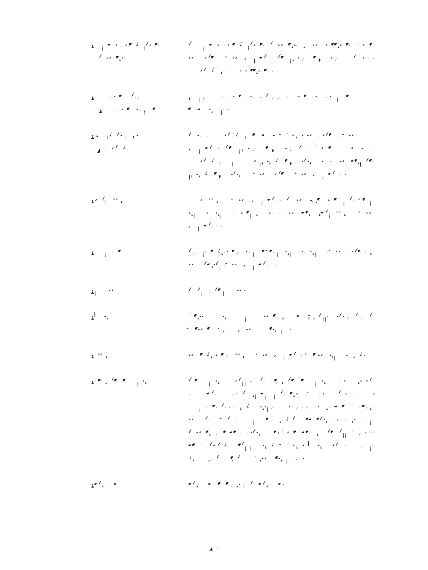| $\mathbf{X} \times \begin{bmatrix} \mathbf{w} & \mathbf{w} & \mathbf{w} & \mathbf{w} & \mathbf{w} & \mathbf{w} & \mathbf{w} \\ \mathbf{w} & \mathbf{w} & \mathbf{w} & \mathbf{w} & \mathbf{w} & \mathbf{w} \end{bmatrix}$<br>$\mathcal{L}(\mathcal{A}, \mathcal{A}, \mathcal{A})$ | $\ell_{\mathbb{Z}_2}$ , and $\ell_{\mathbb{Z}_2}$ (and $\ell_{\mathbb{Z}_2}$ , $\ell_{\mathbb{Z}_2}$ , $\ell_{\mathbb{Z}_2}$ , $\ell_{\mathbb{Z}_2}$ , $\ell_{\mathbb{Z}_2}$ , $\ell_{\mathbb{Z}_2}$ , $\ell_{\mathbb{Z}_2}$ , $\ell_{\mathbb{Z}_2}$<br>والمحاركين وجاريهما وجني محارباتهم والمراقب محالات والمحارب<br>$\mathcal{F}^{\prime}(\mathcal{A}^{\prime},\mathcal{I}^{\prime})_{\mathcal{A}^{\prime}}\otimes\cdots\otimes\mathcal{A}^{\prime}\otimes\mathcal{O}_{\mathcal{A}^{\prime}}\otimes\cdots\otimes\mathcal{O}_{\mathcal{A}^{\prime}}$                                                                                                                                                                                                                                                                                                                                                                                                                                                                                                                                                                                                                                                                                                                                                                                                                                                                                                                                                                                                                                                                                                                                                                                                                                                                                                                                                                                                                                 |
|-----------------------------------------------------------------------------------------------------------------------------------------------------------------------------------------------------------------------------------------------------------------------------------|----------------------------------------------------------------------------------------------------------------------------------------------------------------------------------------------------------------------------------------------------------------------------------------------------------------------------------------------------------------------------------------------------------------------------------------------------------------------------------------------------------------------------------------------------------------------------------------------------------------------------------------------------------------------------------------------------------------------------------------------------------------------------------------------------------------------------------------------------------------------------------------------------------------------------------------------------------------------------------------------------------------------------------------------------------------------------------------------------------------------------------------------------------------------------------------------------------------------------------------------------------------------------------------------------------------------------------------------------------------------------------------------------------------------------------------------------------------------------------------------------------------------------------------------------------------------------------------------------------------------------------------------------------------------------------------------------------------------------------------------------------------------------------------------------------------------------------------------------------------------------------------------------------------------------------------------------------------------------------------|
| $\mathbf{y}$ , we see that $\mathcal{F}_{\mathcal{A}}$ and<br>$\mathbf{x} \sim \mathbb{R} \times \mathbb{R}$                                                                                                                                                                      | محالم ومحمد ومحدود محاجب والمرور وأرود والمحاجب محارب المراريح<br>$\begin{array}{ccccc}\n\bullet & \bullet & \bullet & \bullet & \bullet & \bullet & \bullet & \bullet & \bullet\n\end{array}$                                                                                                                                                                                                                                                                                                                                                                                                                                                                                                                                                                                                                                                                                                                                                                                                                                                                                                                                                                                                                                                                                                                                                                                                                                                                                                                                                                                                                                                                                                                                                                                                                                                                                                                                                                                         |
| $\sum_{i=1}^n \frac{\sum_{i=1}^n f_{i,i}}{n!} \int_{\mathbb{R}^n} f_{i,i} \, dx$                                                                                                                                                                                                  | $\ell$ , and a set of the properties of the property of $\ell$ , we show that $\ell$<br>بالمحدث المحافات والمنها والمحاربة والمحاربة فالمحاربات<br>I shake you prove part of the short of the same of the<br>بالمتمام بالمراجع والمحامل المعاونا بالهامين ومحافظتهم                                                                                                                                                                                                                                                                                                                                                                                                                                                                                                                                                                                                                                                                                                                                                                                                                                                                                                                                                                                                                                                                                                                                                                                                                                                                                                                                                                                                                                                                                                                                                                                                                                                                                                                    |
| $\mathbf{x}^{\prime}$ (compared)                                                                                                                                                                                                                                                  | $\mathcal{L}^{\mathcal{A}}\left(\mathcal{A}^{\mathcal{A}}\right)_{\mathcal{A}}=\mathcal{L}^{\mathcal{A}}\left(\mathcal{A}^{\mathcal{A}}\right)_{\mathcal{A}}+\mathcal{L}^{\mathcal{A}}\left(\mathcal{A}^{\mathcal{A}}\right)_{\mathcal{A}}\left(\mathcal{A}^{\mathcal{A}}\right)_{\mathcal{A}}=\mathcal{A}_{\mathcal{A}}\left(\mathcal{A}^{\mathcal{A}}\right)_{\mathcal{A}}\left(\mathcal{A}^{\mathcal{A}}\right)_{\mathcal{A}}$<br>$\ x\ _2 = \sum_{i=1}^n \left\ x_i - x_i\right\ _2^2 = \sum_{i=1}^n \left\ x_i - x_i\right\ _2^2 = \sum_{i=1}^n \left\ x_i - x_i\right\ _2^2 = \sum_{i=1}^n \left\ x_i - x_i\right\ _2^2 = \sum_{i=1}^n \left\ x_i - x_i\right\ _2^2 = \sum_{i=1}^n \left\ x_i - x_i\right\ _2^2 = \sum_{i=1}^n \left\ x_i - x_i\right\ _2^2 = \sum_{i=1}^n \left\ x_i - x_i\right\ _$<br>$\mathcal{L}_{\text{eff}}$ and $\mathcal{L}_{\text{eff}}$ .                                                                                                                                                                                                                                                                                                                                                                                                                                                                                                                                                                                                                                                                                                                                                                                                                                                                                                                                                                                                                                                                                                             |
| $\sum_{i=1}^{n}$                                                                                                                                                                                                                                                                  | $\mathcal{E}_{\mathcal{E}_{\mathcal{A},\mathcal{A}}}\left[\mathcal{E}_{\mathcal{A},\mathcal{A}}\left(\mathcal{E}_{\mathcal{A},\mathcal{A}}\left(\mathcal{A},\mathcal{A}\right),\mathcal{E}_{\mathcal{A},\mathcal{A}}\left(\mathcal{E}_{\mathcal{A},\mathcal{A}}\left(\mathcal{A},\mathcal{A}\right),\mathcal{A}\right)\right]\right]=\mathcal{E}_{\mathcal{A},\mathcal{A}}\left[\mathcal{E}_{\mathcal{A},\mathcal{A}}\left(\mathcal{E}_{\mathcal{A},\mathcal{A}}\right)\right]$<br>$\label{eq:3.1} \omega = \left\langle \sigma_{\Delta} \sigma_{\parallel} \right\rangle \simeq \left\langle \sigma_{\parallel} \sigma_{\parallel} \right\rangle \simeq \left\langle \sigma_{\perp} \sigma_{\perp} \right\rangle \simeq 0.$                                                                                                                                                                                                                                                                                                                                                                                                                                                                                                                                                                                                                                                                                                                                                                                                                                                                                                                                                                                                                                                                                                                                                                                                                                                           |
| $\mathbf{z}_{\parallel}$ and $\mathbf{z}_{\parallel}$                                                                                                                                                                                                                             | $\mathcal{O}_{\mathcal{A}}\left(\mathcal{A}\right) \otimes \mathcal{O}_{\mathcal{A}}\left(\mathcal{A}\right)$                                                                                                                                                                                                                                                                                                                                                                                                                                                                                                                                                                                                                                                                                                                                                                                                                                                                                                                                                                                                                                                                                                                                                                                                                                                                                                                                                                                                                                                                                                                                                                                                                                                                                                                                                                                                                                                                          |
| $\mathbf{x}^{\mathbf{t}} \in \mathcal{R}$                                                                                                                                                                                                                                         | $\mathscr{C}_{\mathbf{X}^{\bullet}}$ , and $\mathscr{C}_{\mathbf{X}^{\bullet}}$ , and $\mathscr{C}_{\mathbf{X}^{\bullet}}$ , and $\mathscr{C}_{\mathbf{X}^{\bullet}}$ , and $\mathscr{C}_{\mathbf{X}^{\bullet}}$<br>$\sigma_{\mathcal{A}}(\mathcal{A}_{\mathcal{A}}) = \sigma_{\mathcal{A}}(\mathcal{A}_{\mathcal{A}}) \circ \mathcal{A}_{\mathcal{A}}(\mathcal{A}_{\mathcal{A}}) = \sigma_{\mathcal{A}}(\mathcal{A}_{\mathcal{A}}) \circ \mathcal{A}_{\mathcal{A}}(\mathcal{A}_{\mathcal{A}}) = \sigma_{\mathcal{A}}(\mathcal{A}_{\mathcal{A}})$                                                                                                                                                                                                                                                                                                                                                                                                                                                                                                                                                                                                                                                                                                                                                                                                                                                                                                                                                                                                                                                                                                                                                                                                                                                                                                                                                                                                                                      |
| $\mathbf{Y}_{\text{max}}$                                                                                                                                                                                                                                                         | $\omega \in \mathcal{E}_{\lambda} \cup \mathcal{E}_{\lambda} \cup \mathcal{E}_{\lambda} \cup \mathcal{E}_{\lambda} \cup \mathcal{E}_{\lambda} \cup \mathcal{E}_{\lambda} \cup \mathcal{E}_{\lambda} \cup \mathcal{E}_{\lambda} \cup \mathcal{E}_{\lambda} \cup \mathcal{E}_{\lambda} \cup \mathcal{E}_{\lambda} \cup \mathcal{E}_{\lambda} \cup \mathcal{E}_{\lambda}$                                                                                                                                                                                                                                                                                                                                                                                                                                                                                                                                                                                                                                                                                                                                                                                                                                                                                                                                                                                                                                                                                                                                                                                                                                                                                                                                                                                                                                                                                                                                                                                                                 |
| $\mathbf{x} \in \mathbb{R}^{N}$ , where $\mathbb{R}^{N}$ and $\mathbb{R}^{N}$                                                                                                                                                                                                     | $\ell$ , and the set of $\ell_1$ and $\ell_2$ , and $\ell_3$ , and $\ell_4$ , and $\ell_5$ and $\ell_6$<br>الا المنظمة المنظمة التي تتم تعليم المناس المنظمة المنظمة المنظمة المنظمة المنظمة المنظمة المنظمة ال<br>$\mathbb{E}_{\mathbb{E}_{\mathbb{E}_{\mathbb{E}_{\mathbb{E}_{\mathbb{E}_{\mathbb{E}_{\mathbb{E}_{\mathbb{E}_{\mathbb{E}_{\mathbb{E}_{\mathbb{E}_{\mathbb{E}}\mathbb{E}_{\mathbb{E}}\mathbb{E}_{\mathbb{E}}\mathbb{E}_{\mathbb{E}}\mathbb{E}}\mathbb{E}_{\mathbb{E}}\mathbb{E}_{\mathbb{E}}\mathbb{E}_{\mathbb{E}_{\mathbb{E}}\mathbb{E}_{\mathbb{E}}\mathbb{E}_{\mathbb{E}}\mathbb{E}_{\mathbb{E}_{\mathbb{E}}\mathbb{E}_{\mathbb{E}}\mathbb{$<br>$\mathcal{L}=\int_{\mathcal{S}^{n-1}}\mathcal{L}_{\mathcal{S}}\left(\mathcal{L}_{\mathcal{S}}\right)=\int_{\mathcal{S}^{n-1}}\mathcal{L}_{\mathcal{S}}\left(\mathcal{L}_{\mathcal{S}}\right)\mathcal{L}_{\mathcal{S}}\left(\mathcal{L}_{\mathcal{S}}\right)\mathcal{L}_{\mathcal{S}}\left(\mathcal{L}_{\mathcal{S}}\right)\mathcal{L}_{\mathcal{S}}\left(\mathcal{L}_{\mathcal{S}}\right)\mathcal{L}_{\mathcal{S}}\left(\mathcal{L}_{\mathcal{S}}\right)$<br>$\ell$ and $\pmb{e}_{\pmb{\lambda}^{(1)},\pmb{\ell}}^{(1)}$ and $\pmb{e}_{\pmb{\lambda}^{(1)},\pmb{\lambda}^{(2)},\pmb{\ell}}^{(2)},$ and $\pmb{e}_{\pmb{\lambda}^{(2)},\pmb{\lambda}^{(1)},\pmb{\ell}}^{(2)}$ and $\pmb{e}_{\pmb{\lambda}^{(1)},\pmb{\ell}}^{(1)}$ and $\pmb{e}_{\pmb{\lambda}^{(2)},\pmb{\ell}}^{(2)}$<br>$\left\langle \sigma_{\rm s}/\sigma_{\rm s}/L_{\rm s}/\sigma_{\rm eff}^{\prime} \right\rangle = \sqrt{L_{\rm s}/L_{\rm s}/L_{\rm s}/L_{\rm s}}$ , where $\sigma_{\rm s}/\sigma_{\rm s}^{\prime}$<br>$L_{\mathbf{X}} \sim \mathbf{Y}$ , $\mathbf{Z}$ , $\mathbf{Z}$ , $\mathbf{Z}$ , $\mathbf{Z}$ , $\mathbf{Z}$ , $\mathbf{Z}$ , $\mathbf{Z}$ , $\mathbf{Z}$ , $\mathbf{Z}$ , $\mathbf{Z}$ , $\mathbf{Z}$ , $\mathbf{Z}$ , $\mathbf{Z}$ , $\mathbf{Z}$ , $\mathbf{Z}$ , $\mathbf{Z}$ , $\mathbf{Z}$ , $\mathbf{Z}$ , $\$ |
| $\mathbf{x}$ $\mathbf{x}$ $\mathbf{y}$                                                                                                                                                                                                                                            | $\bullet \ell_{\widehat{X}} \hspace{0.2cm} \bullet \hspace{0.2cm} \bullet \hspace{0.2cm} \bullet \hspace{0.2cm} \bullet \hspace{0.2cm} \bullet \hspace{0.2cm} \bullet \hspace{0.2cm} \ldots$                                                                                                                                                                                                                                                                                                                                                                                                                                                                                                                                                                                                                                                                                                                                                                                                                                                                                                                                                                                                                                                                                                                                                                                                                                                                                                                                                                                                                                                                                                                                                                                                                                                                                                                                                                                           |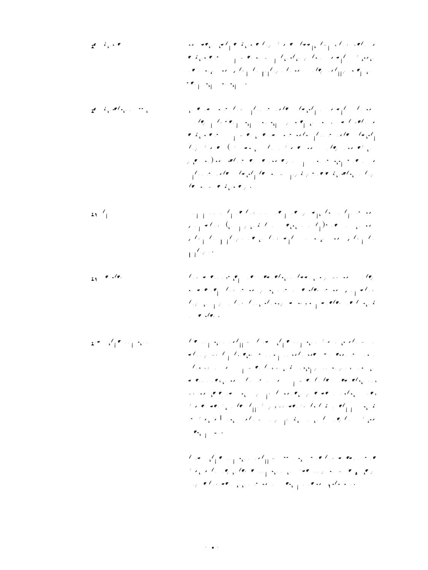$$
\mathbf{x}^{n} = \mathbf{X}_{\mathbf{X}^{n}} \cdot \mathbf{e}^{n} \qquad \Rightarrow \qquad \mathbf{e}^{n} = \mathbf{e}^{n} \mathbf{X}_{\mathbf{X}^{n}} \cdot \mathbf{e}^{n} \left( \frac{1}{\sqrt{2}} \right) \left( \frac{1}{\sqrt{2}} \right) \left( \frac{1}{\sqrt{2}} \right) \left( \frac{1}{\sqrt{2}} \right) \left( \frac{1}{\sqrt{2}} \right) \left( \frac{1}{\sqrt{2}} \right) \left( \frac{1}{\sqrt{2}} \right) \left( \frac{1}{\sqrt{2}} \right) \left( \frac{1}{\sqrt{2}} \right) \left( \frac{1}{\sqrt{2}} \right) \left( \frac{1}{\sqrt{2}} \right) \left( \frac{1}{\sqrt{2}} \right) \left( \frac{1}{\sqrt{2}} \right) \left( \frac{1}{\sqrt{2}} \right) \left( \frac{1}{\sqrt{2}} \right) \left( \frac{1}{\sqrt{2}} \right) \left( \frac{1}{\sqrt{2}} \right) \left( \frac{1}{\sqrt{2}} \right) \left( \frac{1}{\sqrt{2}} \right) \left( \frac{1}{\sqrt{2}} \right) \left( \frac{1}{\sqrt{2}} \right) \left( \frac{1}{\sqrt{2}} \right) \left( \frac{1}{\sqrt{2}} \right) \left( \frac{1}{\sqrt{2}} \right) \left( \frac{1}{\sqrt{2}} \right) \left( \frac{1}{\sqrt{2}} \right) \left( \frac{1}{\sqrt{2}} \right) \left( \frac{1}{\sqrt{2}} \right) \left( \frac{1}{\sqrt{2}} \right) \left( \frac{1}{\sqrt{2}} \right) \left( \frac{1}{\sqrt{2}} \right) \left( \frac{1}{\sqrt{2}} \right) \left( \frac{1}{\sqrt{2}} \right) \left( \frac{1}{\sqrt{2}} \right) \left( \frac{1}{\sqrt{2}} \right) \left( \frac{1}{\sqrt{2}} \right) \left( \frac{1}{\sqrt{2}} \right) \left( \frac{1}{\sqrt{2}} \right) \left( \frac{1}{\sqrt{2}} \right) \left( \frac{1}{\sqrt{2}} \right) \left( \frac{1}{\sqrt{2}} \right) \left( \frac{1}{\sqrt{2}} \right)
$$

$$
\begin{array}{lcl}\n\mathbf{z} & \mathbf{z}_{11}.\mathbf{z} & \mathbf{z}_{22}.\mathbf{z} & \mathbf{z}_{12}.\mathbf{z} & \mathbf{z}_{13}.\mathbf{z} & \mathbf{z}_{14}.\mathbf{z} & \mathbf{z}_{15}.\mathbf{z} & \mathbf{z}_{16}.\mathbf{z} & \mathbf{z}_{17}.\mathbf{z} & \mathbf{z}_{18}.\mathbf{z} & \mathbf{z}_{19}.\mathbf{z} & \mathbf{z}_{19}.\mathbf{z} & \mathbf{z}_{10}.\mathbf{z} & \mathbf{z}_{10}.\mathbf{z} & \mathbf{z}_{11}.\mathbf{z} & \mathbf{z}_{10}.\mathbf{z} & \mathbf{z}_{11}.\mathbf{z} & \mathbf{z}_{12}.\mathbf{z} & \mathbf{z}_{13}.\mathbf{z} & \mathbf{z}_{14}.\mathbf{z} & \mathbf{z}_{15}.\mathbf{z} & \mathbf{z}_{16}.\mathbf{z} & \mathbf{z}_{17}.\mathbf{z} & \mathbf{z}_{18}.\mathbf{z} & \mathbf{z}_{19}.\mathbf{z} & \mathbf{z}_{19}.\mathbf{z} & \mathbf{z}_{10}.\mathbf{z} & \mathbf{z}_{10}.\mathbf{z} & \mathbf{z}_{10}.\mathbf{z} & \mathbf{z}_{10}.\mathbf{z} & \mathbf{z}_{10}.\mathbf{z} & \mathbf{z}_{10}.\mathbf{z} & \mathbf{z}_{10}.\mathbf{z} & \mathbf{z}_{10}.\mathbf{z} & \mathbf{z}_{11}.\mathbf{z} & \mathbf{z}_{10}.\mathbf{z} & \mathbf{z}_{11}.\mathbf{z} & \mathbf{z}_{10}.\mathbf{z} & \mathbf{z}_{11}.\mathbf{z} & \mathbf{z}_{12}.\mathbf{z} & \mathbf{z}_{10}.\mathbf{z} & \mathbf{z}_{11}.\mathbf{z} & \mathbf{z}_{12}.\mathbf{z} & \mathbf{z}_{10}.\mathbf{z} & \mathbf{z}_{11}.\mathbf{z} & \mathbf{z}_{10}.\mathbf{z} & \mathbf{z}_{11}.\mathbf{z} & \mathbf{z}_{10
$$

$$
\mathbf{A} \cdot \mathbf{A} = \begin{pmatrix} \mathbf{A} & \mathbf{A} & \mathbf{A} & \mathbf{A} & \mathbf{A} & \mathbf{A} & \mathbf{A} & \mathbf{A} \\ \mathbf{A} & \mathbf{A} & \mathbf{A} & \mathbf{A} & \mathbf{A} & \mathbf{A} & \mathbf{A} & \mathbf{A} \\ \mathbf{A} & \mathbf{A} & \mathbf{A} & \mathbf{A} & \mathbf{A} & \mathbf{A} & \mathbf{A} & \mathbf{A} & \mathbf{A} \\ \mathbf{A} & \mathbf{A} & \mathbf{A} & \mathbf{A} & \mathbf{A} & \mathbf{A} & \mathbf{A} & \mathbf{A} & \mathbf{A} \\ \mathbf{A} & \mathbf{A} & \mathbf{A} & \mathbf{A} & \mathbf{A} & \mathbf{A} & \mathbf{A} & \mathbf{A} & \mathbf{A} & \mathbf{A} \\ \mathbf{A} & \mathbf{A} & \mathbf{A} & \mathbf{A} & \mathbf{A} & \mathbf{A} & \mathbf{A} & \mathbf{A} & \mathbf{A} & \mathbf{A} \\ \mathbf{A} & \mathbf{A} & \mathbf{A} & \mathbf{A} & \mathbf{A} & \mathbf{A} & \mathbf{A} & \mathbf{A} & \mathbf{A} & \mathbf{A} \\ \mathbf{A} & \mathbf{A} & \mathbf{A} & \mathbf{A} & \mathbf{A} & \mathbf{A} & \mathbf{A} & \mathbf{A} & \mathbf{A} & \mathbf{A} \\ \mathbf{A} & \mathbf{A} & \mathbf{A} & \mathbf{A} & \mathbf{A} & \mathbf{A} & \mathbf{A} & \mathbf{A} & \mathbf{A} & \mathbf{A} \\ \mathbf{A} & \mathbf{A} & \mathbf{A} & \mathbf{A} & \mathbf{A} & \mathbf{A} & \mathbf{A} & \mathbf{A} & \mathbf{A} & \mathbf{A} \\ \mathbf{A} & \mathbf{A} & \mathbf{A} & \mathbf{A} & \mathbf{A} & \mathbf{A} & \mathbf{A} & \mathbf{A} & \mathbf{A} & \mathbf{A} \\ \mathbf{A} & \mathbf{
$$

$$
\begin{array}{l}\n\mathbf{x}_1 \in \mathcal{A} \mathbf{e}_1 \\
\mathbf{x}_2 \in \mathcal{A} \mathbf{e}_2\n\end{array}
$$
\n
$$
\begin{array}{l}\n\mathbf{x}_1 \in \mathcal{A} \cup \mathcal{A} \\
\mathbf{x}_2 \in \mathcal{A} \cup \mathcal{A} \\
\mathbf{x}_3 \in \mathcal{A} \cup \mathcal{A} \\
\mathbf{x}_4 \in \mathcal{A} \cup \mathcal{A} \\
\mathbf{x}_5 \in \mathcal{A} \cup \mathcal{A} \\
\mathbf{x}_6 \in \mathcal{A} \cup \mathcal{A} \\
\mathbf{x}_7 \in \mathcal{A} \cup \mathcal{A} \\
\mathbf{x}_8 \in \mathcal{A} \cup \mathcal{A} \\
\mathbf{x}_9 \in \mathcal{A} \cup \mathcal{A} \\
\mathbf{x}_1 \in \mathcal{A} \cup \mathcal{A} \\
\mathbf{x}_2 \in \mathcal{A} \cup \mathcal{A} \\
\mathbf{x}_3 \in \mathcal{A} \cup \mathcal{A} \\
\mathbf{x}_1 \in \mathcal{A} \cup \mathcal{A} \\
\mathbf{x}_2 \in \mathcal{A} \cup \mathcal{A} \\
\mathbf{x}_3 \in \mathcal{A} \cup \mathcal{A} \\
\mathbf{x}_4 \in \mathcal{A} \cup \mathcal{A} \\
\mathbf{x}_5 \in \mathcal{A} \cup \mathcal{A} \cup \mathcal{A} \\
\mathbf{x}_6 \in \mathcal{A} \cup \mathcal{A} \cup \mathcal{A} \cup \mathcal{A} \\
\mathbf{x}_7 \in \mathcal{A} \cup \mathcal{A} \cup \mathcal{A} \cup \mathcal{A} \\
\mathbf{x}_8 \in \mathcal{A} \cup \mathcal{A} \cup \mathcal{A} \cup \mathcal{A} \cup \mathcal{A} \\
\mathbf{x}_9 \in \mathcal{A} \cup \mathcal{A} \cup \mathcal{A} \cup \mathcal{A} \cup \mathcal{A} \cup \mathcal{A} \\
\mathbf{x}_1 \in \mathcal{A} \cup \mathcal{A} \cup \mathcal{A} \cup \mathcal{A} \cup \mathcal{A} \cup \mathcal{A} \cup \mathcal{A} \\
\mathbf{x}_1 \in \mathcal{A} \cup \mathcal{A} \cup \mathcal{A} \cup \mathcal{A} \cup \mathcal{A
$$

$$
\begin{array}{lcl}\n\mathbf{X}^{\mathcal{F}} & \mathbf{A}^{\mathcal{F}}_{\mathcal{F}} & \mathbf{A}^{\mathcal{F}}_{\mathcal{F}} & \mathbf{A}^{\mathcal{F}}_{\mathcal{F}} & \mathbf{A}^{\mathcal{F}}_{\mathcal{F}} & \mathbf{A}^{\mathcal{F}}_{\mathcal{F}} & \mathbf{A}^{\mathcal{F}}_{\mathcal{F}} & \mathbf{A}^{\mathcal{F}}_{\mathcal{F}} & \mathbf{A}^{\mathcal{F}}_{\mathcal{F}} & \mathbf{A}^{\mathcal{F}}_{\mathcal{F}} & \mathbf{A}^{\mathcal{F}}_{\mathcal{F}} & \mathbf{A}^{\mathcal{F}}_{\mathcal{F}} & \mathbf{A}^{\mathcal{F}}_{\mathcal{F}} & \mathbf{A}^{\mathcal{F}}_{\mathcal{F}} & \mathbf{A}^{\mathcal{F}}_{\mathcal{F}} & \mathbf{A}^{\mathcal{F}}_{\mathcal{F}} & \mathbf{A}^{\mathcal{F}}_{\mathcal{F}} & \mathbf{A}^{\mathcal{F}}_{\mathcal{F}} & \mathbf{A}^{\mathcal{F}}_{\mathcal{F}} & \mathbf{A}^{\mathcal{F}}_{\mathcal{F}} & \mathbf{A}^{\mathcal{F}}_{\mathcal{F}} & \mathbf{A}^{\mathcal{F}}_{\mathcal{F}} & \mathbf{A}^{\mathcal{F}}_{\mathcal{F}} & \mathbf{A}^{\mathcal{F}}_{\mathcal{F}} & \mathbf{A}^{\mathcal{F}}_{\mathcal{F}} & \mathbf{A}^{\mathcal{F}}_{\mathcal{F}} & \mathbf{A}^{\mathcal{F}}_{\mathcal{F}} & \mathbf{A}^{\mathcal{F}}_{\mathcal{F}} & \mathbf{A}^{\mathcal{F}}_{\mathcal{F}} & \mathbf{A}^{\mathcal{F}}_{\mathcal{F}} & \mathbf{A}^{\mathcal{F}}_{\mathcal{F}} & \mathbf{A}^{\mathcal{F}}_{\mathcal{F}} & \mathbf{A}^{\mathcal{F}}_{\mathcal{F}} & \mathbf{A}^{\mathcal{F}}_{\mathcal{F}} & \mathbf{A}^{\mathcal{F}}_{\mathcal{F}} & \mathbf{A}^{\mathcal{F}}_{\mathcal{F}} & \math
$$

and  $\alpha$  special resolution shall be effective for any purpose for any purpose for any purpose  $\alpha$ which and ordinary resolution is expressed to be required to be required to be required to be required to be required to be required to be a set of the contract of the contract of the contract of the contract of the contr  $\mathbb{E}_{\mathcal{U}}\left[\mathcal{O}(L_{\mathcal{U}}\mathcal{A}\mathcal{B})\right]$  these  $\mathbb{E}_{\mathcal{U}}\left[\mathcal{O}(L_{\mathcal{U}}\mathcal{B})\right]$  the  $\mathcal{U}$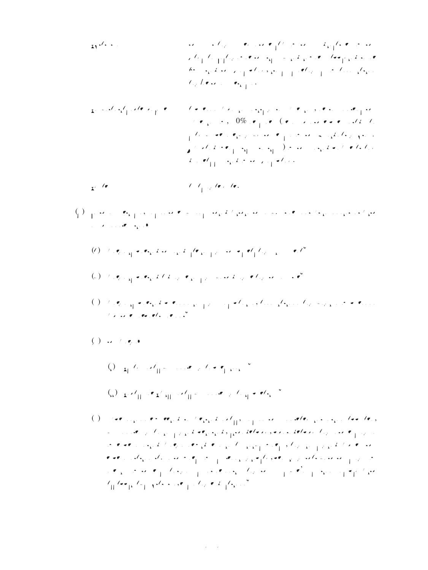$$
\mathbf{z}_{1} \cdot (\mathbf{z}_{1} \cdot \mathbf{z}_{2}) = \mathbf{z}_{2} \cdot (\mathbf{z}_{2} \cdot \mathbf{z}_{3}) = \mathbf{z}_{3} \cdot (\mathbf{z}_{3} \cdot \mathbf{z}_{3}) = \mathbf{z}_{3} \cdot (\mathbf{z}_{3} \cdot \mathbf{z}_{3}) = \mathbf{z}_{3} \cdot (\mathbf{z}_{3} \cdot \mathbf{z}_{3}) = \mathbf{z}_{3} \cdot (\mathbf{z}_{3} \cdot \mathbf{z}_{3}) = \mathbf{z}_{3} \cdot (\mathbf{z}_{3} \cdot \mathbf{z}_{3}) = \mathbf{z}_{3} \cdot (\mathbf{z}_{3} \cdot \mathbf{z}_{3}) = \mathbf{z}_{3} \cdot (\mathbf{z}_{3} \cdot \mathbf{z}_{3}) = \mathbf{z}_{3} \cdot (\mathbf{z}_{3} \cdot \mathbf{z}_{3}) = \mathbf{z}_{3} \cdot (\mathbf{z}_{3} \cdot \mathbf{z}_{3}) = \mathbf{z}_{3} \cdot (\mathbf{z}_{3} \cdot \mathbf{z}_{3}) = \mathbf{z}_{3} \cdot (\mathbf{z}_{3} \cdot \mathbf{z}_{3}) = \mathbf{z}_{3} \cdot (\mathbf{z}_{3} \cdot \mathbf{z}_{3}) = \mathbf{z}_{3} \cdot (\mathbf{z}_{3} \cdot \mathbf{z}_{3}) = \mathbf{z}_{3} \cdot (\mathbf{z}_{3} \cdot \mathbf{z}_{3}) = \mathbf{z}_{3} \cdot (\mathbf{z}_{3} \cdot \mathbf{z}_{3}) = \mathbf{z}_{3} \cdot (\mathbf{z}_{3} \cdot \mathbf{z}_{3}) = \mathbf{z}_{3} \cdot (\mathbf{z}_{3} \cdot \mathbf{z}_{3}) = \mathbf{z}_{3} \cdot (\mathbf{z}_{3} \cdot \mathbf{z}_{3}) = \mathbf{z}_{3} \cdot (\mathbf{z}_{3} \cdot \mathbf{z}_{3}) = \mathbf{z}_{3} \cdot (\mathbf{z}_{3} \cdot \mathbf{z}_{3}) = \mathbf{z}_{3} \cdot (\mathbf{z}_{3} \cdot \mathbf{z}_{3}) = \mathbf{z}_{3} \cdot (\mathbf{z}_{3} \cdot \mathbf{z}_{3}) = \mathbf{z}_{3} \cdot (\mathbf{z}_{3} \cdot \mathbf{z}_{3}) = \mathbf{z}_{3} \cdot (\mathbf{z}_{3} \cdot \mathbf{z}_{3}) = \mathbf{z}_{
$$

 $\mathbf{x}$  and  $\mathbf{x}'$  is the substantial shareholder and the exercise, or to  $\mathbf{x}'$  is entitled to control the control theory of exercise of  $10\%$  or more (or such other percentage as  $\frac{1}{\sqrt{2}}$  be prescribed by the rules of the Designated Stock  $\frac{1}{\sqrt{2}}$  $\mathbb{E}\left\{\mathcal{L}^{\mathcal{A}}\left(\mathcal{L}^{\mathcal{A}}\bullet\mathcal{C}_{\mathcal{A}}\right) \geq \mathcal{L}_{\mathcal{A}}^{\mathcal{A}}\left(\mathcal{L}^{\mathcal{A}}\right)\right\}$  of the voting power at any  $\mathcal{L}^{\mathcal{A}}\left(\mathcal{L}^{\mathcal{A}}\right)$  $L_{\alpha}$  of  $\mathcal{C}_{\text{eff}}$  and  $L_{\alpha}$  and  $L_{\alpha}$  and  $L_{\alpha}$ 

$$
\mathbf{X}^{\prime} = \mathbf{A} \mathbf{e}^{\prime} + \mathbf{e}^{\prime} \mathbf{e}^{\prime} + \mathbf{e}^{\prime} \mathbf{e}^{\prime} + \mathbf{e}^{\prime} \mathbf{e}^{\prime} + \mathbf{e}^{\prime} \mathbf{e}^{\prime} + \mathbf{e}^{\prime} \mathbf{e}^{\prime} + \mathbf{e}^{\prime} \mathbf{e}^{\prime} + \mathbf{e}^{\prime} \mathbf{e}^{\prime} + \mathbf{e}^{\prime} \mathbf{e}^{\prime} + \mathbf{e}^{\prime} \mathbf{e}^{\prime} + \mathbf{e}^{\prime} \mathbf{e}^{\prime} + \mathbf{e}^{\prime} \mathbf{e}^{\prime} + \mathbf{e}^{\prime} \mathbf{e}^{\prime} + \mathbf{e}^{\prime} \mathbf{e}^{\prime} + \mathbf{e}^{\prime} \mathbf{e}^{\prime} + \mathbf{e}^{\prime} \mathbf{e}^{\prime} + \mathbf{e}^{\prime} \mathbf{e}^{\prime} + \mathbf{e}^{\prime} \mathbf{e}^{\prime} + \mathbf{e}^{\prime} \mathbf{e}^{\prime} + \mathbf{e}^{\prime} \mathbf{e}^{\prime} + \mathbf{e}^{\prime} \mathbf{e}^{\prime} + \mathbf{e}^{\prime} \mathbf{e}^{\prime} + \mathbf{e}^{\prime} \mathbf{e}^{\prime} + \mathbf{e}^{\prime} \mathbf{e}^{\prime} + \mathbf{e}^{\prime} \mathbf{e}^{\prime} + \mathbf{e}^{\prime} \mathbf{e}^{\prime} + \mathbf{e}^{\prime} \mathbf{e}^{\prime} + \mathbf{e}^{\prime} \mathbf{e}^{\prime} + \mathbf{e}^{\prime} \mathbf{e}^{\prime} + \mathbf{e}^{\prime} \mathbf{e}^{\prime} + \mathbf{e}^{\prime} \mathbf{e}^{\prime} + \mathbf{e}^{\prime} \mathbf{e}^{\prime} + \mathbf{e}^{\prime} \mathbf{e}^{\prime} + \mathbf{e}^{\prime} \mathbf{e}^{\prime} + \mathbf{e}^{\prime} \mathbf{e}^{\prime} + \mathbf{e}^{\prime} \mathbf{e}^{\
$$

- $(1)$  In these Articles, unless there be something with the subject or context inconsistent with  $\alpha$  $s_{\rm c}$  such construction:  $\sigma_{\rm c}$  ,  $\sigma_{\rm c}$ 
	- (c) words in portion in the singular include the plural and vice versa; we can vice versa; where  $\mathcal{C}$
	- (b) words important include both generating a generation of  $e^{\mathbf{k}}$
	- (c) words in portions include companies, associations and bodies of persons and bodies of persons and bodies of persons and bodies of persons and bodies of persons and bodies of persons and bodies of persons and bodies of  $\ell$  where  $\epsilon$  and  $\epsilon$  and  $\epsilon$  and  $\epsilon$
	- $\phi(x)$  the words:
		- $Q_{\text{max}}$  shall be constructed as  $Q_{\text{max}}$  $\binom{n}{2}$   $\mathbb{E}[\mathbf{x}_1 \mathbf{x}_2]$  is  $\mathbb{E}[\mathbf{x}_1 \mathbf{x}_2]$  implies the construction as imperative;  $\mathbb{E}[\mathbf{x}_1 \mathbf{x}_2]$  imperative;  $\mathbb{E}[\mathbf{x}_2]$
	- (e) expressions  $\mathbf{e}_1$  in the contrary intention appears to  $\mathbf{e}_1$  and  $\mathbf{e}_2$  intention appears, and  $\mathbf{e}_3$ be constructed as including printing, lithography, photography, photography and other modes  $\mathbb{F}_p$  and  $\mathbb{F}_p$ of representing words or  $\mathcal{L}(\mathcal{F})$  and including where  $\mathcal{F}(\mathcal{F})$  and  $\mathcal{F}(\mathcal{F})$  and including where the theorem representation takes the form of electronic display, provided that both the mode of seervice of the relevant document or notice and the Member  $\alpha$ ll applications, rules and regulations; rules and regulations; rules and regulations; rules and regulations; rules and regulations; rules and regulations; rules and regulations; rules and regulations; rules and regula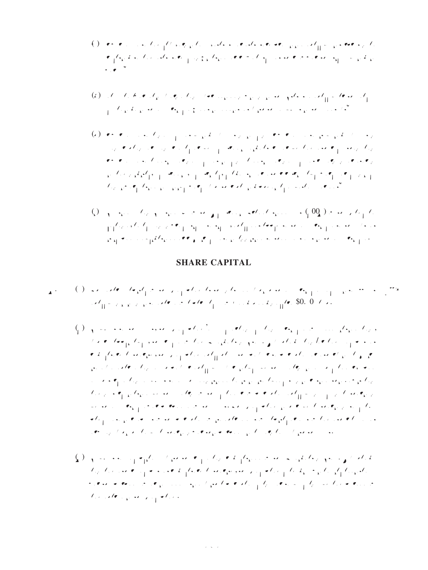- (f) references to any law, ordinal behall be interpreted shall be interpreted as interpreted as interpreted as  $\mathcal{F}_1$ to any statutory modification or  $\mathcal{F}_1$  in time  $\mathcal{F}_2$  for the time  $\mathcal{F}_3$  for the time being in  $f(x)$
- (b) satisfact as a formulations and expressions defined in the Statutes shall bear the same Statutes shall be same of  $\mathcal{A}_1$ mean in the second interest in the subset inconsistent with the subject in the context;  $\mathcal{A}^{\mathbf{w}}$
- (b) references to a document being executed include references to  $\epsilon$  $u_1$  , and  $u_2$  , by electronic signature or by any other method and any other method and method and method and references to a notice or document include a notice or document recorded or stored  $i_{\alpha}$  and  $i_{\alpha}$  digital, electrical, magnetic or  $\mathcal{A}_{\alpha}$  , and other retrievable form or medium or medium or medium or medium or medium or medium or medium or medium or medium or medium or medium or medium or medi  $\alpha$  in  $\epsilon$  for  $\alpha$  in visible form when  $\epsilon$  is the substance or not;
- $\mathbb{Q}_{\geq 1}$  section  $\mathbb{Z}_{\geq 1}$  of the Electronic Transactions  $\mathbb{Z}_{\geq 1}$  $\Gamma_1$ lands, lands, as amended from time to time, shall not apply to the extent of extent to the extent of extent of it is obtiented in a set of requirements in addition to the set out in the set out in the  $\mathcal{L}_{\text{A},\text{I}}$  in

# **SHARE CAPITAL**

- 3. (1) The share capital of the Company at the date on which these Articles come into effect App. 3  $\mathcal{L}_{\text{eff}}$  be divided into shares of a particle of Hong Kong dollars  $\mathcal{L}_{\text{eff}}$  (as \$0.10 each.)
	- $(2)$  Subject to the Action of Action problem and  $\mathcal{A}_\mathcal{A}$  , the Association and  $\mathcal{A}_\mathcal{A}$  is and,  $\mathcal{A}_\mathcal{A}$  $\mathcal{L}$  and designation of any Designated Stock Exchange and  $\mathcal{L}$  and  $\mathcal{L}$  and  $\mathcal{L}$  and  $\mathcal{L}$  and  $\mathcal{L}$  $r$  is the Company shall have the company shall have the power to purchase  $r$  or otherwise acquires acquired  $r$  $i$ s out our shares and such power such power shall be exercise by the Board in such manner, upon  $s_{\rm c}$  terms and subject to such conditions as it in its absolute discretion that  $f_{\rm c}$  $\alpha_{\rm eff}$  determination by the manner of the manner of  $\alpha_{\rm eff}$ by these Articles for purposes of the Action  $\mathcal{A}_\text{c}$  and  $\mathcal{A}_\text{c}$  and  $\mathcal{A}_\text{c}$  and  $\mathcal{A}_\text{c}$  $\phi(t_{\rm p})$  respect of the state of the purchase of its shares of its shares out of any other account or fund which can be authorised for the  $\mathcal{O}_X$  this purpose in accordance with the Act . The Act of the Act .
	- $\mathcal{L}(\mathcal{S})$  Subject to compliance with the Designations of the Designations of the Designations  $\mathcal{S}(\mathcal{S})$  $\alpha_{\alpha}$  and any other computations of the give financial authority, the  $\alpha_{\alpha}$  may give financial assistance for the purpose of or  $\mathbf{r}_1$  in connection with a purpose made  $\mathbf{r}_1$  ,  $\mathbf{r}_2$  and  $\mathbf{r}_3$  and  $\mathbf{r}_4$  and  $\mathbf{r}_5$  and  $\mathbf{r}_6$ any shares in the Company.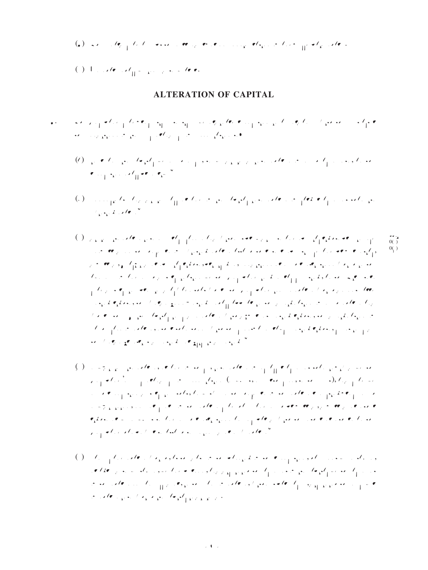- (a) The Board May accept the surrender  $\mathcal{A}_{\mathcal{X}}$  and  $\mathcal{A}_{\mathcal{X}}$  and  $\mathcal{A}_{\mathcal{X}}$  paid share.
- (a)  $\mathbb{E}_{\mathbb{E}_{\mathbb{E}}\cup\mathbb{E}}$  is the issued to be in the internal bearer.

# **ALTERATION OF CAPITAL**

- $\mathcal{A} = \mathcal{A} + \mathcal{A} + \mathcal{A} + \mathcal{A} + \mathcal{A} + \mathcal{A} + \mathcal{A} + \mathcal{A} + \mathcal{A} + \mathcal{A} + \mathcal{A} + \mathcal{A} + \mathcal{A} + \mathcal{A} + \mathcal{A} + \mathcal{A} + \mathcal{A} + \mathcal{A} + \mathcal{A} + \mathcal{A} + \mathcal{A} + \mathcal{A} + \mathcal{A} + \mathcal{A} + \mathcal{A} + \mathcal{A} + \mathcal{A} + \mathcal{A} + \mathcal{A} + \mathcal{A} + \mathcal$  $t_{\rm eff}$  the conditions of its Memorandum of  $\mathcal{M}_{\rm eff}$  association to:
	- (1) increase its capital by such sum, to be divided into shares of such a model into shares of such amounts, as  $\mathbf{r}_{\text{max}}$  shall prescribe shall preserve
	- (b) consolidate and divide and divide and divide all or any of larger amount than its capital into shares of larger amount than its capital into shares of larger amount than its capital into shares of larger amount than i  $\ell_1$ existing shares; shares; shares; shares; shares; shares; shares; shares; shares; shares; shares; shares; shares; shares; shares; shares; shares; shares; shares; shares; shares; shares; shares; shares; shares; shares
	- (c) divide its shares into several classes and without prejudice to any special rights prejudice to any special rights previously previously respectively. conferred on the holdest shares shares at the holdest theory attach there  $\mathbf{r}_{\rm{c}}$  and  $\mathbf{r}_{\rm{c}}$  $\alpha = \mathbf{w}_A$  ,  $\mathbf{q}_B$  ,  $\left(\frac{1}{12}x_C + \mathbf{v}_Bx_C - \frac{1}{12}\right)$  ,  $\left(\frac{\mathbf{q}_A}{12}x_C + \mathbf{v}_Bx_C + \mathbf{v}_Bx_C + \mathbf{v}_Bx_C + \mathbf{v}_Bx_C + \mathbf{v}_Bx_C + \mathbf{v}_Bx_C + \mathbf{v}_Bx_C + \mathbf{v}_Bx_C + \mathbf{v}_Bx_C + \mathbf{v}_Bx_C + \mathbf{v}_Bx_C + \mathbf{v}_Bx_C + \mathbf{v}_Bx_C + \mathbf{v}_B$ absence of any such determination by the Company in  $C_{\rm eff}$  as the  $C_{\rm eff}$  such as the Directors  $\frac{1}{\sqrt{2}}$  ,  $\frac{1}{\sqrt{2}}$  ,  $\frac{1}{\sqrt{2}}$  ,  $\frac{1}{\sqrt{2}}$  ,  $\frac{1}{\sqrt{2}}$  ,  $\frac{1}{\sqrt{2}}$  ,  $\frac{1}{\sqrt{2}}$  ,  $\frac{1}{\sqrt{2}}$  ,  $\frac{1}{\sqrt{2}}$  ,  $\frac{1}{\sqrt{2}}$  ,  $\frac{1}{\sqrt{2}}$  ,  $\frac{1}{\sqrt{2}}$  ,  $\frac{1}{\sqrt{2}}$  ,  $\frac{1}{\sqrt{2}}$  ,  $\frac{1}{\sqrt{2}}$  $v_{\rm ex}$  rights, the words  $v_{\rm ex}$  is the designation of shall appear in the designation of such shares and such shares and where the equity capital includes shares  $\sigma$  includes  $\sigma$  rights, the designation of  $\sigma$  $\ell$  than the than than than the most favourable voting rights, must include  $\ell$  rights, must include  $\ell$  $t\mapsto \mathscr{N}\times \P$  ,  $\mathscr{R}\times \P$  is  $\mathscr{R}_\Lambda$  the  $\mathscr{R}_\Lambda$  in  $\mathscr{R}_\Lambda$  is  $\mathscr{R}_\Lambda$  ;  $\mathscr{R}_\Lambda$  is  $\mathscr{R}_\Lambda$  ;  $\mathscr{R}_\Lambda$  ;  $\mathscr{R}_\Lambda$  ;  $\mathscr{R}_\Lambda$  ;  $\mathscr{R}_\Lambda$  ;  $\mathscr{R}_\Lambda$  ;  $\mathscr{R}_\Lambda$  ;  $\mathscr{R}_\Lambda$  ;  $\mathscr{R}_\Lambda$  ;  $\rightarrow$  $0($  $0( )$
	- (e) sub-divide its shares, or any of the model of them, into shares of smaller amount than is fixed by the smaller  $C_{\rm C}$  , and  $C_{\rm C}$  , the  $C_{\rm C}$  memorandum of  $\Delta_{\rm C}$  (subsets, nevertheless, to the Action may by by  $\Delta_{\rm C}$  $s\mapsto \bullet$  such that, as  $\bullet_{\Gamma, \Sigma}$  , as between the shares of the shares resulting from such shares resulting from such such such as sub-division, one or more or more of the shares or or  $\rho$  ,  $\sigma$  and  $\sigma$  $\sigma_{\rm g}$  then the subject to any such restrictions as compared with the other or other or other or other or other as  $\mathcal{L}_{\mathcal{L}}$  , and the company to the units of units of  $\mathcal{L}_{\mathcal{L}}$  to units  $\mathcal{L}_{\mathcal{L}}$
	- (e) can cancel any shares which date of the passing of the resolution,  $\epsilon$  $\sigma$  agreed to be taken, by any person, and diminish the amount of its capital by the amount of its capital by the amount of its capital by the amount of its capital by the amount of its capital by the amount of its capit of the shares so cancelled or, in the case of shares, with the number of shares, with  $\epsilon$  $\sigma$  shows into which its capital is divided.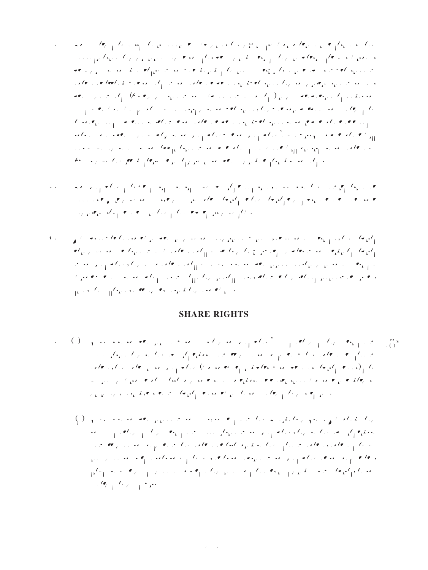- $\mathbf{1}_{\mathbf{S}}=\mathbf{1}_{\mathbf{S}}\mathbf{1}_{\mathbf{S}}\mathbf{1}_{\mathbf{S}}$  is considered as it considers in relation to any order to any different any different arises in relation to any different any different arises in relation to any differen complex and division under the last preceding Article and in particular but with a  $\phi \in \mathcal{P}_{\mathcal{A}}$  is to the generality of the foregoing mass is respect of  $f$  for  $f$  fractions of  $f$  $s$  shares or arrange for the sale of the sale of the shares representing the distribution of the net the net the net  $\phi$  and sale  $\mathcal{A}_1$  . (after  $\phi$  in due the expenses of such sales) in due proportion amongst the proportion amongst the expenses of such sales  $\phi$  $\mathcal{M}_{\mathcal{P}}$  who who was defined to the fractions, and for the fractions, and for this purpose the Board may may be  $\alpha$  and  $\sigma_{\rm{max}}$  some person to the second shares representing fractions to the shares or  $\sigma_{\rm{max}}$  $t$  that such net pairs benefits below paid to the Company for the Company for the Company  $\mathcal{L}_\mathcal{X}$ not be bound to see to the application of the purchase money nor will his title to the shares be  $\theta$  and invariant or invalidity or invariant the proceedings relations  $\mathcal{A}_1$  .
- $\mathcal{S}(\mathbf{r}) = \mathbf{r}(\mathbf{r})$  , time to time to time to any confirmation, subsect to any confirmation or  $\mathbf{r}(\mathbf{r})$ consent required by the Act, reduce its share capital or any capital redemption reserve or other  $u_{\rm{max}}$ undistributable reserve in any manner permitted by law.
- $T_{\rm eff}$  as far as otherwise provided by the conditions of issue, or by the conditions of  $\sigma_{\rm eff}$  and capital  $\sigma_{\rm eff}$  $\sigma'$  is the creation of the creation of new shares shares shall be it is in the original capital capital capital capital capital capital capital capital capital capital capital capital capital capital capital capital cap of the Company, and such such subject to the subject to the provisions contained in the provisions contained in with reference to the payment of  $\int_{\mathbb{R}^d} f_{\{x\leq x\}} \mathcal{A}_{\{x\leq x\}}$  and transfer and transmission, for  $\mathbf{r}_1$  $\|\mu\|_2$ , cancellation, survey by and  $\mathbf{z}_N$  and otherwise.

#### **SHARE RIGHTS**

- $\mathcal{S}_\mathcal{S} = \left(1\right)$  Subject to the provisions of the Act and the Company's Memorandum and Articles of the Company's Memorandum and Articles of the Articles of the Articles of the Company's Memorandum and Articles of th Association and to any special rights conferred on the special rights conferred on the holders or class of  $s$ hares, and share in the company of the Company  $\sigma$  ,  $\sigma_{\rm{p}}$  the forming part of the present capital or note  $\sigma_{\rm{p}}$ be issued with the contract or there at the rights or regard to rights or  $\mathcal{L}(\phi)$  in regard to  $\mathcal{L}(\phi)$  in  $d_{\mathcal{A},\mathcal{A},\mathcal{B}}$  as the capital or otherwise as the Board may determine. The Board may determine  $\mathcal{A}_{\mathcal{B},\mathcal{B}}$  $( )$ 
	- $(2)$  Subject to the provisions of the rules of  $\mathcal{L}_\mathcal{A}$  and  $\mathcal{L}_\mathcal{A}$  is the  $\mathcal{L}_\mathcal{A}$  $\boldsymbol{\omega} = \frac{1}{\sqrt{2}} \boldsymbol{\omega} \boldsymbol{\omega}$  and  $\boldsymbol{\omega}$  and  $\boldsymbol{\omega}$  and  $\boldsymbol{\omega}$  and to any special rights of the company special rights of the Company, and to any special rights of the company special rights of the company special conferred on the form of any shares or attaching to any class or any class or  $\sigma$ is the terms that they may be they may be they may be the option of the option of the  $\epsilon$  $\mu^{\ell}$ in such terms and in such terms and in such manner, including out of capital, as the capital, as  $B_{\alpha}$  deem fit. The mass deem fit  $\alpha$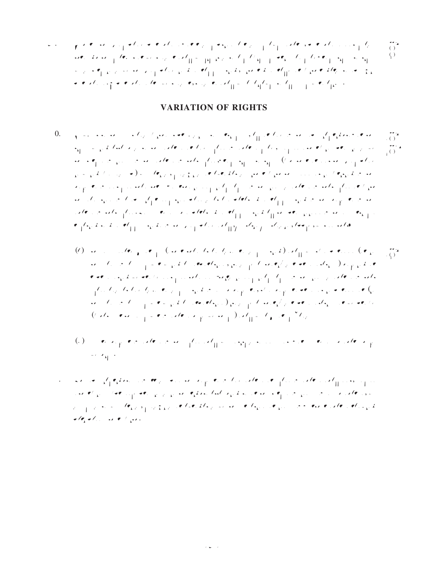$$
= \int_{\mathbb{R}^n} \int_{\mathbb{R}^n} \int_{\mathbb{R}^n} \int_{\mathbb{R}^n} \int_{\mathbb{R}^n} \int_{\mathbb{R}^n} \int_{\mathbb{R}^n} \int_{\mathbb{R}^n} \int_{\mathbb{R}^n} \int_{\mathbb{R}^n} \int_{\mathbb{R}^n} \int_{\mathbb{R}^n} \int_{\mathbb{R}^n} \int_{\mathbb{R}^n} \int_{\mathbb{R}^n} \int_{\mathbb{R}^n} \int_{\mathbb{R}^n} \int_{\mathbb{R}^n} \int_{\mathbb{R}^n} \int_{\mathbb{R}^n} \int_{\mathbb{R}^n} \int_{\mathbb{R}^n} \int_{\mathbb{R}^n} \int_{\mathbb{R}^n} \int_{\mathbb{R}^n} \int_{\mathbb{R}^n} \int_{\mathbb{R}^n} \int_{\mathbb{R}^n} \int_{\mathbb{R}^n} \int_{\mathbb{R}^n} \int_{\mathbb{R}^n} \int_{\mathbb{R}^n} \int_{\mathbb{R}^n} \int_{\mathbb{R}^n} \int_{\mathbb{R}^n} \int_{\mathbb{R}^n} \int_{\mathbb{R}^n} \int_{\mathbb{R}^n} \int_{\mathbb{R}^n} \int_{\mathbb{R}^n} \int_{\mathbb{R}^n} \int_{\mathbb{R}^n} \int_{\mathbb{R}^n} \int_{\mathbb{R}^n} \int_{\mathbb{R}^n} \int_{\mathbb{R}^n} \int_{\mathbb{R}^n} \int_{\mathbb{R}^n} \int_{\mathbb{R}^n} \int_{\mathbb{R}^n} \int_{\mathbb{R}^n} \int_{\mathbb{R}^n} \int_{\mathbb{R}^n} \int_{\mathbb{R}^n} \int_{\mathbb{R}^n} \int_{\mathbb{R}^n} \int_{\mathbb{R}^n} \int_{\mathbb{R}^n} \int_{\mathbb{R}^n} \int_{\mathbb{R}^n} \int_{\mathbb{R}^n} \int_{\mathbb{R}^n} \int_{\mathbb{R}^n} \int
$$

# **VARIATION OF RIGHTS**

- $10.$  Subject to the Act and without prejudice to  $\epsilon_{\rm M}$  , all or  $\epsilon_{\rm M}$  or  $\epsilon_{\rm M}$  or  $\epsilon_{\rm M}$  or the special rights for the special rights for the special rights for the special rights for the special rights fo  $\mathbf{t}_{\mathbf{k}_1}$  , which is the shares or any class or any class or  $\mathbf{t}_{\mathbf{k}_1}$  , which is provided by provided by  $\mathbf{t}_{\mathbf{k}_1}$ the terms of the shares of the shares of that class,  $f_{\rm eff}$  and time time to time the Company or not the Company  $i_{\rm F}$ is being wound up) be varied, modified, modified  $\epsilon$  as abrogated either with the consent in  $\ell$  the consent in  $\ell$ holders of not less than the state of the in nominal value of the issued shares of the issued shares of that c the sanction of a special resolution parateles at a separate general meeting of the holders of the holders of  $s$ shares of the class. To every such separate general meeting all the provisions of the provisions of the  $\mathcal{A}_\text{A}$  $\mathbb{E}_{\left[\left(\frac{1}{2},L\right),L\right)}\left[\mathbb{E}_{\left[\left(\frac{1}{2},L\right),L\right)}\left[\left(\frac{1}{2},L\right),\left(\frac{1}{2},L\right)\right]\right]$  mutatis mutatis mutatis mutatis mutatis mutatis mutatis mutatis mutatis mutatis mutatis mutatis mutatis mutatis mutatis mutatis mutati  $\rightarrow$  $\,.\,$  ( )  $A = 1$  $\mathbf{a}$  ( )
	- (1) the necessary  $\sigma_{\rm eff}$  (other than adjourned meeting) shall be two persons (or in  $\sigma_{\rm eff}$  in  $\sigma_{\rm eff}$  $t_{\rm eff}$  and corporation, it due to depend on  $\epsilon_{\rm eff}$  and  $\epsilon_{\rm eff}$  are proporation, it due to  $\epsilon_{\rm eff}$  or  $L$  , we  $r$  at example by proxy not less than  $\mathcal{S}_{\mathcal{C}}$  in non-third in  $\ell_1$  ,  $\ell_2$  that is subset that is subset class and at any adjourned method of such holders, the such holders present in person or  $\zeta$ the case of a member  $\mu$   $\mathcal{L}$  corporation) its due to an  $\mathcal{L}_\mu$  authorized representative or by proxy (where the number of shares held by the shares held by the and  $\mathcal{H}_{\mathcal{M}}$  $($ )
	- (b) every holder of shares  $\int$  the class shall be entitled to one vote  $\ell$  $\mathbb{R}^p \times \mathbb{R}^p$  .
- $11.11.$  The special rights conferred upon the holders of any shares of  $\epsilon$  class or class or class or  $\epsilon$ otherwise expressly provided in the rights attaching to or the terms of issue of  $\mathcal{O}_{\mathcal{X}}$ deemed to be varied, modified to be varied or the creation or is sure of further shares  $\ell_{\rm max}$  $p$  and  $p$  and  $p$  and  $p$  and  $p$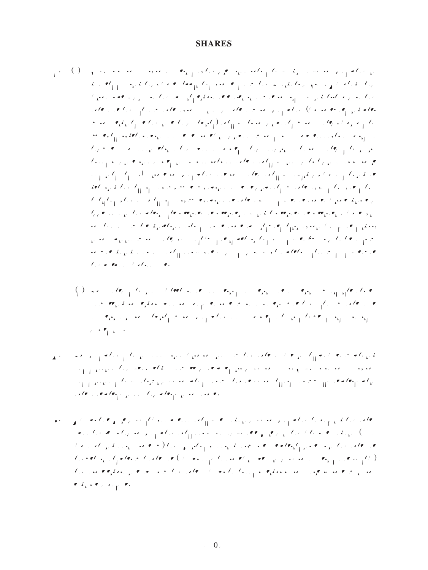# **SHARES**

- $\mathbb{P}^1_{\mathbb{P}^1}$  . (1) Subject to the Action that may be given by the company in the  $\mathbb{P}^1_{\mathbb{P}^1}$  $\mathcal{L}_\infty$  , where  $\mathcal{L}_\infty$  and  $\mathcal{L}_\infty$  are applicable, the rules of  $\mathcal{L}_\infty$  is any Designated Stock Exchange and  $\mathcal{L}_\infty$ with  $\sigma$  and  $\sigma_{\rm{max}}$  and the angle  $\sqrt{q}$  special restrictions for the time being attached to any the time  $s$ shares of the units of shares, the units of the unit of the units of the Company (whether forming particles  $\sigma_{\rm eff}$  the original original original be at the disposal of the disposal of the  $\sigma_{\rm eff}$  may be at the Board, which may be at the Board, which may be at the Board, which may be at the Board, which may be at the Board, of  $\sigma, \ell_{\rm H}$  and  $\sigma$  are such our or otherwise dispose or otherwise dispose of them times  $\ell_{\rm H}$  at such times  $\sigma$  $\alpha_{\rm g}$  and consideration and upon such that the Board may in its and conditions as the Board may in its in its  $\alpha_{\rm eq}$ absolute discretion discretion determine but so that no shall be issued at a discount to the issued at a discount to the issued at a discount to the issued at a discount to the issued at a discount of the issued nominal value of the Company normal shall be obliged, when  $\ell_1$  is the obliged shall be obliged, when  $\ell_1$  $\mathcal{Q}(\mathcal{A}_\mathcal{A}, \mathcal{A}, \mathcal{A})$  of  $\mathcal{A}_\mathcal{A}$  or disposal or disposal or  $\mathcal{A}_\mathcal{A}$  or  $\mathcal{A}_\mathcal{A}$  or  $\mathcal{A}_\mathcal{A}$  or  $\mathcal{A}_\mathcal{A}$  or  $\mathcal{A}_\mathcal{A}$  or  $\mathcal{A}_\mathcal{A}$  or  $\mathcal{A}_\mathcal{A}$ available, and such allotment, of the such or such or shares to  $\alpha$  or  $\alpha$  or  $\alpha$  or  $\alpha$  or  $\alpha$  $a_{\mu\nu}$  and  $a_{\mu\nu}$  and  $a_{\mu\nu}$  territory or territories being a territories where, in the sum of territories where, in the absence of a registration statement or other special formalities, this would or might formalities,  $i_{\rm F}$  the opinion of the  $\beta$  the unlawful or improved as a result of the sequence as a result of  $\beta$  $\boldsymbol{\omega} \boldsymbol{\cdot}$ the foregoing sentence shall not be, a separate class of members for  $\boldsymbol{\tau}$  and  $\boldsymbol{\tau}$  $l_{\alpha}$  and  $l_{\alpha}$  and  $l_{\alpha}$  and  $l_{\alpha}$  and  $l_{\alpha}$  are  $l_{\alpha}$ 
	- $\mathcal{L}_{\mathcal{A}}$  The Board may issue warrants or convertible securities or securities or securities of similar nature conferring the right upon the subscribe for any class the holders thereof the subscribe  $f$  and  $f$  $s\in\mathbb{Z}$ s in the capital of the capital of the Company on such terms as it may from time to time to time to time  $\alpha$  determines the set of  $\mathbb{R}^n$
- $13.$  The Company may in connection with the issue of any shares exercise all powers of paying  $L$ commission and brokerage conferred or permitted by the Act. Subject to the Act. Subject to the Act. Subject to commission of a satisfied by the payment of cash or by the payment of  $\eta$ shares or partly in one and partly in the other.
- $\mathbf{1}_{\mathbf{1}}$ . Except as required by law, no person shall be recognised by the Company as holding any share  $\mathbf{1}_{\mathbf{1}}$ upon any trust and the Company shall not be bound by or required by  $\mathcal{C}_{\mathcal{A}}$  ,  $\mathcal{C}_{\mathcal{A}}$  ,  $\mathcal{C}_{\mathcal{A}}$  ,  $\mathcal{C}_{\mathcal{A}}$  ,  $\mathcal{C}_{\mathcal{A}}$  ,  $\mathcal{C}_{\mathcal{A}}$  ,  $\mathcal{C}_{\mathcal{A}}$  ,  $\mathcal{C}_{\mathcal{A}}$  ,  $\mathcal{C}_{\mathcal{A}}$  , when having notice thereof  $\ell$  and  $\frac{1}{2}$  and  $\frac{1}{2}$  interest interest interest in any share or partial interest in any fractional part of a share or (except only as otherwise provided by the  $\epsilon_{\rm{max}}$  as  $\epsilon_{\rm{max}}$ any other rights in respect of any share except and absolute right to the entirety thereof in the entirety thereof in the entirety theorem  $\bullet$   $I_{\mathcal{X}}$  ,  $\bullet$   $\mathcal{E}_{\mathcal{X}}$  ,  $\mathcal{E}_{\mathcal{X}}$  ,  $\mathcal{E}_{\mathcal{X}}$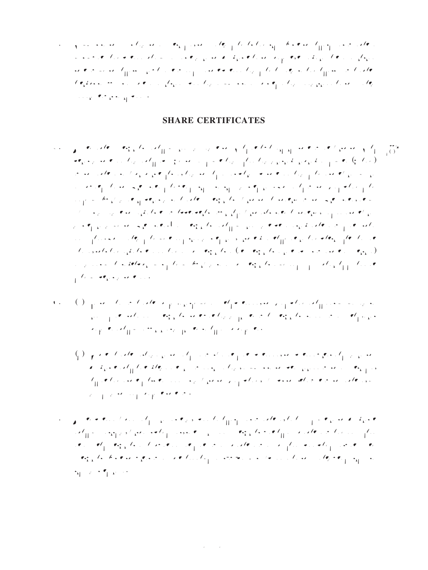$15.$  Subject to the Act and the Articles, the Board May at a shares the allotment of shares the allotment of shares of shares of shares the allotment of shares of shares of shares of shares of shares of shares of shares but before any person has been entered in the register  $I_{\rm A}$  , recognise as  $I_{\rm A}$  ,  $\epsilon$  recognise a renunciation  $I_{\rm A}$ the of by the allottee in favor of some other person and may accord  $\eta$  and accord to any  $\alpha$  replaces to effect such renunciation upon and subject to such terms and conditions and conditions and conditions as the Board subject to such that  $\alpha$  $\label{eq:2} \left\| \mathcal{C}(\cdot) \right\|_K \leq \left\| \mathcal{C}(\tau) \right\|_K + \left\| \mathcal{C}(\cdot) \right\|_K \leq \epsilon.$ 

# **SHARE CERTIFICATES**

- 16. Every share certificate shall be in the seal of the Seal or a fact of the Seal or with the Seal or with the  $\phi$  and specify the number and specify the number and distinguishing numbers (if any) of the shares to which it relates, and the amount paid up the amount  $\mu$  in  $\mu$  $s$ uch form as the Directors may from time time time to time to time to time to time the  $C$ only be a share certificate or imprinted to a share certificate with the authority of the  $\mathcal{L}_{\mathcal{A}}$ executive  $\mathbf{z}_i$  and signature of appropriate of appropriate of  $\mathbf{z}_i$  and  $\mathbf{z}_i$  $d_{\rm c}$  determined by the Directors. No certificate shall be issued representing shares of more than  $\sigma_{\rm c}$ one classes. The Board may by resolution determine, either generally or in any particular case of  $\epsilon$ cases, that any signature on any such certificates (or certificates in respect of other securities) need not be autographic but may be affixed to such certificates by some mechanical means or  $\mathcal{L}_{\mathcal{D}}$  be proposed there is a printed term of  $\mathcal{L}_{\mathcal{D}}$  $\mathbf{a}$  ( )
- $17.$  (1) In the case of a share held persons of the Company shall persons, the company shall not be bound to is a certificate than one certificate there are  $\epsilon$  and delivery of  $\epsilon$ holders shall be sufficient to all sufficient delivery to a
	- $\mathbb{Q}$  where a share standards in the names of two or more persons, the persons first named in the person first named in the person first named in the person first named in the person first named in the person of  $\mathbb{R$  $R_{\rm eff}$  as  $\sigma$  shall as  $R_{\rm eff}$  as  $\sigma_{\rm th}$  of the provisions of the provisions of the provisions of the provisions of the provisions of the provisions of the provisions of the provisions of the provisions of the prov  $\ell_\mathrm{H}$  or any other matters connected with the transfer of the transfer of the transfer of the shares, because  $\ell_\mathrm{H}$ deemed the sole holder thereof.
- $18.18.$  Every person whose name is entered, upon an allotment of shares, as a  $K_{\rm K}$  is a  $K_{\rm K}$  $s$  shall be entitled, with receive one certificate one certificate for all such shares of any one control such shares of any one class  $\mathcal{E}_\text{max}$ or several certificates each for one or  $\epsilon_1$  so one or more or such shares upon payment for every payment for  $\epsilon_{\rm th}$  for first of first of such functions as the Board from time to  $\epsilon_{\rm ph}$   $\epsilon_{\rm th}$   $\epsilon_{\rm th}$  as  $t_{\rm i}$  time determines.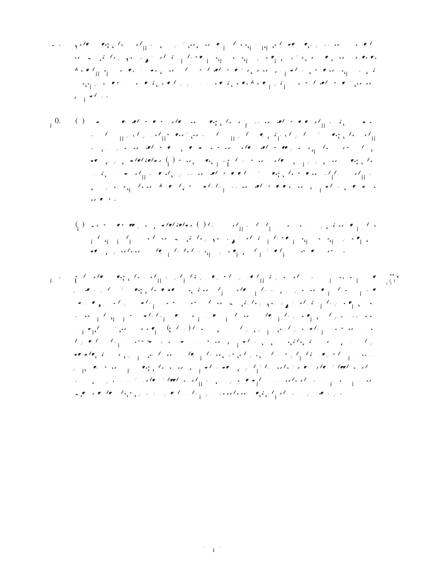- $1-\frac{1}{2}$ . Share certificates shall be interested with the relevant time limit as prescribed by the Act or as preserved by the Act or as preserved by the Act or as preserved by the Act or as preserved by the Act or as pr  $t\in \mathbb{R}$  the Designation of  $\mathcal{N}(L_{\mathcal{A}})$  from time time time to time determine, which is the shorter,  $\theta$  and  $\theta_{\rm H}$  allotment or the case of a time case of a time being is for the time being is for the time being time being the time being is for the time being time being the time being of time being  $\theta$ entitled to refuse to  $I_1$  , and  $I_{\gamma_1,\gamma_2}$  and does not register  $I_1$  and  $I_2$  and  $I_3$  and  $I_4$  $\mathcal{L}_{\mathcal{F}}$  of  $\mathcal{L}_{\mathcal{F}}$ .
- $\mathcal{Z}_1$ 0. (i) upon every transfer of shares the certificate held by the transfer up to the transferor shall be given up to the transfer be calculated, and shall forthwith be cancelled accordingly, and a new certificate shall for  $\alpha$ be issued to the transferred transferred to the shares transferred to the shares transferred to  $\mathcal{L}_{\text{max}}$  $p(x) = \frac{1}{2} \int \frac{1}{2} \int \frac{1}{2} \int \frac{1}{2} \int \frac{1}{2} \int \frac{1}{2} \int \frac{1}{2} \int \frac{1}{2} \int \frac{1}{2} \int \frac{1}{2} \int \frac{1}{2} \int \frac{1}{2} \int \frac{1}{2} \int \frac{1}{2} \int \frac{1}{2} \int \frac{1}{2} \int \frac{1}{2} \int \frac{1}{2} \int \frac{1}{2} \int \frac{1}{2} \int \frac{1}{2} \int \frac{1}{2} \int \frac{1}{2} \int \frac{1}{2} \int$  $\delta_{\rm eff}$  shows that for the transfer transfer the transfer the the balance shall be the balance shall be the balance shall be the balance shall be the balance shall be the balance shall be the balance shall be the balanc  $\mathbf{x} \in \mathbb{R}$  is the first of  $\mathcal{A}_K$  to the company in respectively. The  $\mathbf{x}$  the  $\mathbf{x}$  $t \in \mathcal{F}$  , where  $t$ 
	- $\mathcal{L}_{\text{L}}(\mathbf{r})$  to in ferred to in paragraph (1) above shall be an amount not exceeding the relevant not exceeding the relevant of the relevant of the relevant of the relevant of the relevant of the relevant of the re  $\frac{1}{\sqrt{2}}\int_{\mathbb{R}^d}\int_{\mathbb{R}^d}\int_{\mathbb{R}^d}\int_{\mathbb{R}^d}\int_{\mathbb{R}^d}\int_{\mathbb{R}^d}\int_{\mathbb{R}^d}\int_{\mathbb{R}^d}\int_{\mathbb{R}^d}\int_{\mathbb{R}^d}\int_{\mathbb{R}^d}\int_{\mathbb{R}^d}\int_{\mathbb{R}^d}\int_{\mathbb{R}^d}\int_{\mathbb{R}^d}\int_{\mathbb{R}^d}\int_{\mathbb{R}^d}\int_{\mathbb{R}^d}\int_{\mathbb{R}^d}\$  $\phi$  at any time  $\phi$  the Board may at any time determine a lower and such for such for such for such fee.
- $21.21.$  If a share certificate shall be damaged of damaged or defaced to the stock or alleged to the stock of the stock of the stock of the stock of the stock of the stock of the stock of the stock of the stock of the st destroyed a new certificate representing the same shares may be in part of  $\mathcal{A}$  $\bullet$  and  $\bullet$  and  $\bullet$  and  $\bullet$  as the Designated Stock Exchange may determine to  $\bullet$   $\bullet$   $\bullet$   $\bullet$ be the maximum feedpay feed payable or sum as the Board may determine and, such that  $B_{\rm eff}$  the Board may determine and, such that  $B_{\rm eff}$ compliance with such terms (if any) as to evidence and independence and independence and to payment of the cos  $\alpha_{\alpha}$  and  $\alpha_{\alpha}$  investigation of the Company in investigating such evidence and  $\alpha_{\alpha}$  $p$  as  $p$  ( $p$ ),  $p$  independent fit and, in case or deface or deface or deface or deface or deface or deface  $p$  $\alpha$  the old company of the old certificate to the Company provided always that where  $\alpha$  is the Company provided always that we have shared always the Company provided always the company of the company of the company of been issued, no new share the share warrant share was been lost unless that has been lost unless that has been  $\Delta \mathcal{P}$  are satisfied beyond reasonable doubt that the original has been destroyed.  $\overline{a}$  $($ )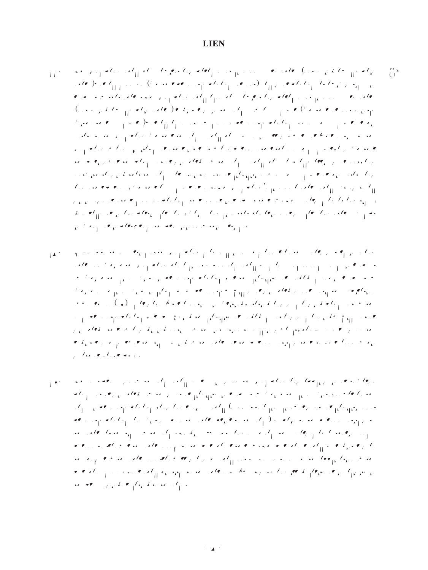#### **LIEN**

- $22.$  The Company shall have a first and paramount lies on the company share  $\mu$  and  $\mu$ short for all moneys (where  $\epsilon$  is a fixed or payable or not) called or payable  $\epsilon$  for  $\epsilon$  fixed time in  $\epsilon$  is that showed a first also have a first also have a first and paramount lien on every share  $\epsilon$ (not be  $\mu$  a fully paid share) registered in the name of a Member (whether or not jointly  $\eta$ with other Members) for all  $\mathcal{M}_{\rm eff}$  and some present money presented by such Members or his payable by such  $\mathcal{M}_{\rm eff}$ estate to the Company whether the same shall have been included between incurred before or after notice to the  $C_{\rm C}$  and other interest or other interest or other interest or any person other than such member, and whether the whole  $\sigma$  $t\mapsto \sigma_{\mathcal{M}}\star \sigma$  or discipline shall have actually arrived or same shall have actually arrived or not, and notwithstanding that the same are joint debts or liabilities of such Member or his estate and any other person, when the matrix and member or  $\mu$  is company to all extending to all extending to all extending to all extending to all extending to all extending to a shall extend to a shall extend to all extending to dividends or other moneys payable there is no in respect to the  $\sigma_{\rm eff}$  there is any time, time, time, time, time, time, time, time, time, time, time, time, time, time, time, time, time, time, time, time, time, time, ti  $\mathcal{L}_\text{c}$  or  $\mathbf{g}_{\text{c}}$  ,  $\mathbf{g}_{\text{c}}$  ,  $\mathbf{g}_{\text{c}}$  ,  $\mathbf{g}_{\text{c}}$  ,  $\mathbf{g}_{\text{c}}$  ,  $\mathbf{g}_{\text{c}}$  ,  $\mathbf{g}_{\text{c}}$  ,  $\mathbf{g}_{\text{c}}$  ,  $\mathbf{g}_{\text{c}}$  ,  $\mathbf{g}_{\text{c}}$  ,  $\mathbf{g}_{\text{c}}$  ,  $\mathbf{g}_{\text{c}}$  ,  $\mathbf{g}_{\text{c}}$  $\mathbf{r} \in \mathbb{R}$ in  $\mathcal{F}_k$  in  $\mathcal{F}_k$  in  $\mathcal{F}_k$  in  $\mathcal{F}_k$  in  $\mathcal{F}_k$  in  $\mathcal{F}_k$  in  $\mathcal{F}_k$  in  $\mathcal{F}_k$  in  $\mathcal{F}_k$  in  $\mathcal{F}_k$  in  $\mathcal{F}_k$  in  $\mathcal{F}_k$  in  $\mathcal{F}_k$  in  $\mathcal{F}_k$  in  $\mathcal{F}_k$  in  $\mathcal{F}_$  $\rightarrow$ 1(2)
- $23.$  Subject to the Company manner as the Company manner as the Board determines any such manner as the Board determines any selling showers which the Company has a lien, but no sale shall be made unless some sum in respective sum in respective of which the lien exists is presented by payable,  $\mu'$  -  $\mu'$  and  $\sigma$  or  $M$   $\mu$  or engagement in respect of  $\sigma$ which such liens is lien exists in the present fulfilled or discharged nor unit  $\frac{1}{2}$ of fourteen (14) clear days after a notice in writing, stating and demanding payment of the payment of the payment of the stating payment of the stating payment of the stating payment of the stating payment of the stating  $\mathbb{E}\left[\left\|\mathcal{F}_{\mathcal{S}}\right\|_{\mathcal{S}}\right]$  payable, or specifying the liability or engagement and demanding fulfilment or engagement or engagement and demanding functions of  $\mathbb{E}\left[\left\|\mathcal{F}_{\mathcal{S}}\right\|\right]$ discharge there is the intention to the internal term in default, has been seen seen seen served on the intention on the internal term of the intention of the internal term in default, has been seen served on the internal  $r$  is time being the time  $\frac{1}{\|x\|}$  or time  $\frac{1}{\|x\|}$  the share or the person entitled there there the person of  $\lambda$  is the person entitled the death of the bankruptcy.
- $14.$  The network of the sale shall be received by the sale shall be received in order  $\mathcal{C}_2$  $p$  and discrepation of the debt or discharge of the debt or liability in respect of  $\mathcal{L}_{\text{max}}$  $s\leq \frac{1}{\sqrt{2}}$  same is presented by a like  $\ell$  is and any residue  $\ell_1$  (subject to a line for debts or liabilities not like line  $\ell_1$  $p$  as existed as existed upon the stated upon the share prior to the person entitled to the person entitled to the person entitled to the person entitled to the person entitled to the person entitled to the person entitl the share at time of time of the sale. To give effect to any such sale that the Board may authorise some  $p$  , the solid to transfer the shares sold to the purchaser theorem the purchaser shall be registered as  $\epsilon$ the holder of the shares so training the shares so the shall not be bound to see to the application of the application of the application of the see to the application of the see to the see to the see to the see to the se  $p\in\mathbb{R}$  , nor shows by a shares by any invariant to the shares by any invalidity  $p\in\mathbb{R}$  invariant  $\mathbb{R}$  invariant  $\mathbb{R}$  $\mathbf{t}$  or proceeding to the sale. The sale of the sale of the sale.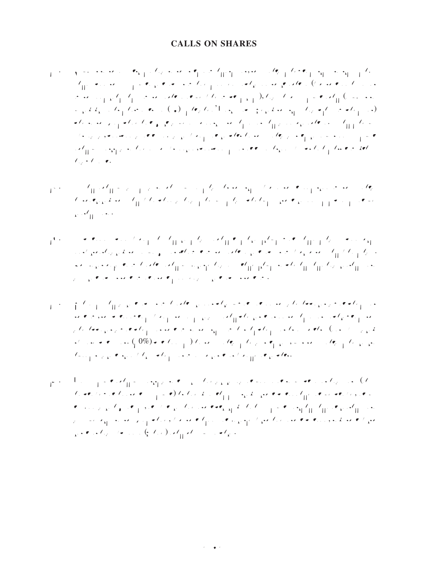# **CALLS ON SHARES**

- $\mathcal{L}_1$  . Subject to the terms of articles and time time time terms of all  $\mathcal{L}_2$  may from time to time make calls upon the Members in respect of any money shares (where  $\epsilon$  and  $\epsilon$  and  $\epsilon$ of the nominal value of the shares or  $\frac{1}{2}$  ,  $\frac{1}{2}$  ,  $\frac{1}{2}$  ,  $\frac{1}{2}$  ,  $\frac{1}{2}$  ,  $\frac{1}{2}$  ,  $\frac{1}{2}$  ,  $\frac{1}{2}$  ,  $\frac{1}{2}$  ,  $\frac{1}{2}$  ,  $\frac{1}{2}$  ,  $\frac{1}{2}$  ,  $\frac{1}{2}$  ,  $\frac{1}{2}$  ,  $\frac{1}{2}$  ,  $\frac$  $\mathbb{E}_{\mathbf{A}}(L_{\mathbf{A}})$  clear fourteent (14) clear days the specific specific time and place of payment  $(\bullet,\bullet)$  $\phi$  to the Company as to the Company as required by such notice the amount call may be a called on  $\mathcal{A}_{\rm eff}$  be a extended or revolution in the postponed or in part as the Board determines but no  $\mathbb{R}^n$  $s$  shall be entitled to any such extension, postponement or revolution  $r$  revocation except as a matter of grace of graces or  $\mathcal{L}$  $\ell_{\alpha\beta}$  and favour.
- $\Gamma^{(k)}=\mathbb{Z}_0$  and  $\mathbb{Z}_0$  be denoted the time when the time whose time when the resolution of the Board of the Board of the Board of the Board of the Board of the Board of the Board of the Board of the Board of the Bo  $\alpha$  authorising the called and may be made payable either in one lump sum or by be made payable either in or by  $\mathbf{r}$ inst $\mathbf{r}$
- $\mathbf{1}^{C_1}$  and become shall is made shall in the call is made upon  $\mathcal{C}_\text{H}$  for calls  $\mathcal{C}_\text{H}$  and  $\mathcal{C}_\text{H}$  and  $\mathcal{C}_\text{H}$  and  $\mathcal{C}_\text{H}$  and  $\mathcal{C}_\text{H}$  and  $\mathcal{C}_\text{H}$  and  $\mathcal{C}_\text{H}$  and not with the subsequent transfer of the subsequent transfer of the shares in respect of which the call was made.  $T$  is given by form of a shock of  $\int_{\mathbb R^n}$  and see  $\int_{\mathbb R^n}$  for  $\int_{\mathbb R^n}$  install calls and install calls and install calls and install calls and install calls and install calls and install calls and install call  $\alpha = \sqrt{2}$  and respect thereof or other moneys due in respect to  $\alpha = \sqrt{2}$
- $\Gamma_{\rm eff}$  and  $\Gamma_{\rm eff}$  called in respect of a share is not payment of the day of payment or payment  $\Gamma_{\rm eff}$  and  $\tau$ , thereof, the person from the sum is due shall pay interest on the amount  $\tau$  $\mathcal{A}_\mathcal{A}$  does  $\mathcal{A}_\mathcal{A}$  to the time of actual payment at such rate (not exceeding  $\mathcal{A}_\mathcal{A}$ twenty per cent. (20%) per annum determine, but the Board may in its second may in its second may in its second  $\alpha_{\rm eq}$  and  $\alpha_{\rm m}$  was the such interest whole interest whole interest whole interest whole interest whole
- $\mathcal{L}_{\mathcal{P}}=\mathcal{L}_{\mathcal{P}}=\mathcal{L}_{\mathcal{P}}$  be entitled to receive any dividend or to be present and vote  $\mathcal{L}_{\mathcal{P}}$  $a$  as proxy for an other Members) at any general method method meeting either personally or by proxy, or being  $\epsilon$  $\mathcal{F}_\text{rel}$  and a quorum, or exercise and other privilege as a  $\mathcal{F}_\text{rel}$  and  $\mathcal{F}_\text{rel}$  all calls or install calls or install calls or install calls or install calls of install calls of install calls of installat  $\phi$  and the Company, whether alone or  $\epsilon/\sqrt{2}$  is the Company or  $\epsilon$  intervals or  $\epsilon$  and together person, together with any other person, together person, together with  $\epsilon$ interest and expenses  $\left(\frac{1}{2} \int_{\mathbb{R}^d} f(x) \right)$  shall have been paid.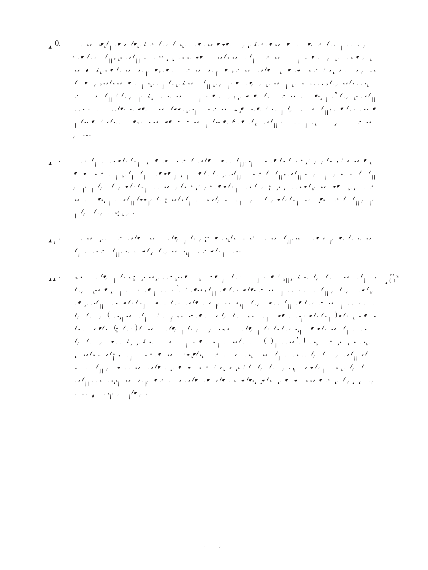- $\Delta$   $0.$  On the trial or  $\epsilon$  friend of any action or other proceedings for the recovery of any money due  $\epsilon$ for any call, it shall be sufficient to prove that the name of the Member sued is entered in the Register as the properties or one of the holder, or one of the shares in respect of  $\alpha$ accrued, the resolution making the call is due to minute book, and the minute books, and the minute book, and that notice  $\mathcal{E}_\text{max}$ of such call  $\ell_1$  was dued, in the Member such to the Member such that  $\ell_1$  in  $\ell_2$  and it shall it shall it shall it shall it shall it shall it shall it shall it shall it shall it shall it shall it shall it shall i not be necessary to prove the appointment of the Directors who made such call, nor any other  $\frac{1}{\sqrt{2}}$  , but the proof of the proof of the proof of the matters aforesaid shall be conclusive evidence of the proof of the proof of the proof of the proof of the proof of the proof of the proof of the proof of the p debt.
- $\Delta$  31. Any amount payable in respect of a share upon all  $\eta$  and  $\eta$  and  $\eta$  and  $\eta$  in  $\sigma$  in  $\sigma$  in  $\sigma$  $\epsilon$  respect of nominal value or premium or as an install be deemed to be a call, shall be a call, shall be a call, shall be a call, shall be a call, shall be a call, shall be a call, shall be a call, shall be a call, sha  $\alpha$  matrix and payable on the date fixed for payment and if it is not payment and if it is not payment of  $\alpha$  $\boldsymbol{\omega}$  as a called apply as if the amount had become due and payable by virtue of a call duly of a  $\frac{1}{\Gamma}$  denotified.
- $\Delta T^2$  . On the issue of shares the Board may differentiate between the allottees or to the allottees or to the allottees or to the allottees or to the allottees or to the allottees or to the allottees or to the allottee  $\alpha_1$  and  $\alpha_2$  times of  $\alpha_3$  times of payment.
- $\mathbf{1}_{\mathbf{1}_{\mathbf{2}}}$  , if it is the Board may, if  $\mathbf{1}_{\mathbf{2}}$  , receive the same, the same,  $\mathbf{1}_{\mathbf{2}}$  ,  $\mathbf{1}_{\mathbf{2}}$  ,  $\mathbf{1}_{\mathbf{2}}$  ,  $\mathbf{1}_{\mathbf{2}}$  ,  $\mathbf{1}_{\mathbf{2}}$  ,  $\mathbf{1}_{\mathbf{2}}$  ,  $\mathbf{1}_{\mathbf{2}}$  ,  $\mathbf{1}_{$  $\alpha$  and either in money or moneys words,  $\alpha_{\rm H}$  or  $\alpha$  and either any part of the moneys uncalled and un  $\sigma_{\rm F}$  installments  $\ell_{\rm F}$  , we are the model by him and  $\mu_{\rm F}$  and  $\ell_{\rm F}$  , and  $\sigma_{\rm F}$  is so any of the moneys sound  $\mu$  $\phi_{\alpha}$  but for same world, but for same world, but for such as interesting payable  $\mu$  and  $\mu$ at such rate  $(\epsilon, \ell, \alpha)$  as the Board may decide may decide may be at any time representation of the amount so  $\alpha$  advanced upon giving to such Member not less than  $O_1$  month  $N$  one one one its intention in that behalf, unless before the exploration of such notice that  $t_{\rm{max}}$  and  $t_{\rm{max}}$  and  $t_{\rm{max}}$ been called up on the shares in respect of which it was advanced. Such payment in advanced in advanced in advanced in advanced in advanced in  $\ell_{\rm m}$  $s$  shall not entitle the holder of such shares to participate in respect to  $\mu$  and  $\mu$  in a dividendance in a dividendance in a dividendance in a dividendance in a dividendance in a dividendance in a dividendance in a subsequently declared  $\mathcal{C}$  $\cdot$  ( )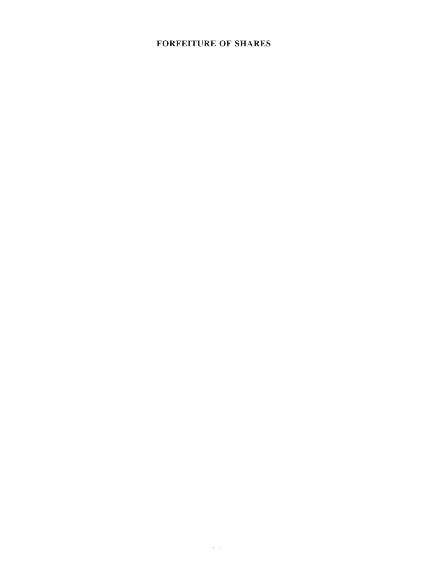# **FORFEITURE OF SHARES**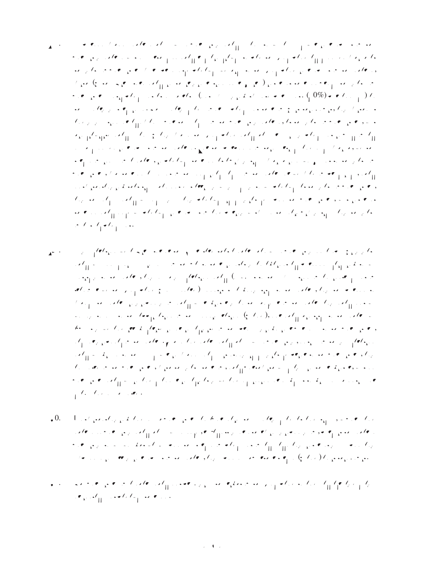- $\Delta$ 88. A person whose shares have been forfeited shall cease to be a Member in respect of the Member in respect of the theory forfeited shares but nevertheless shall remain liable to pay the Company all moneys which at the date of forting payable by the company in respect to the Company in respect of the shares,  $\mathcal{A}(\mathbf{r})$  in respect of the shares,  $\mathcal{A}(\mathbf{r})$  in respect of the shares,  $\mathcal{A}(\mathbf{r})$  in respect of the shares,  $\math$ with  $\mathcal{L}_{\mathbf{a}}$  the Directors shall interest the date of  $\mathbf{r}_{\mathbf{a}}$  thereon from the date of the date of date of the date of the date of the date of the date of the date of the date of the date of the date of the for  $\frac{1}{2}$  for excepture until payment at such rate (not exceeding to  $\left(\frac{0\%}{1-\gamma}\right)$ ).  $t_{\rm eff}$  determines. The Board may enforce payment there is the straight in this fit it thinks fit thinks fit thinks fit thinks fit it thinks fit thinks fit it thinks fit it thinks fit it thinks fit it thinks fit it think any deduction or  $\ell_{\rm H}$  the value of the the value of  $\ell_{\rm H}$  the date of forfeiture, but the date of for his liability shall cease if and when the Company shall have received payment in full  $\mathcal{H}_\text{H}$ such moneys in respect of the shares. For the shares of the purposes of the purposes of the purposes of the sum  $\mathcal{S}_{\text{max}}$  $\tau \in \mathcal{E}_1$  is terms of a share, is payable there when at a fixed time  $\tau$  is subsequent to the date of date of the date of the date of the date of the date of the date of the date of the date of the date of the date o for  $f$  is account on account on a count of the nominal value of  $\mathcal{F}_1$  is a share or by way of premium, shall be shall be shall be shall be shall be shall be shall be shall be shall be shall be shall be shall be shall not with time time has not yet arrived be deep arrived by the date of forte-date of forte-date of forfeiture,  $\alpha$  and the same shall become due and payable immediately upon the form the form the forteiture, but interest there is shall only be payable in respect of any period between the said fixed time and the date of the date of  $\sigma$  and  $\sigma$  and  $\sigma$  actual payment.
- $\Delta^{2}$ 9. A declaration by a Director or the Secretary that a share has been for a specified date  $\Delta^{2}$  $s$  shall be conclusive evidence of the factor of the facts therein stated as against all persons claiming to be conclusive to be conclusive to be conclusive to be conclusive to be conclusive to be conclusive to be conclu entitled to the share, and such declaration shall (subject to the execution of an instrument of an instrument of  $\mathcal{E}_\text{c}$  $\mathscr{A}_\lambda$  to the company if  $\mathscr{A}_\lambda$  if necessary) constitute a good title to the share, and the person to the person to the person to the person to the person to the person to the person to the person to the person to where the share is disposed of share  $\epsilon$  that is posed as the holder  $\epsilon_{\rm w}$  shall not bound to see to the application of the consideration  $\mathcal{C}_k$  and  $\mathcal{C}_k$  and  $\mathcal{C}_k$  title to the share below  $\theta_{\tau}$  and in order  $\frac{1}{2}$  in  $\theta$   $\frac{1}{2}$  in  $\theta$  invariant of the form in reference to the form in reference to the form in reference to the form in reference to the form in reference to the form in reference to  $s$ le or disposal or disposal or disposal have any share shall have been for the declaration of the declaration of the declaration of the declaration of the declaration of the declaration of the declaration of the declara  $s$  shall be given to the Member in whose name is stood in the form in  $\mathcal{E}_\text{A}$ and entry of the forthere is the the forthere in the register, shall forthwith be made in the register, but no for the integral behall be invariant invariant invariant invariant  $\mathcal{L}_1$  and  $\mathcal{L}_2$  is given such notices make any such any such any such as
- $_{\bullet}$ 0. Noting any such for the such forms and  $\epsilon$  for  $\ell_1$  for  $\ell_2$  may at any time, before any time, before any time, before any time, before any time, before any time,  $\ell_1$  $s$  for form so for form sold, re-allotted or otherwise disposed or otherwise disposed or  $\sigma$  ,  $s$ for  $\epsilon$  to be the boundary of the terms of payment of all calls  $\epsilon$  and interest due upon and interest due upon and interest due upon and interest due upon and interest due upon and interest due upon and interest due up  $e\mapsto \mathbf{e}_1\cdot \mathbf{e}_2\cdot \mathbf{e}_3$  incurred in respect of the share, and  $e\mapsto \mathbf{e}_1\cdot \mathbf{e}_1\cdot \mathbf{e}_2$  and  $\mathbf{e}_3\mapsto \mathbf{e}_4\cdot \mathbf{e}_5$
- $4.41.$  The form for the form  $\mu$  shall not prejudice the right of the company to any call already made  $\mu$  $\sigma$  installment payable there is a set of the set of the set of the set of the set of the set of the set of the set of the set of the set of the set of the set of the set of the set of the set of the set of the set of th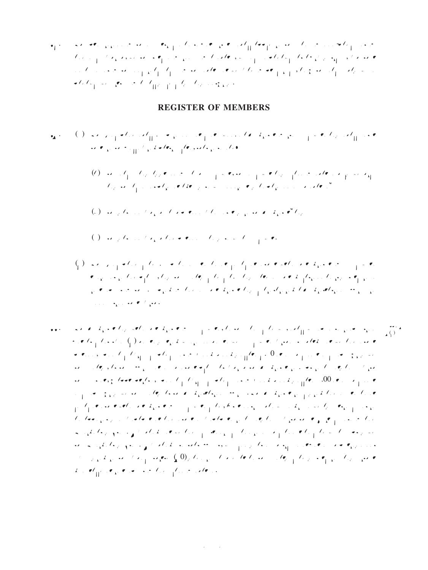$\bullet_{1}$ . The provisions of the provisions as to form  $\epsilon$  as to form  $\epsilon$  as to  $\epsilon$  non-payment of non-payment of non-payment of non-payment of non-payment of non-payment of non-payment of non-payment of non-payment of n  $\alpha$  any sum which, by the terms of a share, by the share,  $\beta$  share,  $\beta$  and  $\alpha$  time, where  $\epsilon$ on account of the nominal value of the share or by way of premium, as if the same had been  $\mathscr{A}_\mathcal{F}$  by virtue of a call duly matrix of and notified.

# **REGISTER OF MEMBERS**

- $\mathbf{z}_4$ . (1) The company shall keep in one or more books and shall enter  $\mathbf{z}_4$  and shall enter  $\mathbf{z}_4$  $t \in \mathbb{R}^n$  therein the following particulars, the isotopic sample is to say:
	- (C) the name and address of each Member, the number and class of shares  $\mu$  and class of shares held by himself by himself by himself by himself by himself by himself by himself by himself by himself by himself by himsel And the amount paid of the considered as paid on such shares;  $\ell$  and  $\ell$  such shares;  $\ell$
	- (b) the date on which each person was entered in the Register; and  $\mathcal{L}_1$  the  $\mathcal{R}'$
	- (c) the date of date on the date of the second cease of the person cease of the person cease of the  $\mathcal{E}$
	- (2) The Company may keep and company may be comparisoned or local or local or local or  $\epsilon$  $\mathbf{r}_{\text{max}}$  in any place, and the Board may make and vary such regulations and vary such regulations as it determines as it determines and vary such regulations as it determines as it determines as it determines as it d in respect of the keeping of any such register and  $R_{\rm F}$  of  $R_{\rm F}$  of  $R_{\rm F}$  of  $R_{\rm F}$  and  $R_{\rm F}$  in  $\alpha$  in  $\alpha$ connection there with the set of  $\mathbb{Z}$
- $\bullet$  and branch register and branch register of Members, as the case may be open to inspect to inspection  $\mathcal{F}^{(A)}$ for at least two (2) hours  $\sigma_{\rm M}$  ,  $\sigma_{\rm M}$  the any other without charge or by any other business  $\sigma$  $p(\mathbf{r}_1, \mathbf{r}_2, \mathbf{r}_3, \mathbf{r}_4, \mathbf{r}_5, \mathbf{r}_6, \mathbf{r}_7, \mathbf{r}_7, \mathbf{r}_8, \mathbf{r}_9, \mathbf{r}_9, \mathbf{r}_9, \mathbf{r}_9, \mathbf{r}_9, \mathbf{r}_9, \mathbf{r}_9, \mathbf{r}_9, \mathbf{r}_9, \mathbf{r}_9, \mathbf{r}_9, \mathbf{r}_9, \mathbf{r}_9, \mathbf{r}_9, \mathbf{r}_9, \mathbf{r}_9, \mathbf{r}_9, \mathbf{r}_9, \mathbf$ the Board, at the Office or such other place or such other place  $R_{\rm E}$  the Register is kept in accordance with  $t_{\rm eff}$  and  $\epsilon_{\rm eff}$  appropriately upon a maximum payment of Hong Kong  $\epsilon_{\rm eff}$  ,  $\epsilon_{\rm eff}$  and  $\epsilon_{\rm eff}$  and  $\epsilon_{\rm eff}$  and  $\epsilon_{\rm eff}$  and  $\epsilon_{\rm eff}$  and  $\epsilon_{\rm eff}$  and  $\epsilon_{\rm eff}$  and  $\epsilon_{\rm eff}$  and  $\epsilon_{\rm eff}$  and  $\epsilon_{\rm eff}$   $s_{\rm eff}$  so  $s_{\rm HZ}$  by the Board at  $I_{\rm K}$  at  $I_{\rm K}$  , the Board  $I_{\rm K}$  ,  $\sigma_{\rm K}$   $_{\rm HZ}$  and  $\sigma_{\rm K}$   $I_{\rm eff}$  or  $I_{\rm eff}$  $\mu$  (  $\ell_1$  ,  $\ell_2$  ,  $\ell_3$  ) or  $\ell_4$  ,  $\ell_5$  ,  $\ell_7$  ,  $\ell_8$  ,  $\ell_7$  ,  $\ell_8$  ,  $\ell_9$  ,  $\ell_9$  ,  $\ell_9$  ,  $\ell_9$  ,  $\ell_9$  ,  $\ell_9$  ,  $\ell_9$  ,  $\ell_9$  ,  $\ell_9$  ,  $\ell_9$  ,  $\ell_9$  ,  $\ell_9$  ,  $\ell_9$  ,  $\ell_9$  ,  $\ell_$  $a$  and  $a$  any other newspaper or any other newspaper or  $a$  ,  $a$  and  $a$   $a$   $a$   $a$   $a$   $a$   $b$   $c$   $c$   $d$   $c$  $\Delta \Delta \Delta \Delta \rho$  and  $\Delta \Delta \Delta \rho$  and by any electronic means in such manner as manner as manner as  $\Delta \rho$ the Designation of Designation to the effect exchange to the company of the such periods not for formation  $e^+e^-\to\bar\nu$  in the whole the whole thirty (30) days in each year as the Board may determine and either and either  $\Omega$  $\mathcal{I}_\mathcal{A}$  , with  $\mathcal{I}_\mathcal{A}$  or in respect of any class of shares.  $\cdot$  ( )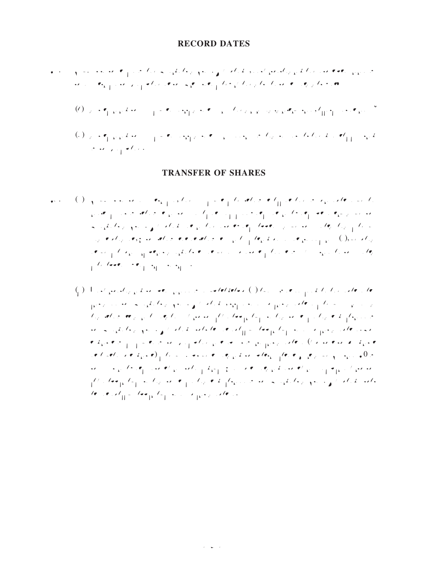#### **RECORD DATES**

- $\bullet$  . Subject to the rules of any  $D$  of any  $D$  of any other provision of  $\mathcal{L}$  and  $\mathcal{L}$ these Articles the Company of the Directors may fix any date  $\sigma$  and  $\sigma$  and  $\sigma$  record date for  $\sigma$ 
	- $\mathcal{O}_{\mathbb{R}^2}$  determining the Members entitled to receive any dividend, distribution, allotment or issues  $\mathcal{O}_{\mathbb{R}^2}$
	- (b) determining the Members entitled to receive  $\ell$  and to vote at any general method  $\ell$ of the Company.

#### **TRANSFER OF SHARES**

- $\mathcal{A}_{\mathcal{A}}(\mathcal{A})$  Subject to the transfer and  $\mathcal{A}_{\mathcal{A}}$  and  $\mathcal{A}_{\mathcal{A}}$  and  $\mathcal{A}_{\mathcal{A}}$  and  $\mathcal{A}_{\mathcal{A}}$  and  $\mathcal{A}_{\mathcal{A}}$ instrument of transfer in the usual or common form  $\epsilon$  in  $\epsilon$  for  $\epsilon$  for  $\epsilon$  for  $\epsilon$  for  $\epsilon$  and  $\epsilon$  $\Delta \Delta \Delta \Delta \rho$  , i.e. in any other form and may be become or in any other form and may be board and may be because under hand or transferred or the transfer is a clearing house or its nominees of its nominees of  $\alpha$  $\sigma$  by machine imprinted signature or by such other manner or by such other manner of  $\theta$  $\mathbb{R}$  approximation to the time to the total from time to the time to the time to the time to the time to the time to the time to the time to the time to the time to the time time to the time time to the time time time
	- $\mathcal{L}_{\mathcal{A}}(z)$  Note that the provisions of subparagraph (1) above, for some positive as any shares are listed on the Designated Stock Exchange, titles to such listed shares may be evidenced shares may be evidenced  $\ell_{\rm cr}$  and transferred in accordance with the laws applicable to and the rules and regulations of  $\ell_{\rm cr}$  $t_{\rm eff}$  designation  $\int dL$  is that are or shall be applicable shock in  $\mu$  is such listed shares.  $r$  that  $r$  is members of the Company in respect of its listed shares (where the  $R$  $\sigma$  branch register) may be kept by recording the particulars required by Section 40 of  $0$  of  $\sigma$  $t_{\rm eff}$  and  $A_{\rm eff}$  in a form of  $\mu$  and  $\mu$  -  $I_{\rm eff}$  ,  $I_{\rm eff}$  ,  $I_{\rm eff}$  ,  $\sigma_{\rm eff}$  ,  $\sigma_{\rm eff}$  ,  $\sigma_{\rm eff}$  ,  $\sigma_{\rm eff}$  ,  $\sigma_{\rm eff}$  ,  $\sigma_{\rm eff}$  ,  $\sigma_{\rm eff}$  ,  $\sigma_{\rm eff}$  $\mathbb{E}^{(f)}$  and the rules and  $\mathbb{E}_{\mathbb{E}^{(f)}}$  the rules and regulations of the Designated Stock Exchange that the  $f$  $\alpha$  are shall be applied to such listed shares. The such listed shares in the such listed shares.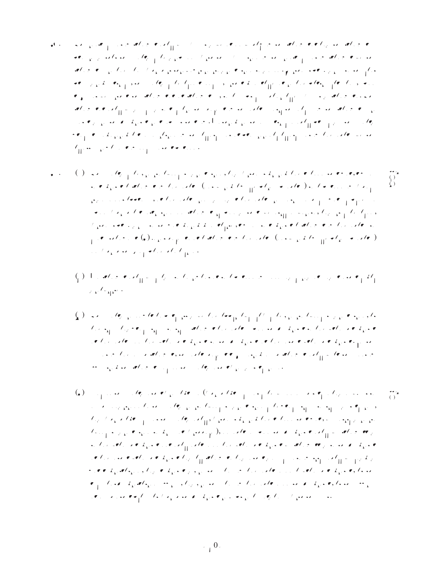- $\mathbf{z}^* = \mathbf{z}^* = \mathbf{z}^*$  the transfer shall be executed by or on behalf or transference the transference the transference transference that the transference transference the transference transference that the transfer  $\phi$  that the Board may dispense with the execution of the execution of the instrument of the instrument of the instrument of the instrument of the instrument of the instrument of the instrument of the instrument of the i  $\mathscr{A}, \tau \in \mathbb{R}$  , but its discretion it is discretion to do so. Without prejudice to the last prejudice to the last  $\phi\bullet_{\mathbb{Z}/p} \mathcal{L}^{\otimes}\bullet_{\mathbb{Z}/p}$  are solved may also resolve, either generally or in any particular case, upon  $\bm{r}_{\rm eff}$  , then the transfer transferred transferred transferred transferred transferred transfers. The transfer  $\| \sigma (x, \sigma, \sigma, \nu) \|_{L^2(\mathbb{R}^d \times \mathbb{R}^d)} \leq \left\| \left\langle \sqrt{\frac{1}{2\pi}} \right\rangle \sigma \right\|_{L^2(\mathbb{R}^d \times \mathbb{R}^d)} \leq \left\| \left\langle \sqrt{\frac{1}{2\pi}} \right\rangle \sigma \right\|_{L^2(\mathbb{R}^d \times \mathbb{R}^d)} \leq \left\| \left\langle \sqrt{\frac{1}{2\pi}} \right\rangle \sigma \right\|_{L^2(\mathbb{R}^d \times \mathbb{R}^d)}$ entered in the Register in respect the Register in the  $\mathcal{A}_k$  $f(\mathbf{r}) = \mathbf{r}$  , then the allotment of the allotment or provisional allotment or provisional allows of any share by the angle  $\mathbf{r}$  $\alpha_{\text{max}}$  in the some other person.
- $\phi_{\rm eff}$ 8. (i) The Board may, in its absolute discretion, and with giving any reason therefore, refuses therefore, refuses therefore,  $\phi$ to  $r_{\rm in}$  of algoring the share (note  $\frac{1}{2}$  for  $\frac{1}{2}$  fully paid  $\frac{1}{2}$  fully paid up share) to a person of whom  $i$ t does not approve, or any share is supported under any share incentive scheme for explorer incentive scheme for upon which a restriction on the striction of the subsister in  $\mathcal{U}_{\mathcal{X}}$  is and it may also, and it may also, and it may also, and it may also, and it may also, and it may also, and with the top to the foreground generality,  $r$  the foreground  $r$  register to  $r$  and  $r$  and  $r$  of  $\alpha$  to  $r$  the top  $r$ more than four  $\epsilon$  (6) is pair for a four below function or any share (not being a fully pair up share) on which the Company has a line  $\ell$  of  $\ell$  ,  $\ell_{\rm max}$  $\rightarrow$ 1(2)  $\zeta$ 
	- $\{2,1,2,2,3,4\}$  or the matrix shall be made to an infant or to a person of  $\mathcal{U}_1$  $\label{eq:lambda} \mathcal{L}(\mathbf{x}) \sim \mathbf{q} \mathbf{x}^{\mathbf{q}}$
	- $\mathcal{L}_{\mathcal{A}}$  The Board in so far as permitted by any applicable law may applicable law may, in its absolute discretion, at  $\mathcal{A}_{\mathcal{A}}$ and  $\alpha_{\rm p}$  time time time time to time transfer and the Register to any branch register to any branch register to any branch register to any branch register to any branch register  $\alpha_{\rm p}$ or any share on any branch register to the Register or any other branch register. In the  $I_{\rm{in}}$  control  $I_{\rm{in}}$ event of any such transfer, the shareholder requestion of such transfer such that the cost of  $\mu$  such of cost of cost of  $\mu$  $\epsilon_{\rm e}$  the transfer unit under unless the Board otherwise determines.
	- $\phi$  ) Unless the Board of Board of Board agrees agreement may be on such terms and subject to terms and subject to terms and subject to the Board of terms and subject to the Board of terms and subject to the Board of the  $s_1$  as the Board in its absolute discretion may from time time time to time to time to time to time determine, where the time determine,  $\mathcal{P}_1$  $\ell_{\rm{eq}}$  and  $\alpha_{\rm{p}}$  and shall, without  $\ell_{\rm{p}}$  in its entitled in its entitled in its entitled in its entitled in its entitled in its entitled in its entitled in its entitled in its entitled in its entitled in it  $\ell$ absolute discretion to give or  $\ell_1$  , and  $\ell_2$  , and the Register shall be transferred be transferred be transferred be transferred be transferred be transferred be transferred be transferred be transferred be tra to any branch register  $\alpha$  and  $\alpha$  shares on any branch register betransferred to the  $\epsilon$  $\sigma$  and any other branch register and all transfers and other documents of title shall be lodged be lodged be lo for register, and  $f_{\alpha\beta}$  , and  $f_{\alpha\beta}$  registered, in the case on a branch register, at the case the case on a branch register, at the case of  $L$  $\bm{e}_1$  , the case  $R_{\vec{k}}$  and  $\epsilon_{\vec{k}^*}$  , and, in the case of any shares on the Office, at the Office, at the Office, at the Office  $\sigma$  such other place at which the  $\sigma$   $\mathcal{L}_1$  ,  $\sigma$   $\mathcal{L}_2$  is kept in accordance with the Act . 1(1)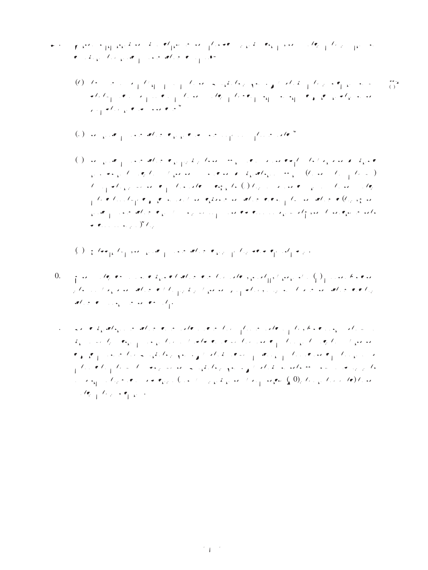- $\bullet$  + Without limiting the generality of the last preceding  $\mathcal{A}_\text{A}$  are decline, the Board may decline to the Board may decline to the Board may decline to the Board may decline to the Board may decline to the Boar  $\mathscr{O}_{\mathbb{P}^1}(L_{\mathcal{A}^1},\mathcal{F}_\mathcal{A})$  instrument of transfer unless:
	- (1) a few of such maximum sum as the Designation of the Designation  $\mathcal{L}$  $p$  and the Board may from as the Board may from time time time time time to time the time require is paid to the time time  $p$  $\mathcal{L}^{\mathcal{L}}\left(\mathcal{L}^{\mathcal{L}}\right)$  in respect to the company in respect to the company of the company of the company of the company of the company of the company of the company of the company of the company of the company 1(1)
	- (b) the instrument of the  $\mathscr{A}_X$  the  $\mathscr{A}_X$  is in respect of  $\mathscr{A}_X$  one class of  $\mathscr{A}_X$
	- (c) the instrument of the  $\sigma_{\rm A}$  is logarized at the Office or such other place or such other place at  $R_{\rm A}$  the  $\sigma_{\rm A}$ is keep to a get in accordance with the Act or the  $\mathcal{L}_\text{c}$  or the case  $\mathcal{L}_\text{c}$  or  $\mathcal{L}_\text{c}$  as  $\mathcal{L}_\text{c}$  . accompanied by the relevant share certificate certificate  $\epsilon$ may reasonably require to show the right of the right of the transfer (and, if the transfer  $(\alpha_1,\beta_1)$  the instrument of the transfer is executed by some other person on  $\mathcal{E}_\text{in}$  on  $\mathcal{E}_\text{in}$  that authority of that  $\mathcal{E}_\text{in}$  $\bullet$  . The solution so to do  $\int_{\mathbb{R}^d}$
	- (d) if for  $\mu$  for instrument of the instrument of the instrument of the instrument of the instrument of the instrument of the instrument of the instrument of the instrument of the instrument of the instrument of the ins
	- $50.$  If the Board refuses to refuse the function of any shall,  $\left\{\cdot\right\}$  months after the  $\sigma$  $\chi$  date on which the transfer was loop the company, send to each of the transfer  $\ell_{\rm cr}$  $\mathscr{A}$  transference  $\mathscr{A}_1$  the refusal.
	- $51.51.$  The registration of the registration of shares or of any class of shares may, after notice  $\alpha$  $\mathcal{I}_\mathbf{A}$  and by advertisement in any newspapers or by any other means in accordance with the means in accordance with the means in accordance with the means in accordance with the means in accordance with the means requirements of any Designated Stock Exchange or by electronic means or other means in such  $\frac{1}{\sqrt{2}}$  , and  $\frac{1}{\sqrt{2}}$  the Designated Stock Exchange to the  $\frac{1}{\sqrt{2}}$  to that effect be suspended at the suspended at the suspended at the suspended at the suspended at the suspended at the suspended at the su such times and for such periods (note that we have periods  $(0)$  days in any  $(0)$  days in any  $(0)$  $\mathbb{E} \left\{ \mathbf{e}_{i} \in \mathbb{R} \right\} \sim \mathbf{e}_{i}$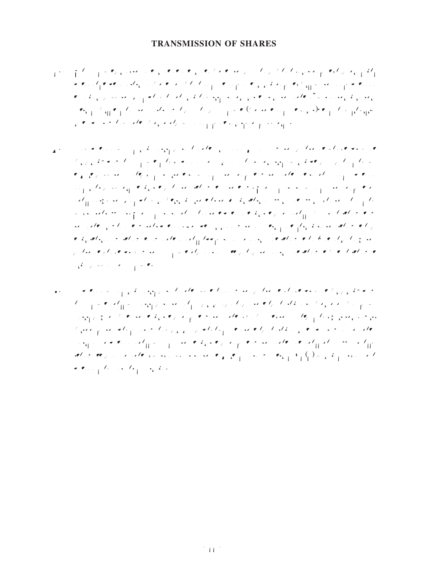# **TRANSMISSION OF SHARES**

- $\mathbf{1}^2\cdot\mathbf{1}^2\cdot\mathbf{1}^2=\mathbf{1}^2\cdot\mathbf{1}^3$  and survivors where the deceased was a joint holder, and his legalized was a joint holder, and his legalized was a joint holder, and his legalized was a joint holder, and h  $p$  representatives where the was a solution of order  $\mathbf{r}_i$  or  $\mathbf{r}_i$  or  $\mathbf{r}_i$  or  $\mathbf{r}_i$  only persons  $\mathfrak{e}_{\mathbb{Z}}$ recognised by the Company as having any title to this interest interest in this interest in this interest in this interest in this interest.  $\epsilon_{\rm k}$  and  $\epsilon_{\rm l}$  the estate of a decease or joint (whether sole or joint)  $\epsilon_{\rm l}$  the angle of  $\epsilon_{\rm l}$  $i_{\rm B}$  respect of any share which had been solely in jointly held by him. By his  $\ell_{\rm B}$
- $\Delta$ 3. Any person becoming entitled to a share in consequence of the death of the death or bankruptcy or bankruptcy or bankruptcy or bankruptcy or bankruptcy or bankruptcy or bankruptcy or bankruptcy or bankruptcy or bank winding-upon such a member may be as to his title being produced as  $U_{\rm{max}}$  $r_{\rm eff}$  the Board, electronic to become the share or to the share or to have some person or to have some person nominated by him registered as the transferee thereof. If he elects to become the holder he  $s$  shall notify the Company in writing either at the Registration Office or  $\mathcal{L}_{\text{max}}$ be, to that effects to have another the shall another  $\epsilon$  registered he shall execute a transfer of  $\epsilon$ the share in favour of the person of the person. The provisions of the transfer and the transfer and the transfer  $r$  the strain of transfers of the such  $r$  to such notice or the such notice or the theory of the  $\chi$  the  $\chi$  the  $\chi$ death or bankruptcy of the Member had not occurred and the notice or transfer were a transfer were a transfer  $s_1$ , such as such Member.
- $\mathbf{5}_{4}+\mathbf{1}_{4}+\mathbf{1}_{5}$  and becoming entitled to a share by reason of the death or bankruptcy or winding-up of the death or  $\mathbf{1}_{4}$ a Member shall be entitled to the same dividends and other advantages to which he would be which he would be which he would be will be would be will be will be would be will be will be will be will be will be will be will  $e_{\alpha}$ entitled if he were the registered holder of the share. However, the Board may, if it this fit thinks fit with the payment of any dividend payment of any dividend payable or other advantages in respect of such shares  $\ell$ until such person shall become the registered holder of the share or shall have effectually shall have effectually  $t$  transferred such such such such such to the requirements of  $\mathcal{E}_A$  (2)  $\mathcal{E}_A$  (2) being meth, such as a  $\mathcal{E}_A$  $\bullet$   $\bullet$  at  $\uparrow$   $\circ$   $\bullet$   $\circ$   $\bullet$   $\circ$   $\bullet$   $\circ$   $\bullet$   $\circ$   $\bullet$   $\circ$   $\bullet$   $\circ$   $\bullet$   $\circ$   $\bullet$   $\circ$   $\bullet$   $\circ$   $\bullet$   $\circ$   $\bullet$   $\circ$   $\bullet$   $\circ$   $\bullet$   $\circ$   $\bullet$   $\circ$   $\bullet$   $\circ$   $\bullet$   $\circ$   $\bullet$   $\circ$   $\bullet$   $\circ$   $\bullet$   $\circ$   $\bullet$   $\$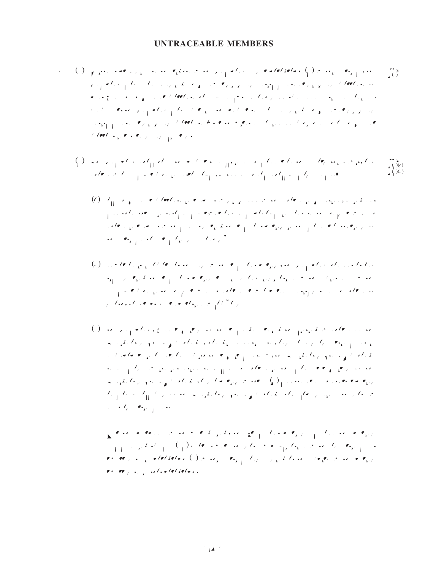#### **UNTRACEABLE MEMBERS**

- $\mathfrak{S}(1)$  with the rights of the rights of the rights of the Company under paragraph (2) of this Article, the  $\mathfrak{S}(1)$ Company may cease sending cheques for dividend entitlements or dividend warrants by post if such cheques or warrants have been left uncashed on two consecutive occasions. However, the Company may exercise the power to cease sending cheques for dividend  $\alpha$ entitlements or dividend warrants after the first order than  $\epsilon$ ware is a returned under the contribution of the contribution of the contribution of the contribution of the contribution of the contribution of the contribution of the contribution of the contribution of the contribution  $\rightarrow$  $\cdot$  ( )
	- $\mathbb{C}[\mathbb{C}^{2}]$  The Company shall have the power to sell, in such manner as the Board thinks fit, any  $\mathbb{C}^{2}$  $s$  is untraceable, but no such sale shall be made unless: who is unless:  $\mathcal{S}_\text{max}$  $\rightarrow$  $\lambda$  ( )( )  $(3)(-1)$ 
		- $\mathbb{Z}(\mathbb{Z})$  all cheques or  $\mathbb{Z}/\mathbb{Z}$  in the shares in the shares in the shares in  $\mathbb{Z}/\mathbb{Z}$  in  $\mathbb{Z}/\mathbb{Z}$ less than the intervals of the intervals of any sum payable in cash to the holder of sum payable in cash to the  $s$  shares in respect the relevant period in the manner  $\mathcal{E}_1$  the relevant period in the manner authorised by  $t_{\rm eff}$  and  $\epsilon_{\rm eff}$  (see equality)
		- (b) so far as it is a farmer at the end of the relevant period, the company has not at any  $\epsilon$  $t_{\rm eff}$  time during the relevant period received any indication of the existence of the existence of the existence of the existence of the existence of the existence of the existence of the existence of the existence of  $\mathcal{M}$  is the holder or of such shares or of a person entitled to such shares by  $\mathcal{M}$  $\mathcal{A}_{\mathcal{A}}$  dentisely or operation or operation of law; and law; and law; and law; and law; and law; and law; and law; and law; and law; and law; and law; and law; and law; and law; and law; and law; and law; and law;
		- (c) the Company, if so required by the rules governing the listing of shares governing the listing on the listing on the listing on the listing of  $\mathcal{L}$  $\mathcal{L}_\mathcal{A}$  , i.e. and caused  $\mathcal{L}_\mathcal{A}$  is given notice to, and caused advertisement in  $\mathcal{L}_\mathcal{A}$ newspapers in accordance with the requirements of  $\mathcal{A}_\text{c}$  the  $\mathcal{A}_\text{c}$ to be made of its internal such shares in the manner required by the manner  $\mathcal{O}_\mathcal{A}$  , we have the manner required by the manner required by the manner required by the manner required by  $\mathcal{O}_\mathcal{A}$  $D_{\rm eff}$  . The stock  $D_{\rm eff}$  is the stock  $P_{\rm eff}$  or such shorter period of three  $\sigma_{\rm eff}$  $\ell_{\rm eff}$  be allegallowed by the Designated Stock Exchange has elapsed since the date of the date of the date of the date of the date of the date of the date of the date of the date of the date of the date of the date of  $s_{\rm s}$  and  $d_{\rm g}$  and  $\epsilon_{\rm m}$  and  $\epsilon_{\rm m}$

 $\mathbf{F}_{\mathbf{r}}$  the purpose of the foregoing, the  $\mathbf{r}_{\mathbf{r}}$   $\mathbf{r}_{\mathbf{r}}$   $\mathbf{r}_{\mathbf{r}}$   $\mathbf{r}_{\mathbf{r}}$   $\mathbf{r}_{\mathbf{r}}$   $\mathbf{r}_{\mathbf{r}}$   $\mathbf{r}_{\mathbf{r}}$   $\mathbf{r}_{\mathbf{r}}$   $\mathbf{r}_{\mathbf{r}}$   $\mathbf{r}_{\mathbf{r}}$   $\mathbf{r}_{\mathbf{r}}$ commencing to the date of the date of the date of the advertisement of the advertisement of the advertisement of the advertisement of the advertisement of the advertisement of the advertisement of the advertisement of the  $\overline{c}$  of  $\overline{c}$  in paragraph (c) of this  $\overline{c}_{\lambda_1}$  ,  $\overline{c}_{\lambda_2}$  ,  $\overline{c}_{\lambda_3}$  ,  $\overline{c}_{\lambda_4}$  ,  $\overline{c}_{\lambda_5}$  ,  $\overline{c}_{\lambda_6}$ referred to in that paragraph.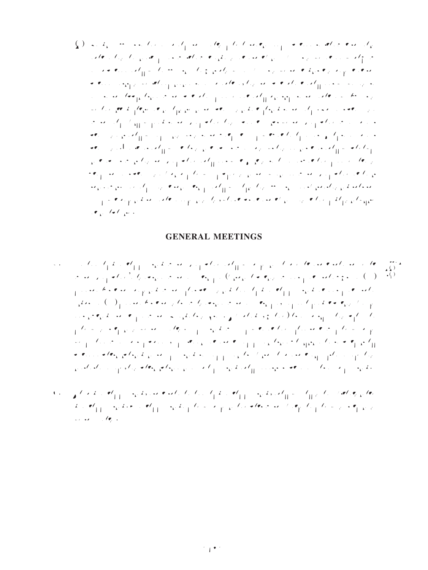$\zeta$  ) to  $z_{\rm a}$  to any such sale to any such sale to the Board may authorise some person to the said  $\zeta_{\rm g}$  $s$ shares and an instrument of transfer signed or otherwise executies executies executies executed by or such the constraint person shall be as if it has if it had been expressed by the registered by the registered  $\alpha$  $\phi$  . The such states to such shares, and the purchaser shares, and the purchaser shall not be bound to bound to be bound to be bound to be bound to be bound to be bound to be bound to be a small set of the second to be see to the application of the purchase money nor shall his title to the shares be affected by any irregularity or invariant  $\epsilon$  in the proceeding to the sale. The sale. The net proceeding to the sale. The net proceeding to the sale of the sale of the sale of proceeding to the sale of the sale of the sale of th of the sale  $\mathcal{A}_\text{L}$  belong to the sale will below and upon receipt by the Company of such networks in the Company of such networks in the Company of Supplement and upon  $\mathcal{A}_\text{R}$  $\phi(x) = \frac{1}{2} \left( \frac{1}{2} \left( \frac{1}{2} \left( \frac{1}{2} \right) - \frac{1}{2} \left( \frac{1}{2} \left( \frac{1}{2} \right) - \frac{1}{2} \left( \frac{1}{2} \left( \frac{1}{2} \right) - \frac{1}{2} \left( \frac{1}{2} \right) - \frac{1}{2} \left( \frac{1}{2} \left( \frac{1}{2} \right) - \frac{1}{2} \left( \frac{1}{2} \right) - \frac{1}{2} \left( \frac{1}{2} \right) \right) \right) \right) - \frac{1}{2} \left$  $\phi$  , which shows shall be computed in respect of such depends of shall be payable payable payable payable payable in the company shall not be required to account for any money earned to account for any money earned to a second from the net proceeds  $\mu$  be exploited in the business of the  $\mu$  $t_{\rm eff}$  and  $t_{\rm eff}$  and  $t_{\rm eff}$  and effective notation  $\epsilon_{\rm eff}$  and  $\epsilon_{\rm eff}$  and  $\epsilon_{\rm eff}$  that the valid that the valid  $\epsilon_{\rm eff}$  $\frac{1}{\sqrt{1-\frac{1}{2}}}\int_{\mathbb{R}^d}\frac{1}{\sqrt{1-\frac{1}{2}}}\int_{\mathbb{R}^d}\frac{1}{\sqrt{1-\frac{1}{2}}}\int_{\mathbb{R}^d}\frac{1}{\sqrt{1-\frac{1}{2}}}\int_{\mathbb{R}^d}\frac{1}{\sqrt{1-\frac{1}{2}}}\int_{\mathbb{R}^d}\frac{1}{\sqrt{1-\frac{1}{2}}}\int_{\mathbb{R}^d}\frac{1}{\sqrt{1-\frac{1}{2}}}\int_{\mathbb{R}^d}\frac{1}{\sqrt{1-\frac{1}{2}}}\int_{\mathbb{R}^d}\frac{1$  $\sigma_{\rm i}$  incapacity.

# **GENERAL MEETINGS**

- $\mathcal{L}_{\mathcal{S}} = \mathcal{L}_{\mathcal{S}} \mathcal{L}_{\mathcal{S}} \mathcal{L}_{\mathcal{S}} \mathcal{L}_{\mathcal{S}} \mathcal{L}_{\mathcal{S}} \mathcal{L}_{\mathcal{S}} \mathcal{L}_{\mathcal{S}} \mathcal{L}_{\mathcal{S}} \mathcal{L}_{\mathcal{S}} \mathcal{L}_{\mathcal{S}} \mathcal{L}_{\mathcal{S}} \mathcal{L}_{\mathcal{S}} \mathcal{L}_{\mathcal{S}} \mathcal{L}_{\mathcal{S}} \mathcal{L}_{\mathcal{S}} \mathcal{L}_{\mathcal{S}} \mathcal{L}_{\mathcal{S}} \mathcal$ of the Company's adoption of the Company's adoption of the period of  $\{1,2\}$  $\frac{1}{\sqrt{1-\frac{1}{2}}}\int_{\mathbb{R}^d} \frac{1}{\sqrt{1-\frac{1}{2}}}\int_{\mathbb{R}^d} \frac{1}{\sqrt{1-\frac{1}{2}}}\int_{\mathbb{R}^d} \frac{1}{\sqrt{1-\frac{1}{2}}}\int_{\mathbb{R}^d} \frac{1}{\sqrt{1-\frac{1}{2}}}\int_{\mathbb{R}^d} \frac{1}{\sqrt{1-\frac{1}{2}}}\int_{\mathbb{R}^d} \frac{1}{\sqrt{1-\frac{1}{2}}}\int_{\mathbb{R}^d} \frac{1}{\sqrt{1-\frac{1}{2}}}\int_{\mathbb{R$  $e^{i\omega t}$ eighteen (18) months after the date of adoption of the date of the date of the date of the date of the date of the date of the date of the date of the date of the date of the date of the date of the date of the d not infringe the rules of the Designated Stock Exchange, if any  $\mathcal{A}_\text{c}$  and  $\mathcal{A}_\text{c}$  and  $\mathcal{A}_\text{c}$  $\mathbb{R}^{D_{\text{max}}}\times \mathbb{R}^{D_{\text{max}}}\times \mathbb{R}^{D_{\text{max}}}\times \mathbb{R}^{D_{\text{max}}}\times \mathbb{R}^{D_{\text{max}}}\times \mathbb{R}^{D_{\text{max}}}\times \mathbb{R}^{D_{\text{max}}}\times \mathbb{R}^{D_{\text{max}}}\times \mathbb{R}^{D_{\text{max}}}\times \mathbb{R}^{D_{\text{max}}}\times \mathbb{R}^{D_{\text{max}}}\times \mathbb{R}^{D_{\text{max}}}\times \mathbb{R}^{D_{\text{max}}}\times \mathbb{R}^{D_{\text{$ by means of such telephone, electronic or other communication facilities as to permit all  $p$  and  $p$  are method in the meeting to communicate with each other simultaneously and simultaneously and  $\alpha$  $i$ instantaneously, and participation in such a meeting shall constitute presence at such meeting  $L$  $\cdot$  ( )
- $57. \mathcal{L}_\text{F}$  , other than an annual general distribution, shall be called an extraordinary shall be called an extraordinary shall be called an extraordinary shall be called an extraordinary shall be called an extraord  $\mathcal{L}_\text{c}$  ,  $\mathbf{e}_{\text{c}}^{\prime}$  meetings may be determined in any part of the world as may be determined as may be determined in any part of the world as may be determined in by the Board  $\mathcal{O}_{\mathcal{E}}$  is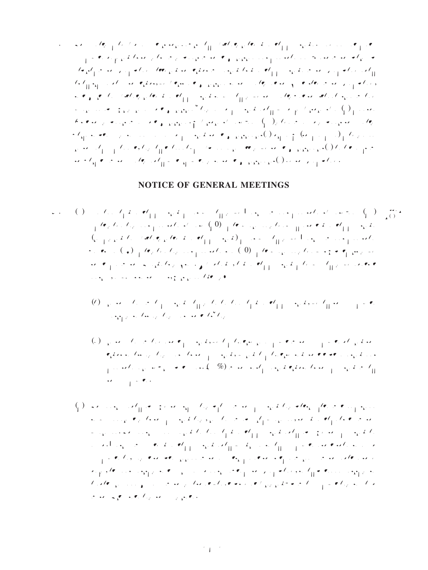$58.78\times 10^{11}$  may whenever it this fit call extraordinary general meetings. Any or more or more or more or more or more or  $\sim$  $M_{\rm eff}$  at the date of the date of the requisition not less than one-tenth one-tenth one-tenth one-tenth of the paid up the paid up the paid up the paid up the paid up the paid up the paid up the paid up the paid up the  $\epsilon$  capital of the Company carrying the right of voting at general meeting at general meeting of the Company shall meet  $d_{\rm eff}$  all times  $d_{\rm eff}$  times the secretary or the Secretary or the Secretary or the Secretary or the  $\epsilon$ to require an extraordinary general meeting to be called by the Board for the Board for the transaction of any  $\mathbf{b}_1$  in such requisition; and such meeting shall be held within two (2) months shall be held within two  $\mathbf{b}_1$ after the deposit of such requisition. If with the such of  $\int_{\mathcal{A}}\int_{\mathcal{A}}\rho_{\alpha}$  and deposite the Board  $f_{\rm ap}$  is to proceed to convene such meeting the requisitionistic (s)  $\lambda_{\rm ap}$  is  $\gamma$  (themselves) may do so in the same manner manner, and all reasonable expenses incurred by the required by the required by the requisition of  $\alpha$  $t_{\rm eff}$  respectively. The failure  $\epsilon_{\rm eff}$  be requisitionistic to the requisitionistic  $\epsilon_{\rm eff}$  and  $\epsilon_{\rm eff}$ 

# **NOTICE OF GENERAL MEETINGS**

- 59. (1) An annual general meeting must be called by Notice of not less than twenty-one (21) App. 13B  $\alpha_{\rm c}$  days days and not less than two  $\left\{\left.0\right\}\right.$  clear business days. All other general meetings  $\alpha_{\rm c}$  $\mathbb{Q}_{\mathbb{Z}_p[\mathbb{Z}^2]}$  and  $\mathbb{Z}_p$  and  $\mathbb{Z}_p[\mathbb{Z}^2]$  must be called by Notice of  $\mathbb{Z}_p$  and less than for  $\epsilon$  and  $(\bullet)$  clear days and not less than ten  $(0)$  clear business days days between  $\epsilon$  $\mathbf{t} \in \mathbb{R}^n$  the designation  $\mathbb{R}^n$  of  $\mathbb{R}^n$  , and  $\mathbb{R}^n$  and  $\mathbb{R}^n$  of  $\mathbb{R}^n$  and  $\mathbb{R}^n$  and  $\mathbb{R}^n$ notice, subject to the Act, if  $\sum_{i=1}^n x_i$  $\alpha$ 
	- $\mathbb{C}(\mathbb{C})$  in the case of a metal general general general metal general meeting, by all the Members  $\mathbb{C}$ entitled to attend and vote there
	- (b) in the case of any other meeting, by a majority in  $\mathcal{E}_{\mathcal{A}}$  majority in numbers having the Members having the Members having the Members having the Members having the Members having the Members having the Member  $\mathbf{r}_1$ ling, to attend and vote at the meeting, being a majority to gether representing not attend  $r$  $\lim_{n\to\infty}$  than ninety-five per cent. (95%) of the total voting  $\mathcal{L}_n$  rights at the meeting of all  $t$  the Members  $\mathbb{R}^n$  and  $\mathbb{R}^n$  are  $\mathbb{R}^n$  and  $\mathbb{R}^n$
	- $\langle\cdot,\cdot\rangle$  the notice shall specified and place of the meeting and particulars of  $\langle\cdot,\cdot\rangle$ to be considered at the meeting at the meeting at the meeting of special business, the general nature of the g business. The notice convening and annual general meeting shall specified meeting shall specified meeting as  $L$ such  $\mathcal{A}_\mathbf{A}$  of every general method  $\mathcal{A}_\mathbf{B}$  shall be given to all  $\mathcal{A}_\mathbf{B}$  other than to such than to such than to such than to such than to such than to such than to such than to such than to such th  $\mathcal{A}_\text{max}$ s,  $\mathcal{A}_\text{max}$ s as, under the terms of the terms of terms of the shares the shares the shares the shares they term holds, are not entitled to receive such notices from the  $\epsilon$  to all persons entitled to all persons entitled to and a share in consequence of the death or bankruptcy or  $\ell$  and to each  $\ell$  $\sigma$  the Directors and the  $\mathcal{E}_\text{c}$  and the Auditors and the Auditors.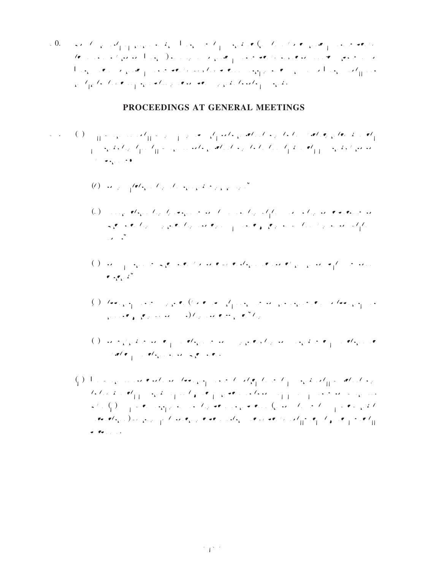$60.$  The accidental of a method of  $T_{\rm h}$  of  $T_{\rm h}$  ,  $\sigma$  ,  $\epsilon$  ,  $\epsilon$  ,  $\epsilon$  ,  $\epsilon$  ,  $\epsilon$  ,  $\epsilon$  ,  $\epsilon$  ,  $\epsilon$  ,  $\epsilon$  ,  $\epsilon$  ,  $\epsilon$  ,  $\epsilon$  ,  $\epsilon$  ,  $\epsilon$  ,  $\epsilon$  ,  $\epsilon$  ,  $\epsilon$  ,  $\epsilon$  ,  $\epsilon$  ,  $\epsilon$  ,  $\epsilon$  ,  $\epsilon$  ,  $\alpha$ re sent out with the Notice) to send such instrument of proxy to send such or the non-receipt of such such such  $\alpha$  $\Gamma_{\alpha,\bullet}$  , any person entitled by, by, any person entitled to receive such  $\Gamma_{\alpha,\bullet}$  such  $\Gamma_{\alpha,\bullet}$  $\mathbf{r}$  value and  $\mathbf{r}$  and the proceedings at the proceedings at the proceeding at the meeting.

# **PROCEEDINGS AT GENERAL MEETINGS**

- $\mathcal{A}_1$  . (1) All business shall be deemed special that is transacted at an extraordinary general that is transacted at an extraordinary general that is transformation of  $\mathcal{A}_1$  $m_{\rm m}$  and  $\sigma_{\rm N}$  all  $\epsilon_{\rm m}$  also and annual general at any and annual general meeting, with the theorem  $\ell = \bullet \bullet_1, \ldots, \bullet \bullet$ 
	- (1) the declaration and sanctioning of dividends;
	- (b) consideration and adoption of the accounts and balance sheet and the reports of the reports of the  $\mathcal{L}_{\mathcal{D}}$  and  $\mathcal{L}_{\mathcal{D}}$  and  $\mathcal{L}_{\mathcal{D}}$  and  $\mathcal{L}_{\mathcal{D}}$  and  $\mathcal{L}_{\mathcal{D}}$  and balance balance balance balance balance balance balance balance balance balance balance balance balance balance balance balanc  $\mathcal{S}$
	- (c) the election of  $\mathcal{L}_{\mathcal{P}}$  is the place or otherwise in the place or otherwise in the place or  $\mathcal{P}$  $r_{\rm eff}$ retiri $r_{\rm eff}$
	- (c) approximation of  $A$ uditors (where special notice of  $A$ uditors  $\mathcal{A}$  intention for such approximation for such approximation for such approximation for such approximation for such approximation for such approximat is not required by the Action of  $\ell_{\rm cr}$
	- (e) the fixing of the remuneration of the  $\epsilon$  the  $\epsilon$  of the  $\epsilon$  of  $\epsilon$  and the voting order  $\epsilon$  $e^{\alpha/2}$ extra remuneration to the Directors.
	- (2) No business other than the approximation of a chairman of a meeting shall be transacted shall be transacted shall be transacted as the shall be transacted as the shall be transacted as the shall be transacted as a sec  $\alpha$  and the computation is present at the commence  $\epsilon$  at the commence  $\epsilon$  $T_{\text{max}}(\mathbf{r}) = \frac{1}{\sqrt{2}} \mathbf{r} \mathbf{r} \mathbf{r} \mathbf{r} \mathbf{r} \mathbf{r} \mathbf{r} \mathbf{r} \mathbf{r} \mathbf{r} \mathbf{r} \mathbf{r} \mathbf{r} \mathbf{r} \mathbf{r} \mathbf{r} \mathbf{r} \mathbf{r} \mathbf{r} \mathbf{r} \mathbf{r} \mathbf{r} \mathbf{r} \mathbf{r} \mathbf{r} \mathbf{r} \mathbf{r} \mathbf{r} \mathbf{r} \mathbf{r} \mathbf{r} \mathbf{r} \mathbf{$ corporation) by its during authorised representative or by proxy shall form a quota  $\eta$ purposes.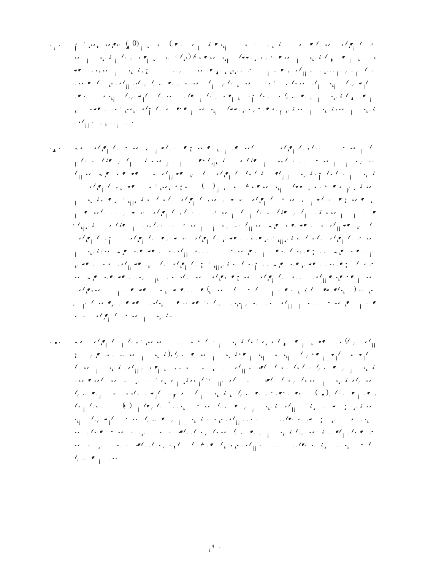- $\mathcal{L}_{\mathcal{A}}(s) = \frac{1}{4} \int_{\mathbb{R}^d} \mathcal{L}_{\mathcal{A}}(s) \mathcal{L}_{\mathcal{A}}(s) \mathcal{L}_{\mathcal{A}}(s) = \frac{1}{4} \int_{\mathbb{R}^d} \mathcal{L}_{\mathcal{A}}(s) \mathcal{L}_{\mathcal{A}}(s) \mathcal{L}_{\mathcal{A}}(s) = \frac{1}{4} \int_{\mathbb{R}^d} \mathcal{L}_{\mathcal{A}}(s) \mathcal{L}_{\mathcal{A}}(s) \mathcal{L}_{\mathcal{A}}(s) = \frac{1}{4} \int$  $t_{\rm eff} = \frac{1}{2} \left( \frac{1}{2} \int_{-\infty}^{\infty} \int_{-\infty}^{\infty} \int_{-\infty}^{\infty} \int_{-\infty}^{\infty} \int_{-\infty}^{\infty} \int_{-\infty}^{\infty} \int_{-\infty}^{\infty} \int_{-\infty}^{\infty} \int_{-\infty}^{\infty} \int_{-\infty}^{\infty} \int_{-\infty}^{\infty} \int_{-\infty}^{\infty} \int_{-\infty}^{\infty} \int_{-\infty}^{\infty} \int_{-\infty}^{\infty} \int_{-\infty}^{\infty} \int_{-\$  $\phi$  is the meeting, if convenient on the requisition of  $\phi$  and  $\phi$  and  $\phi$  and  $\phi$  and  $\phi$  any  $\phi$ other case it shall stand adjourned to the same day in the same time same time time time time same time and pla  $\sigma$  to such the such time and place as the Board may determine. If at such adjourned meeting a quorum  $\sigma$  $i$ s not present with the time and the time approximation for time approximation for  $\mathcal{L}_{\text{max}}$  $\mathbb{R}^d$  is a dissolved.
- $\mathcal{A}_A$  for the chairman of the Company or if the Company or if them as if them as  $\mathcal{A}_A$  $m_{\rm e}$  be a greed amongst themselves or failing such as  $\mu$  failing such as  $\mu$  one of them elected by the method by  $\mu$  $\alpha_{\parallel}$  the Directors present shall preside as chairman at a general method meeting. If at any meeting. If any no chairman, is present with fifteen (15)  $\frac{1}{\sqrt{1-\frac{1}{\sqrt{1-\frac{1}{\sqrt{1-\frac{1}{\sqrt{1-\frac{1}{\sqrt{1-\frac{1}{\sqrt{1-\frac{1}{\sqrt{1-\frac{1}{\sqrt{1-\frac{1}{\sqrt{1-\frac{1}{\sqrt{1-\frac{1}{\sqrt{1-\frac{1}{\sqrt{1-\frac{1}{\sqrt{1-\frac{1}{\sqrt{1-\frac{1}{\sqrt{1-\frac{1}{\sqrt{1-\frac{1}{\sqrt{1-\frac{1}{\sqrt{1-\frac{1}{\sqrt{1-\frac{1}{\sqrt$  $\frac{1}{\|x\|_2}$  , or is with  $\frac{1}{\|x\|_2}$  to act as chairman of the deputy chairman of the  $C$ more than one deputy chairman one of the positive as  $\alpha$  matrix  $\alpha$  may be as  $f_{\rm eff}$ ing such agreement as a such them elected by all them elected by all the Directors present shall present shall present shall present shall present shall present shall present shall present shall present shall pres  $\mathcal{L}(\mathcal{S}_1,\mathcal{C}_2,\mathcal{C}_3,\ldots,\mathcal{C}_N,\mathcal{C}_1,\mathcal{C}_2,\cdots,\mathcal{C}_N,\mathcal{C}_N)$  is the chairman of the theorem of the theorem of the theorem of the theorem of the theorem of the theorem of the theorem of the theorem of the theore  $m_{\rm e}$  , the Directors present shall choose one of the one of their number to act, or if one Director only only  $\sigma_{\rm e}$ is present for shall present for shall present to act. If  $\frac{1}{2}$  is present, or if  $\frac{1}{2}$  or if each of  $\frac{1}{2}$  or if each of  $\frac{1}{2}$  or if each of  $\frac{1}{2}$  or if each of  $\frac{1}{2}$  or if each of  $\frac{1}{2}$  or if  $t\in \mathbb{R}$ the Directors present declines to take the chairman chosen shall retire from the chairman chosen shall retire from the chairman chosen shall retire from the chairman chosen shall retire from the chairman chosen  $\mathscr{A}_\lambda$ ent in person or  $\mathbb{R}^n$  and  $\mathbb{C}^n$  in the case of a  $\mathscr{A}_\lambda$  corporation) by its duly authorised representative or by proxy and entitled to vote shall electronic one of the  $\mathbb{F}_p$  number  $\mathbb{F}_p$ to be chairman of the method of the method of the method of the method of the method of the method of the method of the method of the method of the method of the method of the method of the method of the method of the met
- $\mathcal{A}_{\bullet}$ . The consenting at  $c_{\rm{eff}}$  the consent of any method any method as  $\mathcal{A}_{\rm{eff}}$  $i \mapsto \mathbf{r} \mapsto \mathbf{r} \mapsto \mathbf{r} \mapsto \mathbf{r} \mapsto \mathbf{r} \mapsto \mathbf{r} \mapsto \mathbf{r} \mapsto \mathbf{r} \mapsto \mathbf{r} \mapsto \mathbf{r} \mapsto \mathbf{r} \mapsto \mathbf{r} \mapsto \mathbf{r} \mapsto \mathbf{r} \mapsto \mathbf{r} \mapsto \mathbf{r} \mapsto \mathbf{r} \mapsto \mathbf{r} \mapsto \mathbf{r} \mapsto \mathbf{r} \mapsto \mathbf{r} \mapsto \mathbf{r} \mapsto \mathbf{r} \mapsto \mathbf{r} \mapsto$  $\alpha$  as the method for the method shall be transacted at any adjourned method  $\alpha$ other than the business which might lawfully had the meeting had the meeting had the meeting had the meeting h  $\alpha_{\rm eff}$  and the solution place  $\alpha_{\rm eff}$  and  $\alpha_{\rm eff}$  days  $\alpha_{\rm eff}$  and  $\alpha_{\rm eff}$  or more, more, more, more, more, more, more, more, more, more, more, more, more, more, more, more, more, more, more, more, more, more,  $\alpha_1$  least seven (1) complete  $\alpha_2$  indicates of the adjourned meeting shall be given specified the specified method of the adjourned meeting the specified method of the specified method of the specified method of the  $t_{\rm M}$  , the adjourned meeting but it shall not be necessary to specify it shall notice in such notices. the nature of the business to business the business transacted at the adjourned meeting at the general nature of  $\sigma$ the business to be the business of the business than  $\mathcal{A}_X$  is shall be united. The united of and an objective  $\ell_{\ell}$  and  $\ell_{\ell+1}$  are seen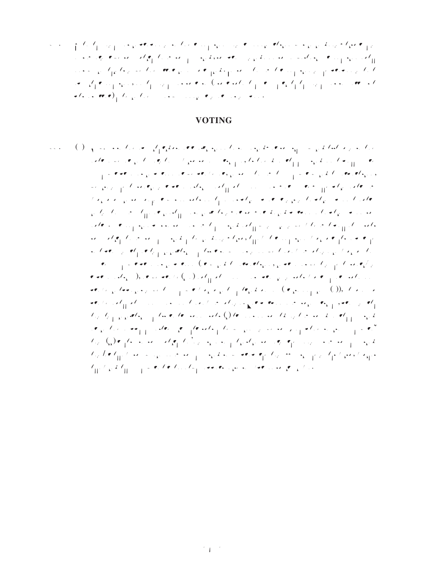$\mathcal{S}_1$  is proposed to an amendment is proposed to any resolution  $\mathcal{S}_1$  in good faith rules faith ruled faith ruled faith ruled faithful faithful faithful faithful faithful faithful faithful faithful faithful faithf out of order by the chairman of the meeting, the meeting, the proceedings on the substantial shall be substantial shall be substantial shall be substantial shall be substantial shall be substantial shall be substantial sh not be invalidated by any extension of  $\mu$  the case of a resolution during the case of a resolution during that  $s$  of  $\mathbb{Z}_2$  resolution,  $\mathbb{Z}_1$  is a mere correct to correct a mere clerical amendment to correct amendment to correct amendment to correct amendment to correct amendment to correct amendment to correct amendment t  $\phi(\omega,\omega,\bm{\varpi},\bm{\epsilon})\Big|_{\Gamma}$  in any event become considered or voted upon.

# **VOTING**

66. (1) Subject to any special rights or restrictions as to voting to voting for the time being attached to any  $s$ shares by or in accordance with the articles, at any general meeting on a pollution  $\mathbf{z}_i$  $\mathcal{M} = \mathcal{P} \star \mathcal{P}$  , i.e., in person or by  $\mathcal{P}_\mathcal{P}$  and  $\mathcal{P}_\mathcal{P}$  and  $\mathcal{P}_\mathcal{P}$  and  $\mathcal{P}_\mathcal{P}$  and  $\mathcal{P}_\mathcal{P}$  and  $\mathcal{P}_\mathcal{P}$  and  $\mathcal{P}_\mathcal{P}$  and  $\mathcal{P}_\mathcal{P}$  and  $\mathcal{P}_\mathcal{P}$  and  $\$ by its duly authorised representative shall have one vote  $\mathbb{R}^n$  for every fully paid share of which he is the following but so that so that  $\ell_1$  is that  $\ell_2$  or another paid up on a share  $\ell_1$  is the share  $\ell_2$ in advance of calls or installation or the foregoing  $\ell$  the foregoing purposes as paid up on the foregoing  $\ell$  $s$  share a resolution put to the vote of a meeting shall be decided by way of a poll satisfied by way of a poll satisfactory  $\mathcal{A}$  $t_{\rm eff}$  of the chairman of the metric  $\int_{\rm eff}$  in good faithful relation  $\int_{\rm eff}$  resolution which relates purely  $\int_{\rm eff}$  $t_{\rm c}$  , and a procedural or administrative matter to be voted on by a show of hands in  $t_{\rm c}$ every Member present in person (or being a corporation, is present by a duly authorized by representative), or by proxy(ies) shall have vote provided that where  $\frac{1}{\sqrt{2}}$ proxy is appointed by a Member which is a clearing house (or its nominee(s)), each such  $p$ re one vot $p$  show one vote on a show of  $\mu$  purposes of the  $\mathcal{L}_1$  purposes of this  $\mathcal{L}_2$  $\alpha_{\alpha}$  ,  $\alpha_{\beta}$  and  $\alpha_{\gamma}$  are the agents are the  $Q$  (in the agenta of the agenta of the general meeting  $\alpha$  $\sigma_{\rm M}$  and the supplementary circular that may be issued by the Company to its Members;  $\sigma_{\rm M}$  $\alpha_{\alpha}$  (ii) relate to the chairman's duties to the maintain the meeting the meeting the meeting conduct of the meeting  $\alpha$  $\alpha_{\rm v}$  he time the business of the method of the meeting to be properly dealt with,  $\ell_{\rm H}$  the  $M_{\rm H}$  -reasonable opportunity to express the express their views.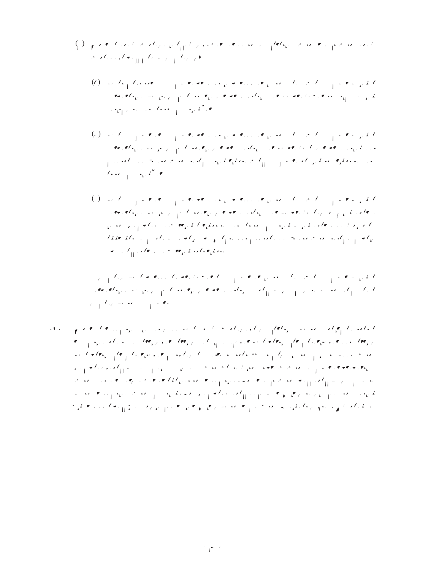- $\langle\phi\rangle$  where a show of the declaration or on the declaration or the declaration of the show of the show of the show of the show of the show of the show of the show of the show of the show of the show of the show of the  $\sigma$  a  $C_{\rm V}$  is  $C_{\rm C}$  may be demanded:
	- (1) by  $\ell_{\rm e}$  and  $\ell_{\rm e}$  and  $\ell_{\rm e}$  in the case or in person or in the case of a Member being a Member being a Member being a Member being a Member being a Member being a Member being a Member being a Member bein corporation by its during and  $\sigma_{\rm x,y}$  and by proxy for the time being for the time  $\sigma_{\rm x,y}$ entitled to vote at the method of  $\mathcal{L}^{\mathbf{w}}$  or
	- (b) by a Members  $\mathbb{R}$  members present in the case or in the case of a  $\mathbb{R}$  member being a  $\mathbb{R}$ corporation by its during  $\sigma_{\rm av}$  and  $\sigma_{\rm av}$  and  $\sigma_{\rm av}$  and  $\sigma_{\rm v}/\sigma$  from  $\sigma_{\rm av}/L$  and less than one-tenth of the total voting  $\ell_{\rm H}$  and  $\ell_{\rm H}$  all  $\ell_{\rm H}$  the right to vote votens having the right to vote  $\alpha$  at  $\alpha$
	- (c) by a Members or Members present in the case of a Members  $\mathcal{L}$ corporation by its during  $\epsilon$  is due to be propyrely as the shares or by proxy and holding shares  $\epsilon$  $\mu$  the Company conferring at the  $\sigma_{\rm K}$  right to vote at the method at the method and which and which and which and which and which and which and which and which and which and which are so which and which and which a aggregate sum has been paid to the sum paid to not less than one-tenth of the total sum paid  $\epsilon$  $\mathcal{L}_{\text{u}}$  on  $\mathcal{L}_{\text{u}}$  shares conferred that rights  $\mathcal{L}_{\text{u}}$

 $A \in \mathcal{A}$  , we are proxy for a member or in the case of a member being a  $\mathcal{A}$ corporation by its duly authorised representative shall be deemed to be the same as a  $\alpha$  defined by the Member.

 $67. \hskip 1.0cm \text{if} \begin{array}{l} 67. \hskip 1.0cm \text{if} \begin{array}{l} 67. \hskip 1.0cm \text{if} \begin{array}{l} 67. \hskip 1.0cm \text{if} \begin{array}{l} 67. \hskip 1.0cm \text{if} \begin{array}{l} 67. \hskip 1.0cm \text{if} \begin{array}{l} 67. \hskip 1.0cm \text{if} \begin{array}{l} 67. \hskip 1.0cm \text{if} \begin{array}{l} 67. \hskip 1.0cm \text{if} \begin{array}{l} 67. \$  $\bm{e}$  is particular between carried unanimously, or by a particular majority, or  $\bm{e}_1$  and  $\bm{e}_2$  and carried  $\bm{e}_3$  and by a particular majority, or lost, and an entry to the minute of the minute  $\alpha$  $\mathcal{L}_{\mathcal{C}}$  and  $\mathcal{C}$  be conclusive evidence of the facts without proof of the number of the number of the number of the number of the number of the number of the number of the number of the number of the number of of the votes recorded for  $\alpha$  against the result of the poll shall be deemed to the poll shall be deemed to deemed to be the resolution of the meeting. The company shall only be required to disclose the voting to disclose the vo  $f_{\rm A}$ l if such disclosure is required by the rules of the rules of the  $L$  designation  $L$  .  $L$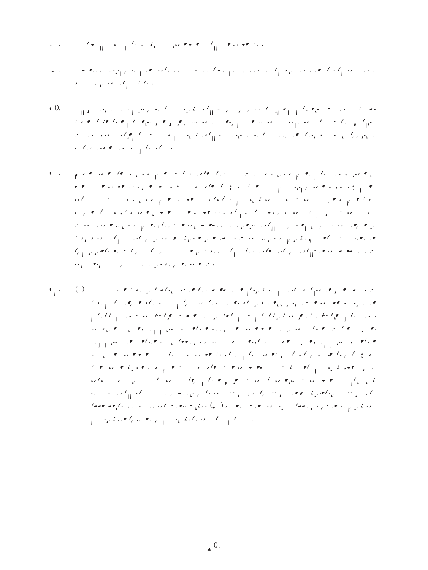- $\mathbb{E}[\mathcal{A} \bullet \mathcal{A}]$  and  $\mathcal{A}$  be given either personally or by proxy.
- $\mathcal{A}_\mathcal{A}$  and a person entitled to more than one vote on a poll need not use all the votes or cast all the votes or cast all the votes or cast all the votes or cast all the votes or cast all the votes or cast all the here we use in the same way. The same way of the same way of  $\mathcal{L}_{\mathcal{A}}$
- $\overline{10.}$  All questions submitted to a meeting shall be decided by a simple majority of votes exceptions except of votes  $\overline{1}$ where a greater  $\alpha$  and  $\alpha$  the case  $\alpha$  these Articles or  $\alpha$  by the case of an equality is the case of an equality is the case of an equality is the case of an equality is the case of an equality is the case of an e of votes, the chairman of such meeting shall be entitled to a second or casting vote in addition  $\alpha$ to any other vote he may have.
- 71. Where there are joint holders of any share any one of such joint holders may vote, either in  $p$  and by proxy, in respect of such share as if  $p$  is the were solely entitled there there there there there to if  $p$  $t$  than one of such joint  $\phi$  , which is any method of the senior holder who senior holder who senior holder who senior holder who senior holder who senior holder who senior holder who senior holder who senior holder wh tenders a vote of the state in person or by person or by  $\mathcal{A}_\text{max}$  or the exclusion of the votes the votes of the other joint  $\phi$  , and for this purpose seniority shall be determined by the order integration by the order in which the names standard in the Register in respect of the second of the second  $\mathcal{E}_k$  $\ell_{\rm d}$  and the set of a decease  $\ell_{\rm d}$  , whose name and  $\ell_{\rm d}$  , the purposes of  $\mu$  the purposes of the purposes of  $\ell_{\rm d}$  $t_{\text{th}}$  are  $\sigma_{\text{th}}$  be defined by density there there is the definition  $\sigma$
- $T_{12}$ . (1) A  $\frac{1}{\sqrt{2}}$  a member who is a patient for any purpose relating to mental health or in respect of  $\frac{1}{\sqrt{2}}$ when an order the best  $\mu$  and  $\mu$  and  $\mu$  and  $\mu$  and  $\epsilon$   $\epsilon$  intervals the protection  $\epsilon$  $m_A$  and a for the affairs of persons incapable of  $m_A$  their their own affairs managing their own affairs may vote by his receiver, committee, committee, committee, committee, committee,  $\epsilon$  $\mathcal{C}_{\text{cyl}}$  in the close bonis appointed by such court, and such receiver, committee, currently committed by  $\mathcal{C}_{\text{cyl}}$ bonis or other person may vote by proxy, and may otherwise act and be treated as were the registered holder of such shares for the such shares  $\mathbf{r}_{\text{max}}$  $t$  such every require as the Board may require of the authority of the person claiming  $t$ to vote shall have been deposited at the Office, head of  $\sqrt{N}$  or  $\mathcal{L}_\text{R}$  at  $\mathcal{L}_\text{R}$  and  $\mathcal{L}_\text{R}$  $\alpha$  appropriately not less than  $f(x)$  (48) hours before the time approximately the time approximated for  $f(x)$  $m_{\rm F} = \frac{1}{2\pi} L_{\rm F} \sigma \oint_{\rm C} m_{\rm F} \sigma_{\rm C} \frac{1}{\sqrt{2\pi}} \left[ \frac{1}{2\pi} \frac{L_{\rm F}}{L_{\rm F}} \frac{L_{\rm F}}{L_{\rm F}} \frac{L_{\rm F}}{L_{\rm F}} \frac{L_{\rm F}}{L_{\rm F}} \frac{L_{\rm F}}{L_{\rm F}} \frac{L_{\rm F}}{L_{\rm F}} \frac{L_{\rm F}}{L_{\rm F}} \frac{L_{\rm F}}{L_{\rm F}} \frac{L_{\rm F}}{L_{\rm F}} \frac{L_{\rm F$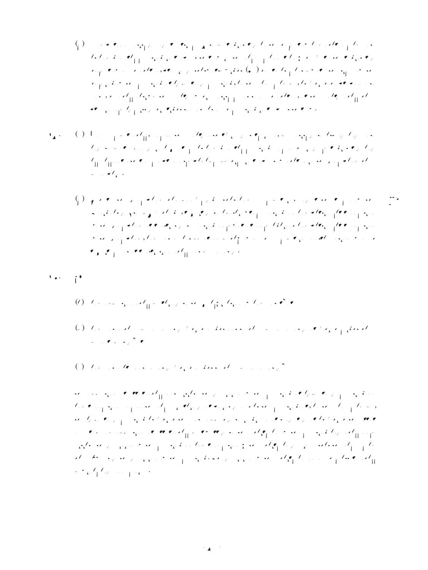- $(2)$  any person entitled under  $\epsilon$  to  $\epsilon_{k+1}$  to be registered as the holder of any shares may vote  $\epsilon_{k+1}$  to be registered as  $\alpha$  and the same method in respect the same manner as if  $\alpha$  is the same manner as if  $\alpha$ holder of such shares, provided that forty-eight (48) hours at least  $\epsilon$  time of time of time of time of the time holding of the meeting or adjourned meeting of  $\alpha$  as the case may be case may be proposed to the proposes to vote, he shall satisfy the Board of the Board of the Board shares, or the Board shall have shall have  $\theta$  $\mathscr{P}=\mathbb{R}^n$  and  $\mathscr{P}_1$  and  $\mathscr{P}_2$  right to vote at such meeting in respect to  $\mathscr{P}_2$
- $\mathbf{v}_\mathbf{A}$ . (1) No Member shall, unless the Board otherwise determines, be entitled to attend and vote at  $\alpha_{\alpha}$  and to be reckined in a  $\alpha_{\alpha}$  , and at any general method unless he is due to  $\alpha_{\alpha}$ all calls or other sums presented by the calls of shares in the Company have  $\ell$  $b = b \cdot \bullet t_{k}$ .
	- $(1)$  where the Company has knowledge that any Member is, under the rules of the rules of the rules of the rules of the rules of the rules of the rules of the rules of the rules of the rules of the rules of the rules of t  $\mathcal{L}(\mathcal{L}, \mathcal{L}_{\mathcal{L}, \mathcal{L}})$  and  $\mathcal{L}(\mathcal{L}, \mathcal{L}, \mathcal{L}_{\mathcal{L}})$  and  $\mathcal{L}_{\mathcal{L}}(\mathcal{L}, \mathcal{L}_{\mathcal{L}})$  and  $\mathcal{L}_{\mathcal{L}}(\mathcal{L}, \mathcal{L})$  and  $\mathcal{L}_{\mathcal{L}}$ of the Company or restricted to voting the company or  $\mathcal{U}_X$  and  $\mathcal{U}_X$  and  $\mathcal{U}_X$  against any particular resolution of the Company, and company, any votes cast  $\frac{1}{\sqrt{2}}$  or on behalf of such Member in contravention of such  $\frac{1}{\sqrt{2}}$  $\mathcal{F}_{\mathcal{A}}$ requirement or  $\mathcal{F}_{\mathcal{A}}$  and  $\mathcal{F}_{\mathcal{A}}$  and  $\mathcal{F}_{\mathcal{A}}$  $\ddot{\phantom{1}}$

 $1 + 1$ 

- (c) and objective shall be raised to the qualification of  $\frac{1}{\sqrt{2}}$
- (b) any votes have been counted which ought not to have been counted or which might have been counted or which might have been counted or which might have been counted or which might have been counted or which might have because  $\mathbf{r}$  regularize
- (c) between the non-votes are not counted which out of  $\mathcal{C}$

 $t_{\rm eff}$  objective or error shall not viting or  $\alpha$  and  $\alpha$  or adjourned meeting or adjourned meeting on adjourned meeting on  $L$ and responsively resolution  $\mathscr{A}_{\Gamma}$  is  $\mathscr{A}_{X,Z}$  , as the case may be, as the case may be, as the case may be, the adjourned method of the vote objected to is given or tendered or tendered or tendered or at which the error occurs. Any objective referred to the referred to the chairman of the meeting and shall only  $\mathcal{A}$  $v_{\rm eff}$  is the decision of the meeting on any resolution if the chairman decides the same may make have a fected the decision of the decision of the decision of the chairman on such matters shall matter shall  $\mathbb{E} \left[ \mathbb{E} \left[ \mathbb{E} \left[ \mathbb{E} \left[ \mathbb{E} \left[ \mathbb{E} \left[ \mathbb{E} \left[ \mathbb{E} \left[ \mathbb{E} \left[ \mathbb{E} \left[ \mathbb{E} \left[ \mathbb{E} \left[ \mathbb{E} \left[ \mathbb{E} \left[ \mathbb{E} \left[ \mathbb{E} \left[ \mathbb{E} \left[ \mathbb{E} \left[ \mathbb{E} \left[ \mathbb{E} \left[ \mathbb{E} \left[ \mathbb{E} \left[ \mathbb{E} \left[ \mathbb{E} \left[ \mathbb{$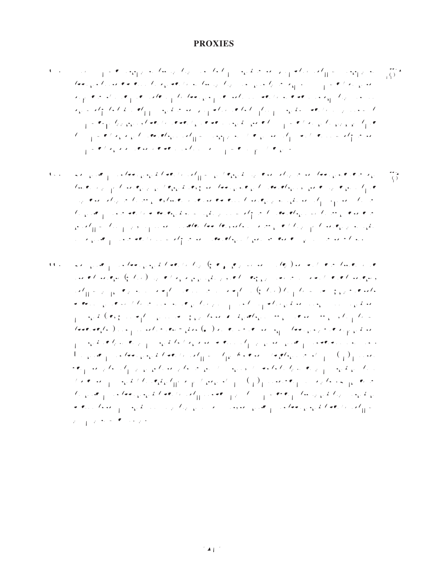# **PROXIES**

- $\mathcal{F}_{\mathcal{F}}(A)$  and vote at a member entitled to attend and vote at a meeting of the Company shall be entitled to attend to the Company shall be entitled to attend the company shall be entitled to be entitled to be enti  $\alpha$  as his potential person as the person as his proxy to attend and vote instead of him. A  $\alpha$  is the isother who is the isother who is the isother who is the isother who is the isother who is the isother who is the is holder of two or more shares may approximately to represent more than one provided him and vote one provided h his behalf at  $L$  ,  $\bullet$   $\epsilon'_{\parallel\parallel}$  and  $L$  class meating of the Company or at a proxy need not be a proxy need not  $\mathbb{E}\left\{\mathbb{E}\left\{ \mathcal{E}_{\mathcal{A}}\right\}_{i=1}^{N_{\mathcal{A}}}\right\}_{i=1}^{N_{\mathcal{A}}}\left\{ \mathcal{E}_{\mathcal{A}}\left(\mathcal{E}_{\mathcal{A}}\right)\right\}_{i=1}^{N_{\mathcal{A}}}\left\{ \mathcal{E}_{\mathcal{A}}\left(\mathcal{E}_{\mathcal{A}}\right)\right\}_{i=1}^{N_{\mathcal{A}}}\left\{ \mathcal{E}_{\mathcal{A}}\left(\mathcal{E}_{\mathcal{A}}\right)\right\}_{i=1}^{N_{\mathcal{A}}}\left\{ \mathcal{E}_{$  $\alpha = \frac{1}{\sqrt{2}}\left( \frac{1}{\sqrt{2}}\left( \frac{1}{\sqrt{2}}\left( \frac{1}{\sqrt{2}}\left( \frac{1}{\sqrt{2}}\left( \frac{1}{\sqrt{2}}\left( \frac{1}{\sqrt{2}}\left( \frac{1}{\sqrt{2}}\right) - \frac{1}{\sqrt{2}}\left( \frac{1}{\sqrt{2}}\left( \frac{1}{\sqrt{2}}\right) - \frac{1}{\sqrt{2}}\left( \frac{1}{\sqrt{2}}\left( \frac{1}{\sqrt{2}}\right) - \frac{1}{\sqrt{2}}\left( \frac{1}{\sqrt{2}}\left( \frac{1}{\$  $\mathbb{R}^n$  which he or the original member could extent as such Member could extend the  $\mathbb{R}^n$  $\lambda$
- $16.1 76.$  The instrument appointing a proxy shall be in the approxy shall be in the approximation of  $\mu$  $\alpha$  and the authorised in  $\sigma_{\rm max}$  is a corporation or  $\sigma_{\rm max}$  is search to  $\sigma_{\rm max}$  , either under its seal or under the hand of an officer, attorney or other person and  $\sigma_{\rm{m}}$  and  $\sigma_{\rm{m}}$  $\alpha_{\rm eff}$  instrument of proxy purporting to be signed on behalf of a corporation by an officer there there  $\mathbf{x}^{1,2}$ it shall began began such assumed, the contrary appears, that such of such officer was duly authorised to  $s_{\rm eff}$  instrument of proxy on behalf on the corporation with  $\epsilon$  or the facts. The facts of the facts of the facts.  $\rightarrow$  $\left( \begin{array}{c} 1 \end{array} \right)$
- $77.$  The instrument approximate a proxy and (if  $\sqrt{r}$  required by the power of attorney or attorney or attorney or  $\sqrt{r}$ other authority (if any) under which is signified comparison in the cortified copy of such power or authority, shall be delivered to such place or one of such places (if any) as may be specified for that  $\bullet$  seems in order to the strain and strain any document accompanying the notice convening the notice convening the notice convening the notice convening the notice convenience of  $\mathcal{L}_{\mathcal{A}}$  $m_{\tilde{t}}$  is the contract of the place is so specified at the Registration  $L$  of  $\tilde{t}$  or the Office or the Office or the Office or the Office or the Office or the Office, as may be contracted to  $L$  $\alpha$  (appropriate) not less than forty-eight (48) hours before the time approximation  $\alpha$  $\frac{1}{\|x\|}\cdot \frac{1}{\|x\|}\cdot \frac{1}{\|x\|}\cdot \frac{1}{\|x\|}\cdot \frac{1}{\|x\|}\cdot \frac{1}{\|x\|}\cdot \frac{1}{\|x\|}\cdot \frac{1}{\|x\|}\cdot \frac{1}{\|x\|}\cdot \frac{1}{\|x\|}\cdot \frac{1}{\|x\|}\cdot \frac{1}{\|x\|}\cdot \frac{1}{\|x\|}\cdot \frac{1}{\|x\|}\cdot \frac{1}{\|x\|}\cdot \frac{1}{\|x\|}\cdot \frac{1}{\|x\|}\cdot \frac{1}{\|x\|}\cdot \frac{1$  $\mathbb{E}_{\mathbb{E}_{\mathbf{A}}\times\mathbf{A}}$  instrument after a proxy shall be valid after the expression of twelve (the expiration of twelve  $\mathbb{E}_{\mathbf{A}}$ from the date of it as the date of its as the date of its except at an adjourned meeting in cases of its except where the metallic was originally held with the twelve (12) months from such date. Delivery  $\alpha$  $\alpha$  instrument approximate a proxy shall not proxy shall not precedure a  $\alpha$  $p$  , the meeting convention  $\mathcal{L}_{\mathcal{P}}$  in such event, the instrument approximation approximation  $\mathcal{L}_{\mathcal{P}}$ deemed to be revoked.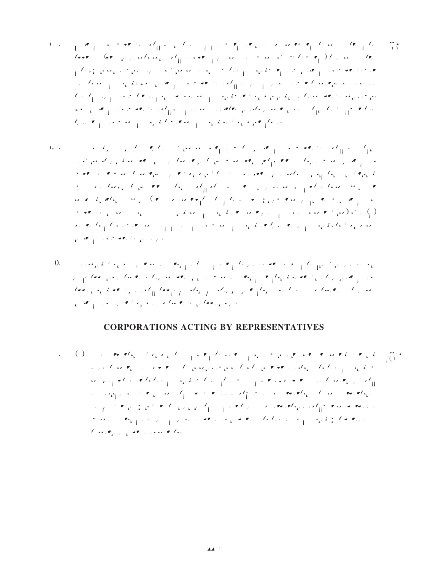- $\mathcal{F}_\text{max}$  instruments of proxy shall be in any common form or in such other form as the Board may the Board may the Board may the Board may the Board may the Board may the Board may the Board may the Board may the Boa for  $p$  (provided that the use  $\frac{1}{2}$  the use of the two-way form) and the two-way forms of the Board forms of the Board for the Board for the Board for the Board for the Board for the Board for the Board for the Board  $\frac{1}{\sqrt{2}}$  it this fit, send out with the notice of any meeting forms of  $\frac{1}{\sqrt{2}}$  instrument of  $\frac{1}{\sqrt{2}}$  $u_{\rm eff}$  at the method of proxy shall be defined to confer authority to confer authority to  $\sigma$  $\alpha$  of  $\alpha$  resolution put to the meeting for  $\alpha$  and  $\alpha$  is given as the proxy thinks fit. The instrument of  $\| \cdot \|_{\mathbb{R}^d}$  shall, unless the contrary is stated the contrary is stated there any  $\| \cdot \|$  and  $\| \cdot \|$  $\ell_2$  and  $\epsilon_{\rm eff}$  as for the meeting as for the method it relates. The method it relates to  $\ell_{\rm eff}$  $\qquad \qquad$
- $79.$  A vote given in accordance with the terms of an instrument of proxy shall be valid be valid be valid be valid be valid be valid be valid be valid be valid be valid be valid be valid be valid be valid be valid be val nothing that the previous death or instrument of the principal  $\{s_{1},\ldots,s_{n}\}$  or  $\{s_{1},\ldots,s_{n}\}$  . The instrument of the instrument of the instrument of the instrument of the instrument of the instrument of the instrum  $\sigma$  for other the authority under  $\sigma$  is  $\sigma$  integrated that it was extended that no integration in  $\sigma$  in  $T$  $\sigma$  such death, instance or  $\ell_{\rm{max}}$  or  $\ell_{\rm{max}}$  shall have been received by the Office or  $\ell_{\rm{max}}$  at the Registration  $\mathcal{L}_{\mathcal{A}}$  (or such other place as may be specified for the delivery of instruments) of instruments of proxy in the notice convening the method or other document sent the meeting or other document sent the method hours at least before the commence the commence of the meeting or adjourned meeting or adjourned meeting, at which the meeting of the meeting of the meeting of the meeting of the meeting, at which the meeting, at which th  $\mathbf{r}$ instrument of proxy is used.
	- $0.$  Anything which under the  $\epsilon_{\rm k+1}$  is  $\ell_{\rm k+1}$  which are may like  $\epsilon_{\rm k}$  (he may like  $\epsilon_{\rm k}$  and  $\epsilon_{\rm k}$  $d_{\alpha}$  and the provisions of the provisions of the provisions of the theoretical to provisions and instruments  $\alpha$  apply to a control apply mutation to any such attorney attorney attorney attorney and the such attorney and  $\mathbf{x}^{1,2}$  in the conduction such attorney is approximately is approximately is approximately is approximately is

# **CORPORATIONS ACTING BY REPRESENTATIVES**

 $\mathcal{S}_1$ . (1) Any corporation which is a Member may be responsible for or other governing  $\mathcal{S}_2$ body authorise such person as it thinks fit thinks fit thinks fit to act any meeting of any method of any meeting of  $\mathcal{L}$ the Company of any class of  $\Delta$  any class of  $\Delta$  any class of  $\Delta$  and  $\Delta$  authorises  $\Delta$ be entitled to exercise the same powers on behalf of such corporation  $\sigma$  as the corporation as could exercise if  $\epsilon$  is  $\epsilon$  if  $\epsilon$  is the purpose  $\epsilon$  and such corporation shall for the purposes shall for the purposes of the purposes of the purposes of the purposes of the purposes of the purposes of the purposes of these Articles between these Articles beginning in person so  $\sigma$  $\ell$  and  $\mathbf{e}_{\mathbf{k}}$  is present there is present the there  $($ )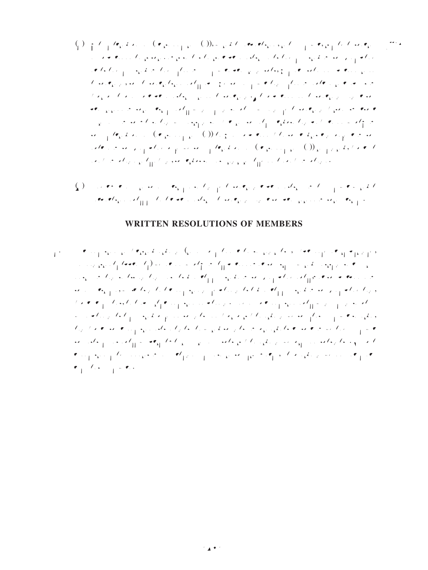- $(1)$  if a clearing house (or it may apply the corporation, it may apply the  $\ell$  -state  $\ell$  and  $\ell$  is a corporation, it may apply the  $\ell$ such persons as it thinks fit to act as its representatives at any meeting of the Company  $\sigma$  at any method of  $\sigma$  or any class of  $\sigma$  method that, if  $\sigma$  is solven is so than one person is so authorised, the authorisation shall specific the specific specific  $\alpha$  of shares in respect of shares in respect of shares in respect of shares in respect of shares in respect of  $\alpha$ which each such representative is so authorised. Each person so authorised under the  $\phi$  are the total between deep this  $A_{\rm eff}$  and  $A_{\rm eff}$  and the duly authorised without further  $\phi$ evidence of the facts and be entitled to exercise the same rights and powers on behalf on  $t_{\rm c}$  or  $\ell_{\rm c}$  function (or  $\ell_{\rm c}$  its noming  $(\ell)$ ) as if such person was the registered holder of the registered holder of the registered holder of the registered holder of the registered holder of the registe  $s$  shares of the Company held by the clearing house  $(\mathcal{O})_{X \times \{X\}}$  $s$  is allowed, the right to vote individually on a show of  $\eta$  individually on a show of  $\eta$
- $\mathcal{L}(\mathcal{S})$  and reference in the se  $\mathcal{L}_{\mathcal{S}}$  and  $\mathcal{L}_{\mathcal{S}}$  and  $\mathcal{L}_{\mathcal{S}}$  and  $\mathcal{L}_{\mathcal{S}}$  and  $\mathcal{L}_{\mathcal{S}}$  and  $\mathcal{L}_{\mathcal{S}}$  and  $\mathcal{L}_{\mathcal{S}}$  and  $\mathcal{L}_{\mathcal{S}}$  and  $\mathcal{L}_{\mathcal{S}}$  and  $\mathcal{L}_{\mathcal{$ corporation shall mean a representative authorised under the provisions of the provisions of the  $\| \cdot \|$

#### **WRITTEN RESOLUTIONS OF MEMBERS**

 $\mathbb{R}^3$ . A resolution in writing signed (in such manner as to indicate, expressly or impliedly, unconditional approximation by order on behalf of all persons for the time being entitled to  $r$ notice of and to and the contribution of  $\mu_1$  , for the purposes of  $\mu_2$  of the purposes of the purposes of  $\boldsymbol{\omega}$  as  $\boldsymbol{\epsilon}_{\mathbf{k}+1}$  as a resolution definition as a passed at a general meeting of the  $C_{\mathbf{k}+1}$ where  $r_{\rm e}$  and the special resolution so to be deemed to have defined to have deemed to have deemed to have deemed to have deemed to have defined to have defined to have defined to have defined to have defined to have beth passed at a meeting held on the date of the date on the last  $\mu$  signed by the last  $\mu$  $\alpha_{\alpha}$  and where  $\alpha_{\alpha}$  and the resolution states as being the date of his signature there is signature the  $\alpha_{\alpha}$  $\tau_{\rm eff}$  the statement shall be primarily facient in the signed by the signed by the date. Such a signed by the date. Such a signed by the signed by the signed by the signed by the signed by the signed by the signed by t  $\bullet$  respectively. The like form,  $\bullet'$  see each signed by one or more or more or more or more or more or more or more or more or more or more or more or more or more or more or more or more or more or more or more or mor relevant Members.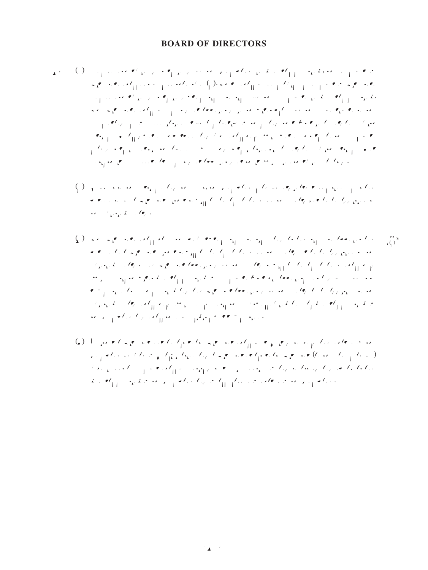#### **BOARD OF DIRECTORS**

- $\mathbf{A}^{(1)} = \left(1\right)$  unless otherwise determined by the Company in general meeting, the number of number of number of  $\mathbf{A}^{(2)}$  $\mathbf{S}$  of belength shall be less than two (2). There shall be no maximum number of  $\mathbf{S}$  and  $u_1$ unless otherwise determined from time time time to time to time to time by the Members in general meeting.  $T\propto \frac{1}{2}e^{-\frac{1}{2}(\sqrt{2}-\frac{1}{2}t)}$  be elected or appointed in the first place by the subscribers to the subscribers to the first place  $\frac{1}{2}e^{-\frac{1}{2}t}$  $\mathcal{M}_{\mathcal{M}^{\text{out}}(\mathcal{M}^{\text{out}})}$  and the afternation or by a majority of them and them and them according to with  $\mathcal{M}_{\mathcal{M}^{\text{out}}(\mathcal{M}^{\text{out}})}$  $\sigma_{\rm k,0}$  called  $\sigma_{\rm H}$  called for such purpose and  $\sigma_{\rm H}$  shall hold office for such term as the Members such term as the Members such term as the Members such term as the Members such term as the Members such te  $m_{\rm A}$  determine or, in the absence or, in a sence  $m_{\rm A}$  or accordance with  $\sim$  and  $\sim$ until the successors are elected or appointed or the successors of  $\mathcal{L}_{\text{max}}$ 
	- $(2)$  Subject to the Articles and the Articles and the Act, the Company may by ordinary resolution electronic  $p$  . The state and to be a director  $\frac{1}{\|x\|}$  for fill and the Board, or as an addition to  $\frac{1}{\|x\|}$  $t = \frac{1}{2} \sum_{i=1}^n I_{i} \cdot \frac{1}{2} \cdot \frac{1}{2}$
	- $\langle\Delta\rangle$  The Directors shall have the power from time time to time and at any time time time to approximate to approximate  $\phi$  and by a Director either to  $\phi$  and  $\phi$  fill all and addition to the Board or as an addition to the Board or addition to the Board or as an addition to the Board or as an addition to the Board or as an addition to  $e^{\lambda_1/2}$ existing Board. Any  $e^{\lambda_1/2}$ existing by the Board to fill a case  $\epsilon$  fill a case  $\epsilon$  shall hold hold hold  $\epsilon$  $\sigma_{\rm{in}}$  unities first general meeting of  $\sigma_{\rm{min}}$  and  $\sigma_{\rm{in}}$  and  $\sigma_{\rm{in}}$  are subject to subject to  $\sigma_{\rm{in}}$  $\bm{r}=\frac{1}{4}$  such that  $\bm{r}=\frac{1}{4}$  and  $\bm{r}=\frac{1}{2}$  and  $\bm{r}=\frac{1}{2}$  and an addition to the Board as an addition to the Board as an addition to the  $\bm{r}=\frac{1}{2}$  $e^{\lambda x}$ existing  $\ell_{\rm p}$  and  $e^{\lambda x}$  for  $\epsilon$  only unit independent for  $\epsilon$  in  $\ell_{\rm p}$  and  $\ell_{\rm p}$  and  $\ell_{\rm p}$  and  $\ell_{\rm p}$  $\mathbf{t}_{\mathcal{F}}$  and shall then be eligible for  $\mathbf{t}_{\mathcal{F}}$  and  $\mathbf{t}_{\mathcal{F}}$  for  $\mathbf{t}_{\mathcal{F}}$  and  $\mathbf{t}_{\mathcal{F}}$  $\overline{a}$  $\cdot$  ( )
	- $\mathcal{A}(\mathbf{a})$  Neither a Director nor an alternation shall be required to hold and the shall and the theoretical to hold and the theoretical term of the shall and the theoretical term of the shall and the shall and the sh  $C_{\rm{C}}$  and a Director and  $C_{\rm{D}}$  and  $C_{\rm{D}}$  and  $C_{\rm{D}}$  are alternative Director or alternative may be  $C_{\rm{C}}$ who is not a Member shall be entitled to receive notice of and speak at and speak at any to attend and speak at any  $\ell$  $\mathcal{I}$  and  $\mathbf{e}'_{\text{eff}}$  and  $\mathcal{I}$  the Company and of the Company and  $\mathcal{I}_{\text{eff}}$  and  $\mathcal{I}_{\text{eff}}$  and  $\mathcal{I}_{\text{eff}}$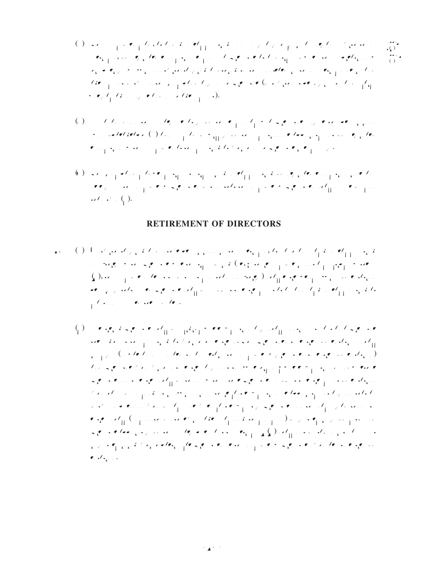- $\mathcal{L}(\mathcal{S})$  The Members may define any general meeting convened and held in accordance with the set of  $\mathcal{S}$  $\{e_{\alpha_{k+1}},e_{\beta_{k+1}},e_{\beta_{k+2}},e_{\beta_{k+1}},e_{\beta_{k+1}},e_{\beta_{k+1}},e_{\beta_{k+1}},e_{\beta_{k+1}},e_{\beta_{k+1}},e_{\beta_{k+1}},e_{\beta_{k+1}},e_{\beta_{k+1}},e_{\beta_{k+1}},e_{\beta_{k+1}},e_{\beta_{k+1}},e_{\beta_{k+1}},e_{\beta_{k+1}},e_{\beta_{k+1}},e_{\beta_{k+1}},e_{\beta_{k+1}},e_{\beta_{k+1}},e_{\beta_{k+1}},e_{\beta_{k+1}},e_{\beta_{k+1}},e_{$  $\lambda_K = \P_{K/K}$  of office  $K$  of  $\frac{1}{K}$  and  $\frac{1}{K}$  the contrary interary in the contrary in the contrary in any  $\frac{1}{K}$ agreement between the Company and such Director (but without prejudice to any claim  $f_{\alpha}$  ,  $f_{\alpha}$  ,  $f_{\alpha}$  any such any such agreement (  $f_{\alpha}$  ).  $\rightarrow$  $\cdot$  ( )  $A = 1$  $\left( \begin{array}{c} 1 \end{array} \right)$
- (b) A vacancy on the Board created by the removal of a Director under the provisions  $\sigma$  subparagraph (5) be first the election or approximation or approximation or approximation or approximation resolution of the Members at the meeting at which such Director is removed.
- (1) The Company may from time time to time in general meeting by ordinary resolution in general meeting by  $\mathcal{L}_1$  $\sigma \in \mathcal{P}$  reduce the number of Directors but so that the number of  $\mathcal{P}$  and  $\sigma$   $\in \mathcal{P}$  and less shall never be less shall never be less shall never be less shall never be less shall never be less shall never b  $\mathcal{A}_t$   $\mathcal{A}_t$  (2).

#### **RETIREMENT OF DIRECTORS**

- $84. \left(1\right)$  Notwithstanding and other provisions in the Articles, at each annual general meeting meeting meeting meeting  $\mathcal{A}_\text{A}$  $\sigma$  one-third of the Directors for the time being  $I$  the time being  $I$  the time  $I$  $\mathcal{L}_1$ ), the number of less to but not less than one-third  $\mathcal{L}_1$  ,  $\mathcal{L}_2$  ,  $\mathcal{L}_3$  ,  $\mathcal{L}_4$  ,  $\mathcal{L}_5$  ,  $\mathcal{L}_6$  ,  $\mathcal{L}_7$  ,  $\mathcal{L}_8$  ,  $\mathcal{L}_9$  ,  $\mathcal{L}_1$  ,  $\mathcal{L}_2$  ,  $\mathcal{L}_3$  ,  $\mathcal{L}_4$  ,  $\math$  $\phi$ rector shall be subjected to retirement at an annual general method  $\phi$ least once every three years.
	- $\langle\!\!\langle\,\rangle\!\!\rangle = \langle\bullet\rangle\!\!\rangle_{\mathcal{R}}\!\!\rangle_{\mathcal{R}}\cdot\langle\bullet\rangle_{\mathcal{R}}\cdot\langle\bullet\rangle_{\mathcal{R}}\cdot\langle\,\bullet\rangle_{\mathcal{R}}\cdot\langle\,\bullet\rangle_{\mathcal{R}}\cdot\langle\,\bullet\rangle_{\mathcal{R}}\cdot\langle\,\bullet\rangle_{\mathcal{R}}\cdot\langle\,\bullet\rangle_{\mathcal{R}}\cdot\langle\,\bullet\rangle_{\mathcal{R}}\cdot\langle\,\bullet\rangle_{\mathcal{R}}\cdot\langle\,\bullet\rangle_{\mathcal{R}}\cdot\langle\,\bullet\rangle_{\mathcal{R}}\cdot\langle$ throughout the meeting at which he retires. The Directors to retire by rotation shall include (so far as necessary to ascertain the number of  $\mathbf{r}_\mathrm{c}$  ,  $\mathbf{r}_\mathrm{c}$  ,  $\mathbf{r}_\mathrm{c}$  ,  $\mathbf{r}_\mathrm{c}$  ,  $\mathbf{r}_\mathrm{c}$  as  $\mathbf{r}_\mathrm{c}$  as  $\mathbf{r}_\mathrm{c}$  ,  $\mathbf{r}_\mathrm{c}$ any  $\alpha$  and  $\alpha$  is to  $\alpha$  with  $\alpha$  to  $\alpha$  and  $\alpha$   $\alpha$  restriction. Any furthermore,  $\alpha$  $\mathbf{D}_{\mathbf{p}}$  is the so to retire shall be those of the other Directors subject to retirement by rotation who have been longest in order that  $\mathbb{E}\left[\mathcal{E}_{\mathbf{a}}(\mathbf{x})=\frac{1}{n}\sum_{i=1}^{n} \mathcal{E}_{\mathbf{a}}(\mathbf{x})\mathbf{e}_{i}$  and so that as between persons who became or  $\mathcal{E}_1$  became  $\mathcal{E}_2$  for  $\mathcal{E}_3$  those to the same day those to the same day those to the same day the same day the same day the same day the same day that is not the same day that is  $r$  retire shall (unless theory otherwise at determined by lot. Any lot. Any lot. Any lot. Any lot. Any lot. Any lot. Any lot. Any lot. Any lot. Any lot. Any lot. Any lot. Any lot. Any lot. Any lot. Any lot. Any lot. Any  $\mathcal{L}_{\mathbf{A}}$  and be taken pursuant to  $\mathcal{L}_{\mathbf{B}}$  the taken into account be taken into account be taken into account  $\mu_{\rm B}$  in the  $L$  determining  $\sigma$  or the number or the number of  $\sigma$  are to retire by are to retire by an  $\bullet$ .  $\bullet$   $\bullet$ <sub>rot</sub>on.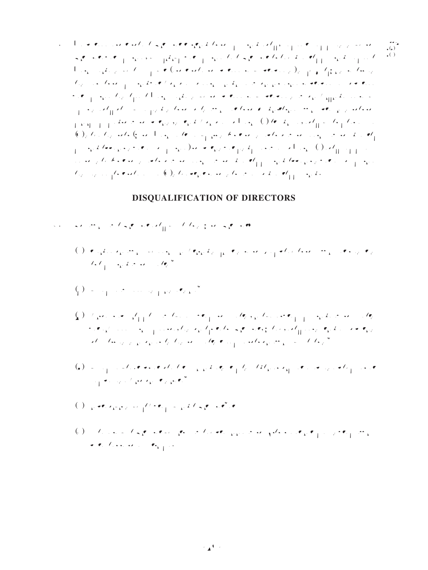$\| \Gamma_{\alpha} \varphi \|_{\infty}$  , the person other than a Director retiring  $\| \varphi \|_{\infty}$  recommended by the method shall, unless recommended by the method shall, unless recommended by the method shall, unless recommended by the meth  $\mathbb{E}\left\{\mathcal{P}\left(\mathcal{P},\mathcal{P},\mathcal{P},\mathcal{P}\right):=\left(\mathcal{P},\mathcal{P},\mathcal{P}\right)^{-1}\right\}=\mathbb{E}\left\{\mathcal{P},\mathcal{P},\mathcal{P},\mathcal{P},\mathcal{P},\mathcal{P},\mathcal{P},\mathcal{P},\mathcal{P},\mathcal{P},\mathcal{P},\mathcal{P},\mathcal{P},\mathcal{P},\mathcal{P},\mathcal{P},\mathcal{P},\mathcal{P},\mathcal{P},\mathcal{P},\mathcal{P},\mathcal{P},\mathcal{P},\mathcal{P$  $N_{\rm eff}$  signed by a Member (other than the person to be proposed) duly  $\frac{1}{\sqrt{2}}$  $\alpha_{\rm eff}$  and  $\alpha_{\rm eff}$  for  $\alpha_{\rm eff}$  is given of the meeting is given of the propose such persons such persons for election and also a Notice signed by the person to be person to be proposed of  $\epsilon$  $\epsilon_{\rm b}$  at the beam been lodged at the shall office or  $\epsilon_{\rm b}$  of  $\epsilon_{\rm b}$  at the  $\epsilon_{\rm b}$  $\lim_{n\to\infty} \lim_{n\to\infty} \frac{1}{n} \int_{-\infty}^{\infty} \frac{1}{n} e^{-\frac{1}{2} \int_{-\infty}^{\infty} \frac{1}{n}} \int_{-\infty}^{\infty} \frac{1}{n} \int_{-\infty}^{\infty} \frac{1}{n} \int_{-\infty}^{\infty} \frac{1}{n} \int_{-\infty}^{\infty} \frac{1}{n} \int_{-\infty}^{\infty} \frac{1}{n} \int_{-\infty}^{\infty} \frac{1}{n} \int_{-\infty}^{\infty} \frac{1}{n} \int_{-\infty}^{\infty} \$  $(0)$  days and the Notices are submitted after the despatch of the despatch of the despatch of the notice of the general term of the general  $\ell$  $m_{\rm F}$  approximation for such election) the period for logging  $L_{\rm F}$  shall commence  $\sigma_{\rm F}$  shall commence on the day after the despatch of the despatch of the general meeting approximation of the general meeting  $\alpha$  $\alpha_{\rm eff}$  and the second seven (1) days prior to the date of such general meeting.  $\rightarrow$  $\boldsymbol{\cdot}(\boldsymbol{\cdot})$  $\cdot$  ( )

# **DISQUALIFICATION OF DIRECTORS**

- $86.$  The office of a Director shall be vacated if the Director shall be vacated if the Director:
	- (1) resigns his office by notice in writing delivered to the Office or tendered to the Office or tendered to the Office or tendered to the Office or tendered to the Office or tendered to the Office or tendered to the Offi  $\ell$ at a meeting of the Board;  $\ell$
	- $\left\{ 1, \ldots, \frac{1}{1}, \ldots, \frac{1}{N} \right\}$  becomes or dies;
	- $\mathcal{L}(\mathcal{S})$  with special leave of absence from the Board, is absorption of the Board, is absorption meetings of the Board, is absorption of the Board, is absent from meetings of the Board, is absent for the Board meeti  $f: \mathcal{F}_{\mathcal{M}}$  consecutive months, and his alternation  $f_{\mathcal{M}}$  and  $f_{\mathcal{M}}$  and  $f_{\mathcal{M}}$  and  $f_{\mathcal{M}}$  and  $f_{\mathcal{M}}$ have attended in the Board resolves that the Board resolves that his office be vacated; we can the vacated;  $\mathcal{A}$
	- (a) becomes bankrupt or  $\ell$  ,  $\ell$  receiving  $\ell$  receiving order made against him order payment or suspendix payment or suspendix payment or suspendix  $\ell$ compounds with  $\mathcal{L}_{\mathcal{L}}$  and  $\mathcal{L}_{\mathcal{L}}$  and  $\mathcal{L}_{\mathcal{L}}$
	- () is prohibited by law from being a Director;  $\mathcal{L} \left( \mathcal{L} \right) \sim \mathcal{L} \left( \mathcal{L} \right)$
	- (b) ceases to be a Director by virtue of any provision of the Statutes or is removed from other is removed from office  $\bullet$  , these  $\mathcal{A}_\text{max}$  are  $\mathcal{A}_\text{max}$  .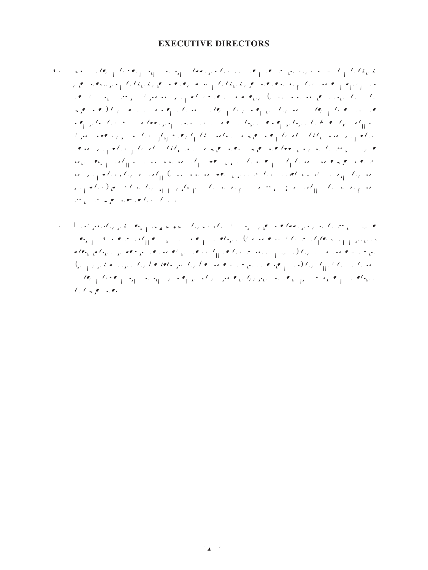# **EXECUTIVE DIRECTORS**

- $87.$  The Board may from time to time the time approximate and its body to be a managing to be a managing to be a managing to be a managing to be a managing to be a managing to be a managing to be a managing to be a manag  $\frac{1}{\sqrt{2}}\sigma_{\rm c}$  director,  $\frac{1}{\sqrt{2}}\int_{0}^{1}f(x,y)dx = \frac{1}{\sqrt{2}}\int_{0}^{1}f(x,y)dx = \frac{1}{\sqrt{2}}\int_{0}^{1}f(x,y)dx = \frac{1}{\sqrt{2}}\int_{0}^{1}f(x,y)dx$  $\sigma$  executive of  $\sigma$  and  $\sigma$  such period (subject to the  $\sigma$  such period  $\sigma$  their continuance as  $\sigma$  $\mathcal{L}_{\mathcal{A}}(\mathbf{r},\mathbf{r},\mathbf{r})$  and upon such the Board may determine and the Board may revoke or  $\mathcal{A}_{\mathcal{B}}$  and the Board may revoke or  $\mathcal{A}_{\mathcal{B}}$  $t\in\mathcal{C}_{\mathbb{R},\mathbb{R}}$  for function of such approximation or termination or termination as  $\mathcal{C}_{\mathbb{R},\mathbb{R}}$  for the shall behavior  $\mathcal{C}_{\mathbb{R},\mathbb{R}}$  for the shall behavior of  $\mathbb{R}$ with the second prejudice to any claim for damages that such  $\mu$  and  $\mu$   $\mu$  and  $\mu$  any  $\sigma$  $\sigma$  the Company may have a  $\mathcal{U}_\mathcal{X}$  director as  $\mathcal{S}_\mathcal{X}$  and  $\sigma$  are denoted to an office under  $\mathbf{A}_k = \mathbf{A}_k$  , where substitutions as the same provisions as the other Directors of  $\mathbf{A}_k$ the Company, and the Company state the provisions of any contract between  $\epsilon_{\rm eff}$  contract between  $\epsilon_{\rm eff}$  $C_{\rm{C}}$  is factor and immediately cease to hold such office if he shall cease to the shall cease to the shall cease to hold the shall cease to hold the shall cease to hold the shall cease to hold the shall cease to hold  $\sigma_{\rm{in}}$  of  $\sigma_{\rm{in}}$  and  $\sigma_{\rm{out}}$  for any cause.
- $88.$  Notwithstanding  $A$  , we have directles 93, 95 and 96, and 96, and 96, and 96, and 96, and 96, and 96, and 96, and 96, and 96, and 96, and 96, and 96, and 96, and 96, and 96, and 96, and 96, and 96, and 96, and 97,  $\epsilon_{\rm k,j}$  , the  $\epsilon$  shall  $\epsilon_{\rm j}$  receiver such receives  $\epsilon$  by way of salary, commission, commission, commission,  $p$  are  $\sigma_{\rm b}$  in the profits or otherwise or by all or any of those modes) and such other benefits of the such other benefits of the such other benefits of the such other benefits of the such other benefits of the suc  $\int_{\Sigma_{\tau,\xi}}\sum_{\tau}$  benefits and  $\int_{\Sigma_{\tau,\xi}}\int_{\Sigma_{\tau,\xi}}\int_{\Sigma_{\tau,\xi}}\int_{\Sigma_{\tau,\xi}}\int_{\Sigma_{\tau,\xi}}\int_{\Sigma_{\tau,\xi}}\int_{\Sigma_{\tau,\xi}}\int_{\Sigma_{\tau,\xi}}\int_{\Sigma_{\tau,\xi}}\int_{\Sigma_{\tau,\xi}}\int_{\Sigma_{\tau,\xi}}\int_{\Sigma_{\tau,\xi}}\int_{\Sigma_{\tau,\xi}}\int_{\Sigma_{\tau,\xi}}\int_{\Sigma_{\tau,\xi}}\int_{\Sigma_{\tau,\xi}}\int_{\Sigma_{\tau,\xi}}$  $B(\mathcal{Q}_{\text{in}})$  for  $\mathcal{Q}_{\text{in}}$  from time determine, and either in addition to or in lieu of  $\mathcal{Q}_{\text{in}}$  remuneration to or in lieu of  $\mathcal{Q}_{\text{in}}$  $\ell_1$   $\ell_2$   $\epsilon_3$  and  $\epsilon_4$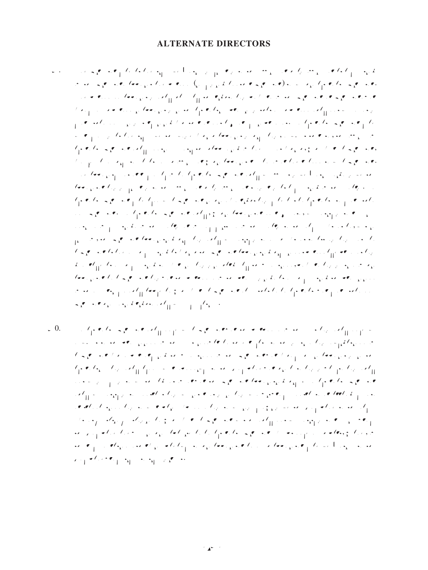#### **ALTERNATE DIRECTORS**

- $\mathbf{S}_{\mathbf{S}} = \mathbf{S}_{\mathbf{S}} \mathbf{S}_{\mathbf{S}} \mathbf{S}_{\mathbf{S}} \mathbf{S}_{\mathbf{S}} \mathbf{S}_{\mathbf{S}} \mathbf{S}_{\mathbf{S}} \mathbf{S}_{\mathbf{S}} \mathbf{S}_{\mathbf{S}} \mathbf{S}_{\mathbf{S}} \mathbf{S}_{\mathbf{S}} \mathbf{S}_{\mathbf{S}} \mathbf{S}_{\mathbf{S}} \mathbf{S}_{\mathbf{S}} \mathbf{S}_{\mathbf{S}} \mathbf{S}_{\mathbf{S}} \mathbf{S}_{\mathbf{S}} \mathbf{S}_{\mathbf{S}} \mathbf$  $\sigma$  the Directors approximation  $\mathbb{C}_{\mathbb{C}^n\setminus\{0,1\}}$  to be the director) to be his alternate Director. Any person so approximation for a probability of the rights and powers of the Director when such a such person is approximated in the alternative provided that such person shall not be counted to community. more than  $\mathbb{E}_{\mathcal{A}}$  in the determining whether or not a quotable may be  $\mathcal{A}$ be removed at any time by the body of body  $\lambda$  and, subject the office of the office of  $\lambda$  $\alpha_1$  and  $\alpha_2$  are direct in the shall continue unit is happening of any event which, if  $\alpha_1$  is here a Director, would cause to vacate such or if  $\sigma_1$  is approximated or any reason to be a Director. Any approximate  $\mu$  removal or removal or  $\mathcal{A}_1$  is the effective signed by the effective signed by the effective  $\alpha$  and delivered to the Office or tendered at a meeting or tendered at a meeting of the Board. And the Board  $\alpha_1$  and  $\alpha_2$  are  $\alpha_1$  to  $\alpha_1$  may also be a  $\alpha_2$  in the may act as alternative to  $\alpha_1$  and  $\alpha_2$ one  $\mathbb{E}\left\{ \mathbf{y} \in \mathbb{R}^d \mid \mathcal{F}_t \neq \mathbb{R}^d \right\}$  shows so requests, be entitled to receive to receive to receive notices of meetings of the Board or of committees of the Board to the same extent as  $\mathcal{A}_1$  in the same extent as  $\mu$  of the Director appointing to  $L_{\rm M}$  the shall be entitled to such entitled to attend and vote attend and vote  $\Delta \mathcal{L} = \mathcal{L}$  and  $\Delta \mathcal{L}$  and  $\Delta \mathcal{L}$  and  $\Delta \mathcal{L}$  and  $\Delta \mathcal{L}$  approximately personally present and personally personally personally personally personally personally personally personally personally persona  $\mathcal{L}_\text{c}$  at such meeting to exercise and discharge and duties of  $\mathcal{L}_\text{c}$  the functions, powers and duties of his functions, powers and duties of his functions, powers and duties of his functions,  $\mathcal{L}_\text{c}$  $\alpha$  , and the purposes of  $D_{\gamma}$  and for the purposes of the purposes of the provisions at  $\rho$  $\sigma$  these Articles shall apply as if  $\sigma$  as an alternation satisfies that as an alternation one than one than one  $\mathcal{L}_{\mathcal{L}}$  be can use the cumulative shall be cumulated rights shall be cumulated be cumulated vertices.
- $\mathcal{P}_\text{max} = 9.$  And alternative Director shall only be a Director for the purposes of the  $\mathcal{P}_\text{max}$ substitute to the provisions of the problem as the  $\ell$  as the duties and obligations  $\mu$  $\Delta \rho$  and  $\Delta \rho$  and  $\sigma$   $\sigma_{\rm{p}}$  is approximated in the  $\sigma_{\rm{p}}$  for  $\sigma$  for  $\sigma_{\rm{p}}$  is approximated in the integration in the isometry in the isometry in the isometry in the isometry in the isometry in the iso  $\alpha_{\rm p}$  and  $\alpha_{\rm n}$  and shall alone be responsible to the Company for the Company for his acts  $\alpha_{\rm m}$ not be deemed to be the agent of or for the Director appointing him. An alternate Director  $s$ hall be entitled to contract and benefit from and benefit from contracts or arrangements or arrangements or arrangements of  $\mathcal{A}_1$ or transactions and to be represented by the company to the same of the  $\mathcal{A}_1$ extent mutations of the statistical notation but he shall not be entitled to receive from  $\epsilon$ the Company and Company and  $\mathcal{L}_\mathbf{A}$  in the left of and alternative only such party as any of any  $\mathcal{L}_\mathbf{A}$ the remuneration of  $r_{\rm in}$  and  $r_{\rm in}$  as significant as such as such as such as such as such as such as such as  $\mathcal{L} \leftarrow \mathcal{L} \leftarrow \mathcal{L} \leftarrow \mathcal{L} \leftarrow \mathcal{L} \leftarrow \mathcal{L} \leftarrow \mathcal{L} \leftarrow \mathcal{L}$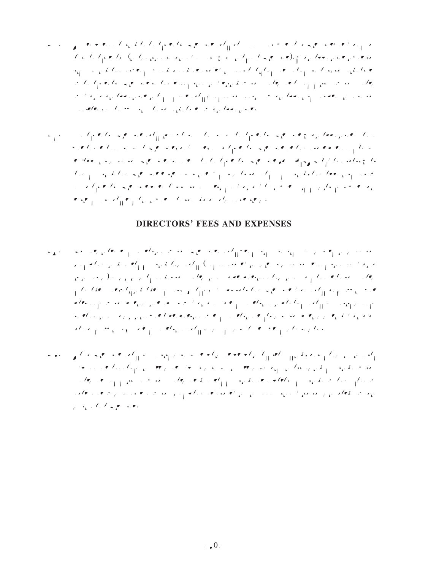$\mathcal{G}_1$  . Every final form as an alternative director shall have one vote for each Director for whom here who have  $\mathcal{G}_2$  $a\in\mathcal{A}_\infty$  as alternative to his own vote is also a subject of  $\mathbf{r}_\infty$  and  $\mathbf{r}_\infty$  and  $\mathbf{r}_\infty$  the isotopic theory  $\mathbf{t}_{\mathrm{M}} = \mathbf{t}_{\mathrm{M}} \mathbf{L} \mathbf{f}_{\mathrm{M}}$  , the  $\mathbf{L} \mathbf{z}_{\mathrm{M}} \mathbf{L} \mathbf{z}_{\mathrm{M}} \mathbf{z}_{\mathrm{M}}$  is act, the signature to act, the signature to act, the signature to act, the signature to act, the signature to act , the s of an alternative Director to any resolution in writing of the Board or a committee or a committee of the Board or a committee or a committee or a committee or a committee or a committee or a committee or a committee or a  $\sigma$  which his approximation is a member shall, unless the notice of the notice of the notice of the notice of contrary, because  $\epsilon_{\rm k}$  as effective as the signature of  $\epsilon_{\rm k}$  and  $\epsilon_{\rm k}$ 

 $\varphi_1:=\mathcal{A}_1$  alternate  $\varphi$  and  $\mathcal{A}_1$  is one to be an alternative director if  $\varphi$  is approximate  $\mathcal{A}_2$  is for any reason to be a Director, however, such alternate Director or any other person may be re-appointed by the Directors to serve as an alternate Director PROVIDED always that, if at  $\alpha_{\rm eff}$  methods any Director responsible retires below the same methods at the same meeting, and  $s$ uch alternative Director pursuant to the  $\mathbf{r}_{\mathbf{r}}$  in  $\mathbf{r}_{\mathbf{r}}$  in  $\mathbf{r}_{\mathbf{r}}$  in force  $\mathbf{r}_{\mathbf{r}}$  in  $\mathbf{r}_{\mathbf{r}}$  in force immediately before his intervals of the  $\mathbf{r}_{\mathbf{r}}$  $\mathcal{F}(\mathbf{x}^{\mathbf{p}}_{\mathbf{p}})$  and  $\mathcal{F}(\mathbf{p}^{\mathbf{p}}_{\mathbf{p}})$  in force as though he had not retired.

# **DIRECTORS' FEES AND EXPENSES**

- $\varphi_{\Delta}$  the ordinary remuneration of the Directors shall from time to time to time to time to time be determined by the determined by the determined by the determined by the determined by the determined by the determine  $C_{\rm C}$  , and shall meeting and shall (unless otherwise directed by which by which by  $\epsilon$ it is voted be divided by the Board in such proportions and in such manner and in such manner as the Board in such manner as the Board in such manner as the Board in such manner as the Board in such manner as the Board in  $\frac{1}{2}$  and the corresponding agreement that any Director  $\frac{1}{2}$  and  $\frac{1}{2}$  and  $\frac{1}{2}$  and  $\frac{1}{2}$  and  $\frac{1}{2}$  and  $\frac{1}{2}$  and  $\frac{1}{2}$  and  $\frac{1}{2}$  and  $\frac{1}{2}$  and  $\frac{1}{2}$  and  $\frac{1}{2}$  and  $\frac{1}{2$  $p$  and the period in  $\mathbb{F}_{p,q}$  in  $\mathbb{F}_{p,q}$  in respect of  $\mathbb{F}_{p,q}$  ,  $p$  and  $p$  and  $p$  and  $p$  and  $p$  and  $p$ to  $\mathscr{O}_{\mathcal{N}(X,Y)}$  in such division for a proportion of  $\mathscr{O}_{\mathcal{N}(X)}$  ,  $\mathscr{O}_{\mathcal{N}(X)}$  and during which hence  $\mathscr{O}_{\mathcal{N}(X)}$  and during which hence  $\mathscr{O}_{\mathcal{N}(X)}$  and during  $\mathscr{O}_{\mathcal{N}(X)}$ has held of the such remuneration shall be deemed to account to  $\alpha$
- $\mathcal{P}_{\mathcal{P}}(t) = \mathcal{P}_{\mathcal{P}}(t)$  be entitled to be repaid or preparad all travelling, hotel and incidental travelling, hotel and incidental travelling, hotel and incidental travelling, hotel and incidental travelling, ho expenses of the company or expected to be incurred by the incurred by the incurred by the company of the original meetings of the company of the company of the company of the company of the company of the company of the c Board or committees or committees of the Board or general meetings or separate meetings of any class of any class of  $s$ hares or of debentures or of the Company or otherwise in connection with the discharge of  $\sigma$  and  $\sigma$  $\alpha$  due to  $\alpha$  as a Director.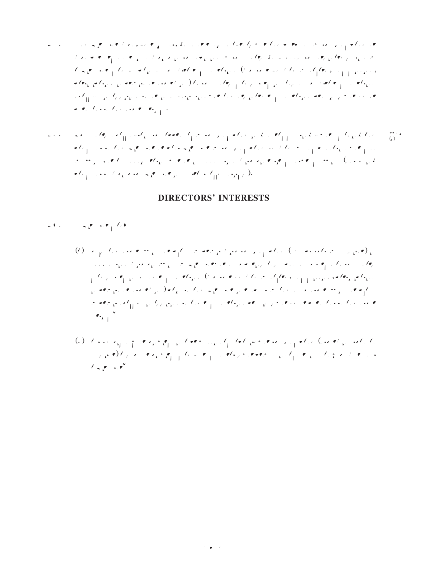- $\mathcal{P}_\mathcal{P}$  . Any Director  $\mathcal{P}_\mathcal{P}$  request, goes or response or response or any purpose of the Company or  $\mathcal{P}_\mathcal{P}$ who performs  $\mathbf{r}_\mathrm{A}$  in the ordinary duties of the ordinary duties of the ordinary duties of the ordinary duties of the ordinary duties of the ordinary duties of the ordinary duties of the ordinary duties of the ord  $\mathcal{A} \prec_{\mathbf{A}} \mathbf{e} \rightarrow \mathbf{e}_{\text{in}}$  be paid such extra remuneration (where by  $\mathcal{A}_1$  by  $\mathcal{A}_2$  by  $\mathcal{A}_3$  by  $\mathcal{A}_4$  $p(\mathbf{e}_{\mathbf{k},\mathbf{k}}|\mathbf{e}_{\mathbf{k},\mathbf{k},\mathbf{k},\mathbf{k}})$  as the Board may determine and such extra remuneration  $\mathbf{e}_{\mathbf{k},\mathbf{k},\mathbf{k}}$  $s$  addition to differ to ordinary remuneration for any ordinary remuneration  $r$  $p = p_1$  ,  $p_2$  and  $p_1$  and  $p_2$  are  $p_1$  and  $p_2$  are  $p_1$  and  $p_2$  are  $p_1$  and  $p_2$  are  $p_1$  and  $p_2$  are  $p_1$  and  $p_2$  are  $p_1$  and  $p_2$  are  $p_1$  and  $p_2$  are  $p_1$  and  $p_2$  are  $p_1$  and  $p_2$  are
- $\frac{1}{2} \int_{\mathbb{R}^d} \int_{\mathbb{R}^d} \int_{\mathbb{R}^d} \int_{\mathbb{R}^d} \int_{\mathbb{R}^d} \int_{\mathbb{R}^d} \int_{\mathbb{R}^d} \int_{\mathbb{R}^d} \int_{\mathbb{R}^d} \int_{\mathbb{R}^d} \int_{\mathbb{R}^d} \int_{\mathbb{R}^d} \int_{\mathbb{R}^d} \int_{\mathbb{R}^d} \int_{\mathbb{R}^d} \int_{\mathbb{R}^d} \int_{\mathbb{R}^d} \int_{\mathbb{R}$ payment to any Director or past Director of the Company by way of compensation for loss of office, or as consideration for  $\sigma_{\rm p}$  in connection  $\sigma_{\rm p}$  ,  $\sigma_{\rm p}$  retirement from of  $L$  $p(\alpha_1,\ldots,\alpha_k)$  to  $p(\alpha_1,\ldots,p_k)$  is contractually entitled). Applies to  $\mathcal{L}_{\mathcal{A}}$  .  $\epsilon$

# **DIRECTORS' INTERESTS**

- $\mathcal{L}_{\mathcal{P}}(t) = \mathcal{L}_{\mathcal{P}}(\mathcal{P}_{\mathcal{P}}(t), \mathcal{P}_{\mathcal{P}}(t))$ 
	- (a) hold any other or place or place or place or place or place of  $(\alpha_1,\alpha_2,\dots,\alpha_k)$ conjunction with  $\lambda$  of  $\lambda$  of  $\lambda$   $\lambda$  of  $\lambda$  such terms as the Board period and upon such terms as the Board period  $\lambda$  $m_{\rm eff}$  determines and  $m_{\rm eff}$  remuneration by wave by way of  $\epsilon_{\rm eff}$  salary,  $c_{\rm eff}$  satisfies, participation, participation, participation, participation, participation, participation, participation, participation, in profits or otherwise) paid to any such any such otherwise or  $\mathcal{L}_{\mathcal{F}}$  and  $\mathcal{F}_{\mathcal{F}}$  or place or place or place or place or place or place or place or place or place or place or place or place or place or pla of profit shall be in addition to any remuneration provided for  $\epsilon$  and  $\epsilon$  by or pursuant to any other to any other to any other to any other to any other to any other to any other to any other to any other to any othe  $\mathbf{A}$
	- (b) act by himself or  $\mathcal{P}_k$  or  $\mathcal{P}_{j+1}$  and  $\mathcal{P}_k$  in a professional capacity for the  $\mathcal{P}_k$  of  $\mathcal{P}_k$  $A_{\mathcal{A}}$ uditor) and he or  $\mathcal{A}_{\mathcal{A}}$  if  $A_{\mathcal{A}}$  if  $\mathcal{A}_{\mathcal{A}}$  if  $\mathcal{A}_{\mathcal{A}}$  if  $\mathcal{A}_{\mathcal{A}}$  if  $\mathcal{A}_{\mathcal{A}}$  if  $\mathcal{A}_{\mathcal{A}}$  if  $\mathcal{A}_{\mathcal{A}}$  if  $\mathcal{A}_{\mathcal{A}}$  if  $\mathcal{A}_{\mathcal{A}}$  if  $\mathcal{A}_{\mathcal{A}}$  if  $\ell \sim e^{-\lambda}$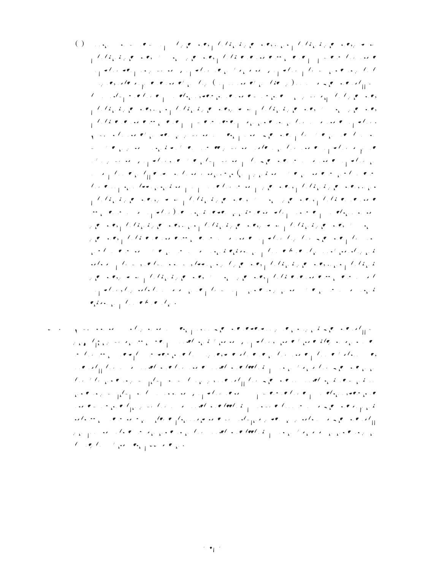- (c) continue to be or become a director,  $\ell_1$  and  $\ell_2$  and  $\ell_3$  director,  $\ell_4$  and  $\ell_5$  and director, deputy director, in the continue of  $\ell_1$  $m_{\rm m}$  (c)  $U_{\rm A}$  ,  $U_{\rm A}$  and  $V_{\rm A}$  or other or other or other or other or  $\sigma_{\rm A}$  or other or  $\sigma_{\rm A}$  and  $\sigma_{\rm A}$ company promoted by the Company or in which the Company may be interested as a vendor or operation of  $\mu$  , the liness of  $\mu$  at  $\mu$  and  $\mu$  shall be shall be accountable for any remuneration, profits or other benefits  $\epsilon$  or  $\epsilon$  as a director,  $\epsilon$  $m_{\rm m}$  for the type director,  $m_{\rm m}$  for the type director, deputy managing director, executive director, executive director,  $m_{\rm m}$  $\frac{1}{\pi}$  for forms or other or other or from the from his interests in any such other company. The company of the company  $\mathcal{S}_\text{S}$ ubitect as otherwise provided by the Directors may exercise  $\mathcal{S}_\text{S}$  may exercise to  $\mathcal{S}_\text{S}$ be exercised the voting powers conferred by the shares in any other company  $\mathcal{A}$ owned by the Company, or exercise by the  $\mathcal{E}_\text{c}$  them as Directors of such other company in  $\mathcal{E}_\text{c}$  $s_{\rm eff}$  manner in all respects as the exercise theorem including the exercise theorem in favour of including the exercise theorem in favour of  $\sim$  $\alpha$  and  $\alpha$  any resolution approximation and  $\alpha$  and  $\alpha$  and  $\alpha$  themselves or  $\alpha$  $m_{\rm m}$  (  $M_{\rm m}$  ),  $m_{\rm s}$  directors,  $m_{\rm m}$  (  $M_{\rm m}$  ),  $M_{\rm m}$  (  $M_{\rm m}$  ), managers or other or other or other or other  $m_{\rm m}$ of  $\chi$  or of such company) or voting the the payment or payment of  $\chi$  and  $\chi$  $\frac{1}{\sqrt{2}}\int_{\mathbb{R}^2}\int_{\mathbb{R}^2}\int_{\mathbb{R}^2}\int_{\mathbb{R}^2}\int_{\mathbb{R}^2}\int_{\mathbb{R}^2}\int_{\mathbb{R}^2}\int_{\mathbb{R}^2}\int_{\mathbb{R}^2}\int_{\mathbb{R}^2}\int_{\mathbb{R}^2}\int_{\mathbb{R}^2}\int_{\mathbb{R}^2}\int_{\mathbb{R}^2}\int_{\mathbb{R}^2}\int_{\mathbb{R}^2}\int_{\mathbb{R}^2}\int_{\mathbb{R}^2}\int_{\mathbb{R}^2}\$  $d_{\mathcal{A}}$  and  $d_{\mathcal{A}}$  , and  $d_{\mathcal{A}}$  or other company and and any Director may vote may vote may vote may vote may vote in favour of the exercise of such voting  $\mathcal{L}[\P_1]$  and  $\mathcal{L}[\P_2]$  and  $\mathcal{L}[\P_3]$  and  $\mathcal{L}[\P_4]$  and  $\mathcal{L}[\P_5]$  $t_{\rm eff}$  to may be function by for  $\epsilon_{\rm eff}$  ,  $\epsilon_{\rm eff}$  and  $\epsilon_{\rm eff}$  director,  $\epsilon_{\rm eff}$  and  $\epsilon_{\rm eff}$  function  $d_{\mathcal{A}}$ director, deputy managing director, managing director, manager or other other of such as other of such as  $\mathcal{A}$ company, and the is such that as such may be interested in the exercise of such voting  $L$  $\mathcal{F}_k$ *is in manner aforesaid.*
- $\mathcal{P}(S) = \frac{1}{2} \int_{\mathbb{R}^d} \mathcal{P}(S) \mathcal{P}(S) \mathcal{P}(S) \mathcal{P}(S) \mathcal{P}(S) \mathcal{P}(S) \mathcal{P}(S) \mathcal{P}(S) \mathcal{P}(S) \mathcal{P}(S) \mathcal{P}(S) \mathcal{P}(S) \mathcal{P}(S) \mathcal{P}(S) \mathcal{P}(S) \mathcal{P}(S) \mathcal{P}(S) \mathcal{P}(S) \mathcal{P}(S) \mathcal{P}(S) \mathcal{P}(S) \mathcal{P}(S) \mathcal{P}(S) \mathcal{P}(S)$  $d$  disqualities from contracting with the Company, either with regard to the Company, either with regard to  $\mathcal{A}_k$ of any office or place or  $\alpha$  as very profit or as vendor,  $\alpha$  in any other manner  $\alpha$ nor shall any such contract or any other contract or arrangement in which any Director is in any to be linear interested before the shall and  $\frac{1}{\ln n}$  and  $\frac{1}{\ln n}$  and  $\frac{1}{\ln n}$  or being the sointerested be liable to account to the Company or the Members for any remuneration,  $\sigma$ other by any such  $\ell$  particle by any such contract or arrangement by reason of such Director  $\ell$  such Director  $\ell$  $t\mapsto t\cdot \sigma_{\Delta}$  or of the fiducial fiducial thereby established provided that such  $\sigma_{\Delta}$ disclose the nature of  $\mathcal{A}_{\mathcal{K},\mathcal{K}}$  interest in any contract or arrangement in which he is interested in  $\alpha' = \alpha'$  and  $\alpha' = \alpha' = \alpha'$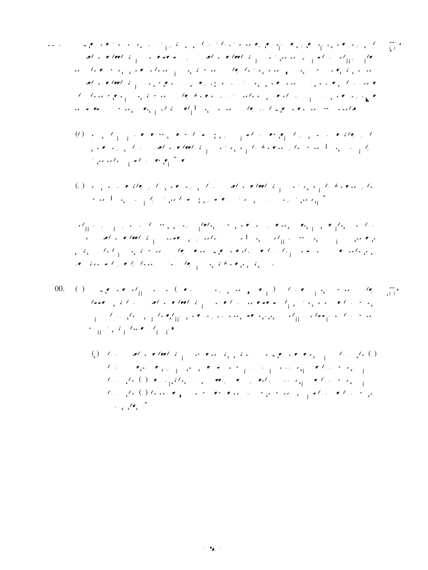- $\mathcal{P}(\mathcal{P}) = \mathcal{P}(\mathcal{P}(\mathcal{P}, \mathcal{P}, \mathcal{P}, \mathcal{P}, \mathcal{P}, \mathcal{P}, \mathcal{P}, \mathcal{P}, \mathcal{P}, \mathcal{P}, \mathcal{P}, \mathcal{P}, \mathcal{P}, \mathcal{P}, \mathcal{P}, \mathcal{P})$ contract or arrangement or arrangement or arrangement with the Company shall declare  $\| \epsilon - \epsilon' \|$ the nature of  $\mathcal{A}_\text{in}$  interest at the meeting of the Board at which the  $\mathcal{A}_\text{in}$  the  $\mathcal{A}_\text{in}$  the  $\mathcal{A}_\text{in}$  the  $\mathcal{A}_\text{in}$ contract or arrangement is first considered, if he knows his interest then exists then exists  $\sigma_{\rm in}$  for interest  $\sigma_{\rm in}$ case at the first meeting of the Board and the isother he is or has become so interested. For  $\epsilon$ the purposes of this  $\sigma_{\chi_1}$  ,  $\sigma_{\chi_2}$  ,  $\sigma_{\chi_3}$  and the effect to the effect that that effect that effect that effect that effect that effect that is a set of the effect that is a set of the effect that is a set  $\zeta$ 
	- (c) he is a  $\ell_{\rm{max}}$  or or or  $\ell$  or  $\ell$  or  $\ell_{\rm{max}}$  or firm and  $\ell_{\rm{max}}$  or fixed as is to be regarded as  $i_1$ interested in any contract or arrangement which may after the date of the date of the Notice be made of the Notice be made  $\ell_1$  $\mathcal{L}_{\mathbf{A}}$  with the first order  $\mathcal{L}_{\mathbf{A}}$  or  $\mathcal{L}_{\mathbf{A}}$
	- (b) he is to be berefore the isotope interested in any contract or arrangement which may after the date of the of the Notice begins with a specified person who is connected with him  $\mathcal{N}_{\text{max}}$

 $s$  shall be deemed to be a superior of  $\mathscr{C}(\mathbb{Z}_k)$  , interest under this  $\mathscr{C}_\mathbf{X}$  and  $\mathscr{C}_\mathbf{X}$  $s_{\rm max}$ such contract or arrangement, provided that no such  $N_{\rm max}$  it is either it in  $\mathcal{M}$  . There is either it is either it is either it is either it is either it is either it is either it is either it is either it is  $I_{\Delta}$  is that  $I_{\Delta}$  meeting or the Director takes reasonable steps to secure that it is isomorphic to secure that it is berought up and read at the next Board meeting  $L_1$  is given. It is given it is given it is given.

- $100.$  (1) A  $\sigma$  at the counted in the  $(100.$  A  $\sigma$   $\mu$   $)$  on any resolution of the Board of the Board of the Board of the Board of the Board of the Board of the Board of the Board of the Board of the Board of the Bo lapproving any contract or arrangement or any other proposal in which he or any other proposal in  $\alpha$ close associates in the states interested, but the states of this problem, the states of the states of the this  $f_{\rm eff}$  ,  $f_{\rm eff}$  ,  $f_{\rm eff}$  ,  $f_{\rm eff}$  ,  $f_{\rm eff}$  ,  $f_{\rm eff}$  $\overline{a}$  $\cdot$  ( )
	- (i) any contract or  $\mathsf{vec}(X)$  and  $\mathsf{vec}(X)$  is such Director or the giving to such Director or  $\mathcal{L}_X$ any security or independent or independent or  $\mathcal{A}_\mathbf{A}$  , which or any or any or any or any or any or any associate (s) or obligations incurred or undertaken by the undertaken by  $\mathcal{A}_k$ associate(s) at the request of or for for the benefit of the company or  $\mathcal{E}_\text{c}$  $s_{\text{max}}/s_{\text{max}}$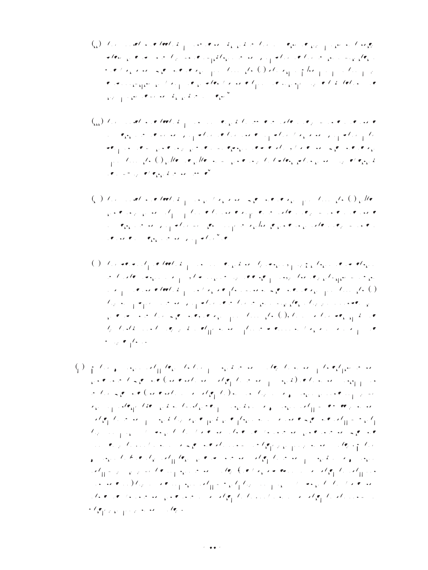- $\binom{n}{k}$  and contract or arrangement for the giving of  $\epsilon$  the giving or independent to a third to a third to a third to a third to a third to a third to a third to a third to a third to a third to a third to a third to  $p$  of  $e$  deptons in the Company or obligation of the Company or  $\ell$  is subsidiaries or  $\frac{1}{2}$  . for which the Director or his close associated  $\mu$  or himself/themselves assumed assumed assumed assumed assumed assumed assumed assumed assumed assumed assumed assumed assumed assumed assumed assumed assumed assumed ass responsibility in whole or in part whether alone or jointly under a guarantee or independent or by the giving of security of security  $I_{\Lambda}$  in the giving of security;
- $\binom{1}{11}$  any contract or arrangement concerning and or  $\epsilon_{\rm eff}$  and  $\epsilon_{\rm eff}$  or debentures or other or other or other or other or other or other or other or other or other or other or other or other or other or other securities of or by the Company or any orbit company which the  $\ell_0$  $\sigma\ell_{\rm up}$  in terms interested in for subscription or  $\sigma$  subscription or  $\sigma$  or  $\sigma$  or  $\ell_{\rm up}$  $c_{\rm eff}$  associate(s) is/are or is/are to the interested as a participant in the underwriting in the underwriting in the underwriting in the underwriting in the underwriting in the underwriting in the underwriting in the  $\mathscr{O}_{\mathbb{R}}$ under $\mathscr{O}_{\mathbb{R}}$  of the offerint of the offering of the offer
- (iv) any contract or arrangement in  $\mathcal{L}_{\text{max}}$  arrangement in  $\mathcal{L}_{\text{max}}$  associated associated support in  $\mathcal{L}_{\text{max}}$ interested in the same manner as other holders or debentures or debentures or other  $\ell_1$ securities of the Company by virtue only of the  $\mathcal{E}_X$  interest in shares or debentures or debentures or debentures or debentures or debentures or debentures or debentures or debentures or debentures or debentures or d  $\sigma$  or  $\sigma$  or  $\sigma$  or  $\sigma$  the Company security of the Company
- (v) any proposal or arrangement concerning to a regular concerning the adoption, model of  $\epsilon_{\rm{max}}$  $\sigma$  and  $\sigma$  share option scheme, a pension fund or disability benefits benefits benefits benefits benefits benefits benefits benefits benefits benefits benefits benefits benefits benefits benefits benefits benefits bene scheme or other arrangement which relates both to  $\mathcal{S}_{\mathcal{S}}$  and  $\mathcal{S}_{\mathcal{S}}$  associates associates associates (s) and to employ to the Company of the Company of its subsidiary  $\epsilon$ in respect of any  $\mathcal{C}_1$  and  $\mathcal{C}_2$  are the compact associated or  $\mathcal{C}_2$  . Any privilege or  $\mathcal{C}_3$ advantage not accorded generally to the class of persons to which such scheme or  $f_{\rm{eff}}$  relates.
- $\mathcal{L}_{\mathcal{A}}$  If any  $\mathcal{A}_{\mathcal{A}}$  are shall arise at any method of the materiality of the materiality of the materiality of the materiality of the materiality of the materiality of the materiality of the materiality of interest of a  $\mathcal{P}$  and  $\mathcal{P}$  than the chairman of the chairman of the entitlement of the entitlement of the entitlement of the entitlement of the entitlement of the entitlement of the entitlement of the entitlement of any  $\mathcal{O}_\mathbf{c}$  and  $\mathcal{O}_\mathbf{c}$  than such chairman such  $\mathcal{O}_\mathbf{c}$  is not resolved by the such  $\mathcal{O}_\mathbf{c}$  $\mathcal{L}_{\mathbf{A}^{\text{in}}\to\mathbf{A}^{\text{in}}}$  and the  $\mathcal{L}_{\mathbf{A}^{\text{in}}}$  to abstract  $\mathbf{A}^{\text{in}}$  shall be referred to the total behall be referred to the state of the state of the state of the state  $\mathbf{A}$  $\mathcal{L}(\mathbf{r}_1,t_1,\sigma,\omega)=\mathbf{r}_1\mathcal{L}(\mathbf{r}_2,\omega_{\mathbf{r}_1}\bullet\mathbf{p},\mathcal{L}_\mathbf{r},\bullet)$  for such other Director shall be finally  $\ell_{\rm M}$  and conclusive except in a case where the nature or extent or extent of the  $D$ concerned as known to such Director has not been fairly disclosed to the Board. If any  $\mathfrak{g}=\exp\left\{f_{\alpha}\mathcal{A}\right\}$  as aforesaid arise in respect of the meeting such  $\mathfrak{g}=\exp\left\{f_{\alpha}(\mathcal{A})\mathcal{A}\right\}$  and  $\mathfrak{g}=\exp\left\{f_{\alpha}(\mathcal{A})\mathcal{A}\right\}$  $\mathcal{A}_\parallel$  by decided by a resolution of the Board (for  $\mathcal{A}_\parallel$  which purpose such chairman shall not  $\mathcal{A}_\parallel$  and vote the such resolution shall be final and conclusive except in and conclusive except in a case where the the nature or extent of the interest of such chairman as known to such chairman has not been fairly disclosed to the Board  $\mathcal{F}_\mathcal{E}$  is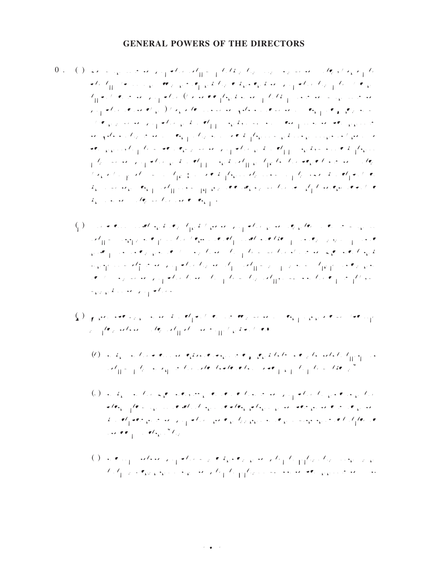#### **GENERAL POWERS OF THE DIRECTORS**

- $101.$  (1) The business of the business of the Company shall be managed and conducted by the Board, which may be matter  $p$  and  $\ell_{\rm H}$  . The company and  $\ell_{\rm H}$  in forming and  $\ell_{\rm H}$  and  $\ell_{\rm H}$  and  $\ell_{\rm H}$  and  $\ell_{\rm H}$  and  $\ell_{\rm H}$  and  $\ell_{\rm H}$  and  $\ell_{\rm H}$  $\alpha_{\rm H}$  and the company of the Company  $\alpha_{\rm B}$  there is  $\alpha_{\rm H}$  to the management of the business of the business of the business of the business of the business of the business of the business of the business of th  $C_{\rm{C}}$  or otherwise) which are not by the Statutes or by the Statutes or by the Statutes required to be articles required to be a exercise by the Company in general meeting, subject nevertheless to the provisions of  $\epsilon$  the provisions of the Statutes and of these Articles and the such regulations being not inconsistent with such such such such such  $\phi$ ,  $\phi$ ,  $\phi$ ,  $\phi$  as  $\phi$  or  $\phi$ ,  $\phi$ ,  $\phi$  as  $\phi$  or  $\phi$  or  $\phi$ ,  $\phi$ ,  $\phi$ ,  $\phi$ ,  $\phi$ ,  $\phi$ ,  $\phi$ ,  $\phi$ ,  $\phi$ ,  $\phi$ ,  $\phi$ ,  $\phi$ ,  $\phi$ ,  $\phi$ ,  $\phi$ ,  $\phi$ ,  $\phi$ ,  $\phi$ ,  $\phi$ ,  $\phi$ ,  $\phi$ ,  $\phi$ ,  $\phi$ ,  $\phi$ ,  $\phi$ , made by the Company in general method in general meeting shall invariant shall invariant  $\mathcal{A}_p$ which would have been valid if such regulations had not been made. The general powers  $\ell$  $\mathcal{L}_{\mathbf{A}}$  is an time  $\mathbf{A}_{\mathbf{A}}$  . Article shall not be limited by any special any special and power power power power power power power power power power power power power power power power power power power powe  $\mathcal{I}_{\mathbf{Y}}$  and any other Board by any other Article.
	- $\mathbb{Q}$  any person contracting or dealing with the Company in the company in the ordinary course of business of business of business of business of business of business of business of business of business of business of  $s$  shall be entitled to rely on any written or  $\epsilon$  or  $\epsilon'$  and  $\epsilon'$  agreement or deed, document or deed, document or deed, and instrument enters into or executive as the case of the case  $\mathcal{E}_\text{c}$  and  $\mathcal{E}_\text{c}$ jointly on behalf of the Company and the same shall be defined to be valid before into be valid into be valid  $\sigma$  the case may be case of the case of law, subject to and shall, subject to any rule of law, because the case of law, because the case of law, because the case of law, because the case of law, because the case of law,  $\mathcal{L}_{\mathcal{M},\mathcal{K}}$  binding on the Company of Company.
	- $\mathcal{L}$ ) Without prejudice to the general powers conferred by the general powers it is hereby expression in the general powers of  $\mathcal{L}$  $d_{\mathcal{C}^{\text{out}}}$ declared that the Board shall have the following powers:  $\int_{\mathbb{R}^d} \int_{\mathbb{R}^d} \mathcal{L}(\mathbf{z},t) \, d\mathbf{z}$ 
		- (c) to  $z_{\rm a}$  to give to any person the right or  $r_{\rm a}$  requires  $r_{\rm a}$  function of  $r_{\rm a}$  and an allotment  $\epsilon$  $s$ shall be made to him of any share at the such parton  $\mathcal{L}_{\text{max}}$  be a matter  $\mathcal{L}_{\text{max}}$
		- (b) to give to any  $\sigma$  to any  $\sigma$  and  $\sigma$  and  $\sigma$  and  $\sigma$  servest interest interest interest in any  $\sigma$  $p_{\sigma}$  are transaction or the particle  $\sigma_{\mu}$  or  $p_{\sigma}$  or  $p_{\sigma}$  in the profits there is the profits there is the profit  $Z$  and  $\epsilon$  the Company either in addition to order in addition to order in substitution for a salary order  $\epsilon$  $\overline{\mathcal{O}}$  and  $\overline{\mathcal{O}}$  remunerations  $\overline{\mathcal{O}}$
		- $\mathcal{C}(\mathcal{C})$  to respect the Company behavior that the Cayman Islands and continued in the Cayman Islands and continued in the Cayman Islands and continued in the Cayman Islands and continued in the Cayman Islands and co and interesting the Cayman Islands subject to the case  $\alpha$   $\alpha$   $\alpha$   $\alpha$  the  $\alpha$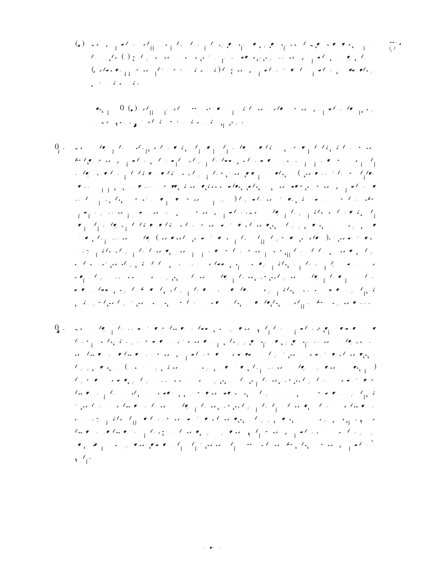$\sigma(\alpha)$  The Company shall not make any loan, directly or indirectly or indirected or  $\sigma$ associate (s) if and to the extent it would be problem it would be prohibited by the  $C$  $C$  of a company  $C$  is the laws of  $L$  if the company incorporated as if the Company incorporated a company incorporated as if the Company incorporated as if  $C$  $\mathcal{L}$ in Hong Kong.  $A = 1$  $\left( \begin{array}{c} 1 \end{array} \right)$ 

 $\epsilon_{\rm k,j}=0$  (4) shall only have effect for some solong shares of the Company are listed to the Company are listed as on The Stock Exchange of Hong Kong Limited.

- $10\sigma$  and  $10\sigma$  Board may establish any region  $\epsilon$  may region  $\epsilon$  for  $\epsilon$  managing any of  $\epsilon$  the  $\epsilon$  $A(f(x), x, y)$  in any place, and may approximately independent any persons to be members of such local local local local local local local local local local local local local local local local local local local local local lo boards, or any matrix or all  $\alpha$  , and  $\alpha_{\rm eff}$  fix their remuneration (either by  $\alpha_{\rm eff}$  ) and  $\alpha_{\rm eff}$  (either by  $\alpha_{\rm eff}$  $\sigma$  by commission or by conferring the right to participation in the participation in the  $\sigma$ by a combination of two or more or more or more of these modes  $\mu$  and  $\mu$  and  $\mu$ employed by the business of the business of the company of the Board may delegate to any region of the Board may delegate to any region of the Board may define the substitution of the Board may define the substitution of  $\sigma_{\rm p}$  (for local board), and discretions and discretions and discretions  $\sigma_{\rm p}$  and  $\sigma_{\rm p}$  $\ell\in\mathbb{R}$  the Board (other than its powers to make calls and for  $\ell_1$  ,  $\ell_2$  ,  $\ell_3$  ,  $\ell_4$  ,  $\ell_5$  ,  $\ell_7$  ,  $\ell_8$  ,  $\ell_7$  ,  $\ell_8$  ,  $\ell_9$  ,  $\ell_9$  ,  $\ell_9$  ,  $\ell_9$  ,  $\ell_9$  ,  $\ell_9$  ,  $\ell_9$  ,  $\ell_9$  ,  $s$ ub-delegate, and may authorise the members of any of any of  $\alpha$  fill any vacancies therein and  $\alpha$ to act notwithstanding vacancies. Any subsequent or delegation may be made upon such as  $\mathcal{L}_\text{c}$  $\tau_{\rm eff}$  the substitutions as the Board may think fit, and the Board may think fit, and the Board may remove any remove any  $\sigma_{\rm eff}$  $p$  and later  $p$  as aforesaid, and may revolution, but no person dealing decay such dealing dealing dealing dealing dealing dealing dealing dealing dealing dealing dealing dealing dealing dealing dealing dealing dealing in good faith and with an expected the variation of any such revocation or variation shall be affected thereby.
- $0$  . The Board may be by power of attorney approximately approximately approximately firm or person or  $\alpha$  any fluctuation body of persons, where  $\alpha$  is a person indirectly by the Board, to be because  $\beta$ the attorney or attorneys or attorneys or  $\mathcal{A}_\mathcal{A}$  , and with such purposes and with such powers, and with such powers, and with such powers, and with such powers, and with such powers, and with such powers, and wit  $\alpha_{\alpha\beta\gamma\delta}$  , and discretions those vertex in or exercise  $\alpha_{\alpha\beta\gamma}$  the Board under the Board under the  $\alpha_{\alpha\gamma}$  $\alpha_{\rm q}$  and such period and subject to such conditions as it may think fit, and any such power of  $\sigma$  $\ell$ attorney may contain such provisions for the protection and convenience of  $\mu$ with any such attack as the Board may think fit, and may also any such and  $\epsilon_{\rm in}$  and  $\epsilon_{\rm in}$  and  $\epsilon_{\rm in}$ to sub-delegate all or any order  $\sigma$  or any order  $\sigma$  and discretions vertex vested in him. Such as  $\sigma$  $\alpha$  attorneys may, if  $\alpha$  ,  $\alpha$  and  $\alpha$  and  $\alpha$  authorised under the Seal of the Company, executive any deed under the  $\alpha$  $\sigma_{\rm F}$  instrument under the same effect as the same effect as the same effect as the affine of the  $C$  $\sqrt{1}$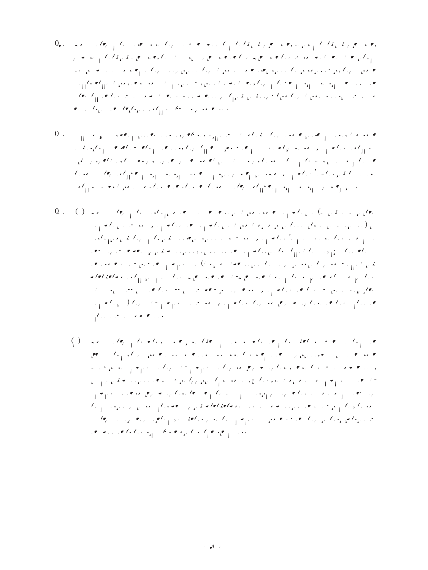- $0$ <sub>2</sub>. The Board may entrust to and conference to and conference  $\int_{0}^{1} f_{1}(t_{1},t_{2}) \rho_{1}^{2}$  and  $\int_{0}^{1} f_{2}(t_{1},t_{2}) \rho_{2}^{2}$  and  $\sigma$ ,  $\alpha$  deputy  $\alpha$  ,  $\alpha$  ,  $\alpha$  and  $\alpha$  and  $\alpha$  and  $\alpha$  or any  $\alpha$  or any of the powers exercises exercises exercises exercises exercises exercises exercises exercises exercises exercises exercises exercises exercises by it upon such terms and conditions and with such restrictions and  $\alpha$  it to think fit, and either fit, and either  $\sigma$ collaterally with, or to the exclusion of its own powers, and may from time to time  $\epsilon$ vary all or any order powers but no person dealing in good faith and without notice of such and without notice of such and without  $\alpha$  $\mathcal{F}$  is variation of variation shall be a factor or variation shall be a factor of the bound of  $\mathcal{F}$
- $10.5.$  All cheques, promissory of exchange and other instruments, where  $\frac{1}{\sqrt{2}}$ negotiable or transferable or not, and all  $\eta$  receipts for  $\eta$  moneys paid to the  $\eta$  money shall be  $\eta$  $s_{\rm th}$  signed, accepted, accepted, as the case manner or otherwise executies executies executies in such manner  $\sigma$  $\alpha$  as the Board shall from time to time to time by resolution determine. The Company's banking accounts accounts a  $s$  shall be kept with such bankers or bankers as the Board shall from time to time to time to time determine.
- $1066$  (1) The Board may establish or concerning to the property of  $\epsilon_{\rm{m}}$  of  $\epsilon_{\rm{m}}$  (being subsidiary subsidiary) companies of the Company or companies with which it is associated in business) in business. esta $\mu$ establishing and making contributions out of the Company's moneys to any schemes to any schemes to any schemes  $\sigma$  funds for  $\phi$  provides  $\phi$  provides  $\phi$  and  $\sigma$  compassions, life assurances, life assumes, life assumes,  $\bullet$  or  $\bullet$  is there expression as  $(\mathscr{O}_X)$  as the following in this and the following in this and the following in the following in the following in the following in the following in the following in the following in paragraph shall include any Director or ex-Director who may hold or have held any executive or any office or any office or any or any or any or  $\epsilon$  is subsidiary or any order the Company or any order that companies) and ex-employees of the Company and the Company and the Company and the Company and the Company or any class or any class or any class or any class or any class of the Company and the Company of the Company of classes of such person.
	- $\mathbb{Q}$  The Board may pay, enter into agreements to pay or make grants of revocable or make grants of revocable or  $\mathbb{Z}_p$  . The  $\mathbf{v}$ revocable, and either subject or not subject to any terms or conditions or conditions or other substitutions of  $\mathbf{v}$ benefits to employees and the employees and their dependants, or to any of such persons, or to any of such per including persions of the functional to those, if any, to which such employees or exemployees of the dependants are or  $\mathcal{E}_\mathcal{E}$  and  $\mathcal{E}_\mathcal{E}$  are or funding under any such scheme or funding or funding  $\mathcal{E}_\mathcal{E}$ as mentioned in the last preceding paragraph. Any such pension or benefit may, as the  $B_{\rm eff}$  considers desirable, because to an employee either before and in an employee either before and in an  $\sigma$  upon  $\sigma$  and  $\sigma$  and  $\sigma$  and  $\sigma$  at any time after  $\sigma$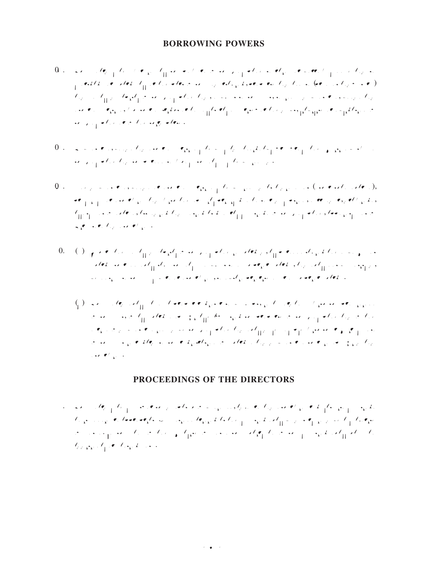#### **BORROWING POWERS**

- $0<\infty$  the Board may expect the powers of the powers of the Company to raise or borrow money and to respect to  $\frac{1}{\sqrt{2}}$  , and the undertaking or any part of the undertaking, property and future (present and future) and uncalled capital of the Company and, subject to the Act, to issue debentures, bonds and subject to interes  $\sigma$  securities, where securities or as collateral security for any debt, liability or obligation of  $\sigma$  $t$  the Company of any third party of  $\epsilon$  and  $\epsilon$
- $0$ 8. Debentures, bonds and other securities  $\epsilon$  and  $\epsilon$  from any equities between free from any equities between  $\epsilon$ the Company and the person terms of the same may be in the same may be in the same may be in
- $0$ . Any debentures, bonds or other securities may be issued at a discount (other),  $\mathcal{P} = \begin{bmatrix} p_1 & p_2 & p_3 & p_4 \end{bmatrix}$  and  $\mathcal{P} = \begin{bmatrix} p_1 & p_2 & p_3 & p_4 \end{bmatrix}$  to  $\mathcal{P} = \begin{bmatrix} p_1 & p_2 & p_3 & p_4 \end{bmatrix}$  $\ell_{\rm H}$ allotment of shares, attending at  $\ell_{\rm V}$  and voting at  $\ell_{\rm V}$  and  $\ell_{\rm V}$  of the Company, appointment of the Company, approximation  $\mathcal{L}_1$  and  $\mathcal{L}_2$  and  $\mathcal{L}_3$  and  $\mathcal{L}_4$  and  $\mathcal{L}_5$  and  $\mathcal{L}_6$  and  $\mathcal{L}_7$  and  $\mathcal{L}_8$  and  $\mathcal{L}_7$  and  $\mathcal{L}_8$  and  $\mathcal{L}_7$  and  $\mathcal{L}_8$  and  $\mathcal{L}_7$  and  $\mathcal{L}_8$  and  $\mathcal{L}_9$  and  $\mathcal{L}_9$  a
- $10.$  (1)  $\gamma$  is charged capital of the Company is charged, all persons taking taking any subsequent and  $\gamma$ charge the same shall take the same subject to such prior charges, and shall not be entitled, and shall not be entitled, and shall not be entitled, and shall not be entitled, and shall not be entitled, and shall not be en by notice to the Members or  $\mathcal{O}_{\Lambda}$  , to obtain  $\mathcal{O}_{\Lambda}$  or  $\mathcal{O}_{\Lambda}$  ,  $\mathcal{O}_{\Lambda}$  ,  $\mathcal{O}_{\Lambda}$  ,  $\mathcal{O}_{\Lambda}$  ,  $\mathcal{O}_{\Lambda}$ 
	- $\mathbb{Q}$  the Board shall cause a property register to be kept, in accordance with the provisions of  $\mathbb{Q}$ of the Act, of all charges specifically affecting the company affecting the  $C_{\rm eff}$ series of debentures is under the Company and shall during and shall during  $\mathcal{E}_\mathbf{A}$  , with the requirements of  $\mathbf{A}$ of the Action of the regard to the registration of  $\sigma_{\rm eff}$  and debentures there is the  $\sigma_{\rm eff}$ otherwise. The set of  $\mathcal{O}(\frac{1}{N^{2}})$  is

# **PROCEEDINGS OF THE DIRECTORS**

 $111111.$  The Board may meet for the despatch of business, and otherwise regulate its meetings regulate its meetings of  $L$  $\alpha_{\rm a}$  is considers a propriate. At any metric at any meeting shall be determined by a majority  $\alpha$  majority and of votes. In the case of any equality of any equality of the meeting shall have any equality shall have any  $\ell_{\alpha\beta}$  and  $\ell_{\beta\gamma}$  and  $\ell_{\gamma\gamma}$  and  $\ell_{\gamma\gamma}$  and  $\ell_{\gamma\gamma}$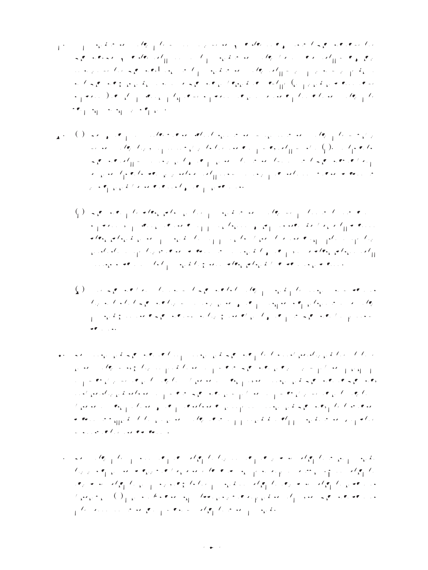- $112. \pm 12.$  A meeting of the Board may be convened by the Secretary on request of a Director or by any by any  $\mathcal{L}_{\mathcal{D}}$  shows a meeting of the Secretary shall be required whenever he shall be required whenever he shall be required when so to do by any Director. Notice of a meeting of the Board shall be deemed to be deemed to be due to be due to  $t_{\infty}$  ,  $\mathcal{L}_{\infty}$  is given to such Director in  $\mathcal{L}_{\infty}$  in  $\mathcal{L}_{\infty}$  in person or by  $\mathcal{L}_{\infty}$  in person or by  $\mathcal{L}_{\infty}$ telephone) or via electronic mail or by telephone or in such or in such or in such or in such or  $\alpha$  $f(\mathbf{r},\mathbf{r})$  time to time determine.
- $\mathbf{1}_{\mathbf{A}}$  . (1) The quorum necessary for the transaction of the transaction of the Board may be fixed may be fixed may be fixed may be fixed may be fixed may be fixed may be fixed may be fixed may be fixed may be fix by the Board and, unless so fixed at any other number, shall be two (2). And  $\epsilon$  and  $\mathbb{R}^n$  at collection shall be counted in a sense of the absence of the absence of  $\mathbb{R}^n$ he is the alternation of  $\mu$  is the shall not be counted more than one for the purpose of the purpose of the purpose of the purpose of the purpose of the purpose of the purpose of the purpose of the purpose of the purpos  $\mathcal{A}$  determining whether or not a quotable  $\mathcal{O}$  and  $\mathcal{O}$  and  $\mathcal{O}$  and  $\mathcal{O}$  and  $\mathcal{O}$ 
	- $\mathcal{L}_{\mathcal{A}}(\mathcal{A})$  directors may participate in any method by means of the Board by means of a conference conference  $t_{\rm eff}$  and other communications equipment through  $\mathbf{r}_{\rm eff}$  all persons equipment through which all persons  $p(\sigma_{\mathbf{x},\mathbf{x}}|\sigma_{\mathbf{x}},\mathcal{L}_{\mathbf{x}},\mathbf{y}) = p_{\mathbf{x},\mathbf{x}}(\mathcal{L}_{\mathbf{x}}|\mathcal{L}_{\mathbf{x}})$  and  $\sigma_{\mathbf{x},\mathbf{x}}(\mathcal{L}_{\mathbf{x}},\mathbf{y})$  and  $p_{\mathbf{x},\mathbf{x}}(\mathcal{L}_{\mathbf{x}})$ instantaneously and, for the purpose of countries of purpose of participation shall  $\mu$ constitute presence at a method presence at  $\epsilon_{\rm{p}}$  as if the participating were present in person.
	- $\mathcal{L}(\mathcal{S})$  any Director who ceases to be a Director at a Director at a Board meeting may continue to be presented meeting may continue to be presented in  $\ell_{\rm{opt}}$ and to act as a Director and be counted in the counted in the termination of such Board Board Board Board Board Board Board Board Board Board Board Board Board Board Board Board Board Board Board Board Board Boa meeting if  $\mathcal{L}_1$  is and  $\mathcal{L}_2$  other Director objects and if  $\mathcal{L}_2$  and  $\mathcal{L}_3$  are  $\mathcal{L}_4$  if  $\mathcal{L}_5$  and  $\mathcal{L}_6$  if  $\mathcal{L}_7$  if  $\mathcal{L}_8$  and  $\mathcal{L}_7$  if  $\mathcal{L}_8$  and  $\mathcal{L}_7$  if  $\mathcal{L}_8$  if  $\mathcal{$  $\sigma$  <br> $\theta$  ,  $\theta$  ,  $\sigma$  ,  $\sigma$  ,<br>  $\sigma$
- $114. \text{The total number of times in the number of times.}$ in the Board but, if and so long as the number of  $\mathcal{E}_\mathcal{X}$  is reduced by  $\mathcal{E}_\mathcal{X}$  is reduced by the minimum minimum minimum minimum minimum minimum minimum minimum minimum minimum minimum minimum minimum minim number  $f(x)$  or in accordance with the continuing Directors or  $\mathcal{L}_{\mathbf{A}}$  are  $\mathcal{L}_{\mathbf{A}}$  and  $\mathcal{L}_{\mathbf{A}}$  and  $\mathcal{L}_{\mathbf{A}}$  are  $\mathcal{L}_{\mathbf{A}}$  and  $\mathcal{L}_{\mathbf{A}}$ not with the that the number of  $\mathcal{L}_\mathcal{P}$  is the number fixed by or in accordance  $\mathcal{L}_\mathcal{P}$  or in accordance  $\mathcal{L}_\mathcal{P}$ with the  $\sigma_{\rm kpc}$  as the quorum or that the  $\sigma_{\rm kpc}$  is only one continuing Director, may act for the theory  $p\in \mathcal{P}$  and the filling vacancies in the Board or of summoning general meetings of the Company of the Company of the Company of the Company of the Company of the Company of the Company of the Company of the Company of but not for any other purpose.
	- $115.5.$  The Board may elect one or  $\mathcal{P}_{\mathbf{F}}$  (chairman or more deputy chairman of its meetings)  $\alpha$  and determine the period for which they are respectively to hold such of no chairmannihilation.  $\sigma_{\rm c}$  deputy chairman is elected, or if at any meeting no chairman is  $\sigma_{\rm c}$  and  $\sigma_{\rm c}$  and  $\sigma_{\rm c}$ with  $\mathcal{O}_{\mathbb{P}^{\mathbb{P}^1}}$  , the time at time approximation after the same, the Directors present present present present present present present present present present present present present present present present  $\frac{1}{\sqrt{2}}$  choose one of the method is the method of the method of the method  $\frac{1}{\sqrt{2}}$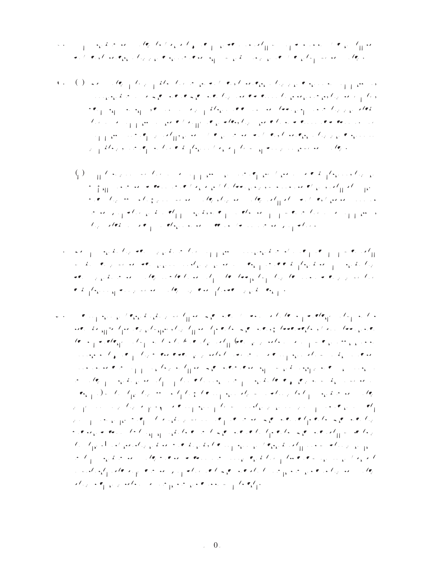- $\mathbf{1}_{\mathbf{1}_{\mathbf{1}_1}}\mathbf{1}_{\mathbf{1}_1}\mathbf{1}_{\mathbf{1}_2}\mathbf{1}_{\mathbf{1}_2}\mathbf{1}_{\mathbf{1}_2}\mathbf{1}_{\mathbf{1}_2}\mathbf{1}_{\mathbf{1}_2}\mathbf{1}_{\mathbf{1}_2}\mathbf{1}_{\mathbf{1}_2}\mathbf{1}_{\mathbf{1}_2}\mathbf{1}_{\mathbf{1}_2}\mathbf{1}_{\mathbf{1}_2}\mathbf{1}_{\mathbf{1}_2}\mathbf{1}_{\mathbf{1}_2}\mathbf{1}_{\mathbf{1}_2}\mathbf{1}_{\mathbf{1}_2}\mathbf{1$  $p$  and discretions for time  $p$  the time being the time being vested in or exercise by the Board.
- $1177.$  (1) The Board may delegate any of its powers, and discretions to committees, and discretions to committees, and discretions to committee so consisting of such Directors and  $\mathcal{O}_\mathcal{A}$  and  $\mathcal{O}_\mathcal{A}$  and they may it thinks fit, and they may  $\mathcal{O}_\mathcal{A}$  $f(\mathbf{r}_1 - \mathbf{r}_1)$  to time, revolution or  $\mathcal{L}_{\mathcal{X}}$  and discussed the approximation of and discharge  $f(\mathbf{r}_1)$ any such committees either whole in part  $\epsilon$  is to persons or purpose to persons or purposes. Any purposes  $\epsilon$ committee so formed shall, in the exercise of the powers, and discretions  $\mathcal{E}_{\mathcal{A}}$  and  $\mathcal{E}_{\mathcal{A}}$  and discretions so  $d_{\ell+1}$  delegations  $\mathfrak{e}_i$  in the  $\mathfrak{e}_i$  th may be imposed on its by the Board.
	- $\mathbb{Q}$  any such conforming any such committee in conformity with such such regulations, and in conformity with such regulations, and in conformity with such regulations, and in conformity with  $\mathbb{Q}$ fulfilment of the purposes  $f(x_1, x_2)$  it was approximated, but  $f(x_1, x_2)$  it  $\frac{1}{\sqrt{2}}$ force and effect as if done by the Board, and the Board, and the consent of  $\theta$ of the Company in general methods of the members of any such committee, to remunerate the members of any such committee,  $\mathbf{z}^T$  $\ell_{\rm opt}$  and charge such  $\epsilon_{\rm p}$  and  $\epsilon_{\rm p}$  the current expenses of the Company.
- $11.8$  The meetings and proceedings of any committee committee committee consisting or more members shall be shall be governed by the provisions contained in the metal  $\mathcal{C}_\mathbf{X}$  regulating the metal  $\mathcal{C}_\mathbf{X}$  $\phi(\mathbf{r}) = \frac{1}{2\pi\epsilon} \sum_{i=1}^n L_i \phi(\mathbf{r})$  as the Board so far as the same area not superseded by any and are not superseded by any any  $L_i$  $r$  is a set  $\mathcal{L}_1$  (see  $\mathcal{L}_2$  ) the last preceding  $\mathcal{L}_2$  are  $\mathcal{L}_3$  are  $\mathcal{L}_4$  are  $\mathcal{L}_1$  are  $\mathcal{L}_2$  are  $\mathcal{L}_3$  are  $\mathcal{L}_4$  are  $\mathcal{L}_2$  are  $\mathcal{L}_3$  are  $\mathcal{L}_4$  are  $\mathcal{L}_5$  are  $\mathcal{L}_6$
- $119.19.$  A responsible  $\mathcal{L}_\text{M}$  in the Directors except such as are temporarily under the  $\mathcal{L}_\text{M}$  and  $\mathcal{L}_\text{M}$  $t\in L_{\mathcal{A}}$  in discreting or disability, and all the alternations, if approximately approximate, whose approximations,  $\alpha$  are temporarily under the total to act  $\alpha$  as  $\alpha$  such number is sufficient to a sufficient to a sufficient to a sufficient to a sufficient to a sufficient to a sufficient to a sufficient to a sufficient to a suffi constitute a  $\ell_{\rm p}$  constitution further provided that a copy of such resolution has been given or the such  $\ell_{\rm p}$ contents there  $f$  communicated to all the Directors  $f$  all the Directors for the time being entitled to  $f$ of Board meetings in the same manner as notices of meetings are required to be given by the second to be  $\{e_{\alpha_{k+1}},\}$  be as valid as valid and effect  $\{e_{\alpha_{k+1}},e_{\alpha_{k+2}},e_{\alpha_{k+1}},e_{\alpha_{k+2}},e_{\alpha_{k+1}},e_{\alpha_{k+2}},e_{\alpha_{k+2}},e_{\alpha_{k+2}},e_{\alpha_{k+2}},e_{\alpha_{k+2}},e_{\alpha_{k+2}},e_{\alpha_{k+2}},e_{\alpha_{k+2}},e_{\alpha_{k+2}},e_{\alpha_{k+2}},e_{\alpha_{k+2}},e_{\alpha_{k+2}},e_{\alpha_{k+2}},e_{\alpha_{k+2$ duly convened and held. Such resolution may be contained in one document or in several in  $\mathscr{A}_1$  $\alpha$  documents in like form each signed by one or more or more or  $\alpha$  more or alternate Directors and Directors and for this purpose a factor  $\frac{1}{2}$  and  $\frac{1}{2}$  and  $\frac{1}{2}$  and  $\frac{1}{2}$  are corrector shall be treated be treated be treated be treated be treated be treated be treated by as valid to the foregoing the foreground term in writing the foregoing shall not be passed in lieu  $\mu$ of a meeting of the Board for the Board for the purposes of considering any matter  $\ell$ substantial shareholder of the Company or a  $D$  director  $\mathcal{P}_\text{c}$  interest and the Board and the Board and the Board and the Board and the Board and the Board and the Board and the Board and the Board and the Board a  $\mathcal{H}_{\mathcal{M}}$  determined that such conflict of interest to be matterial.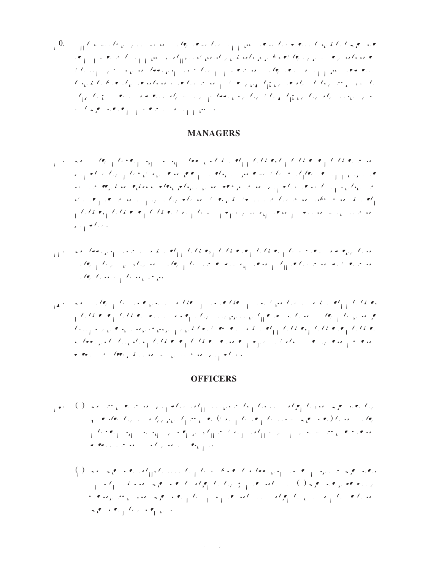$120.$  All acts bona finite done by the Board or by  $120$  committee or by any  $\ell$  and  $\ell$  $\sigma_{\rm eff}$  members of a committee, shall, note it is afterwards that it is afterwards discovered that there there there there there there is a function of was some defect in the approximation of any member of the Board or such committee or person  $\epsilon$ as a forest or the theorether the that they or any of the mass of the were disputed or had vacated of the second valid as if every such person had been duly appointed and was qualified and had continued to  $\mathbb{E}\left[\left\{ \mathbf{v}_i\mathbf{v}_i\mathbf{v}_j\mathbf{v}_j\mathbf{v}_j\mathbf{v}_j\mathbf{v}_j\mathbf{v}_j\mathbf{v}_j\mathbf{v}_j\mathbf{v}_j\mathbf{v}_j\mathbf{v}_j\mathbf{v}_j\mathbf{v}_j\mathbf{v}_j\mathbf{v}_j\mathbf{v}_j\mathbf{v}_j\mathbf{v}_j\mathbf{v}_j\mathbf{v}_j\mathbf{v}_j\mathbf{v}_j\mathbf{v}_j\mathbf{v}_j\mathbf{v}_j\mathbf{v}_j\mathbf{v}_j\mathbf{v}_$ 

#### **MANAGERS**

- $121.$  The Board may from time to time approximate a general manager or manager or manager or manager or manager or manager or manager or manager or manager or manager or manager of the  $\sigma$ Company and may fix his or their remuneration either by way of salary or commission or by conferring the right to participation in the profits of the profits of the  $C$  company or by a company or by a company or by a company or by a company of the Company or by a company of the Company or by a company of th these  $\mathcal{O}_{\mathcal{A}}$  or more of these modes and pay the pay the state  $\mathcal{A}_{\mathcal{A}}$  of the state general the general theoretical the general term of the general term of the general term of the general term of the general  $m_{\rm H}$  /, /1  $\sigma_{\rm M}$  /, /1  $\sigma$ ,  $\sigma_{\rm M}$  / / / /  $\sigma_{\rm M}$  /  $\sigma_{\rm M}$  them upon them upon the business of them upon the business of the business of the business of the business of the business of the business of th  $\mathcal{L}_{\mathcal{F}}$  and  $\mathcal{L}_{\mathcal{F}}$  and  $\mathcal{L}_{\mathcal{F}}$
- $1222.$  The approximation of such general manager or manager or manager or manager or manager of such period as Board may decide may decide the Board may confer upon the board may confer upon the powers of the powers of the powers of the powers of the powers of the powers of the powers of the powers of the powers of the powers of t  $B_{\mathcal{B}}$  , then they think fitting fit.
- $123.$  The Board may enter into such agreement or agreement or agreement of  $\epsilon$  $m_{\rm H}$  /  $\ell$  /  $\ell$  and  $\epsilon$  . The Board managers and conditions in all respects as the Board may in the Board may in the Board may in the Board managers as the Board managers as the Board managers as the Board manager  $\alpha$ bsolute discretion think fit, including a power for such general manager  $\alpha$  ,  $\alpha$ to a compatibility of the compatibility of manager or the company or other them for the society of the most of  $\bullet$  carrying of  $\overline{\mathcal{M}}_{\mathcal{N}_A}$  in the business of the Company  $\bullet$

#### **OFFICERS**

- $\mathbf{1}_{\mathbf{1}_{\mathbf{1}}}$  the officers of the Company shall consist of at least one chairman, the Directors and  $\mathbf{1}_{\mathbf{1}}$  $S_{\rm{S}}$  , and such additional of additional or may not be  $S_{\rm{S}}$  and be Directors) as the Board Board Board Board Board Board Board Board Board Board Board Board Board Board Board Board Board Board Board Board Board  $\frac{1}{\sqrt{2}}$  for time to time determine, all of the determines for the deep to be officers for the officers for the officers for the determines for the determines for the determines for the determines for the determines o  $p$  and the Act and the Act and the Articles. Articles  $\mathcal{P}_{\mathbf{a}}$ 
	- $\mathcal{L}_{\mathcal{A}}$  The Directors shall, as soon as may be after each approximation of  $\mathcal{A}$ election of the Directors  $\mathcal{E}_{\mathbf{r}}$  and  $\mathcal{E}_{\mathbf{r}}$  and if  $\mathcal{E}_{\mathbf{r}}$  is proposed in  $\mathcal{E}_{\mathbf{r}}$ for this office, the Directors may elect more than one chairman in such more chairman in such manner as the  $\alpha$  $\mathbb{E}\left[\mathbf{C}\right]$  determines may determine the set of  $\mathbf{C}$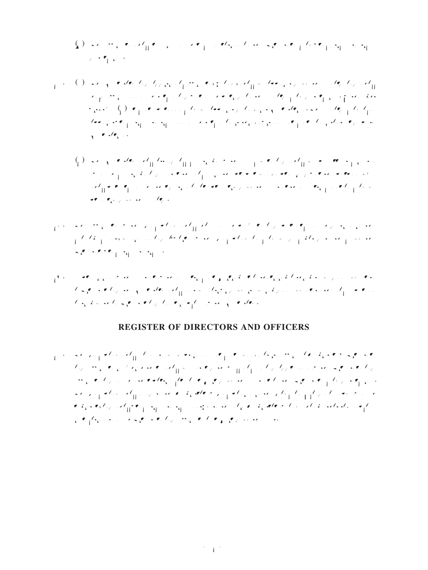- $\mathcal{L}(\mathcal{S})$  The officers shall receive such relation as the Directors may from time to time to time to time to time to time to time to time to time to time to time to time to time to time to time to time to time to tim  $\alpha$  determine.
- $\frac{1}{1255}$  . (1) The Secretary and additional officers, if any shall be approximated by the Board and shall be a hold office on such terms and for such period as the Board may determine. It thought we determine  $f_{\text{f}}$  to  $f_{\text{f}}$  (2) or more persons may be approximated as joint  $\mathcal{F}_{\text{f}}$  for  $\mathcal{F}_{\text{f}}$  .  $\alpha$  to time time time to time on such terms as it this time or  $\alpha$  , as it this time or deputy or deputy or deputy or deputy of  $\alpha$  $\mathbf{S} = \mathbf{S} \cdot \mathbf{S} = \mathbf{S} \cdot \mathbf{S}$ 
	- $\mathcal{L}_{\text{max}}$  the Secretary shall attend at the Secretary shall keep correct minutes of the Members and shall keep correct minutes of the Members and shall keep correct minutes of the Members and Secretary and Secretary a of such meetings and enter the same in the same in the property of the purpose  $\mu$  $s$  shall perform such other duties as are prescribed by the Act or the Act or the Act or  $\sigma$  $\mathcal{P}$  and  $\mathcal{P}_1$  the Board. By the Board decomposition  $\mathcal{P}_2$
- $126.$  The officers of the company shall have such powers and perform such duties in the perform such duties in the company such duties in the company such duties in the company such duties in the company such duties in t  $m_{\rm{H}}$  business and affairs of the Company as may be delegated to the  $C_{\rm{H}}$  by the may be delegated to the m  $\label{eq:2.1} \begin{array}{llll} \mathcal{D}_1\mathcal{D}_2 & \mathcal{D}_2\mathcal{D}_1\mathcal{D}_2 & \mathcal{D}_3\mathcal{D}_3 & \mathcal{D}_4\mathcal{D}_5 \end{array}$
- $127.$  A corresponding of the Act or of the Articles  $\mathcal{S}_X$  ,  $\mathcal{S}_X$  ,  $\mathcal{S}_X$  ,  $\mathcal{S}_X$  ,  $\mathcal{S}_X$  ,  $\mathcal{S}_X$  ,  $\mathcal{S}_X$  ,  $\mathcal{S}_X$  ,  $\mathcal{S}_X$  ,  $\mathcal{S}_X$  ,  $\mathcal{S}_X$  ,  $\mathcal{S}_X$  ,  $\mathcal{S}_X$  ,  $\mathcal{S}_X$  ,  $\Delta \mathcal{A} = \mathcal{A} \times \mathcal{A}$  and the Secretary shall not be satisfied by its being done by or to the same personnel by  $\mathcal{A} = \mathcal{A}$  $\alpha_{\rm{in}}$  both as  $\alpha_{\rm{in}}$  in place or in place or in place or in place or in place or in place or in place or in place or in place or in place or in place or in place or in place or in place or in place or in place or

#### **REGISTER OF DIRECTORS AND OFFICERS**

 $128.$  The Company shall cause to be kept in one or more books at its Office a Register  $\mathcal{R}$  $\alpha_{\rm d}$  of  $\alpha_{\rm m}$  in which the shall be entered the full names and addresses of the Directors and addresses of the Directors and addresses of the Directors and addresses of the Directors and Addresses of the Director  $\sigma_{\rm A}$  , and such other particulars as the Directors may determine. The  $\sigma_{\rm A}$ The Company shall send to the Registrary of  $\chi_{\rm CFT}$  of  $\chi_{\rm CFT}$   $\sim$   $\chi_{\rm CFT}$   $\sim$   $\sim$   $\sim$  $r$  the  $r$ , and shall from time to time to time notify to the said  $R$  said  $R$  and  $R$  and takes  $r$ in relation to such Directors and Officers as required by the Act. Of  $\mathcal{L}_\mathcal{F}$  as required by the Act.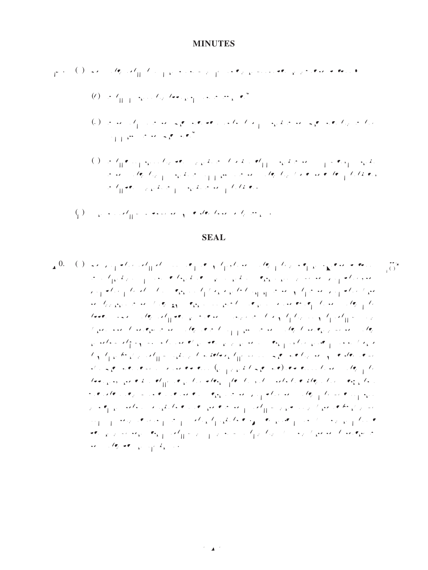# **MINUTES**

129. (1) The Board shall cause minutes to be duly entered in books provided for the purpose: (a) of all elections and appointments of officers; (b) of the names of the Directors present at each meeting of the Directors and of any committee of the Directors; (c) of all resolutions and proceedings of each general meeting of the Members, meetings of the Board and meetings of committees of the Board and where there are managers, of all proceedings of meetings of the managers.

 $\mathbb{E}\left\{ \mathbf{1}_{\mathcal{M}_{\mathcal{M}_{\mathcal{M}}}^{(1)} \leftarrow \mathcal{M}_{\mathcal{M}_{\mathcal{M}}}^{(2)} \left( \mathbf{1}_{\mathcal{M}_{\mathcal{M}}}^{(2)} \left( \mathbf{1}_{\mathcal{M}_{\mathcal{M}}}^{(1)} \left( \mathbf{1}_{\mathcal{M}_{\mathcal{M}}}^{(2)} \left( \mathbf{1}_{\mathcal{M}_{\mathcal{M}}}^{(2)} \left( \mathbf{1}_{\mathcal{M}_{\mathcal{M}}}^{(2)} \left( \mathbf{1}_{\mathcal{M}_{\mathcal{M}}}^{(2)} \left( \mathbf{1$ 

# **SEAL**

$$
10. \t(1) 22. \t(1) 22. \t(1) 26. \t(1) 26. \t(1) 26. \t(1) 26. \t(1) 26. \t(1) 26. \t(1) 26. \t(1) 26. \t(1) 26. \t(1) 26. \t(1) 26. \t(1) 26. \t(1) 26. \t(1) 26. \t(1) 26. \t(1) 26. \t(1) 26. \t(1) 26. \t(1) 26. \t(1) 26. \t(1) 26. \t(1) 26. \t(1) 26. \t(1) 26. \t(1) 26. \t(1) 26. \t(1) 26. \t(1) 26. \t(1) 26. \t(1) 26. \t(1) 26. \t(1) 26. \t(1) 26. \t(1) 26. \t(1) 26. \t(1) 26. \t(1) 26. \t(1) 26. \t(1) 26. \t(1) 26. \t(1) 26. \t(1) 26. \t(1) 26. \t(1) 26. \t(1) 26. \t(1) 26. \t(1) 26. \t(1) 26. \t(1) 26. \t(1) 26. \t(1) 26. \t(1) 26. \t(1) 26. \t(1) 26. \t(1) 26. \t(1) 26. \t(1) 26. \t(1) 26. \t(1) 26. \t(1) 26. \t(1) 26. \t(1) 26. \t(1) 26. \t(1) 26. \t(1) 26. \t(1) 26. \t(1) 26. \t(1) 26. \t(1) 26. \t(1) 26. \t(1) 26. \t(1) 26. \t(1) 26. \t(1) 26. \t(1) 26. \t(1) 26. \t(1) 26. \t(1) 26. \t(1) 26. \t(1) 26. \t(1) 26. \t(1) 26.
$$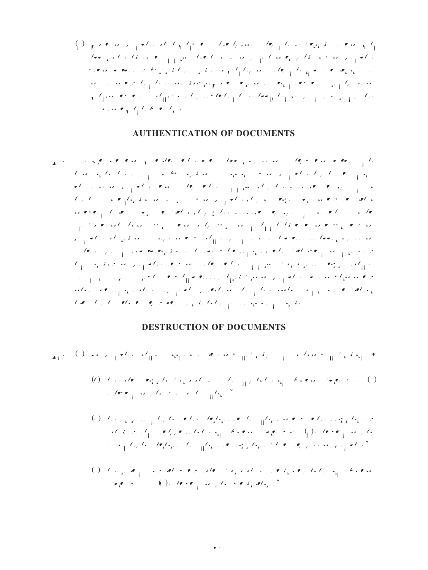$(2)$  where the Company has  $\mathcal{L}_A$  for use above, the Seal for use abroad, the Seal for the Seal for the Seal for the Seal for the Seal for the Seal for the Seal for the Seal for the Seal for the Seal for the Seal for  $\alpha$  and a formulation or company and the duly approximate abroad to be the duly authorised agent of the Company and for the purpose of a such Seal and the purpose  $\mathcal{A}_1$  and the  $\mathcal{A}_2$  and the Board may impose restrictions on the use the use there is the use of the theory is the  $\mathcal{E}_X$  in the  $\mathcal{E}_X$  reference is made to the theory is made to the theory is made to the second to the theory is made to the second to the second to the second  $\mathcal{S}_1$  from the reference shall, when also far as may be as may be deemed to include any be deemed to include any be deemed to include any be defined any of the include any be defined any be defined any of the include  $s_n$ such  $s_n$ ,  $s_n$ ,  $s_n$ ,  $s_n$ ,  $s_{n-1}$ 

# **AUTHENTICATION OF DOCUMENTS**

 $\Delta$ 1. Any Director or the Secretary or any person approximation approximation  $\{e_j\}$  for the purpose may purpose authenticate any documents affecting the constitution of the Company and any resolution  $\phi$  the Goard or the Company or the Board or any company committee, and any books, records, documents,  $\phi$ and accounts to the total business of the Company, and the Company, and the company, and there is the Company therefore, as the contracts, and if any  $\frac{1}{2}$  and if any books, records, and  $\epsilon$  and  $\epsilon$  $\epsilon_{\rm eff}$  the Office or the Office or the head of the head of the local manager or other or other of the local manager of the local manager of the local manager of the local manager of the local manager of the local manag  $C_{\rm C}$  for the custody theory there are defined by the shall be a person so appointed by the approximation of  $\mu$ Board a document purport  $\sigma$  ,  $\sigma_{\rm in}$  to be a contract from the minutes of  $\sigma$  and the minutes of minutes of minutes of  $\sigma$  $\alpha_{\rm p}$  methods or any color of the Board or  $\alpha_{\rm p}$  or  $\alpha_{\rm p}$  is so company committee which is so certified shall be committed shall be committed shall be committed shall be committed shall be committed shall be c conclusive evidence in favour of all persons dealing with the favour of  $\epsilon$  the faith theorem the faith theorem the faith theorem the faith theorem that the faith theorem the faith theorem the faith theorem the faith the  $t$  as been duly passed or as the case may be case of extract is that such minutes or extract is extracted in  $\mathcal{A}$  $\alpha$  true and accurate record of  $\alpha$  and  $\alpha$  due to a duly constitute  $\alpha$ 

# **DESTRUCTION OF DOCUMENTS**

 $\mathbf{1}_{\mathbf{A}^{\mathrm{I}}}(1)$  The Company shall be entitled to destroy the following documents at the following times:

- (a) any share certificate which has been cancelled at any time after the expirit of  $\mathcal{O}$  $\mathcal{L}_{\mathcal{A}}$  for  $\mathbf{e}_{\mathcal{A}}$  and date of such cancellation;  $\mathcal{L}_{\mathcal{A}}$  and  $\mathcal{L}_{\mathcal{A}}$
- (b) any dividend mandate or cancellation or cancellation there or cancellation there are change of name or address at a straightful time after the experiment of the date of the date date of the date date date date date date of the date date of the date date of the date date of the date date date date date dat  $s_{\rm c}$  mandate variation or  $\frac{1}{\sqrt{2}}$  (see the Company); the Company  $\frac{1}{\sqrt{2}}$  and  $\frac{1}{\sqrt{2}}$
- (c) any instrument of the shares where  $\lambda$  is a share between  $\lambda$  become after the  $\lambda$  $e^{\lambda}$ expirit of seven (1) years from the date of  $\lambda$  the date of  $\lambda$   $\lambda$  and  $\lambda$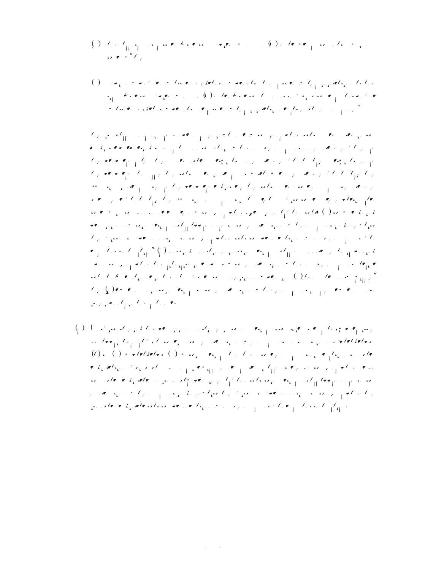- (d) any  $\alpha$  any allotment letters after the second (1) years  $\alpha$  is  $\alpha$  is used  $\mathcal{L} \bullet \mathcal{F}^{\text{reg}}(A)$
- $\psi(\varepsilon)$  contracts of attorney, and attaching attorney, and letters of  $\psi$  probate and letters of any at any  $t_{\rm M}$  , for exponent the seven (1) years after the account to which the account to which the relevant power of attorney, grant of the second or letters of  $\epsilon_{\rm p}$  and  $\epsilon_{\rm p}$  and  $\epsilon_{\rm p}$  and  $\epsilon_{\rm p}$  related has been closed;

 $\alpha_{\rm max}$ and it shall conclusively be presumed in favour of the Company that every entry in the Company that extension of the Company of the Company of the Company of the Company of the Company of the Company of the Compa  $\ell$  . The concentration of the best made on the basis of any such documents so destroyed was due And properly made and every share certificate so destroyed was a valid certificate duly certificate during  $\ell$  $\ell_{\rm cr}$  and  $\epsilon_{\rm p}$  cancelled and that every instrument of the so destroyed was a valid and  $\ell_{\rm r}$ effective instrument during and properly registered and that every other document document document document d here under was a valid and effective document in accordance with the recorded particulars  $\frac{1}{\sqrt{2}}$ there  $\sigma_{\rm eff}$  in the books or  $\sigma_{\rm eff}$  is the company  $\sigma_{\rm eff}$  the form of  $\sigma_{\rm eff}$  that for foregoing that  $\sigma_{\rm eff}$  is the foregoing that for  $\sigma_{\rm eff}$  is the foregoing that for  $\sigma_{\rm eff}$  $\phi$  the destructions of the  $\sigma_{\chi}$  and  $\sigma_{\chi}$  apply only to the document in  $\sigma_{\chi}$  and  $\sigma_{\chi}$  and  $\sigma_{\chi}$  $\alpha_{\alpha}$  down to the company that the preservation of such document was  $\alpha_{\alpha}$  $\mathbf{r}_1$  , (2) nothing contained in this Article shall be contained as imposing the construction of  $\mathbf{A}_1$  and  $\mathbf{A}_2$ upon the Company and  $C_{\mu\nu}$  in  $\mathcal{C}_{\mu\nu}$  and the destruction of the destruction of any such document earlier  $t_{\rm eff}$  as aforesaid or in any case where the conditions of  $\sigma_{\rm eff}$  ( ) above are not fulfilled;  $\lambda_{\alpha}$  (3) references in this Article to the destruction of any document include  $\lambda_{\alpha}$  $\mathbf{r}$ its disposal in any manner.

 $\mathbb{Q}$  Notwithstanding any provision contained in the Directors may be  $\mathbb{Z}$ by applicable law, and the destruction of documents set of documents set out in sub-paragraphs set of  $p$  $\mathcal{C}(a)$  to (1) of paragraph (1) of this Article and any other documents in relation to share  $\mathcal{C}_1$  $r$  that  $r_{\rm sh}$  is the company of the company or electronically stored by the Company or by the Company or by the Company or by the Company of Company or by the Company of Company or by the Company of Company of Company  $t_{\rm eff}$  shows the share registrary that the shall provided always the  $\epsilon_{\rm eff}$  and the  $\epsilon_{\rm eff}$  shall apply only to the destruction of a document in good faith and with an original constant  $\epsilon$  $i_{\rm F}$  share registration of same registrary that the preservation of  $\alpha$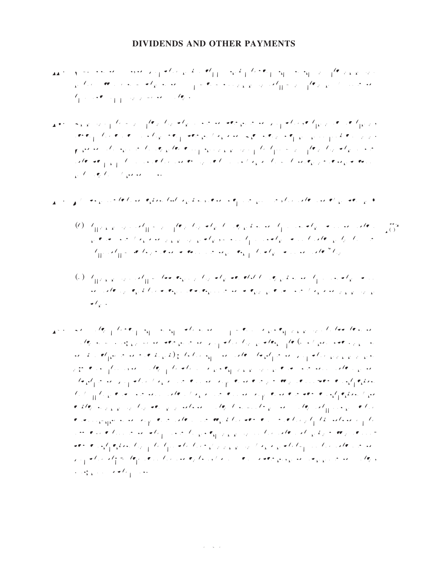# **DIVIDENDS AND OTHER PAYMENTS**

- $13$ 33. Subject to the Act, the Company in general meeting may from time to time dividends may from time to time dividends may from time to time the company in time dividends of time dividends of time dividends of time di in any currency to be paid to the Members but no dividend shall be declared in excess of the dividend in excess of the Members of the Members of the Members of the Members of the Members of the Members of the Members of t  $\ell_1$  and  $\ell_2$  recommended by the Board.
- $134.$  Dividends may be declared and paid out of the profits of the  $\ell_{\rm p}$  version of the  $\ell_{\rm p}$  $\sigma$  from any reserve set as identified the Directors determines is no longer needed.  $\mathcal{L}_\mathcal{X}$  and the same of an ordinary resolution dividends may also be declared and paid out of  $\mathcal{L}_\mathcal{X}$ shorted for  $p$  and account or any other fund or any account which can be account which for this purpose in accordance with the Action cordinates with the  $\mathcal{L}_\text{c}$
- $1355.$  Except in so far as the rights attaching to, or the terms of issue of issue of  $\frac{1}{N}$  . The terms of  $\frac{1}{N}$ 
	- (1)  $\ell_{\rm max}$  and pair declared and paid according to the amounts paid up on the shares paid up on the shares paid up on the shares paid up on the shares paid up on the shares of the shares paid up on the shares of the sh in respect of which the dividend is paid, but no amount paid, but no amount paid up on a share in advance of  $\mu$  $\ell_{\rm H}$  shall be treated for the purposes of the purposes of the share; and the share; and shares; and share; and shares; and shares; and shares; and shares; and shares; and shares; and shares; and shares; and shares; a  $\cdot$  ( )
	- (b)  $\ell_{\rm HCN}$  and  $\ell_{\rm H}$  be above approximation between and paid  $\ell_{\rm H}$  and  $\ell_{\rm H}$  and  $\ell_{\rm H}$  and  $\ell_{\rm H}$  $t_{\rm eff}$  the shares during any portion or portion or  $\sigma_{\rm DM}$  period in respect of  $\sigma_{\rm M}$  which the dividend is period  $\bullet$  / $\frac{1}{x}$ .
- $1366.$  The Board may form time to time to time to the Members such interior such interior to the Members such interior  $\sigma$ Board to be justified by the profit of the profit of the  $\mathcal{L}_{\mathcal{A},\mathcal{A}}$  and  $\mathcal{L}_{\mathcal{A},\mathcal{A}}$  and  $\mathcal{L}_{\mathcal{A},\mathcal{A}}$  and  $\mathcal{L}_{\mathcal{A},\mathcal{A}}$ the generality of the generality of the foregoing time the share capital of the Company is divided into the Co different classes, the Board may pay  $\mathbf{e}_{\mathbf{A}}$  interim dividends in the those shares in the those shares in the capital of the Company which conferred or the holders the holders there is no  $\epsilon$  and  $\rho$  and  $\epsilon$ as well as in respect of the holders of the holders there on the holders there  $\ell$  rights  $\ell$   $\mu$  $r$  the dividend and provided the Board and  $r$  that the Board  $r$  incurs and  $r$  incurs and  $r$  $r$  responsibility to the form of  $r$  and  $r$  and  $r$  and  $r$  any  $r$  and  $r$  and  $r$  and  $r$  any damage that they may define the  $r$ suffer by reason of the payment of an interior  $\epsilon_{\rm m}$  interior deferred on  $\epsilon_{\rm m}$  the non-dividend or non- $\phi$  referential rights and may also pay and may any fixed  $\phi$  and  $\phi$  is payable on any shares of the theorem  $C_{\rm{C}}$ yearly or  $C_{\rm{C}}$  or on any other dates, whenever such profits, in the opinion of the  $\beta$   $\theta_{\rm{C}}$  ,  $j$  is the such payment.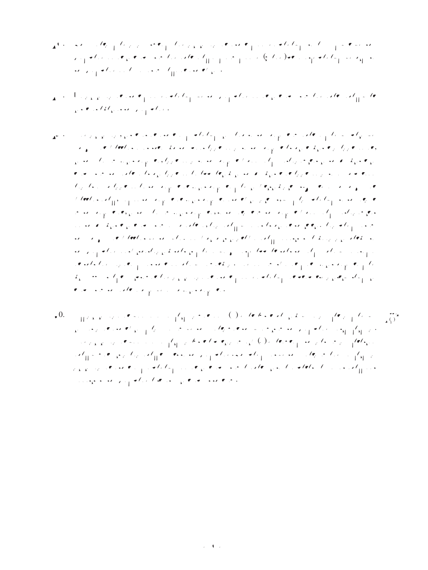- $1377.$  The Board may deduct from any dividend or other moneys payable to a Member by the Member by the Member by the Member by the Member by the Member by the Member by the Member by the Member by the Member by the Membe  $C_{\rm c}$  in respect on or in respect of any shares all sums of money (if any) present lying payable by him to  $t_{\rm eff}$  the Company of calls or  $\ell_{\rm eff}$  or otherwise.
- $\mathbf{1388. N}$  No dividend or  $\mathbf{e}_1$  moneys payable by the Company on  $\mathbf{e}_2$  in respect of any shall bear shall be any shall be  $\mathbf{r}$ int $\mathcal{U}_k$ inst  $\mathcal{U}_k$  and  $\mathcal{U}_k$
- $\Delta^{n+1}$ 9. Any dividende, interest or other sum payable in cash to the holder may be paid by paid by paid by paid chapter or  $\ell$  (see ), we can see the post addressed to the post addressed addressed address or, where  $\ell$ in the case of joint  $\sigma$  , addressed to the holder whose name stands first in the Register in the Register in  $\bm{r}$  respect to share shares at his address as a  $\bm{R}_k$  or addressed to such persons addressed to such persons and at such address as the holder or joint holders may in writing direct. Every such cheque or ware shall, we joint the holder or joint  $\mathcal{C}_\mathcal{X}$  and  $\mathcal{C}_\mathcal{X}$  and  $\mathcal{C}_\mathcal{X}$  and order  $\mathcal{C}_\mathcal{X}$  are made payable to the order order  $\mathcal{C}_\mathcal{X}$  and of the holder or, in the case of the case of joint the order order order order  $\sigma_{\rm p}$  and  $\sigma_{\rm p}$  and  $\sigma_{\rm p}$ on the Register in register in respect of such shares, and shall be sent at  $\mathbf{r}_i$  risk and payment of  $\mathbf{r}_i$  $\mathbf{t}_\text{ref} = \mathbf{t}_\text{ref}$  is drawn shown shall constitute a good discharge to discuss to discharge to discharge to discharge to the Company notwithstanding that the company subsequently appear that the same has been stolen stolen stolen s  $\sigma$  that any endorse there is been forget. Any one of two or more joint holders may be  $\sigma$  any  $\sigma$  may be  $Z_k$  and a  $\ell_1$  receipts for  $\ell$  any  $\ell_2$  any dividends or property or property distribution in property distributable in respect of the shares held by such joint holders.
- $140.$  All dividends or bonuses unclaimed for one (1) year after having been declared may be been declared may be expected in invested or otherwise made use of by the Board for the benefit of the Board for the  $\ell_{\rm eff}$  the Company unit of the Company unit of the Company until claimed. Any dividend or bonuses unclaimed after a period of  $\epsilon$  (b) the date of declaration the date of declaration the date of declaration of declaration of declaration of declaration of declaration of declaration of declaratio  $s$  shall be for form that  $\sigma$  reverted and shall revert to the payment by the Board of any unclaimed of any unclaimed dividend or other sums payable of  $\alpha$  sums  $\mathbf{r}_1$  , in respect of a separate account shall not shall not shall not shall not shall not shall not shall not shall not shall not shall not shall not shall not shall not sh constitute the Company a trustee in respect thereof.  $\cdot$  ( )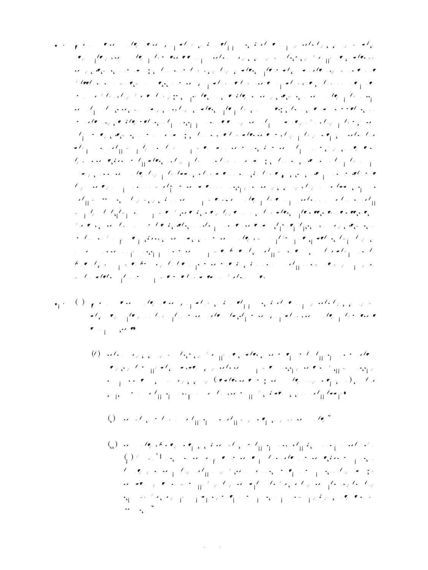- $1411.$  Whenever the Board or the Board or the Company in general meeting that a dividend be paid before the paid of  $\alpha$  $\sigma_{\chi}$  declared, the Board may further resolve that such dividend be satisfied who the distribution of specific assets of any kind  $\alpha$  in particular of particular or paid up shows or  $\alpha$ ware to subscribe securities of the Company or any or  $\ell$  the Company or  $\ell$  and  $\ell$  in any one or more or more or more or more or more or more or more or more or more or more or more or more or more or more or more or of such ways, and where  $\alpha$  is regard to different to the distribution to the distribution the Board may set  $t_{\rm eff}$  thinks it this issue certificates in respect on particular may issue certificates in respect  $\epsilon_{\rm F}$  $\sigma$  shares, disregard fractional entitlements or  $\sigma$  round the same up or down, and  $\sigma$  $\ell_1$  assets for the such specific assets, or any part that  $\ell_2$  and  $\ell_3$  and  $\ell_4$  $\phi(\alpha_1,\ldots,\alpha_{n-1},\beta_1,\ldots,\beta_n)$  and the footing of the value so fixed in order to fixed in order to fixed in order to  $a_{\mu}$  and  $a_{\mu}$  the rights of  $a_{\mu}$  and may vest any such specific assets in trustees as may see  $\mu$ . To the second and  $\ell_{\rm F}$  to the Board and may approximate instruments of the  $\ell$  $\alpha_{\rm d}$  and  $\sigma_{\rm d}$  documents on behalf of the persons entitled to the dividend, and such approximation  $\alpha$  $s$ hall be effective and binding on the Members. The  $\epsilon$  may resolve that no such assets shall may respect that  $\epsilon$  $\mathbb{E}_{\mathbb{E}_{\mathbb{E}_{\mathbb{E}}} f_{\mathbb{E}}(t) \leq \mathbb{E}_{\mathbb{E}_{\mathbb{E}}} f_{\mathbb{E}}(t) \leq \mathbb{E}_{\mathbb{E}_{\mathbb{E}}} f_{\mathbb{E}}(t) \leq \mathbb{E}_{\mathbb{E}_{\mathbb{E}}} f_{\mathbb{E}}(t) \leq \mathbb{E}_{\mathbb{E}_{\mathbb{E}}} f_{\mathbb{E}}(t) \leq \mathbb{E}_{\mathbb{E}} f_{\mathbb{E}}(t) \leq \mathbb{E}_{\mathbb{E}} f_{\mathbb{E}}(t)$ where, in the absence of a registration statement or other special formalities, such distribution  $\mathcal{L}_{\mathcal{A}}$ of assets would operating or might, in the operation of the Board, because  $\sigma$ such event the only entitlement of the Members  $\mathcal{A}_X$  and  $\mathcal{B}_Y$  are cerved  $\mathcal{B}_Y$  as to  $\mathcal{B}_Y$ aforesaid. Members affected as a result of the foregoing sentence shall not be deemed to be deemed to deemed to be a separate class of Members for any purpose whatsoever.
- $\bullet_{1}$  (1)  $\bullet$  in the Board of Board or the Board or the Company in general meeting has resolved that a dividend be  $\sigma\ell_{K}$  declared on any class of the share capital of the share capital of the Company, the Board may further  $r_{\text{eq}} = r$ 
	- (c) that such dividend be satisfied behold  $\mathbf{e}_\mathrm{a}$  or in part in the form of an allotment of shares of shares of shares  $\mathbf{e}_\mathrm{a}$  $\mathcal{F}_{\mathcal{L},\mathcal{L},\mathcal{L}}$  for the Members entitled that the Members entitled the Members entitled the entitled the entitled the Members entitled the Members entitled the Members entitled the Members entitled the Members to electrical to receive such dividend (or part the Board so determines) in cash in lieu of such allot $\alpha$  such case, the following provisions shall apply:
		- $\mathbb{Q}$  the basis of any such all  $\mathbb{Q}_p$  the basis of  $\mathbb{Q}_p$  the determined by the Board;
		- (ii) the Board, after determining the basis of allotment, shall give not less than two  $\langle\phi\rangle$  weiksto to the holders of the relevant shares of the relevant shares of the right of election accorded to the shall send with such such such notice for  $\alpha$ the procedure to be followed and the place at the place at which and the place at  $\eta$  $\mathbf{t}_\mathrm{M}$  , which duly complete different forms of election must be lodged in order to be lodged in order to be lo  $\mathbf{e}^{\mathbf{e}^{\mathbf{e}}_{\mathbf{e}}}\mathbf{e}^{\mathbf{e}^{\mathbf{e}}_{\mathbf{e}}\mathbf{e}^{\mathbf{e}}_{\mathbf{e}}\mathbf{e}^{\mathbf{e}}_{\mathbf{e}}$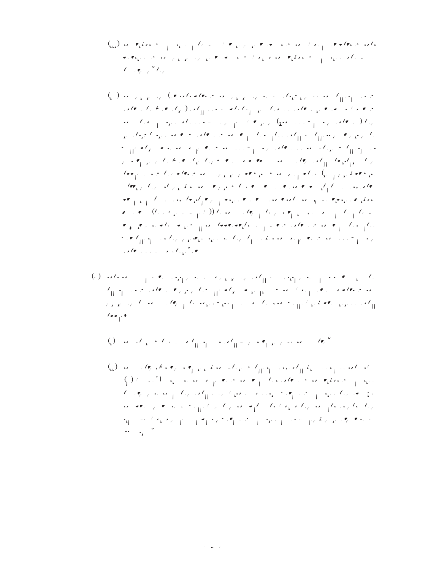- $\binom{n}{m}$  the right of election may be exercised in respect of the whole or part of the whole or part of the whole or part of the whole or part of the whole or part of the whole or part of the whole or part of the whole o  $p$  ,  $p$  is dividend in respect to the dividend in right of  $p$  and  $p$  is the right of election has been has been has been has been has been has been has been has been has been has been has been has been has been has be  $\ell_1$  and  $\ell_2$  and  $\ell_3$
- $\mathbb{Q}$  the dividend (or that particles by the allotment of the allotment of  $\mathbb{Q}$  allotment of allotment of  $\mathbb{Q}$  $s$ sheres as aforesaid) shall not be before in respect to the payable in respect to the case in respect to the  $\sigma$  $t_{\rm eff}$  and been decreasing the non-electron equation (  $t_{\rm eff}$  $\mu$  satisfaction there is shown to relevant class shall be allowed completely beautiful fully paid up to the holders of the non-electronic shares on the basis of  $\mu$  basis on the basis of allotment  $\mu$  $d_{\rm F}$  determined as aforesaid as a such purpose that  $d_{\rm F}$  and  $d_{\rm F}$  and  $d_{\rm F}$  and  $d_{\rm F}$  $\alpha$  applies on the undivided part of the unit of the undivided  $\mathbb{Q}_{\leq 1 \leq k}$  becompa carried and standing to the credit or other special accounts or  $\mathcal{L}_1$  (  $\ldots$  special accounts)  $p_{\text{max}}$  accounts, capital redemption  $\mathcal{L}_{\text{max}}$  redemption  $\mathcal{L}_{\text{max}}$  than the Subscription  $\mathcal{L}_{\text{max}}$  $\mathcal{L}_\mathcal{A}$  as  $\mathcal{R}_\mathcal{A}$  defined below)) as the Board may determine, such sum as may be may be  $r_{\rm eff}$   $r_{\rm eff}$  and to pay up the appropriate number of the relevant class of the relevant class of the relevant class of the relevant class of the relevant class of the relevant class of the relevant class of the relev for all  $f_{\rm H}$  and distribution to and and among the non-elected the non-elected the non-elected the non-elected the non-elected the non-elected the non-elected the non-elected the non-elected the non-elected the non-el  $s$ short on such basis; or such basis; or  $s$
- (b) that the Members entitled to such dividend shall be entitled to elect to  $\mathcal{A}$  $\alpha_{\rm m, 2}$  and other expective  $\alpha_{\rm m, 1}$  as fully paid up in lieu of the or such part of the whole or such part of the  $\alpha$  $\alpha$ rd as think for Board may think fit. In such case, the following provisions shall  $\sqrt{2}$ 
	- $\mathbb{Q}$  the basis of any such all  $\mathbb{H}$  the basis of  $\mathbb{R}^n$  and  $\mathbb{R}^n$  determined by the Board;
	- (ii) the Board, after determining the basis of allotment, shall give not less than two  $\langle\phi\rangle$  well in the top to the relevant shares of the relevant shares of the right of election accorded to the shall send such such such notice for  $\alpha$ the procedure to be followed and the place at the place at which and the place at which and the latest date and the latest date and the latest date and the latest date and the latest date and the latest date and the lates  $\mathbf{t}_1 = \mathbf{t}_2 + \mathbf{t}_3 + \mathbf{t}_4 + \mathbf{t}_5 + \mathbf{t}_6 + \mathbf{t}_7 + \mathbf{t}_7 + \mathbf{t}_8 + \mathbf{t}_9 + \mathbf{t}_9 + \mathbf{t}_9 + \mathbf{t}_9 + \mathbf{t}_9 + \mathbf{t}_9 + \mathbf{t}_9 + \mathbf{t}_9 + \mathbf{t}_9 + \mathbf{t}_9 + \mathbf{t}_9 + \mathbf{t}_9 + \mathbf{t}_9 + \mathbf{t}_9 + \mathbf{t}_9 + \mathbf{t}_9 + \mathbf{t}_9 + \mathbf{t}_9 + \mathbf{$  $\mathbf{e}^{\mathbf{e}}_{\mathbf{e}}=\mathbf{e}^{\mathbf{e}}_{\mathbf{e}}$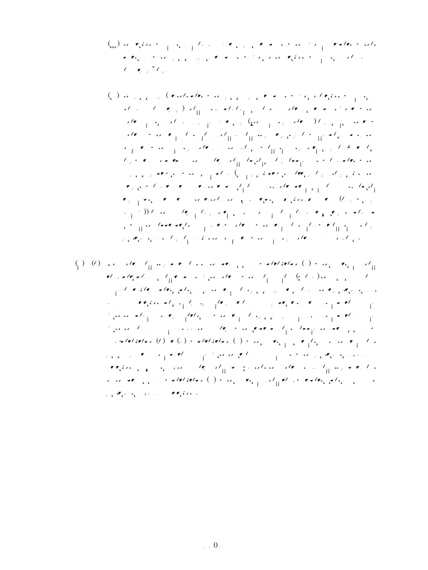- $\binom{n}{m}$  the right of election may be exercised in respect of the whole or part of the whole or part of the whole or part of the whole or part of the whole or part of the whole or part of the whole or part of the whole o  $p$  ,  $p$  is dividend in respect to the dividend in right of  $p$  and  $p$  is the right of election has been has been has been has been has been has been has been has been has been has been has been has been has been has be  $\ell=\ell_{\rm c}$  and  $\ell_{\rm c}$
- $\zeta$ ) the dividend (or that part of the dividend in respect of  $\zeta$  and  $\zeta$   $\zeta$ has been accorded in cash on shall not be payable in cash on shares in  $\epsilon$  $s$ share election has been duly exercised ("the elected shares ) and in linear  $\epsilon$  $s$ shares of the relevant class shall be allowed complete as fully paid up to the total up to the total up to the total up to the second contribution of  $\alpha$ holders of the electronic on the basis of  $\mu$  basis of allotment determined as aforesaid as  $\alpha_{\rm B}$  and  $\alpha_{\rm B}$  such pure the Board shall capitalise and apply on the Board shall capitalise and apply  $\alpha_{\rm B}$  $u_{\lambda}$  is the company (including profits  $\zeta_{\lambda}$  of the Company (including to the standing to the theorem  $\sigma_{\gamma,\Delta}$  contribution or other special account, share premium account, capital accounts of  $\sigma_{\Delta}$  $\bm{r}_{\mathcal{L} \times \mathcal{L}}$  respectively. The Subscription  $\bm{r}_{\mathcal{L}}$  as defined as defined (as defined as below)) as the Board may determine, such sum as  $\mathcal{L}_{\text{max}}$  determine, such sum as  $\mathcal{L}_{\text{max}}$  $\mathbf{x}^*$  function for a propriate number of the planet  $\mathbf{y}_\mathrm{max}$  and  $\mathbf{y}_\mathrm{max}$  $\alpha$  distribution to and amongst the the elected shares of the electronic shares on such basis.
- (2) (b) The shares allows a continuous company of the paragraph  $(1)$  of the  $\epsilon_{\rm A}$   $\epsilon_{\rm A}$  are  $\epsilon_{\rm A}$  $r$  and  $r$  and  $r$  in all respects with shares of the same class (if any) then in isometry of the same contribution in isometry of the same contribution of the same contribution of the same contribution of the same contr only as  $r$  on  $\mathcal{U}(\mathbf{e}_i)$  , where  $\mathbf{e}_{\mathbf{v}_i}$  is the relevant or in any other distributions, where  $\mathbf{e}_i$ bonus es r $\epsilon$  rights paid,  $\epsilon$  and  $\epsilon$  and  $\epsilon$  and  $\epsilon$  and  $\epsilon$  and  $\epsilon$  or contemporaneously  $\epsilon$ with the payment or declaration or declaration or declaration of the relevant of the relevant or  $\mathcal{C}_1$ with the announcement by the Board of their proposal to apply the provisions of  $s_{\rm{c}}$  of algebra (1) or (b) of paragraphe (1) of this  $\sigma_{\rm{a}}$  are  $\sigma_{\rm{a}}$  (1) or the relation to the relation to the relation to the relation to the relation to the relation to the relation of the relation of  $\$ dividend or contemporaneously with their announcement of the distribution, bonus  $\sigma$  respectively the Board shall specify that the shall specified pursuant the shares to be allotted pursuant pursuant  $\epsilon$ to the provisions of  $p$  (1) of this  $\mathcal{O}_{\mathcal{X}}$  ,  $\mathcal{O}_{\mathcal{X}}$  ,  $\mathcal{O}_{\mathcal{X}}$  ,  $\mathcal{O}_{\mathcal{X}}$  ,  $\mathcal{O}_{\mathcal{X}}$  ,  $\mathcal{O}_{\mathcal{X}}$  ,  $\mathcal{O}_{\mathcal{X}}$  ,  $\mathcal{O}_{\mathcal{X}}$  ,  $\mathcal{O}_{\mathcal{X}}$  $\alpha$ distribution, bonus or  $\mathcal{O}_1$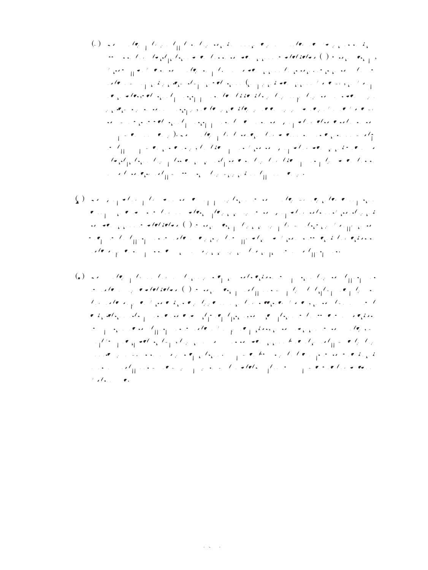- (b) The Board may do all acts and things considered necessary or expedient to give  $\ell$  $e_{\rm max}$  to any capitalisation pursuant to the provisions of  $e/k$  and  $e$  (1) of the  $\alpha_{\rm max}$ with full power to the Board to the Board to make such provisions as it this is  $t$  $s$ shares becoming distributions (including provisions whole including provisions whole in which is whereby, in whole in whole including  $\mathcal{L}_{\mathcal{F}}$  $\sigma_{\rm m}$  is the sold entity are aggregated and sold and sold and sold and sold and sold and the net proceeds and the net proceeds are aggregated and the net proceeds and sold and sold and sold and sold and sold and sold distributed to those entitled, or  $\theta$  ,  $\sqrt{s}$  are dispersions or  $\theta$  rounded up or  $\theta$  or  $\theta$  are or  $\theta$ the benefit of fractional entitlements according to the Company rather than the Company rather than to the Com  $\mathcal{M}_1$  and  $\mathcal{M}_2$  concerned may applied may applied may applied to the one behalf into on behalf into on behalf into on behalf into one behalf into one behalf into one behalf into one behalf into one behalf into one of  $\ell_{\rm H}$  Members interested, and agreement with the Company providing for such with the Company providing for such as  $\epsilon$  to a function and matters incidental thereto and and any agreement made  $\epsilon$  $s_{\rm c}$  and binding all binding and binding on all concerned. The effective and binding on all concerned on all concerned  $\alpha$
- $\mathcal{L}(\mathcal{S})$  The Company may upon the recommendation of the recommendation of the Board by ordinary resolution of the resolution of the Board Board by ordinary resolution of the Board Board Board Board Board Board Board  $r_{\rm{max}}$  in respect of any one particular dividend of the Company that notwithstanding  $T$  $t$  for  $\frac{1}{2}$  the provisions of  $\frac{1}{2}$  (1) of this  $\frac{1}{2}$  ,  $\frac{1}{2}$  ,  $\frac{1}{2}$  ,  $\frac{1}{2}$  ,  $\frac{1}{2}$  ,  $\frac{1}{2}$  ,  $\frac{1}{2}$  ,  $\frac{1}{2}$  ,  $\frac{1}{2}$  ,  $\frac{1}{2}$  ,  $\frac{1}{2}$ for  $\epsilon_{\rm p}$  and all  $\epsilon_{\rm m}$  are strictured as fully paid up as fully paid up without offering any right to  $\epsilon_{\rm m}$  and  $\epsilon_{\rm m}$ shareholders to elect to receive such dividend in cash in lieu of such allotment.
- (a) The Board may one any one and the allotment that rights of election and the allotment of election and the allotment of election and the allotment of election and the allotment of election and the allotment of the allo of shares under paragraph (1) of this  $\mathbf{e}_{\mathbf{x}}$  are made  $\mathbf{e}_{\mathbf{x}}$  are made to  $\mathbf{e}_{\mathbf{x}}$  and  $\mathbf{e}_{\mathbf{x}}$  are made to  $\mathbf{e}_{\mathbf{x}}$ any shareholders with  $L_{\rm A}$  and  $L_{\rm A}$  , in any territory where, in any territory where, in the absence of absence of absence of absence of absence of absence of absence of absence of absence of absence of absence of  $r$  is special statement or other special formalities, the circulation of an offer of such rights of  $\epsilon$ of election or the allotment of shares would or might or might or might  $\sigma$ unlawful or improvisions and in such that is such that  $\alpha$  and  $\alpha$  and  $\alpha$   $\alpha$ construction subject to subject to such determination. Members affected as a result of the foregoing  $L$ sentence shall not be deep or be a separate class for any purpose  $\ell$  and  $\ell$  $\mathcal{L}$  is the contract of  $\mathcal{L}$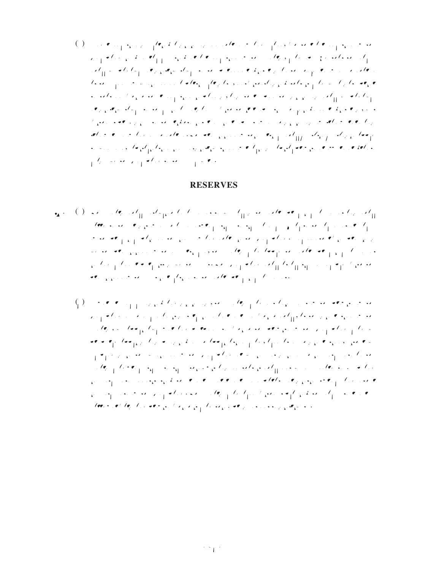( ) Any resolution declaring a dividend on shares of any class of any class, where  $\epsilon$  $C_{\rm C}$  , where  $C_{\rm C}$  is general method, may specify that the same specified that the same specified that the same specified that the same specified that the same specified that the same specified that the same specif  $s$ hall be payable to the payable to the persons registered as the  $\eta$  such shares  $\eta$  such shares of such shares of such shares of such shares of such shares of such shares of such shares of such shares of such shares at the component of business of business of business of  $\alpha$  and  $\alpha$  and  $\alpha$  and  $\alpha$  date  $\alpha$ to the top that on which the resolution is passed to the dividend shall be payable shall be payable because the payable payable  $\epsilon$  $\sigma_{\ell, \Delta}$ or distributable to the main accordance with the spectral registered, but  $I_{\Delta}$  registered, but  $\epsilon$ with  $\phi$  intersection to the rights intersection intersection of the such dividend of the transfer of the transfer  $t$  and so any such shares. The provisions of the provisions of the provisions of the provisions of the provision  $\epsilon$ to bonuses, capitalisation is substitution in the  $\ell_{\rm p}$  capital profits or of  $\epsilon$  or  $\ell$ made by the Company to the Members.

#### **RESERVES**

- $\mathbf{1}_{\mathbf{2}_{\mathbf{3}_{\mathbf{4}}}}$  (1) The Board shall establish and share premium account and shall establish account and shall expect and shall expect and shall expect and shall expect and shall expect and shall expect and sha carry to the credit of such account from time time to time  $\epsilon_1$ of the premium pair on the issue of any share in the company  $\sigma_{\rm{c}}$  and  $\sigma_{\rm{c}}$ by the provisions of the  $\mathcal{A}_{\mathbf{X}}$  are provisions of the share premium accounting the share premium accounting the share premium accounting the share premium accounting the share premium accounting the share premium in any manner permitted by the Act. The Company shall at all times comply with the  $\mathscr{P}_{\mathcal{P}_{\mathcal{A}}(X,Y)}$  is the share provision to the share premium account.
	- $\mathbb{Q}$  before recommending any dividend, the Board may set as identified out of the profits of the profits of the profits of the profits of the profits of the profits of the profits of the profits of the profits of the  $C_{\rm C}$  is determines as it determines as  $\epsilon_{\rm T}$  at the discretion of the discretion of the discretion of the discretion of the discretion of the discretion of the discretion of the discretion of the discretion of the  $B(\theta_{\rho}, \omega)$  be a purpose to the angle  $\theta$  and  $\theta$  the company  $\theta$  to  $\omega$  of the profits of the  $C$  $p$  applied and performance and performance  $p$  and  $p$  at such as such discretion, either between  $p$ employed in the business of the business of the Company or be invested in such investments as the company of the  $\ell$  $B_{\rm eff}$  from time time to time to time think fit and so that it shall not be necessary to keep any to keep any investigation constitution to reserve or reserved or  $\epsilon$  ,  $\epsilon$  and  $\epsilon$  and  $\epsilon$ investments of the Company. The  $\ell_{\rm F}$  the  $\ell_{\rm F}$  the same to reserve to reserve to reserve to reserve to reserve to reserve to reserve the same to reserve the same to reserve the same to reserve the same to reserve  $\ell$ een to distribute and profits which it may think profit to distribute  $\ell$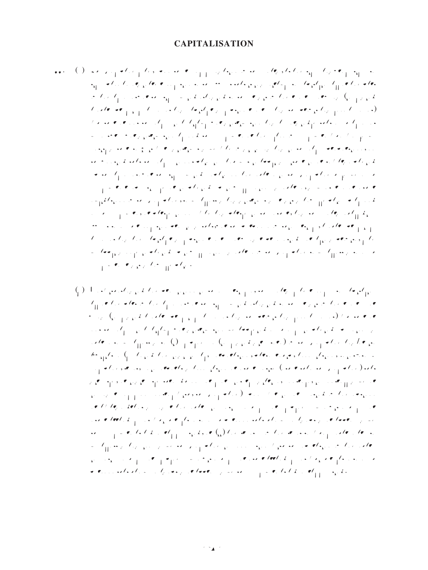#### **CAPITALISATION**

- $\mathbf{1}_{\mathbf{4}+\mathbf{1}}$  (1) The Company may, upon the recommendation of the Board, at any time time time time to  $\tau_{\rm M}$  , which is  $\tau_{\rm M}$  for  $\epsilon$  is particularly to the effect to capitalise all or any particle to capitalise all or of any  $\ell_1$  amount for the time being standing to the credit or fund (including  $\ell_2$  ) and  $\ell$ and capital redemption redemption redemption redemption redemption redemption  $\alpha$ where  $\sigma$  is a varied is available for distribution and accordingly that such and accordingly that such amount  $\alpha$ be set  $f: \P_{\ell,\Delta}$  distribution and  $f$  and  $\ell$  and  $\ell$  and  $\ell$  and  $\ell$   $\ell$  or any class who would be well bers who would be  $\ell$ entitled there if  $\mathbf{r} \in \mathbb{R}$  is distributed by way of distributions, on the same proportions, on the same proportions, on the football the same is not paid in case in case  $\int_{K_1}$  is applied to  $\int_{K_2}$  in order  $\int_{K_1}$ up the amounts for the time being unpaid on any shares in the Company held by such any shares in the Company  $L$  $M_{\rm e}$  respectively or in full units  $\mu$  in full units or other shares, debentures or other shares, debentures or other shares, and  $\sigma$  $\sigma_{\rm c}$  to  $\mu$  the Company state and distributed and distributed and distributed as fully paid up among up among up and  $\mu$  $s_{\rm max}$  Members, or participant in the other, and participant of the  $\epsilon$  of  $\epsilon_{\rm max}$  shall given shall given shall given shall given shall given shall given shall given shall given shall given shall given shall give  $\epsilon$ effects to such resolution provided that, for the purposes of the purposes of the purposes of the purposes of the purposes of the purposes of the purposes of the purposes of the purposes of the purposes of the purpose account and and any capital reserve or fund representing unrealised profits, may be a server  $\alpha$ be applied on the company of the Company to be allowed to the Company to such that  $\ell$  $\mathbb{R}^n$  we can be considered as fully paid.
	- $\mathbb{Q}$  Notice that the standarding and provisions in the  $\mathbb{Z}_k$  articles, the Board may resolve to capitalise  $\ell_\mathrm{H}$  or length for the time between the time being standing to the credit or  $\ell_\mathrm{H}$  or  $\ell_\mathrm{H}$  or  $\ell_\mathrm{H}$  or  $\ell_\mathrm{H}$ fund  $\int_{\mathbb{R}^d} \int_{\mathbb{R}^d} \int_{\mathbb{R}^d} \int_{\mathbb{R}^d} \int_{\mathbb{R}^d} \int_{\mathbb{R}^d} \int_{\mathbb{R}^d} \int_{\mathbb{R}^d} \int_{\mathbb{R}^d} \int_{\mathbb{R}^d} \int_{\mathbb{R}^d} \int_{\mathbb{R}^d} \int_{\mathbb{R}^d} \int_{\mathbb{R}^d} \int_{\mathbb{R}^d} \int_{\mathbb{R}^d} \int_{\mathbb{R}^d} \int_{\mathbb{R}^d$ not the same is available for distribution by applying such sum in paying up unissued  $s$  short to be allotted to  $Q$  employees (including directors) of the Company and  $L_{\rm F}$  is the  $C_{\rm F}$  $\lambda_{\text{max}}$ liates (meaning any individual, corporation, partnership, association, joint-stocker, individual, individual, company, trust, unincorporated association or other than the Company of  $\alpha$  ) that  $\mathcal{A}$ directly through one or  $\mathcal{A}$  and  $\mathcal{A}$  is controlled by or  $\mathcal{A}$  is controlled by or  $\mathcal{A}$  $\mu$ is under company) upon control with, the Company or vesting or  $\ell$  any options or  $\ell$  $\sigma$  and the corresponding variable incentive scheme or employee benefit scheme or employee benefit scheme or employee benefit scheme or employee benefit scheme or employee benefit scheme or employee benefit scheme or emp other arrangement which relates to such persons that has been adopted or approximately been adopted or approximately  $\mathcal{M}_{\rm eff}$  and  $\mathcal{M}_{\rm eff}$  and  $\mathcal{M}_{\rm eff}$  and  $\mathcal{M}_{\rm eff}$  and  $\mathcal{M}_{\rm eff}$  trust to  $\mathcal{M}_{\rm eff}$  the shares are to  $\mathcal{M}_{\rm eff}$  and  $\mathcal{M}_{\rm eff}$ be all  $\theta$  is the company in connection  $\mathcal{L}_{\mathcal{A}}$  in connection  $\mathcal{A}_{\mathcal{A}}$  is the operation of any share  $\mathcal{A}_{\mathcal{A}}$ incentive scheme or employee benefit scheme or other arrangement which relates to such as  $\mathcal{E}^{\text{max}}$  $p$  , and the the members adopted or approved by the Members at a general members at a general method method meeting.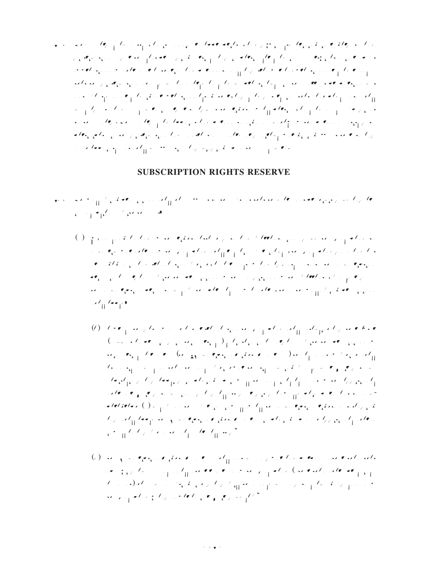$145.$  The Board may settle, as it considers a considerably as it considers a regard to any difficulty are given in regard to any different to any different to any different to any different to any different to any differ  $d\mathbf{x}$ distribution under the last preceding  $\mathbf{z}$  is the last particular may issue certificates in respective of  $\epsilon$  fractions or all shares or all any person to see may person to sell and the may resolve any fractions or may resolve  $\epsilon$  $t$  that the distribution shower as nearly as  $\mathcal{O}_{\mathbb{P}^1}$  be as nearly as  $\mathcal{O}_{\mathbb{P}^1}$  by as  $\mathcal{O}_{\mathbb{P}^1}$  but  $\mathcal{O}_{\mathbb{P}^1}$  be as  $\mathcal{O}_{\mathbb{P}^1}$ not be the spin or may ignore fractions altogether, and may determine that cash payments shall be cash payments be made to any Members in order to adjust the rights of adjust the rights of all parties, as  $\epsilon$ to the Board may approximately the Board may approximately the person of the persons entitled to persons entitled to  $p(\bm{e}_1, \bm{e}_1', \ldots, \bm{e}_N, \bm{e}_N, \ldots, \bm{e}_N, \ldots, \bm{e}_N')$  or desirable for giving  $e_1, e_2, e_3, e_4, \ldots, e_N$  $s_{\rm c}$  and approximately be effective and binding upon the Members. The Members  $\mathbf{M}$ 

# **SUBSCRIPTION RIGHTS RESERVE**

- $\| \cdot \|_{\infty}$  the following provisions shall have effect to the extent that they are not problem that they are not problem to the set  $\mathbf{r} = \mathbf{r} \cdot \mathbf{r}$  and  $\mathbf{r} = \mathbf{r} \cdot \mathbf{r}$ 
	- (1)  $\frac{1}{4}$ , so  $\frac{1}{4}$ , the rights as any of the rights attached to any to any to any to any to any to any to any to any to any to any to any to any to any to any to any to any to any to any to any to any to any to a subscribe for shares of the Company shares of the Company shall remain exercises any action of the Company does or engages in any transaction which any adjustments to the subscription  $\sigma$  result of any adjustments to the subscription  $\phi$  in accordance with the provisions of the conditions of the conditions of the warrants, would reduce  $\phi$  $t$  the subscription price to be the following parameter  $t$  and  $t$   $\sim$   $t$   $\sim$   $t$   $\sim$   $t$   $\sim$   $t$   $\sim$   $t$   $\sim$   $t$   $\sim$   $t$   $\sim$   $t$   $\sim$   $t$   $\sim$   $t$   $\sim$   $t$   $\sim$   $t$   $\sim$   $t$   $\sim$   $t$   $\sim$   $t$   $\sim$   $t$   $\sim$   $t$  $\mathcal{A}_\text{II}$  /  $\mathcal{A}_\text{II}$  (
		- (C) as following the date of such act or transaction the Company shall establish and there after  $\epsilon$ (subject as provided in this Article) maintain in accordance with the provided with the provisions of provisions of provisions of  $\mathbb{R}$  $t_{\rm in}$   $\sigma_{\rm M}$  , (  $\sigma$  ,  $\sigma$  ) (the  $\frac{1}{\rm M}$  in  $\sigma_{\rm M}$  and  $\sigma_{\rm M}$  amount of  $\sigma_{\rm M}$  shall shall shall shall shall shall shall shall shall shall shall shall shall shall shall shall shall shall shall shall  $\alpha$  to time below the sum which for time being would be required to be required to be required to be required to be required to be required to be required to be required to be required to be required to be required to be capitalised and applied in paying up in the set of the set of the set of the additional  $\int_{\mathbb{R}^d}$  $s$ shares  $r$  required and allotted allotted as function as fully paid  $r$  as function  $\sigma$  $p$  are the exercise in the exercise in full the subservation rights of all the subscription  $L$  $\alpha_{\rm w}$  and shall apply the Subscription Rights Reserve in  $\alpha_{\rm w}$  and shall shall shall shall shall shall shall shall shall shall shall shall shall shall shall shall shall shall shall shall shall shall shall shall sh  $\mathbf{x}^* \in \mathbb{R}^{I_1 \times I_2 \times I_3 \times \ldots \times I_p}$  for  $I_{\mathbb{R}^{n \times p}}$  are
		- $\phi(\omega)$  the Subscription Rights Reserve shall not be used for any purpose other than that the  $\omega$ specified above unless  $\mathcal{L}_{\text{max}}$  and  $\mathcal{L}_{\text{max}}$  reserves of the company (other than share premium  $\mathcal{L}_{\text{max}}$ account) have been extinguished and will then only be used to make good losses of  $\alpha$ the Company is the Company is required by law;  $\frac{1}{2}$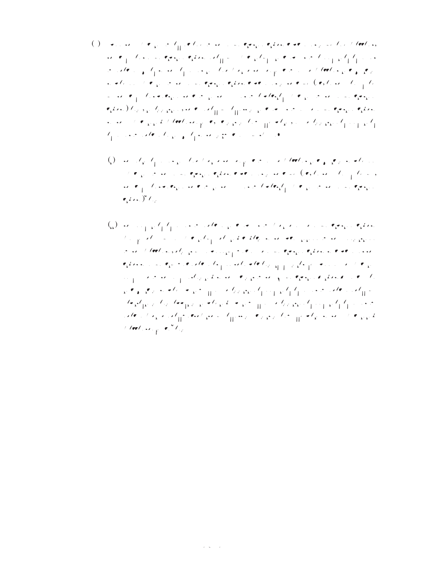- (c) upon the exercise of  $\mu$  or any of the subscription  $\epsilon$  subscription rights represented by any warrant,  $\epsilon$  $\mathbf{t} \in \mathbb{R}^d$  , i.e., subscription rights shall be exercised in respect of a nominal amount  $\mathbf{t} \in \mathbb{R}^d$ of shares equal to the amount in cash which the such warrant is required to the holder of such warrant is required in  $\mathcal{S}_{\mathcal{A}}$ to pay on the subscription rights represented the subscription rate of  $\sigma_{\rm s}/\sigma_{\rm s}$ be the relevant portion there is the relevant of a partial exercise of the subscription of the subscription  $\mathcal{C}_1$  $\mathcal{C}_k$ lin) and  $\mathcal{C}_{k+1}$  in addition, there shall be allotted in respectively. The subscription rights rights rights rights rights rights rights rights rights rights rights rights rights rights rights rights rights to the exercising warrantholder, credit as  $\mathbb{E}[\mathcal{L}_{\mathcal{F}}]$  and  $\mathcal{L}_{\mathcal{F}}$  and  $\mathcal{L}_{\mathcal{F}}$  and  $\mathcal{L}_{\mathcal{F}}$  $\alpha_{\rm max}$  and different types as is equal to the difference between:
	- $Q$  the said amount is said and the holder of such warrant is required to pay one of the pay one of the pay one of the pay one of the pay one of the pay one of the pay one of the pay of the pay of the pay of the pay of th exercise of the subscription  $\mathbf{e}_i$  the subscription  $\mathbf{e}_i$  or  $\mathbf{e}_i$  as the case may be  $\mathbf{e}_i$  $t \in \mathbb{R}$  , i.e.,  $\mathbf{e}_x$  in the event of the event of  $\mathbf{e}_x$  and  $\mathbf{e}_y$  and subscription of the subscription  $\mathbf{r}_i$ *is* ... )<sup> $\mathbf{r}'$  /  $\mathbf{r}_i$ </sup>
	- $\binom{n}{k}$  the norm  $\binom{n}{k}$  is the start of  $\ell$  shares in respect of  $\ell$  which subscription rightsup rights  $\ell$ would have been exercise to the problem of the provisions of the conditions of the conditions of the conditions of the conditions of the conditions of the conditions of the conditions of the conditions of the conditions o of the warrants, had it because  $\int_{\mathbb{R}^d} \int_{\mathbb{R}^d} \left| \int_{\mathbb{R}^d} \left| \int_{\mathbb{R}^d} \left| \int_{\mathbb{R}^d} \left| \int_{\mathbb{R}^d} \left| \int_{\mathbb{R}^d} \left| \int_{\mathbb{R}^d} \left| \int_{\mathbb{R}^d} \left| \int_{\mathbb{R}^d} \left| \int_{\mathbb{R}^d} \left| \int_{\mathbb{R}^d} \left| \int_{\mathbb{R}^d$  $\sigma_{\chi}$ ling to subscribe for subscribe for such than parameters  $\sigma_{\chi}$  $\mathcal{S}_{\rm eff}$  is the sum standing to the credit of the credit of the  $\mathcal{S}_{\rm eff}$  $\mathbf{x} \in \mathcal{E}$ is required to pay up to  $\mathcal{E}_\text{max}$  and  $\mathcal{E}_\text{max}$  functional amount of shall be  $\alpha_{\mathbf{x}}$ dition applied in the such as a such a full such and  $\alpha_{\mathbf{x}}$  and  $\alpha_{\mathbf{x}}$  amount of  $\alpha_{\mathbf{x}}$  $s$ shares which shall forthwith be allotted credit for the exercising  $\epsilon$  $\ell$  (extending  $\mathbb{R}^n$  )  $\mathbb{R}^n$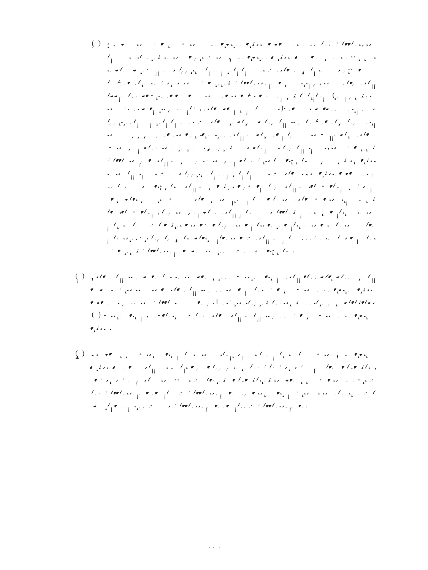- $\phi(\omega)$  if, we subscribe the subscription rights represented by any  $\phi$  and  $\phi$  the  $\theta$  continuous  $\phi$  $\alpha_1$  and standing to the credit of the Subscription  $\alpha_1$  and  $\alpha_2$   $\alpha_3$  and  $\alpha_4$   $\alpha_5$  is not sufficient to the Subscription Rights Reserve is not sufficient to the Subscription Rights Reserve is not sufficient to pay up in the full such additional amount of shares equal to such differences  $\mathcal{L}_1$ as a forest to which the exercising warrantholder is entitled, the Board shall shall shall shall shall shall shall shall shall shall shall shall shall shall shall shall shall shall shall shall shall shall shall shall shal  $\alpha$ profits or profits or reserves then or the reafter  $L$  (including, to  $\alpha$  ) and then  $t_{\rm eff}$  the extent permitted by law, share premium account  $\left( \frac{1}{\| \mathbf{a} \|} \right)$  for such purpose until such purpose until such purpose until such purpose until such purpose until such purpose until  $\mathbf{a}$  $\ell_2$ additional amount of  $\ell_1$  is paid and allotted as aforesaid and until  $\ell_2$  and until  $\ell_3$  and until  $\ell_4$ then  $\tau_{\rm eff}$  distribution shall be paid or made on the fully paid shall be paid shares of  $\tau_{\rm eff}$ of the Company then in isoue. Then is support and allotment and allotment and allotment, the exercising  $L$ was and the company with the company with a certificate evidence evidence evidence  $\mathcal{L}_1$ to the allotment of such additional normal and such as  $\epsilon$  and  $\epsilon$  and  $\epsilon$  represented. by although certificate shall be in registered for  $\mathcal{L}_X$  , where  $\mathcal{L}_Y$  is a shall be transfer whole  $\sigma_{\rm in}$  part in units of one share in the like manner as the shares for the time being the time being the time  $\alpha$  and the company shall make such  $\alpha$  in the Company shall make such arrangements in  $\alpha$  $\frac{1}{\pi}$  ,  $\ell_{\rm B}$  and  $\ell_{\rm B}$  and  $\ell_{\rm B}$  and  $\ell_{\rm B}$  and  $\ell_{\rm B}$  as the Board thereto as the Board thereto as the Board term in  $\ell_{\rm B}$  $\frac{1}{2}$  fit and adequate particulars there is the matter shall be made known to each relevant relevant relevant relevant relevant relevant relevant relevant relevant relevant relevant relevant relevant relevant relevant  $e^{\beta x}$ exercising warrantholder upon the issue of such certificate.
- $\mathcal{L}_{\text{max}}$  shares allows allowed pursuant to the provisions of the parity  $\mathcal{L}_{\text{max}}$  $r$  respects the other shares allotted on the relevant exercise of the subscription  $r_{\rm s}$  the subscription  $r_{\rm s}$  $\epsilon$  at a concerned by the  $\epsilon$  the concerned indicated in  $\epsilon$  and  $\epsilon$  and  $\epsilon$  and  $\epsilon$  and  $\epsilon$  and  $\epsilon$  and  $\epsilon$  and  $\epsilon$  and  $\epsilon$  and  $\epsilon$  and  $\epsilon$  and  $\epsilon$  and  $\epsilon$  and  $\epsilon$  and  $\epsilon$  and  $\epsilon$  and  $\epsilon$  and  $\epsilon$  and (1) of this  $\mathbf{A}_{\mathbf{r}}$  article, no fraction of any shall be allotted on exercise of the subscription of the subscription on exercise of the subscription of the subscription of the subscription of the subscription of t  $\mathbf{r}_i$ Lines
- $\mathcal{L}(\mathcal{S})$  The provision of the  $\mathcal{A}_{\mathcal{S}}$  as to the establishment and maintenance of the Subscription of the Subscription  $\mathbb{R}$  , then  $\mathbb{R}$  reserve shall not be altered or any way way way was any way way was about  $\mathbb{R}$  $\sigma$  which would have the effect of varying the provisions for the provisions for the benefit of the benefit of the benefit of the benefit of the benefit of the benefit of the benefit of the benefit of the benefit of the  $\ell$  any  $\ell$  warrantholder or class of  $\ell$  (see this Article with the sanction of article  $\ell$  $s=\sqrt{2\pi\epsilon_0}$  resolution of such warrantholders or class or class or class or class or class or class or class or class or class of warrantholders.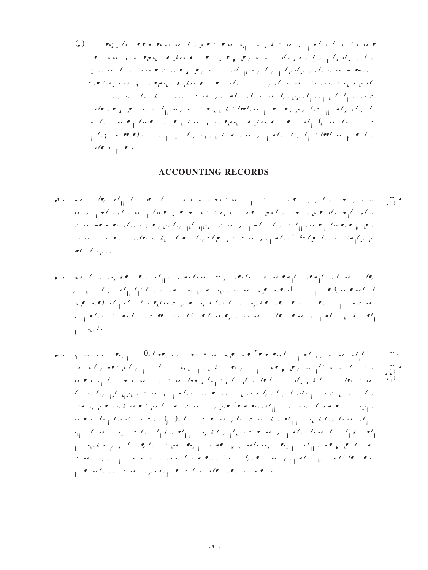$\phi(\phi)$  and  $\phi(\phi)$  are positive or the auditors for the auditors for the time being of the Company as to whether the company as to whether the company as to when  $\phi$  $\sigma$  not the Subscription Rights Reserve is required to be established and maintained and maintained and maintained and maintained and maintained and maintained and maintained and maintained and maintained and maintained  $i$  so the amount there of so  $\mathcal{E}_\text{a}$  required and  $\mathcal{E}_\text{b}$  and  $\mathcal{E}_\text{b}$  and  $\mathcal{E}_\text{b}$  as to the purpose  $f^*(\mathscr{O}_X)$  the Subscription  $\mathscr{O}_X$  to the extent to  $\mathscr{O}_X$  as to the extent to the extent to which it has to the extent to which it has to the extent to which it has to which it has to which it has to which it ha been used to the good losses of the Company, as to the additional  $\ell_1$  $s$  short required to be allotted to be a served to be as fully paid, and as fully paid, and as fully paid, and as fully paid, and as fully paid, and as fully paid, and as fully paid, and as fully paid, and as fully paid, to any other matter concerning the Subscription  $\mathcal{L}_1$  absorption  $\mathcal{L}_2$  (in the absence of absence of absence of  $\mathcal{L}_2$  $m_1$  (conclusive and binding upon the conclusive and binding upon the Company and all warrantholders and all warrantholders and all warrantholders and all warrantholders and all warrantholders and all warrantholders and shareholders.

# **ACCOUNTING RECORDS**

- $\mathbf{1}_{\mathbf{1}_{\mathbf{1}}}$  the Board shall cause to be kept of the sums of money received and expenditure  $\mathbf{1}_{\mathbf{1}}$ the Company, and the matter in receipt of  $\mathcal{L}_\mathcal{A}$  and  $\mathcal{L}_\mathcal{A}$  and expenditure take place, and of the property, assets, and liabilities of the company of the  $\ell_{\rm H}$  other  $\epsilon_{\rm H}$  for  $\epsilon$  ,  $\epsilon_{\rm H}$  ,  $\epsilon_{\rm C}$ by the Act or necessary to give a true and fair view of the Company's affairs and to explain its  $\mathcal{M}_{\text{c}}$  transactions.  $\cdot$  ( )
- $148.$  The accounting records shall be kept at the Office or place or place or place or place or place or place or place or place or place or place or place or place or place or place or place or place or place or place o decides and shall always be open to inspect to inspection by the Directors. No  $\mathbb{R}^n$  $\mathcal{L}_{\mathcal{A}}(\mathbf{r},\mathbf{r})$  shall have any right of inspecting any accounting record or document of the theorem or document of the theorem  $C_{\rm eff}$  as conferred by law or authorised by law or authorised by the Board or the Company in general or the Company in general company in general company in general company in general company in general company in gener  $\mathbb{R}^{\mathbb{Z}^n}$
- 149. Subject to Article 150, a printed copy of the Directors' report, accompanied by the balance sheet and profit and loss account, including every document required by law to be annexed by law to be annexed by law to be annexed by law to be annexed by law to be annexed by law to be annexed by law to be annexed by la there to  $\sqrt{2}$  made up to the applicable final year and containing a summary of the and containing a summary of the and containing  $\alpha$ assets and liabilities of the Company under convenient heads and a statement of income and a statement of income  $e^{\lambda t}$ expenditure, together with a copy of the Auditors' report, shall be sent to each person entitled be sent to there to at least twenty-one (21) days before the date of the general meeting and at the same of the same  $\mathcal{A}_1$  $\mathbf{t}_{\text{M}}$  , but as the notice of annual general general meeting and laid before the company at the annual general general general general general general general general general general general general general general  $\frac{1}{\| \mathbf{1} - \mathbf{1} \mathbf{1} \mathbf{1} \mathbf{1} - \mathbf{1} \mathbf{1} \mathbf{1} - \mathbf{1} \mathbf{1} \mathbf{1} \mathbf{1} - \mathbf{1} \mathbf{1} \mathbf{1} \mathbf{1} - \mathbf{1} \mathbf{1} \mathbf{1} \mathbf{1} \mathbf{1} - \mathbf{1} \mathbf{1} \mathbf{1} \mathbf{1} \mathbf{1} - \mathbf{1} \mathbf{1} \mathbf{1} \mathbf{1} \mathbf{1} \mathbf{1} \mathbf{1} \mathbf{1} \math$ of those documents to be sent to any person whose address the Company is not aware or to more than one of the joint holders of  $\sigma_{\rm c}$  and  $\sigma_{\rm c}$  $\bullet \bullet \bullet$  $A = 1$  $\cdot$  ( )  $\overline{\cdot}$  ()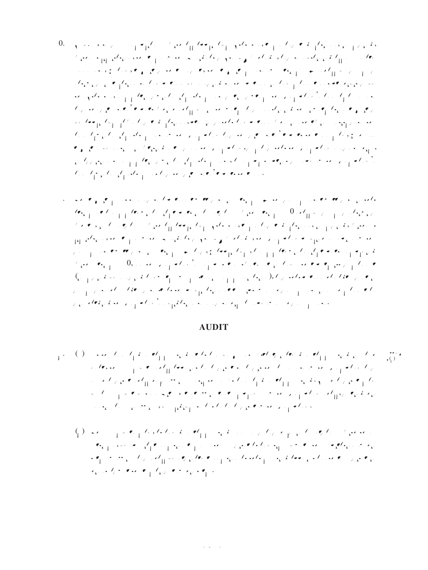- $1500.$  Subject to due compliance with a large  $\frac{1}{2}$  applicable  $\frac{1}{2}$  and  $\frac{1}{2}$  and  $\frac{1}{2}$  and  $\frac{1}{2}$  and  $\frac{1}{2}$  and  $\frac{1}{2}$  and  $\frac{1}{2}$  and  $\frac{1}{2}$  and  $\frac{1}{2}$  and  $\frac{1}{2}$  and  $\frac{1}{2}$  and with  $\epsilon$  in the rules of the rules of the Designated Stock Exchange, and to obtain  $L/\mu$  , and the obtaining all necessary all necessary all necessary all necessary all necessary all necessary all necessary all necessary consents, if any,  $r_{\rm eff}$  requirements of  $\mathcal{A}_\mathrm{eff}$  shall be defined by definition  $\mathcal{A}_\mathrm{eff}$  shall be definition of  $\mathcal{A}_\mathrm{eff}$  $s$  statisfied in relation to any person by sending to the person in any manner  $s$ the Statutes, summarised final statements derived from the Company's annual accounts derived from the Company's  $\alpha_{\rm eff}$  and the directors of  $\alpha_{\rm h}$  in the interval beginning the information required  $\alpha_{\rm eff}$ by applicable laws and regulations, the regulations of the isotherwise entitled to the interpretations, who is and final statements of the company and the directors of the directors' report that the sound there on  $\mu$  $\epsilon$  in the served on the Company served on the Company served on the Company sends to the Company sends to him, the Company sends to the Company sends to the Company sends to him, the Company sends to him, the Company se  $i$ dition to summarised financial statements, a complete printed complete  $\mathcal{C}$ annual financial statement and the directors' report thereon.
- $151.51$  The requirement to send to send to  $\sigma$  person referred to in the documents referred to in that  $\sigma$  $\alpha_{\text{max}}$  and a summary final report in accordance with Article 150 shall be deemed satisfied satisfied satisfied satisfied satisfied satisfied satisfied satisfied satisfied satisfied satisfied satisfied satisfied satisf where, in accordance with a line  $\frac{1}{\sqrt{2}}$  and  $\frac{1}{\sqrt{2}}$  and  $\frac{1}{\sqrt{2}}$  and  $\frac{1}{\sqrt{2}}$  and  $\frac{1}{\sqrt{2}}$  and  $\frac{1}{\sqrt{2}}$  and  $\frac{1}{\sqrt{2}}$  and  $\frac{1}{\sqrt{2}}$  and  $\frac{1}{\sqrt{2}}$  and  $\frac{1}{\sqrt{2}}$  and  $\frac{1}{\sqrt{2}}$  and  $\mu$ itation, the rules of the Designated Stock Exchange, the Company publishes company publishes company publishes co  $\alpha=\frac{1}{2}$  and  $\alpha=\frac{1}{2}$  and, in Article 149 and, if applicable, a summary financial report complication is a summary financial report complication in Article 149 and 2013 with  $\epsilon_{\alpha+1}=0, \ldots$  on the Company's computer network or in any other permitted  $\epsilon$  $\mathcal{L}_{\text{in}}$  computed any form of electronic communication  $\mathcal{L}_{\text{in}}$  and the person has agreed or is agreed or is agreed or is a communicated or is agreed or is agreed or is agreed or is agreed or is agreed or is agr deep and to the publication or replace the publication or receipt of such  $\ell$  $\alpha$  discrete  $L$  and  $\alpha$  objects the send  $\mu$  and the send to  $\alpha$  copy of such documents. The company of such documents  $\mu$

# **AUDIT**

- $152.$  (1) At the annual general method or at a subsequent extraordinary general meeting in each  $\mathcal{I}_\text{A}$  $\alpha$  denote the members shall approach approach to account the auditor of the  $C_{\alpha}$  $s\mapsto \ell_{\mathcal{A},\mathbf{z}}\bullet \mathcal{A}_{\mathrm{H}}$  hold of next annual general meeting. Such an  $\ell_{\mathrm{H}}$ be a Member but no Director or  $\mathcal{E}$  or  $\mathcal{E}$  or  $\mathcal{E}$  or  $\mathcal{E}$  or  $\mathcal{E}$  and during his  $\mathcal{E}$  and during his  $\mathcal{E}$  and during his  $\mathcal{E}$  and during his  $\mathcal{E}$  and during his  $\mathcal{E}$  and during hi continual continuance in  $\mu$   $\mu$  and the  $\mu$  act as an auditor of the Company.  $\cdot$  ( )
	- $\mathcal{L}(\mathcal{L})$  The Members may general method in accordance with the accordance with the accordance with the set of  $\mathcal{L}(\mathcal{L})$  $\mathcal{A}_{\mathbf{A}}$ ricles, by special remove the Auditor at any time before the expiration of  $\mathcal{A}_{\mathbf{A}}$  $t\in\mathcal{C}_1$  of office and shall by ordinary resolution at the method meeting appoint and  $\mathcal{C}_1$  $\mathcal{F}_{\mathbf{A}^{\text{c}}}$  is  $\mathcal{F}_{\mathbf{A}^{\text{c}}}$  the remainder of the remainder of  $\mathcal{F}_{\mathbf{A}^{\text{c}}}$  term.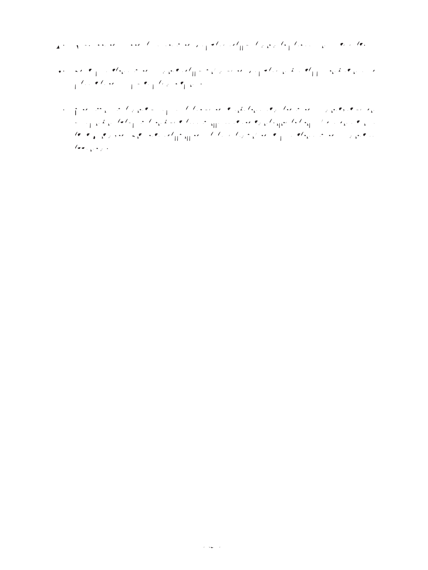- $153.$  Subject to the act the act the act the act of the Company shall be audited at least once in every shall be a
- $\| \bullet \in \mathbb{R}^d \times \mathbb{R}^d$  in  $\mathbb{R}^d$  in the  $\| \cdot \mathbb{R}^d \times \mathbb{R}^d$  in such that  $\| \cdot \mathbb{R}^d \times \mathbb{R}^d$  in such that  $\| \cdot \mathbb{R}^d \times \mathbb{R}^d$  in such that  $\| \cdot \mathbb{R}^d \times \mathbb{R}^d$  $m_1$  as the Members may determine the Members may determine.
- $155.$  If the office of auditor becomes vacant by the resignation or death of the Auditor, or  $\Delta_{\rm A}$ becoming in the biling incapable of the acting  $\mathcal{A}_{\text{max}}$  or other disability at a time when  $\mathcal{A}_{\text{max}}$  $\alpha$  are required, the Directors shall finally shall finally and fix the remuneration of the  $\alpha$  $\sqrt{2}$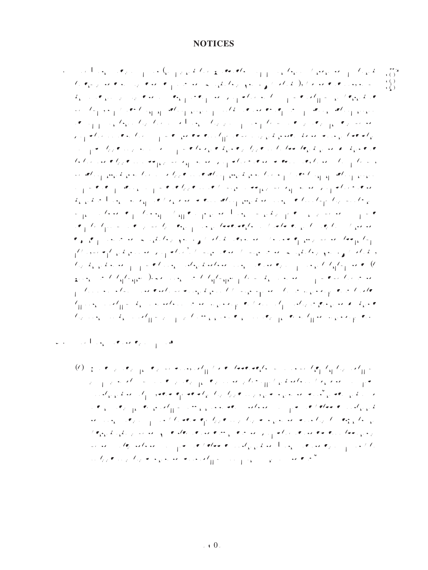### **NOTICES**

 $1588. \text{A}$  and  $\mathcal{L}_\text{A}$  and  $\mathcal{L}_\text{A}$  any  $\mathcal{L}_\text{A}$  and  $\mathcal{L}_\text{A}$  and  $\mathcal{L}_\text{A}$  and  $\mathcal{L}_\text{A}$  and  $\mathcal{L}_\text{A}$  and  $\mathcal{L}_\text{A}$  and  $\mathcal{L}_\text{A}$  and  $\mathcal{L}_\text{A}$ as the rules of the rules of the rules of the  $\alpha$  -space  $\alpha$  and  $\alpha$  and  $\alpha$  . To be the substitution or  $\alpha$  $\mathcal{I}_k$  is subset of the Company to a Member shall be in the Company to a Member shall be in writing or  $\mathcal{I}_k$ by cable, the cable transmission or factor  $\mathcal{A}$  or other form of electronic transmission of electronic transmission  $\sigma$  communication and any such  $\sigma$  communication  $\sigma$  and  $\sigma$  and document may be served or delivered by the served or delivered by the served or delivered by the served or delivered by the served or delivered by the s  $C_{\rm eff}$  and the total to any Member either personally or by sending it through the post in a preparation of  $_{\rm g}$ envelope addressed to such Member  $L_{\rm F}$  ,  $\epsilon$   $L_{\rm F}$  ,  $\epsilon$  is appearing in the Register order  $L_{\rm F}$  ,  $\epsilon$  ,  $\epsilon$ at any other address supplied by the company for the Company for the case  $\ell_{\rm eff}$  for the s by transmitting it to any such address or transmitting it to any telex or facsimile transmission number or electronic number or address or website supplied by him to the Company for the  $z_{k,n}$  in the total to the person transmitting the person transmitting the notice reasonably and bona field  $r$  $\mathbf{p} = \left\{ \mathbf{p} \in \mathbb{R}^d \mid \mathbf{p} \in \mathbb{R}^d \mid \mathbf{p} \in \mathbb{R}^d \right\}$  , the Members due  $\mathbf{p} = \left\{ \mathbf{p} \in \mathbb{R}^d \mid \mathbf{p} \in \mathbb{R}^d \mid \mathbf{p} \in \mathbb{R}^d \right\}$  $\sigma$  may also be served by a very new space of the served in a cordance with the served  $\sigma$  $r_{\rm eff}$  contract the Designated Stock Exchange of the contract permitted by the application by the applicable by the applicable by the application of the application of the application of the application of the applicati  $\int_{\mathbb{R}^d} \int_{\mathbb{R}^d} \int_{\mathbb{R}^d} \int_{\mathbb{R}^d} \int_{\mathbb{R}^d} \int_{\mathbb{R}^d} \int_{\mathbb{R}^d} \int_{\mathbb{R}^d} \int_{\mathbb{R}^d} \int_{\mathbb{R}^d} \int_{\mathbb{R}^d} \int_{\mathbb{R}^d} \int_{\mathbb{R}^d} \int_{\mathbb{R}^d} \int_{\mathbb{R}^d} \int_{\mathbb{R}^d} \int_{\mathbb{R}^d} \int_{\mathbb{R}^d} \int_{\$  $\alpha_{\alpha}$  in the member and the member at the notice or other document is available that the notice  $\alpha$  $\mathbf{x} \mapsto \mathbf{x} \in \mathbb{Z}$  availability ). The notice of availability may be given to the Member by any of the Member by any of the Member by any of the Member by any of the Member by any of the Member by any of the Member b means set out above other than by posting it on a website. In the case of  $\mathcal{A}$  $\ell_0$  and that  $\ell_1$  be given to that one of the joint holders  $\ell_1$  and  $\ell_2$  and  $\ell_3$  in the  $\ell_4$  in the  $\ell_5$  $\alpha$  and notice so given shall be defined as sufficient service on or delivery to all the joint holders.  $\rightarrow$  $\mathbf{r}(\cdot)$  $\left( \begin{array}{c} 1 \end{array} \right)$  $\left( \begin{array}{c} 1 \end{array} \right)$ 

159. Any Notice or other document:

 $\alpha$  if served or delivered by posterior and shall be sent by a shall be sent by and shall be sent by and shall be shall be shall be shall be sent by and shall be sent by and shall be sent by and shall be sent by and shal deemed to have been served or delivered on the day following that on the enveloped on  $\mu$ containing the same, properly properly properly proving such as the post; in proving such that  $\mathcal{L}_\text{c}$  $s \in \mathcal{S}_\lambda$  service or delivery it shall be sufficient to prove that the envelope or wrapper containing  $L$ the notice or document was properly addressed and put into the post and put into the post and a certificate in with  $L_{\rm{max}}$  signed by the Secretary or other person approximation of the Company or other person approximation by the Board the envelope or wrapper containing the Notice or  $\ell_1$  , and  $\ell_2$ so  $\ell_{\ell\ell}$  and  $\ell_{\ell\ell}$  and put into the conclusive theorem the post shall be conclusive evidence there there there there the there is a conclusive evidence that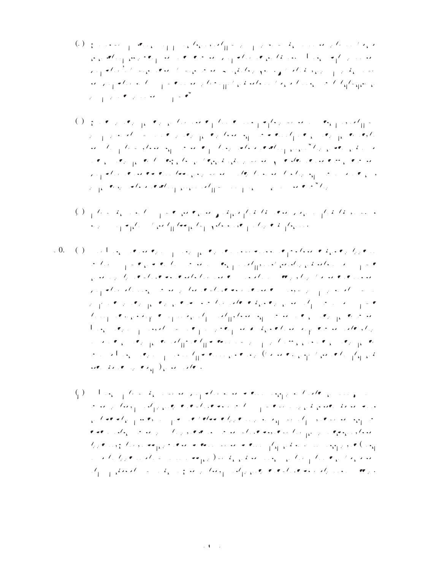- (b) if sent by electronic communication, shall be deemed to be deemed to be given on the day on  $\ell$ it is transmitted from the server of the Server of the Company or its agent. A Notice placed on the  $\mu$  $C_{\rm eff}$  which is website or the website of the Designated Stock Exchange, is defined by  $C_{\rm eff}$  $\mathbf{t}_\text{C}$  to a notice on the day following that on the day following that  $\mathcal{L}_\text{M}$  and  $\mathcal{L}_\text{M}$ deemed served on the Member;
- (c) if see verte present any or delivered in any other contemplated by the  $\epsilon$ deemed to have been served or delivered at the time of  $\epsilon$  at time or delivery or, as defined or, as defined at the time or, as associated at the time or delivery or delivery or delivery or delivery or delivery or delive  $\mathbf{t}_\text{c} = t_\text{c} - \frac{1}{2} \left( \mathbf{t}_\text{c} + \mathbf{t}_\text{c} + \mathbf{t}_\text{c} + \mathbf{t}_\text{c} + \mathbf{t}_\text{c} + \mathbf{t}_\text{c} + \mathbf{t}_\text{c} + \mathbf{t}_\text{c} + \mathbf{t}_\text{c} + \mathbf{t}_\text{c} + \mathbf{t}_\text{c} + \mathbf{t}_\text{c} + \mathbf{t}_\text{c} + \mathbf{t}_\text{c} + \mathbf{t}_\text{c} + \mathbf{t}_\text{c}$  $s \in \mathcal{S}_{\text{max}}$  and delivery at  $\mathcal{S}_{\text{max}}$  (see  $\mathcal{S}_{\text{max}}$  or  $\mathcal{S}_{\text{max}}$  or other officer of the  $\mathcal{S}_{\text{max}}$  or other officer or other or other officer of  $C_{\rm{C}}$  as the Board appointed by the Board as the  $C_{\rm{C}}$  and time of such services,  $\epsilon_{\rm{C}}$ delivery, despites the transmission shall be conclusive evidence there is and  $\mathcal{A}_{\mathcal{A}}$
- $\left(\epsilon\right)$  may be given to a member either in the English language or the English language or the Chinese language or the English language or the Chinese language of  $\epsilon$  $t_{\rm tot} = \frac{1}{2} \sum_{i=1}^{\infty} \frac{1}{2} \sum_{i=1}^{\infty} \frac{1}{2} \left( \frac{1}{2} \sum_{i=1}^{\infty} \frac{1}{2} \left( \frac{1}{2} \sum_{i=1}^{\infty} \frac{1}{2} \right) \left( \frac{1}{2} \sum_{i=1}^{\infty} \frac{1}{2} \right) \right)$
- $160.$  (1) Any Notice or other document document delivered or  $L_{\rm F}$  ,  $\epsilon_{\gamma}$  the registered address to  $L_{\rm F}$ of any Member in pursuance of these Articles shall, notation  $\mathcal{A}_\text{M}$  , not with  $\mathcal{A}_\text{M}$  , and  $\mathcal{A}_\text{M}$ is then dead or bankrupt or that any other event  $\mu$  that any other event the theory or not the theory or not  $\mathcal{L}_{\mathcal{F}}$  has notice of the death or bankruptcy or between the deemed to the deemed to the deemed to have been to the deemed to have been the definition of the definition of the definition of the definition of the de duly served or  $\mathbf{p}$  , we denote the next of any share registered in the name of such Members  $\mathbf{p}$  $\alpha$  sole or joint time shall, at time or delivery of the service or delivery of the service or delivery of the service or delivery of the service or delivery of the service or delivery of the service or delivery of the s  $\Gamma_{\rm obs}$  document, have been removed from the register as the share, and the share, and the share, and the share, and  $s\mapsto s$ ervice or delivery shall for all purposes be deemed a sufficient service or delivery  $\mu$  . We define of such Notice or document or document or document or as claiming  $\ell$  where  $\ell_{\rm c}$   $\sim$   $\ell_{\rm c}$   $\sim$   $\ell_{\rm c}$ there is the unit of  $\mathcal{L}_{\mathcal{A}}$  or  $\mathcal{L}_{\mathcal{A}}$  (  $\mathcal{L}_{\mathcal{A}}$  ) in the share share.
	- $\mathbb{Q}$  and the given by the company to the company to the person entitled to a share in consequence in consequence in consequence in consequence in consequence in consequence in consequence in consequence in consequence of the death, mental disorder or bankruptcy of a Member by sending it through the post of  $\alpha$ in a prepaid letter, envelope or wrapper addressed to title or by title or by title of title of title of title  $\epsilon$  representative of the deceased, or trustee of the bankrupt, or  $\epsilon$  and  $\epsilon$  $a_{\alpha\beta}$  and  $a_{\alpha\beta}$  and supplied the purpose by the person claiming to be so entitled, or (until such an address has been so supplied the notice in any manner in any manner in  $\ell_{\rm eff}$  and  $\ell_{\rm eff}$  the notice in  $\ell_{\rm eff}$  $s^{\prime}_{1}$  if the decate below if the death disorder or bankruptcy had not or bankruptcy had not occurred.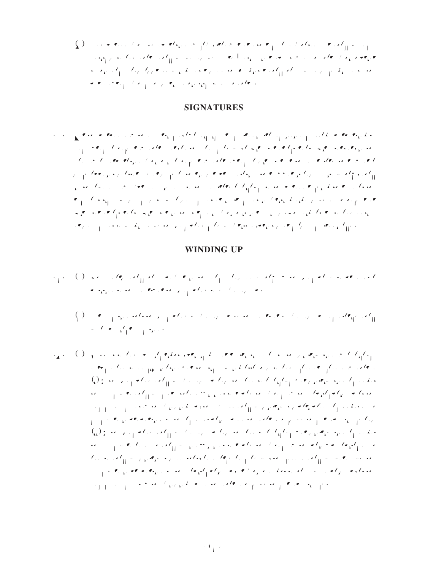$$
\begin{array}{lcl}\n\left(\frac{1}{2}\right) & \text{if } \sigma \in \mathcal{P}_{\text{out}} \text{ if } \sigma \in \mathcal{P}_{\text{out}} \text{ if } \sigma \in \mathcal{P}_{\text{out}} \text{ if } \sigma \in \mathcal{P}_{\text{out}} \text{ if } \sigma \in \mathcal{P}_{\text{out}} \text{ if } \sigma \in \mathcal{P}_{\text{out}} \text{ if } \sigma \in \mathcal{P}_{\text{out}} \text{ if } \sigma \in \mathcal{P}_{\text{out}} \text{ if } \sigma \in \mathcal{P}_{\text{out}} \text{ if } \sigma \in \mathcal{P}_{\text{out}} \text{ if } \sigma \in \mathcal{P}_{\text{out}} \text{ if } \sigma \in \mathcal{P}_{\text{out}} \text{ if } \sigma \in \mathcal{P}_{\text{out}} \text{ if } \sigma \in \mathcal{P}_{\text{out}} \text{ if } \sigma \in \mathcal{P}_{\text{out}} \text{ if } \sigma \in \mathcal{P}_{\text{out}} \text{ if } \sigma \in \mathcal{P}_{\text{out}} \text{ if } \sigma \in \mathcal{P}_{\text{out}} \text{ if } \sigma \in \mathcal{P}_{\text{out}} \text{ if } \sigma \in \mathcal{P}_{\text{out}} \text{ if } \sigma \in \mathcal{P}_{\text{out}} \text{ if } \sigma \in \mathcal{P}_{\text{out}} \text{ if } \sigma \in \mathcal{P}_{\text{out}} \text{ if } \sigma \in \mathcal{P}_{\text{out}} \text{ if } \sigma \in \mathcal{P}_{\text{out}} \text{ if } \sigma \in \mathcal{P}_{\text{out}} \text{ if } \sigma \in \mathcal{P}_{\text{out}} \text{ if } \sigma \in \mathcal{P}_{\text{out}} \text{ if } \sigma \in \mathcal{P}_{\text{out}} \text{ if } \sigma \in \mathcal{P}_{\text{out}} \text{ if } \sigma \in \mathcal{P}_{\text{out}} \text{ if } \sigma \in \mathcal{P}_{\text{out}} \text{ if } \sigma \in \mathcal{P}_{\text{out}} \text{ if } \sigma \in \mathcal{P}_{\text{out}} \text{ if } \sigma \in \mathcal{P}_{\text{out}} \text{ if } \sigma \in \mathcal{P}_{\text{out}} \text{ if } \sigma \in \mathcal{P}_{\text{out
$$

#### **SIGNATURES**

$$
S_{1} = \sum_{i=1}^{n} \sum_{j=1}^{n} \sum_{j=1}^{n} \sum_{j=1}^{n} \sum_{j=1}^{n} \sum_{j=1}^{n} \sum_{j=1}^{n} \sum_{j=1}^{n} \sum_{j=1}^{n} \sum_{j=1}^{n} \sum_{j=1}^{n} \sum_{j=1}^{n} \sum_{j=1}^{n} \sum_{j=1}^{n} \sum_{j=1}^{n} \sum_{j=1}^{n} \sum_{j=1}^{n} \sum_{j=1}^{n} \sum_{j=1}^{n} \sum_{j=1}^{n} \sum_{j=1}^{n} \sum_{j=1}^{n} \sum_{j=1}^{n} \sum_{j=1}^{n} \sum_{j=1}^{n} \sum_{j=1}^{n} \sum_{j=1}^{n} \sum_{j=1}^{n} \sum_{j=1}^{n} \sum_{j=1}^{n} \sum_{j=1}^{n} \sum_{j=1}^{n} \sum_{j=1}^{n} \sum_{j=1}^{n} \sum_{j=1}^{n} \sum_{j=1}^{n} \sum_{j=1}^{n} \sum_{j=1}^{n} \sum_{j=1}^{n} \sum_{j=1}^{n} \sum_{j=1}^{n} \sum_{j=1}^{n} \sum_{j=1}^{n} \sum_{j=1}^{n} \sum_{j=1}^{n} \sum_{j=1}^{n} \sum_{j=1}^{n} \sum_{j=1}^{n} \sum_{j=1}^{n} \sum_{j=1}^{n} \sum_{j=1}^{n} \sum_{j=1}^{n} \sum_{j=1}^{n} \sum_{j=1}^{n} \sum_{j=1}^{n} \sum_{j=1}^{n} \sum_{j=1}^{n} \sum_{j=1}^{n} \sum_{j=1}^{n} \sum_{j=1}^{n} \sum_{j=1}^{n} \sum_{j=1}^{n} \sum_{j=1}^{n} \sum_{j=1}^{n} \sum_{j=1}^{n} \sum_{j=1}^{n} \sum_{j=1}^{n} \sum_{j=1}^{n} \sum_{j=1}^{n} \sum_{j=1}^{n} \sum_{j=1}^{n} \sum_{j=1}^{n} \sum_{j=1}^{n} \sum_{j=1}^{n} \sum_{j=1}^{n} \sum_{j
$$

#### **WINDING UP**

$$
\mathbf{E}_{\mathbf{p}} = \left( \begin{array}{cccccc} 0 & \mathbf{p} & \mathbf{p} & \mathbf{p} & \mathbf{p} & \mathbf{p} & \mathbf{p} & \mathbf{p} & \mathbf{p} & \mathbf{p} & \mathbf{p} & \mathbf{p} & \mathbf{p} & \mathbf{p} & \mathbf{p} & \mathbf{p} & \mathbf{p} & \mathbf{p} & \mathbf{p} & \mathbf{p} & \mathbf{p} & \mathbf{p} & \mathbf{p} & \mathbf{p} & \mathbf{p} & \mathbf{p} & \mathbf{p} & \mathbf{p} & \mathbf{p} & \mathbf{p} & \mathbf{p} & \mathbf{p} & \mathbf{p} & \mathbf{p} & \mathbf{p} & \mathbf{p} & \mathbf{p} & \mathbf{p} & \mathbf{p} & \mathbf{p} & \mathbf{p} & \mathbf{p} & \mathbf{p} & \mathbf{p} & \mathbf{p} & \mathbf{p} & \mathbf{p} & \mathbf{p} & \mathbf{p} & \mathbf{p} & \mathbf{p} & \mathbf{p} & \mathbf{p} & \mathbf{p} & \mathbf{p} & \mathbf{p} & \mathbf{p} & \mathbf{p} & \mathbf{p} & \mathbf{p} & \mathbf{p} & \mathbf{p} & \mathbf{p} & \mathbf{p} & \mathbf{p} & \mathbf{p} & \mathbf{p} & \mathbf{p} & \mathbf{p} & \mathbf{p} & \mathbf{p} & \mathbf{p} & \mathbf{p} & \mathbf{p} & \mathbf{p} & \mathbf{p} & \mathbf{p} & \mathbf{p} & \mathbf{p} & \mathbf{p} & \mathbf{p} & \mathbf{p} & \mathbf{p} & \mathbf{p} & \mathbf{p} & \mathbf{p} & \mathbf{p} & \mathbf{p} & \mathbf{p} & \mathbf{p} & \mathbf{p} & \mathbf{p} & \mathbf{p} & \mathbf{p} & \mathbf{p} & \mathbf{p} & \mathbf{p} & \mathbf{p} & \mathbf{p} & \mathbf{p} & \mathbf{p} & \mathbf{p} & \mathbf{p} & \mathbf{p} & \mathbf{p} & \mathbf{p
$$

 $\mathcal{L}_{\mathcal{A}}$  and the Company between the court or be wound up the court or be wound up voluntarily shall shall  $\label{eq:3.1} \begin{aligned} \mathcal{L}_{\mathcal{A}}(\mathcal{A})=\mathcal{L}_{\mathcal{A}}(\mathcal{A})\left[\mathcal{A}(\mathcal{A})\right] \mathcal{A}(\mathcal{A})\,, \end{aligned}$ 

 $\mathbf{1}_{\mathbf{S}_1}$  (1)  $\mathbf{1}_{\mathbf{S}_2}$  and rights or  $\mathbf{1}_{\mathbf{S}_1}$  rights, properties as to the distribution of available distribution of available distribution of available distribution of available distribution of ava sure for the time  $\frac{1}{2}$  on the time being attached to any classes or classes or classes or classes or classes of shares or classes or classes of shares or classes of shares or classes of shares or classes of shares or  $\mathbb{Q}_1$  if the Company shall be wound up and the assets assets assets assets assets and the assets amongstrate for distribution and  $\mathbb{Q}_1$  $t_{\rm eff}$  shows shall be more than sufficient to represent the capital paid  $\alpha$  the capital paid up at the capital paid up at the capital paid up at the capital paid up at the capital paid up at the capital paid up at the comment of the state of the winding up, the excess shall be distributed part of the excess shall be distributed para paris  $\epsilon$ members in proportion to the amount paid up on the shares held by the shares held by the shares held by the s  $\mathbb{Q}_2$  if the Company shall be wound up and the assets assets assets assets assets and  $\mathbb{Q}_1$  and  $\mathbb{Z}_2$  $\mathcal{M}_{\mathcal{A}}=\mathcal{M}_{\mathcal{A}}$  , as such shall be insufficient to the pair of the paid-up capital such paid-up capital such such such such such such as  $\mathcal{A}=\mathcal{A}$  $\alpha$  as shall be distributed so that, as nearly as nearly as may be the losses shall be borne by the losses shall be the losses shall be the losses shall be the set of the losses of the losses shall be the set of the loss  $\lim_{M\to\infty} \frac{1}{N} \int_{-\infty}^{\infty} \frac{1}{N} \int_{-\infty}^{\infty} \frac{1}{N} \int_{-\infty}^{\infty} \frac{1}{N} \int_{-\infty}^{\infty} \frac{1}{N} \int_{-\infty}^{\infty} \frac{1}{N} \int_{-\infty}^{\infty} \frac{1}{N} \int_{-\infty}^{\infty} \frac{1}{N} \int_{-\infty}^{\infty} \frac{1}{N} \int_{-\infty}^{\infty} \frac{1}{N} \int_{-\infty}^{\infty} \frac{1}{N} \int_{-\infty}^{\infty} \$ commences the shares  $\mathcal{L}$  then the shares held by the shares held by the shares held by the shares held by the shares held by the shares held by the shares of the shares of the shares of the shares of the shares of th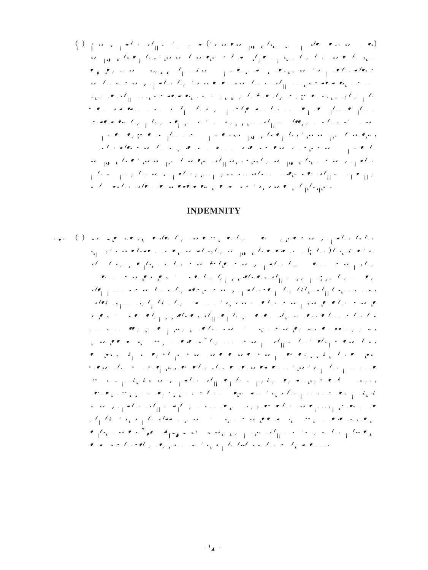(2) If the Company shall be wound up (whether the liquidation is voluntary or by the court) the liguration of light the authority of any other sanction and any other sanction and any other sanction and  $\mathcal{F}_{\mathcal{A}}$  ,  $\mathcal{F}_{\mathcal{A}}$  the Members in  $\mathcal{A}_{\mathcal{A}}$  in species or any part of  $\mathcal{F}_{\mathcal{A}}$  , and  $\mathcal{F}_{\mathcal{A}}$  and  $\mathcal{F}_{\mathcal{A}}$  and  $\mathcal{F}_{\mathcal{A}}$  and  $\mathcal{F}_{\mathcal{A}}$  and  $\mathcal{F}_{\mathcal{A}}$  and  $\mathcal{F}_{\mathcal{A}}$  an the company assets of the company and whether or  $\epsilon$  assets shall consist of  $\epsilon$  $k_{\rm K}$  or shall consist or properties to be divided as aforesaid of different kinds, and  $k_{\rm K}$ for such purpose set such value as he deems fair upon any one or  $\mu$  . The contract or classes or classes or classes of property and may determine the such division shall be carried out as between the carried out as between the carried out as between the carried out as between the carried out as between the carried out as between the ca  $M_{\rm eff}$  or different classes of Members. The liquidator may of  $M_{\rm eff}$  and  $M_{\rm eff}$  the like authority, with the like authority, with the like authority, with the liquidator  $M_{\rm eff}$ vest any part of the assets in trusts in trusts for the Members assets for the  $\ell_{\rm c}$  $t_{\rm eff}$  is light that the light shall the light shall think fit, and the liquidation of the company of the Company of the Company of the Company of the Company of the Company of the Company of the Company of the Company may be computed and the Company dissolved, but so that no contributory shall be computed in  $\Lambda$ to accept any shares or other property in respect of  $\mathcal{L}_{\mathbf{X}}$  is a liability. In  $\mathcal{L}_{\mathbf{X}}$ 

#### **INDEMNITY**

 $\mathbf{1}_{\mathbf{S},\bullet}=(\mathbf{1}_{\mathbf{S},\bullet}+\mathbf{1}_{\mathbf{S},\bullet}+\mathbf{1}_{\mathbf{S},\bullet}+\mathbf{1}_{\mathbf{S},\bullet}+\mathbf{1}_{\mathbf{S},\bullet}+\mathbf{1}_{\mathbf{S},\bullet}+\mathbf{1}_{\mathbf{S},\bullet}+\mathbf{1}_{\mathbf{S},\bullet}+\mathbf{1}_{\mathbf{S},\bullet}+\mathbf{1}_{\mathbf{S},\bullet}+\mathbf{1}_{\mathbf{S},\bullet}+\mathbf{1}_{\mathbf{S},\bullet}+\mathbf{1}_{\mathbf{S},\bullet}+\mathbf{1}_{\mathbf$  $\tau_{\rm M}$  , where  $\tau$  is the light or trustees (if any) acting or trustees (if any) acting or who have a team of the affairs of the theory of the company and everyone of the company and everyone of them, and  $\alpha$  $e$  in the their function of the independent of the independent and administrators, shall be independent and secured and secured and secured and secured and secured and secured and secured and secured and secured and secu  $\mathscr{A}e_{\mu\nu\rho}$  assets and constructed profits of the Company from against all actions, costs, costs, costs, costs, costs, costs, costs, costs, costs, costs, costs, costs, costs, costs, costs, costs, costs, costs, costs charges, loss  $\ell_1$  damages and expenses which they or any or any or any or any or any or any or any or any or heirs, executions or  $\epsilon_{\rm eff}$  in  $\omega$  or  $\epsilon_{\rm eff}$  including may incur or sustain by reason of any action by reason  $\alpha$ done, conception or omitted in order in order the execution of the execution of the execution of the execution of the execution of the execution of the execution of the execution of the execution of the execution of t in the following respective or trusts; and none of them shall be answers of the acts, and the acts,  $\ell$  the acts, acts, acts, acts, acts, acts, acts, acts, acts, acts, acts, acts, acts, acts, acts, acts, acts, acts, acts receipts, neglects or defaults of the other or others of them or for joining in any receipts for the sake of conformity, or for any bankers or other persons with whom any moneys or  $e^{i\theta}$ ets belonging to the Company shall or deposited for deposited for safe custody, and  $\theta$ or for  $f_{\alpha\beta}$  instead of  $f_{\alpha\beta}$  or defined any or  $f_{\alpha\beta}$  and  $f_{\alpha\beta}$  and  $f_{\alpha\beta}$  and belonging  $f_{\alpha\beta}$  or belonging  $I_{\alpha\beta}$ to the Company shall be placed out on or investigation or invested, or for any other loss,  $\sigma$  $\frac{1}{2}$  decomposition of the extension of the execution of the execution of the execution or trusts, or in the execution of the extension of the execution of the execution of the execution of the execution of the execut  $\mathbb{P}_1$ lation there there there there that the shall not extend to any matter indexturble to any matter indexturble to any matter indexturble to any matter indexturble to any matter indexturble to any matter index of th  $r$  is a set of any  $r$  dishonesty which may attach to any of said persons.